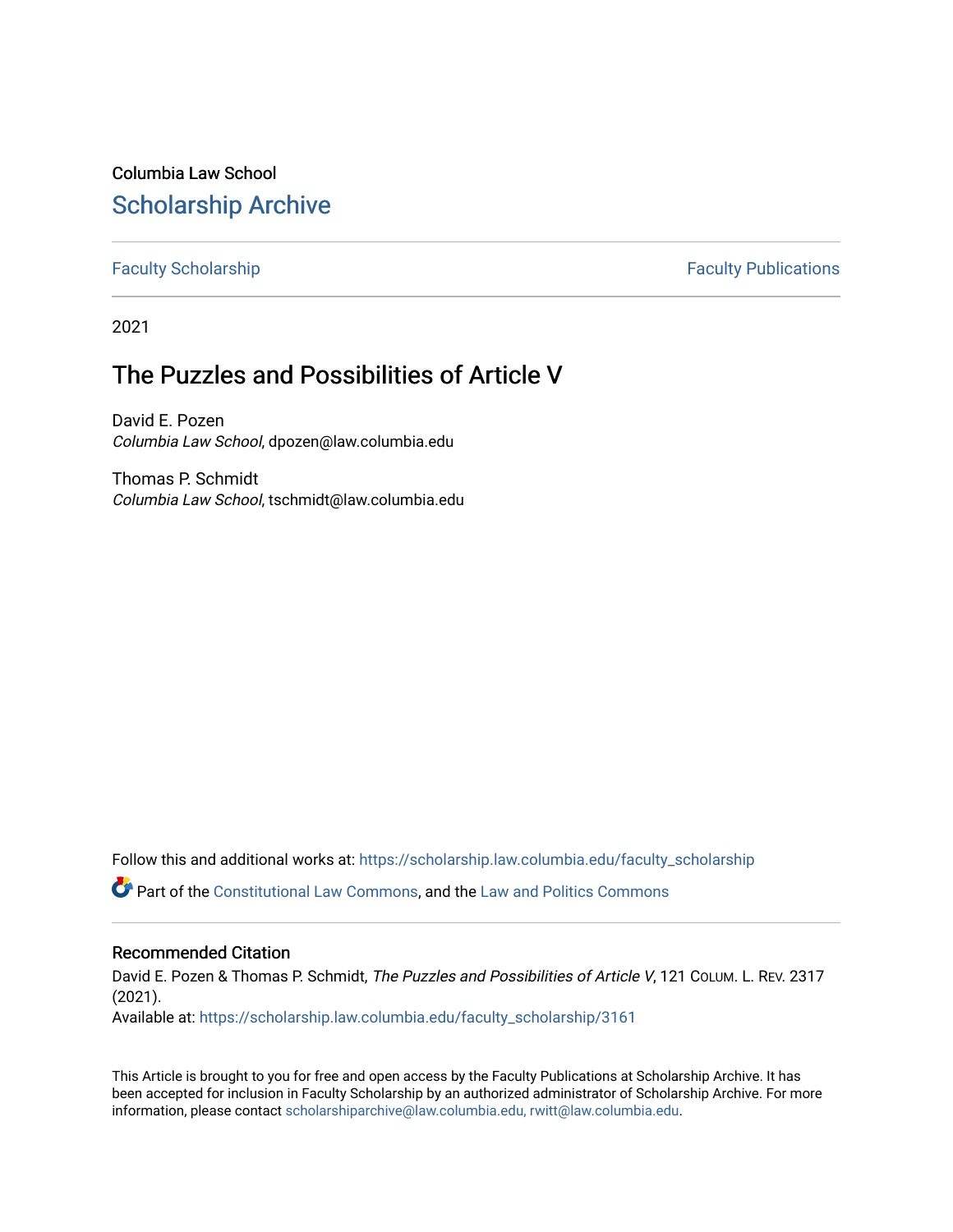Columbia Law School [Scholarship Archive](https://scholarship.law.columbia.edu/) 

[Faculty Scholarship](https://scholarship.law.columbia.edu/faculty_scholarship) **Faculty Scholarship Faculty Publications** 

2021

# The Puzzles and Possibilities of Article V

David E. Pozen Columbia Law School, dpozen@law.columbia.edu

Thomas P. Schmidt Columbia Law School, tschmidt@law.columbia.edu

Follow this and additional works at: [https://scholarship.law.columbia.edu/faculty\\_scholarship](https://scholarship.law.columbia.edu/faculty_scholarship?utm_source=scholarship.law.columbia.edu%2Ffaculty_scholarship%2F3161&utm_medium=PDF&utm_campaign=PDFCoverPages)

Part of the [Constitutional Law Commons,](http://network.bepress.com/hgg/discipline/589?utm_source=scholarship.law.columbia.edu%2Ffaculty_scholarship%2F3161&utm_medium=PDF&utm_campaign=PDFCoverPages) and the [Law and Politics Commons](http://network.bepress.com/hgg/discipline/867?utm_source=scholarship.law.columbia.edu%2Ffaculty_scholarship%2F3161&utm_medium=PDF&utm_campaign=PDFCoverPages)

### Recommended Citation

David E. Pozen & Thomas P. Schmidt, The Puzzles and Possibilities of Article V, 121 CoLUM. L. REV. 2317 (2021).

Available at: [https://scholarship.law.columbia.edu/faculty\\_scholarship/3161](https://scholarship.law.columbia.edu/faculty_scholarship/3161?utm_source=scholarship.law.columbia.edu%2Ffaculty_scholarship%2F3161&utm_medium=PDF&utm_campaign=PDFCoverPages)

This Article is brought to you for free and open access by the Faculty Publications at Scholarship Archive. It has been accepted for inclusion in Faculty Scholarship by an authorized administrator of Scholarship Archive. For more information, please contact [scholarshiparchive@law.columbia.edu, rwitt@law.columbia.edu](mailto:scholarshiparchive@law.columbia.edu,%20rwitt@law.columbia.edu).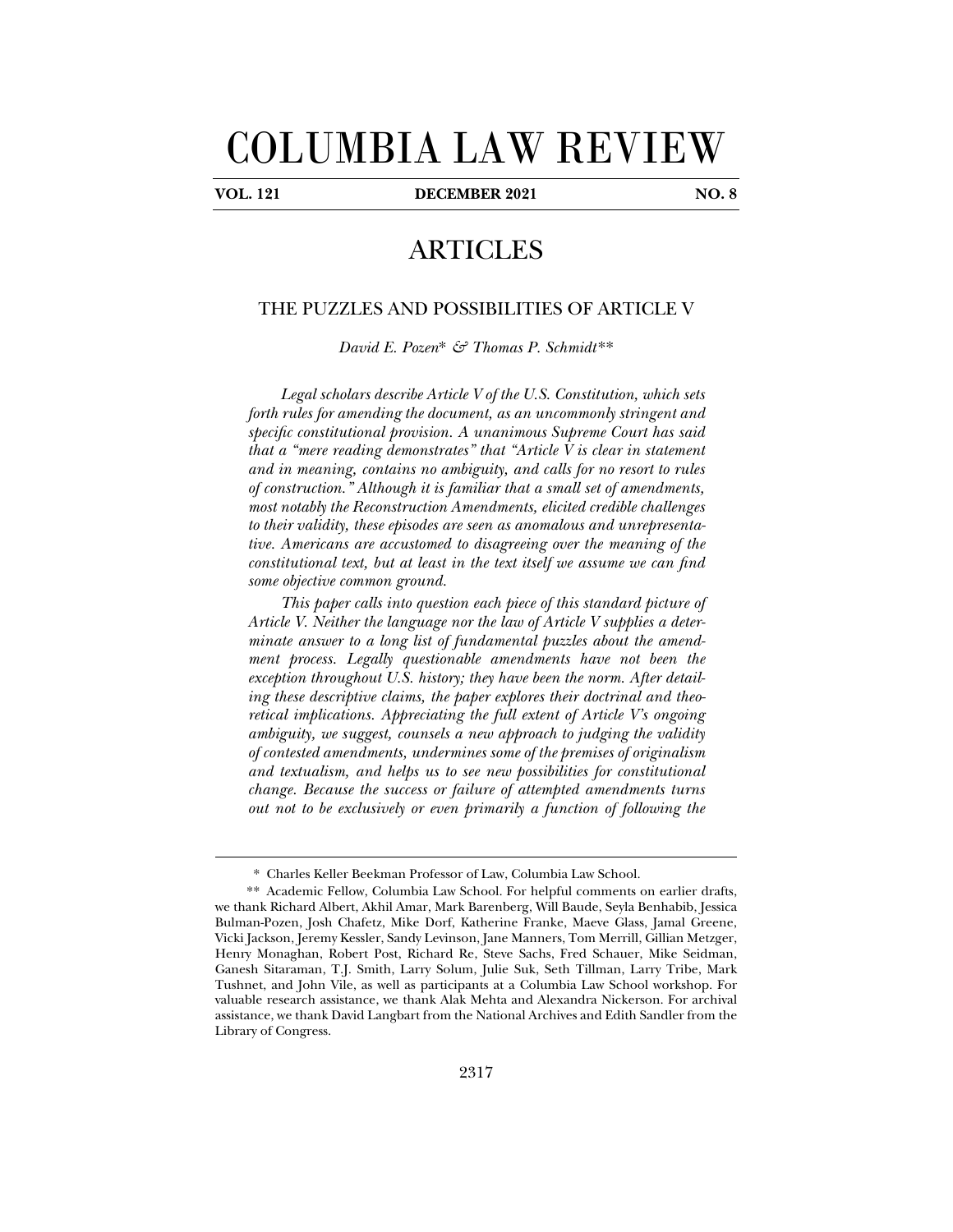# COLUMBIA LAW REVIEW

j

**VOL. 121 DECEMBER 2021 NO. 8** 

## ARTICLES

#### THE PUZZLES AND POSSIBILITIES OF ARTICLE V

*David E. Pozen*\* *& Thomas P. Schmidt.*\*\*

*Legal scholars describe Article V of the U.S. Constitution, which sets forth rules for amending the document, as an uncommonly stringent and specific constitutional provision. A unanimous Supreme Court has said that a "mere reading demonstrates" that "Article V is clear in statement and in meaning, contains no ambiguity, and calls for no resort to rules of construction." Although it is familiar that a small set of amendments, most notably the Reconstruction Amendments, elicited credible challenges to their validity, these episodes are seen as anomalous and unrepresentative. Americans are accustomed to disagreeing over the meaning of the constitutional text, but at least in the text itself we assume we can find some objective common ground.* 

*This paper calls into question each piece of this standard picture of Article V. Neither the language nor the law of Article V supplies a determinate answer to a long list of fundamental puzzles about the amendment process. Legally questionable amendments have not been the exception throughout U.S. history; they have been the norm. After detailing these descriptive claims, the paper explores their doctrinal and theoretical implications. Appreciating the full extent of Article V's ongoing ambiguity, we suggest, counsels a new approach to judging the validity of contested amendments, undermines some of the premises of originalism and textualism, and helps us to see new possibilities for constitutional change. Because the success or failure of attempted amendments turns out not to be exclusively or even primarily a function of following the* 

<sup>\*</sup> Charles Keller Beekman Professor of Law, Columbia Law School.

 <sup>\*\*</sup> Academic Fellow, Columbia Law School. For helpful comments on earlier drafts, we thank Richard Albert, Akhil Amar, Mark Barenberg, Will Baude, Seyla Benhabib, Jessica Bulman-Pozen, Josh Chafetz, Mike Dorf, Katherine Franke, Maeve Glass, Jamal Greene, Vicki Jackson, Jeremy Kessler, Sandy Levinson, Jane Manners, Tom Merrill, Gillian Metzger, Henry Monaghan, Robert Post, Richard Re, Steve Sachs, Fred Schauer, Mike Seidman, Ganesh Sitaraman, T.J. Smith, Larry Solum, Julie Suk, Seth Tillman, Larry Tribe, Mark Tushnet, and John Vile, as well as participants at a Columbia Law School workshop. For valuable research assistance, we thank Alak Mehta and Alexandra Nickerson. For archival assistance, we thank David Langbart from the National Archives and Edith Sandler from the Library of Congress.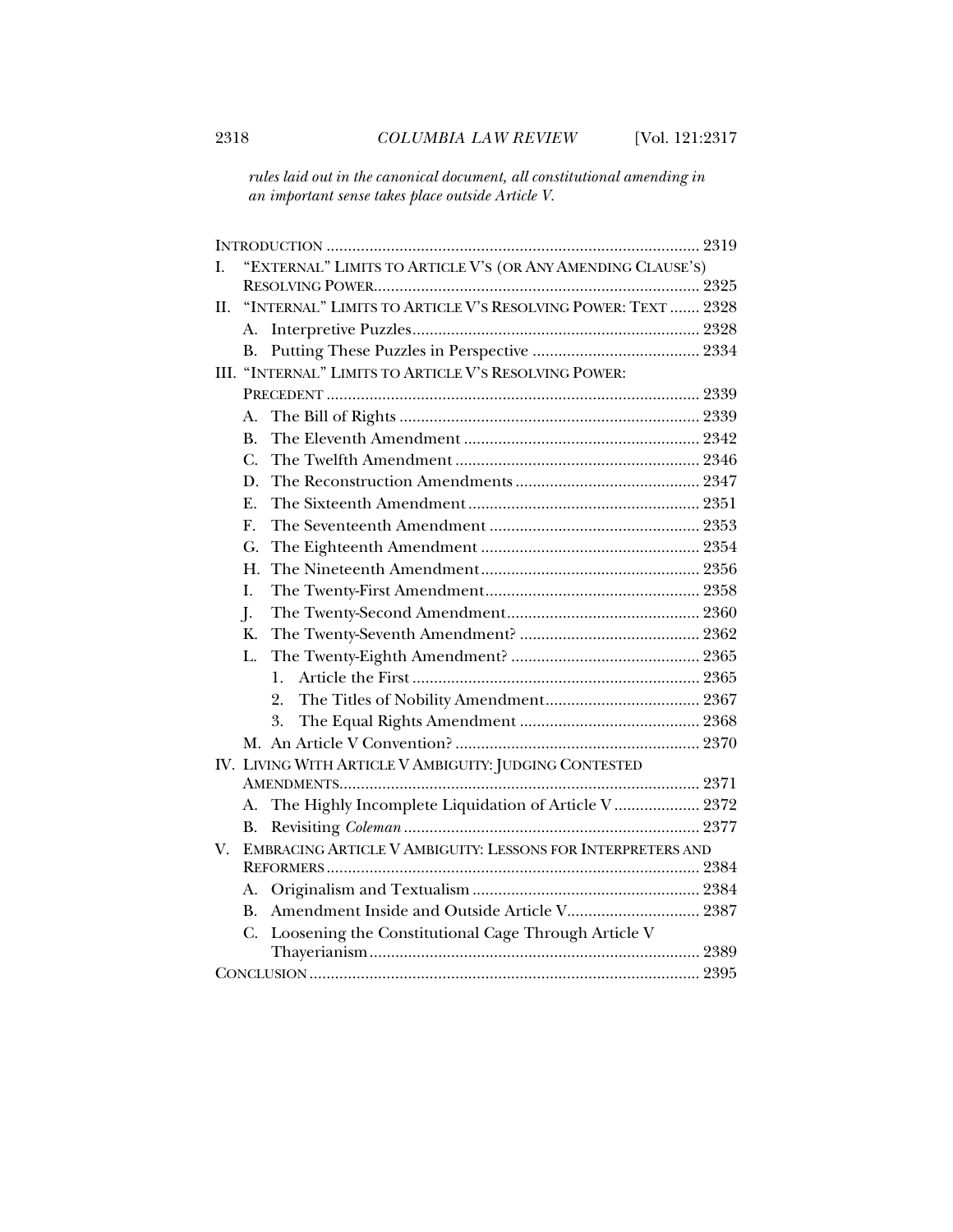*rules laid out in the canonical document, all constitutional amending in an important sense takes place outside Article V.* 

| I.                                                     | "EXTERNAL" LIMITS TO ARTICLE V'S (OR ANY AMENDING CLAUSE'S) |                                                              |  |  |
|--------------------------------------------------------|-------------------------------------------------------------|--------------------------------------------------------------|--|--|
|                                                        |                                                             |                                                              |  |  |
| II.                                                    |                                                             | "INTERNAL" LIMITS TO ARTICLE V'S RESOLVING POWER: TEXT  2328 |  |  |
|                                                        | А.                                                          |                                                              |  |  |
|                                                        | В.                                                          |                                                              |  |  |
|                                                        |                                                             | III. "INTERNAL" LIMITS TO ARTICLE V'S RESOLVING POWER:       |  |  |
|                                                        |                                                             |                                                              |  |  |
|                                                        | А.                                                          |                                                              |  |  |
|                                                        | B.                                                          |                                                              |  |  |
|                                                        | $\mathcal{C}$ .                                             |                                                              |  |  |
|                                                        | D.                                                          |                                                              |  |  |
|                                                        | E.                                                          |                                                              |  |  |
|                                                        | F.                                                          |                                                              |  |  |
|                                                        | G.                                                          |                                                              |  |  |
|                                                        | Η.                                                          |                                                              |  |  |
|                                                        | L.                                                          |                                                              |  |  |
|                                                        | $\mathbf{I}$ .                                              |                                                              |  |  |
|                                                        | K.                                                          |                                                              |  |  |
|                                                        | L.                                                          |                                                              |  |  |
|                                                        |                                                             | 1.                                                           |  |  |
|                                                        |                                                             | 2.                                                           |  |  |
|                                                        |                                                             | 3.                                                           |  |  |
|                                                        |                                                             |                                                              |  |  |
| IV. LIVING WITH ARTICLE V AMBIGUITY: JUDGING CONTESTED |                                                             |                                                              |  |  |
|                                                        |                                                             |                                                              |  |  |
|                                                        | А.                                                          | The Highly Incomplete Liquidation of Article V 2372          |  |  |
|                                                        | В.                                                          |                                                              |  |  |
| V.                                                     | EMBRACING ARTICLE V AMBIGUITY: LESSONS FOR INTERPRETERS AND |                                                              |  |  |
|                                                        |                                                             |                                                              |  |  |
|                                                        | А.                                                          |                                                              |  |  |
|                                                        | $\mathbf{B}$ .                                              |                                                              |  |  |
|                                                        | C.                                                          | Loosening the Constitutional Cage Through Article V          |  |  |
|                                                        |                                                             |                                                              |  |  |
|                                                        |                                                             |                                                              |  |  |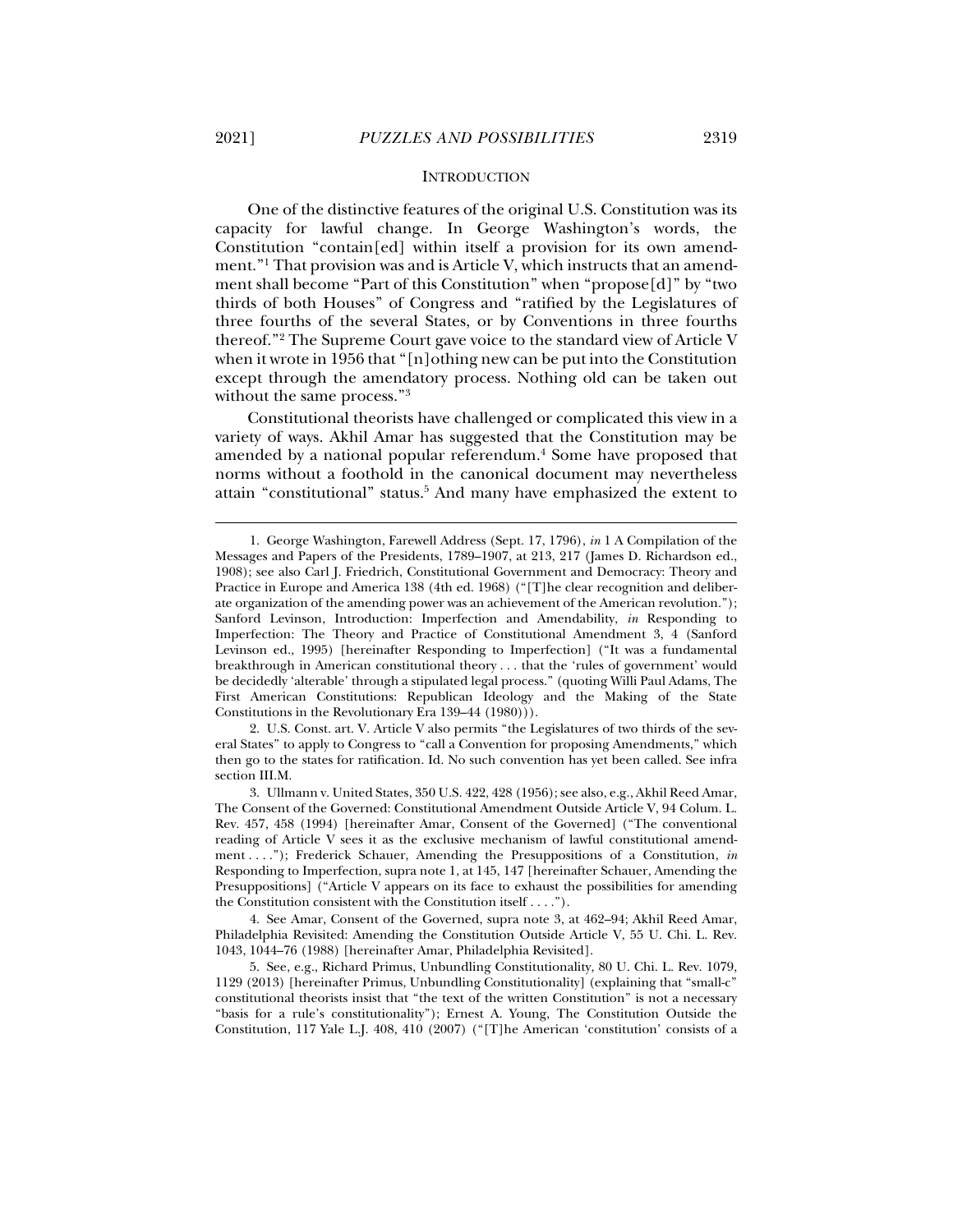j

#### **INTRODUCTION**

One of the distinctive features of the original U.S. Constitution was its capacity for lawful change. In George Washington's words, the Constitution "contain[ed] within itself a provision for its own amendment."1 That provision was and is Article V, which instructs that an amendment shall become "Part of this Constitution" when "propose[d]" by "two thirds of both Houses" of Congress and "ratified by the Legislatures of three fourths of the several States, or by Conventions in three fourths thereof."2 The Supreme Court gave voice to the standard view of Article V when it wrote in 1956 that "[n]othing new can be put into the Constitution except through the amendatory process. Nothing old can be taken out without the same process."3

Constitutional theorists have challenged or complicated this view in a variety of ways. Akhil Amar has suggested that the Constitution may be amended by a national popular referendum.<sup>4</sup> Some have proposed that norms without a foothold in the canonical document may nevertheless attain "constitutional" status.<sup>5</sup> And many have emphasized the extent to

 2. U.S. Const. art. V. Article V also permits "the Legislatures of two thirds of the several States" to apply to Congress to "call a Convention for proposing Amendments," which then go to the states for ratification. Id. No such convention has yet been called. See infra section III.M.

 <sup>1.</sup> George Washington, Farewell Address (Sept. 17, 1796), *in* 1 A Compilation of the Messages and Papers of the Presidents, 1789–1907, at 213, 217 (James D. Richardson ed., 1908); see also Carl J. Friedrich, Constitutional Government and Democracy: Theory and Practice in Europe and America 138 (4th ed. 1968) ("[T]he clear recognition and deliberate organization of the amending power was an achievement of the American revolution."); Sanford Levinson, Introduction: Imperfection and Amendability, *in* Responding to Imperfection: The Theory and Practice of Constitutional Amendment 3, 4 (Sanford Levinson ed., 1995) [hereinafter Responding to Imperfection] ("It was a fundamental breakthrough in American constitutional theory . . . that the 'rules of government' would be decidedly 'alterable' through a stipulated legal process." (quoting Willi Paul Adams, The First American Constitutions: Republican Ideology and the Making of the State Constitutions in the Revolutionary Era 139–44 (1980))).

 <sup>3.</sup> Ullmann v. United States, 350 U.S. 422, 428 (1956); see also, e.g., Akhil Reed Amar, The Consent of the Governed: Constitutional Amendment Outside Article V, 94 Colum. L. Rev. 457, 458 (1994) [hereinafter Amar, Consent of the Governed] ("The conventional reading of Article V sees it as the exclusive mechanism of lawful constitutional amendment . . . ."); Frederick Schauer, Amending the Presuppositions of a Constitution, *in* Responding to Imperfection, supra note 1, at 145, 147 [hereinafter Schauer, Amending the Presuppositions] ("Article V appears on its face to exhaust the possibilities for amending the Constitution consistent with the Constitution itself . . . .").

 <sup>4.</sup> See Amar, Consent of the Governed, supra note 3, at 462–94; Akhil Reed Amar, Philadelphia Revisited: Amending the Constitution Outside Article V, 55 U. Chi. L. Rev. 1043, 1044–76 (1988) [hereinafter Amar, Philadelphia Revisited].

 <sup>5.</sup> See, e.g., Richard Primus, Unbundling Constitutionality, 80 U. Chi. L. Rev. 1079, 1129 (2013) [hereinafter Primus, Unbundling Constitutionality] (explaining that "small-c" constitutional theorists insist that "the text of the written Constitution" is not a necessary "basis for a rule's constitutionality"); Ernest A. Young, The Constitution Outside the Constitution, 117 Yale L.J. 408, 410 (2007) ("[T]he American 'constitution' consists of a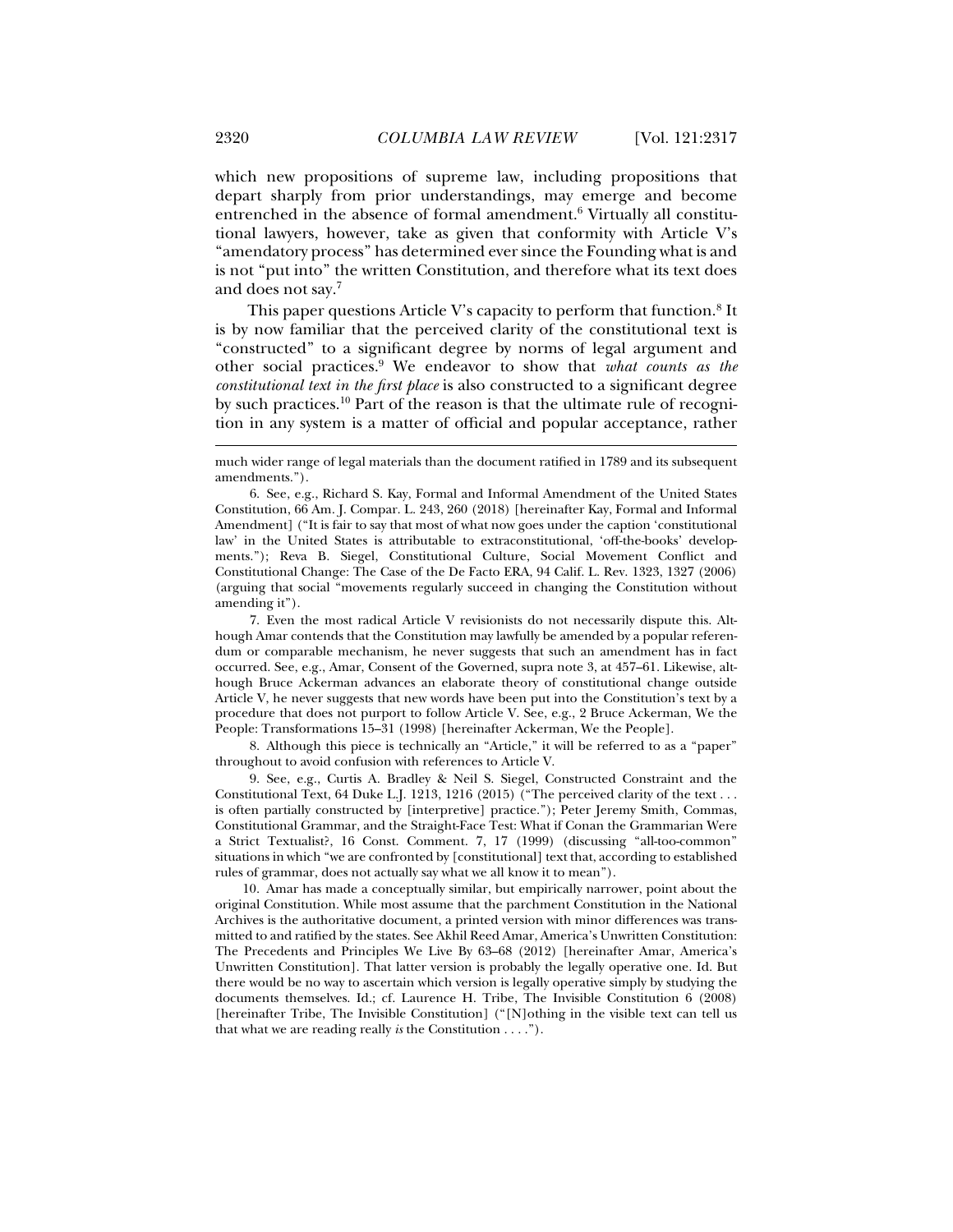which new propositions of supreme law, including propositions that depart sharply from prior understandings, may emerge and become entrenched in the absence of formal amendment.6 Virtually all constitutional lawyers, however, take as given that conformity with Article V's "amendatory process" has determined ever since the Founding what is and is not "put into" the written Constitution, and therefore what its text does and does not say.7

This paper questions Article V's capacity to perform that function. $8$  It is by now familiar that the perceived clarity of the constitutional text is "constructed" to a significant degree by norms of legal argument and other social practices.9 We endeavor to show that *what counts as the constitutional text in the first place* is also constructed to a significant degree by such practices.10 Part of the reason is that the ultimate rule of recognition in any system is a matter of official and popular acceptance, rather

 7. Even the most radical Article V revisionists do not necessarily dispute this. Although Amar contends that the Constitution may lawfully be amended by a popular referendum or comparable mechanism, he never suggests that such an amendment has in fact occurred. See, e.g., Amar, Consent of the Governed, supra note 3, at 457–61. Likewise, although Bruce Ackerman advances an elaborate theory of constitutional change outside Article V, he never suggests that new words have been put into the Constitution's text by a procedure that does not purport to follow Article V. See, e.g., 2 Bruce Ackerman, We the People: Transformations 15–31 (1998) [hereinafter Ackerman, We the People].

 8. Although this piece is technically an "Article," it will be referred to as a "paper" throughout to avoid confusion with references to Article V.

 9. See, e.g., Curtis A. Bradley & Neil S. Siegel, Constructed Constraint and the Constitutional Text, 64 Duke L.J. 1213, 1216 (2015) ("The perceived clarity of the text . . . is often partially constructed by [interpretive] practice."); Peter Jeremy Smith, Commas, Constitutional Grammar, and the Straight-Face Test: What if Conan the Grammarian Were a Strict Textualist?, 16 Const. Comment. 7, 17 (1999) (discussing "all-too-common" situations in which "we are confronted by [constitutional] text that, according to established rules of grammar, does not actually say what we all know it to mean").

 10. Amar has made a conceptually similar, but empirically narrower, point about the original Constitution. While most assume that the parchment Constitution in the National Archives is the authoritative document, a printed version with minor differences was transmitted to and ratified by the states. See Akhil Reed Amar, America's Unwritten Constitution: The Precedents and Principles We Live By 63–68 (2012) [hereinafter Amar, America's Unwritten Constitution]. That latter version is probably the legally operative one. Id. But there would be no way to ascertain which version is legally operative simply by studying the documents themselves. Id.; cf. Laurence H. Tribe, The Invisible Constitution 6 (2008) [hereinafter Tribe, The Invisible Constitution] ("[N]othing in the visible text can tell us that what we are reading really *is* the Constitution . . . .").

much wider range of legal materials than the document ratified in 1789 and its subsequent amendments.").

 <sup>6.</sup> See, e.g., Richard S. Kay, Formal and Informal Amendment of the United States Constitution, 66 Am. J. Compar. L. 243, 260 (2018) [hereinafter Kay, Formal and Informal Amendment] ("It is fair to say that most of what now goes under the caption 'constitutional law' in the United States is attributable to extraconstitutional, 'off-the-books' developments."); Reva B. Siegel, Constitutional Culture, Social Movement Conflict and Constitutional Change: The Case of the De Facto ERA, 94 Calif. L. Rev. 1323, 1327 (2006) (arguing that social "movements regularly succeed in changing the Constitution without amending it").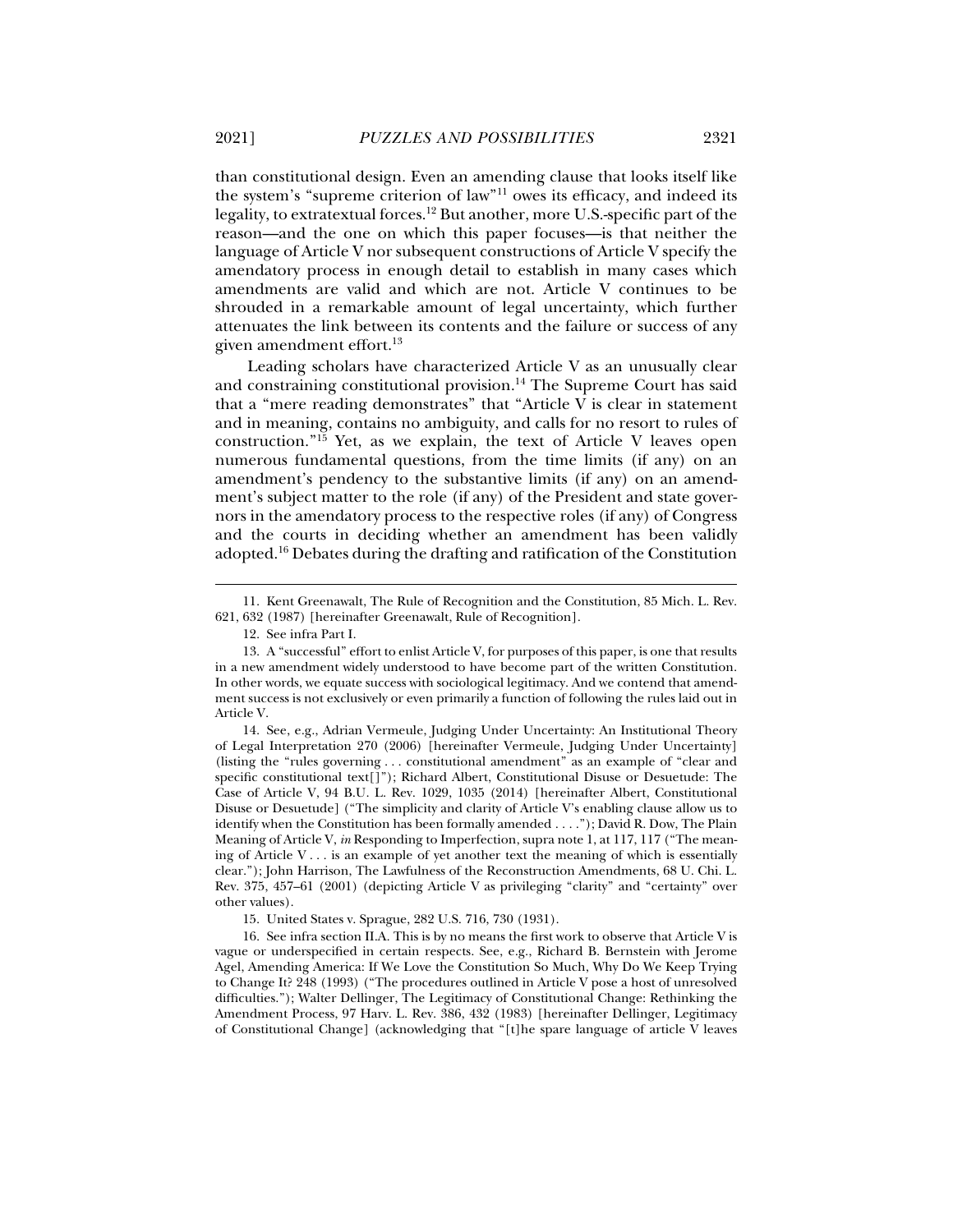than constitutional design. Even an amending clause that looks itself like the system's "supreme criterion of law"11 owes its efficacy, and indeed its legality, to extratextual forces.12 But another, more U.S.-specific part of the reason—and the one on which this paper focuses—is that neither the language of Article V nor subsequent constructions of Article V specify the amendatory process in enough detail to establish in many cases which amendments are valid and which are not. Article V continues to be shrouded in a remarkable amount of legal uncertainty, which further attenuates the link between its contents and the failure or success of any given amendment effort.13

Leading scholars have characterized Article V as an unusually clear and constraining constitutional provision.<sup>14</sup> The Supreme Court has said that a "mere reading demonstrates" that "Article V is clear in statement and in meaning, contains no ambiguity, and calls for no resort to rules of construction."15 Yet, as we explain, the text of Article V leaves open numerous fundamental questions, from the time limits (if any) on an amendment's pendency to the substantive limits (if any) on an amendment's subject matter to the role (if any) of the President and state governors in the amendatory process to the respective roles (if any) of Congress and the courts in deciding whether an amendment has been validly adopted.16 Debates during the drafting and ratification of the Constitution

12. See infra Part I.

j

 14. See, e.g., Adrian Vermeule, Judging Under Uncertainty: An Institutional Theory of Legal Interpretation 270 (2006) [hereinafter Vermeule, Judging Under Uncertainty] (listing the "rules governing . . . constitutional amendment" as an example of "clear and specific constitutional text[]"); Richard Albert, Constitutional Disuse or Desuetude: The Case of Article V, 94 B.U. L. Rev. 1029, 1035 (2014) [hereinafter Albert, Constitutional Disuse or Desuetude] ("The simplicity and clarity of Article V's enabling clause allow us to identify when the Constitution has been formally amended . . . ."); David R. Dow, The Plain Meaning of Article V, *in* Responding to Imperfection, supra note 1, at 117, 117 ("The meaning of Article V . . . is an example of yet another text the meaning of which is essentially clear."); John Harrison, The Lawfulness of the Reconstruction Amendments, 68 U. Chi. L. Rev. 375, 457–61 (2001) (depicting Article V as privileging "clarity" and "certainty" over other values).

15. United States v. Sprague, 282 U.S. 716, 730 (1931).

 16. See infra section II.A. This is by no means the first work to observe that Article V is vague or underspecified in certain respects. See, e.g., Richard B. Bernstein with Jerome Agel, Amending America: If We Love the Constitution So Much, Why Do We Keep Trying to Change It? 248 (1993) ("The procedures outlined in Article V pose a host of unresolved difficulties."); Walter Dellinger, The Legitimacy of Constitutional Change: Rethinking the Amendment Process, 97 Harv. L. Rev. 386, 432 (1983) [hereinafter Dellinger, Legitimacy of Constitutional Change] (acknowledging that "[t]he spare language of article V leaves

 <sup>11.</sup> Kent Greenawalt, The Rule of Recognition and the Constitution, 85 Mich. L. Rev. 621, 632 (1987) [hereinafter Greenawalt, Rule of Recognition].

 <sup>13.</sup> A "successful" effort to enlist Article V, for purposes of this paper, is one that results in a new amendment widely understood to have become part of the written Constitution. In other words, we equate success with sociological legitimacy. And we contend that amendment success is not exclusively or even primarily a function of following the rules laid out in Article V.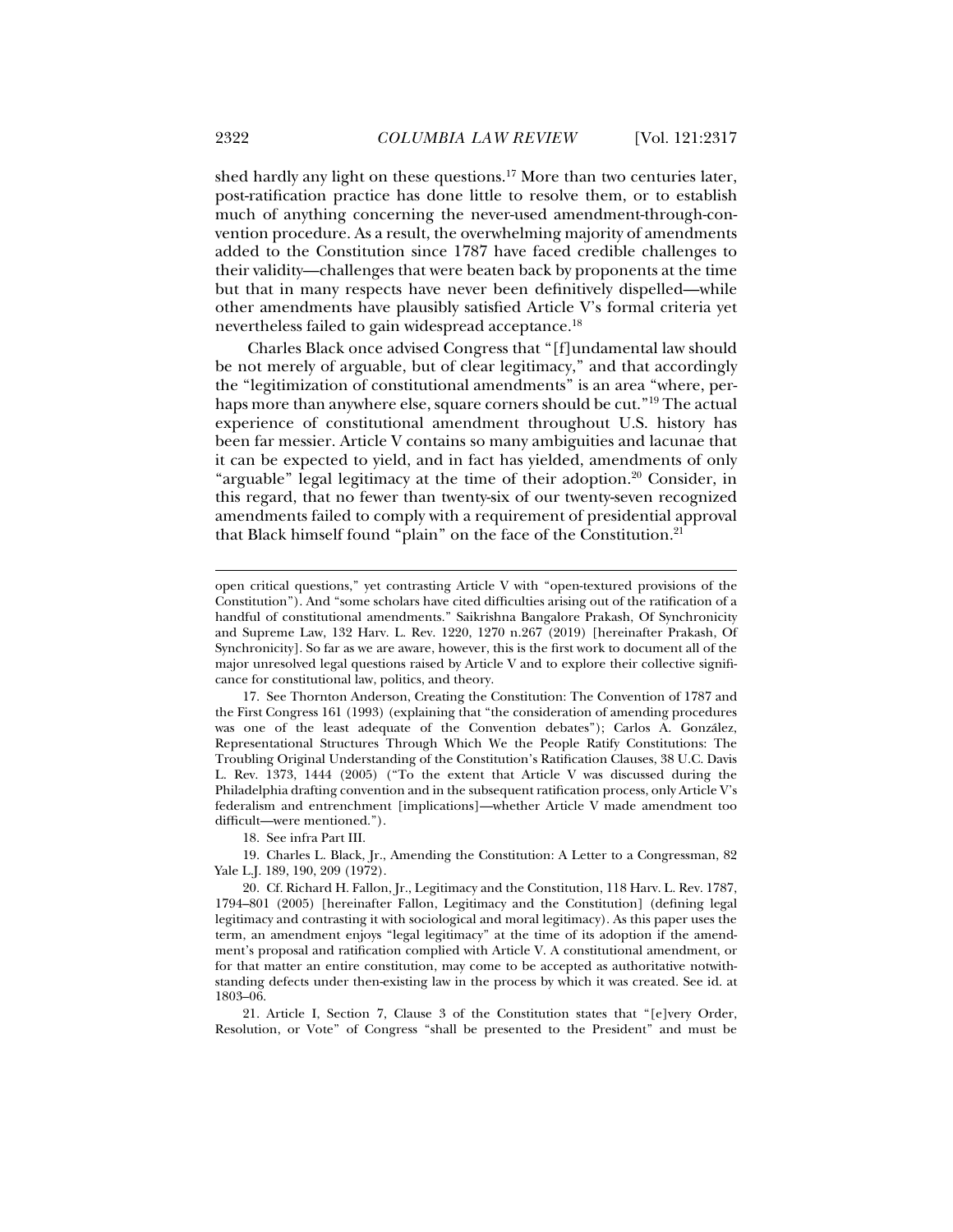shed hardly any light on these questions.17 More than two centuries later, post-ratification practice has done little to resolve them, or to establish much of anything concerning the never-used amendment-through-convention procedure. As a result, the overwhelming majority of amendments added to the Constitution since 1787 have faced credible challenges to their validity—challenges that were beaten back by proponents at the time but that in many respects have never been definitively dispelled—while other amendments have plausibly satisfied Article V's formal criteria yet nevertheless failed to gain widespread acceptance.18

Charles Black once advised Congress that "[f]undamental law should be not merely of arguable, but of clear legitimacy," and that accordingly the "legitimization of constitutional amendments" is an area "where, perhaps more than anywhere else, square corners should be cut."19 The actual experience of constitutional amendment throughout U.S. history has been far messier. Article V contains so many ambiguities and lacunae that it can be expected to yield, and in fact has yielded, amendments of only "arguable" legal legitimacy at the time of their adoption.<sup>20</sup> Consider, in this regard, that no fewer than twenty-six of our twenty-seven recognized amendments failed to comply with a requirement of presidential approval that Black himself found "plain" on the face of the Constitution.<sup>21</sup>

18. See infra Part III.

 19. Charles L. Black, Jr., Amending the Constitution: A Letter to a Congressman, 82 Yale L.J. 189, 190, 209 (1972).

 20. Cf. Richard H. Fallon, Jr., Legitimacy and the Constitution, 118 Harv. L. Rev. 1787, 1794–801 (2005) [hereinafter Fallon, Legitimacy and the Constitution] (defining legal legitimacy and contrasting it with sociological and moral legitimacy). As this paper uses the term, an amendment enjoys "legal legitimacy" at the time of its adoption if the amendment's proposal and ratification complied with Article V. A constitutional amendment, or for that matter an entire constitution, may come to be accepted as authoritative notwithstanding defects under then-existing law in the process by which it was created. See id. at 1803–06.

 21. Article I, Section 7, Clause 3 of the Constitution states that "[e]very Order, Resolution, or Vote" of Congress "shall be presented to the President" and must be

open critical questions," yet contrasting Article V with "open-textured provisions of the Constitution"). And "some scholars have cited difficulties arising out of the ratification of a handful of constitutional amendments." Saikrishna Bangalore Prakash, Of Synchronicity and Supreme Law, 132 Harv. L. Rev. 1220, 1270 n.267 (2019) [hereinafter Prakash, Of Synchronicity]. So far as we are aware, however, this is the first work to document all of the major unresolved legal questions raised by Article V and to explore their collective significance for constitutional law, politics, and theory.

 <sup>17.</sup> See Thornton Anderson, Creating the Constitution: The Convention of 1787 and the First Congress 161 (1993) (explaining that "the consideration of amending procedures was one of the least adequate of the Convention debates"); Carlos A. González, Representational Structures Through Which We the People Ratify Constitutions: The Troubling Original Understanding of the Constitution's Ratification Clauses, 38 U.C. Davis L. Rev. 1373, 1444 (2005) ("To the extent that Article V was discussed during the Philadelphia drafting convention and in the subsequent ratification process, only Article V's federalism and entrenchment [implications]—whether Article V made amendment too difficult—were mentioned.").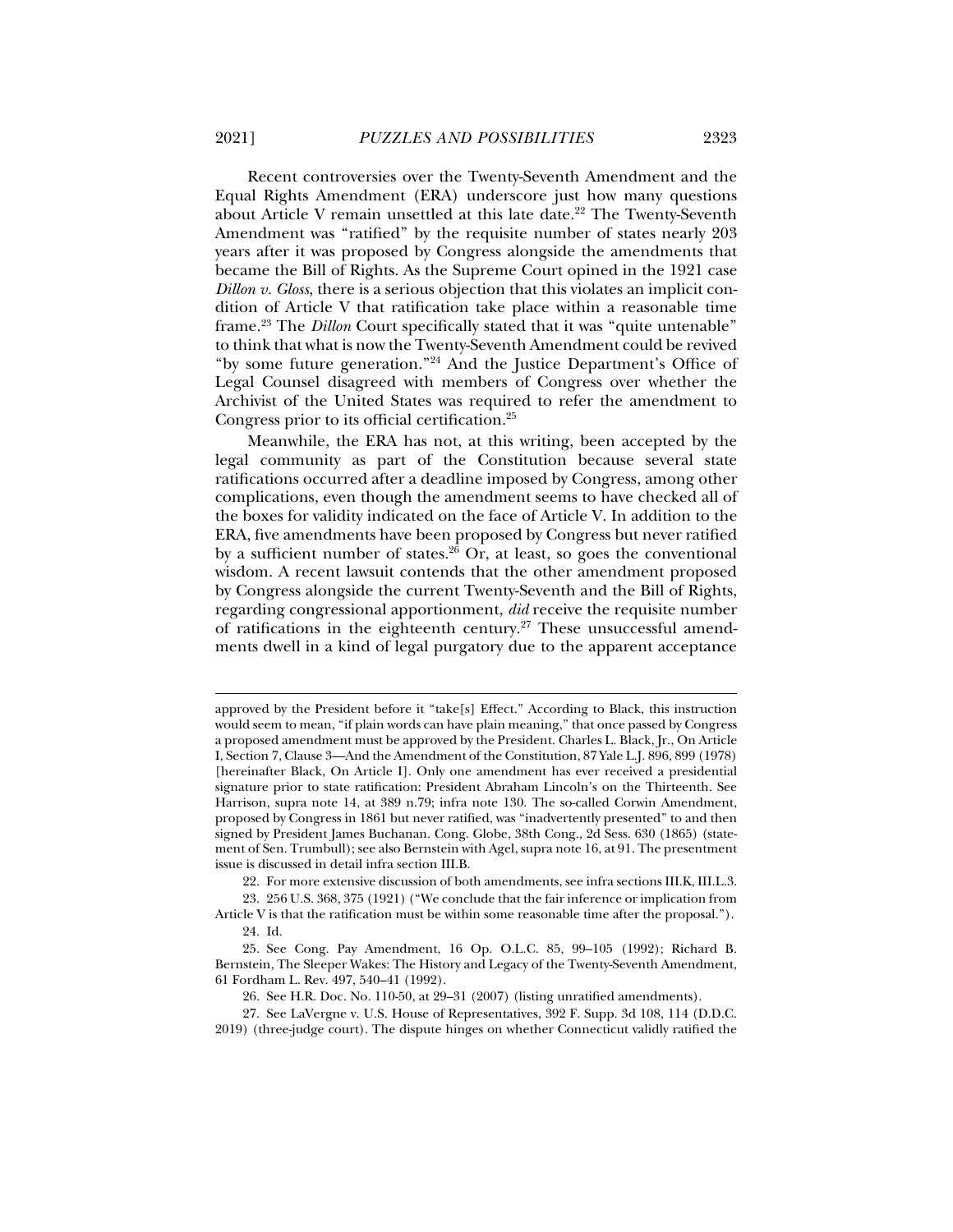Recent controversies over the Twenty-Seventh Amendment and the Equal Rights Amendment (ERA) underscore just how many questions about Article V remain unsettled at this late date.<sup>22</sup> The Twenty-Seventh Amendment was "ratified" by the requisite number of states nearly 203 years after it was proposed by Congress alongside the amendments that became the Bill of Rights. As the Supreme Court opined in the 1921 case *Dillon v. Gloss*, there is a serious objection that this violates an implicit condition of Article V that ratification take place within a reasonable time frame.23 The *Dillon* Court specifically stated that it was "quite untenable" to think that what is now the Twenty-Seventh Amendment could be revived "by some future generation."24 And the Justice Department's Office of Legal Counsel disagreed with members of Congress over whether the Archivist of the United States was required to refer the amendment to Congress prior to its official certification.25

Meanwhile, the ERA has not, at this writing, been accepted by the legal community as part of the Constitution because several state ratifications occurred after a deadline imposed by Congress, among other complications, even though the amendment seems to have checked all of the boxes for validity indicated on the face of Article V. In addition to the ERA, five amendments have been proposed by Congress but never ratified by a sufficient number of states. $26$  Or, at least, so goes the conventional wisdom. A recent lawsuit contends that the other amendment proposed by Congress alongside the current Twenty-Seventh and the Bill of Rights, regarding congressional apportionment, *did* receive the requisite number of ratifications in the eighteenth century.<sup>27</sup> These unsuccessful amendments dwell in a kind of legal purgatory due to the apparent acceptance

22. For more extensive discussion of both amendments, see infra sections III.K, III.L.3.

 23. 256 U.S. 368, 375 (1921) ("We conclude that the fair inference or implication from Article V is that the ratification must be within some reasonable time after the proposal.").

24. Id.

approved by the President before it "take[s] Effect." According to Black, this instruction would seem to mean, "if plain words can have plain meaning," that once passed by Congress a proposed amendment must be approved by the President. Charles L. Black, Jr., On Article I, Section 7, Clause 3—And the Amendment of the Constitution, 87 Yale L.J. 896, 899 (1978) [hereinafter Black, On Article I]. Only one amendment has ever received a presidential signature prior to state ratification: President Abraham Lincoln's on the Thirteenth. See Harrison, supra note 14, at 389 n.79; infra note 130. The so-called Corwin Amendment, proposed by Congress in 1861 but never ratified, was "inadvertently presented" to and then signed by President James Buchanan. Cong. Globe, 38th Cong., 2d Sess. 630 (1865) (statement of Sen. Trumbull); see also Bernstein with Agel, supra note 16, at 91. The presentment issue is discussed in detail infra section III.B.

 <sup>25.</sup> See Cong. Pay Amendment, 16 Op. O.L.C. 85, 99–105 (1992); Richard B. Bernstein, The Sleeper Wakes: The History and Legacy of the Twenty-Seventh Amendment, 61 Fordham L. Rev. 497, 540–41 (1992).

 <sup>26.</sup> See H.R. Doc. No. 110-50, at 29–31 (2007) (listing unratified amendments).

 <sup>27.</sup> See LaVergne v. U.S. House of Representatives, 392 F. Supp. 3d 108, 114 (D.D.C. 2019) (three-judge court). The dispute hinges on whether Connecticut validly ratified the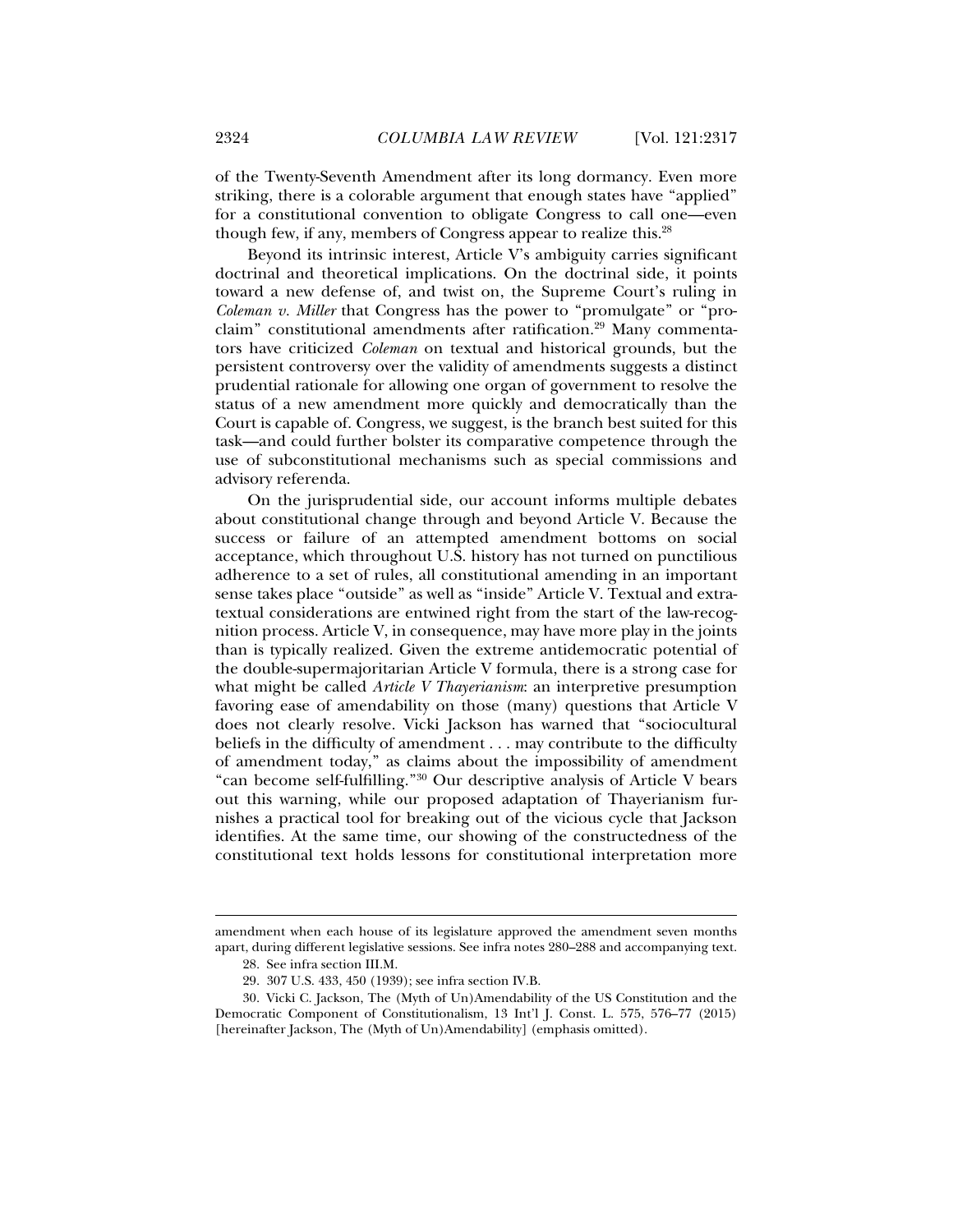of the Twenty-Seventh Amendment after its long dormancy. Even more striking, there is a colorable argument that enough states have "applied" for a constitutional convention to obligate Congress to call one—even though few, if any, members of Congress appear to realize this.28

Beyond its intrinsic interest, Article V's ambiguity carries significant doctrinal and theoretical implications. On the doctrinal side, it points toward a new defense of, and twist on, the Supreme Court's ruling in *Coleman v. Miller* that Congress has the power to "promulgate" or "proclaim" constitutional amendments after ratification.<sup>29</sup> Many commentators have criticized *Coleman* on textual and historical grounds, but the persistent controversy over the validity of amendments suggests a distinct prudential rationale for allowing one organ of government to resolve the status of a new amendment more quickly and democratically than the Court is capable of. Congress, we suggest, is the branch best suited for this task—and could further bolster its comparative competence through the use of subconstitutional mechanisms such as special commissions and advisory referenda.

On the jurisprudential side, our account informs multiple debates about constitutional change through and beyond Article V. Because the success or failure of an attempted amendment bottoms on social acceptance, which throughout U.S. history has not turned on punctilious adherence to a set of rules, all constitutional amending in an important sense takes place "outside" as well as "inside" Article V. Textual and extratextual considerations are entwined right from the start of the law-recognition process. Article V, in consequence, may have more play in the joints than is typically realized. Given the extreme antidemocratic potential of the double-supermajoritarian Article V formula, there is a strong case for what might be called *Article V Thayerianism*: an interpretive presumption favoring ease of amendability on those (many) questions that Article V does not clearly resolve. Vicki Jackson has warned that "sociocultural beliefs in the difficulty of amendment . . . may contribute to the difficulty of amendment today," as claims about the impossibility of amendment "can become self-fulfilling."30 Our descriptive analysis of Article V bears out this warning, while our proposed adaptation of Thayerianism furnishes a practical tool for breaking out of the vicious cycle that Jackson identifies. At the same time, our showing of the constructedness of the constitutional text holds lessons for constitutional interpretation more

amendment when each house of its legislature approved the amendment seven months apart, during different legislative sessions. See infra notes 280–288 and accompanying text.

 <sup>28.</sup> See infra section III.M.

 <sup>29. 307</sup> U.S. 433, 450 (1939); see infra section IV.B.

 <sup>30.</sup> Vicki C. Jackson, The (Myth of Un)Amendability of the US Constitution and the Democratic Component of Constitutionalism, 13 Int'l J. Const. L. 575, 576–77 (2015) [hereinafter Jackson, The (Myth of Un)Amendability] (emphasis omitted).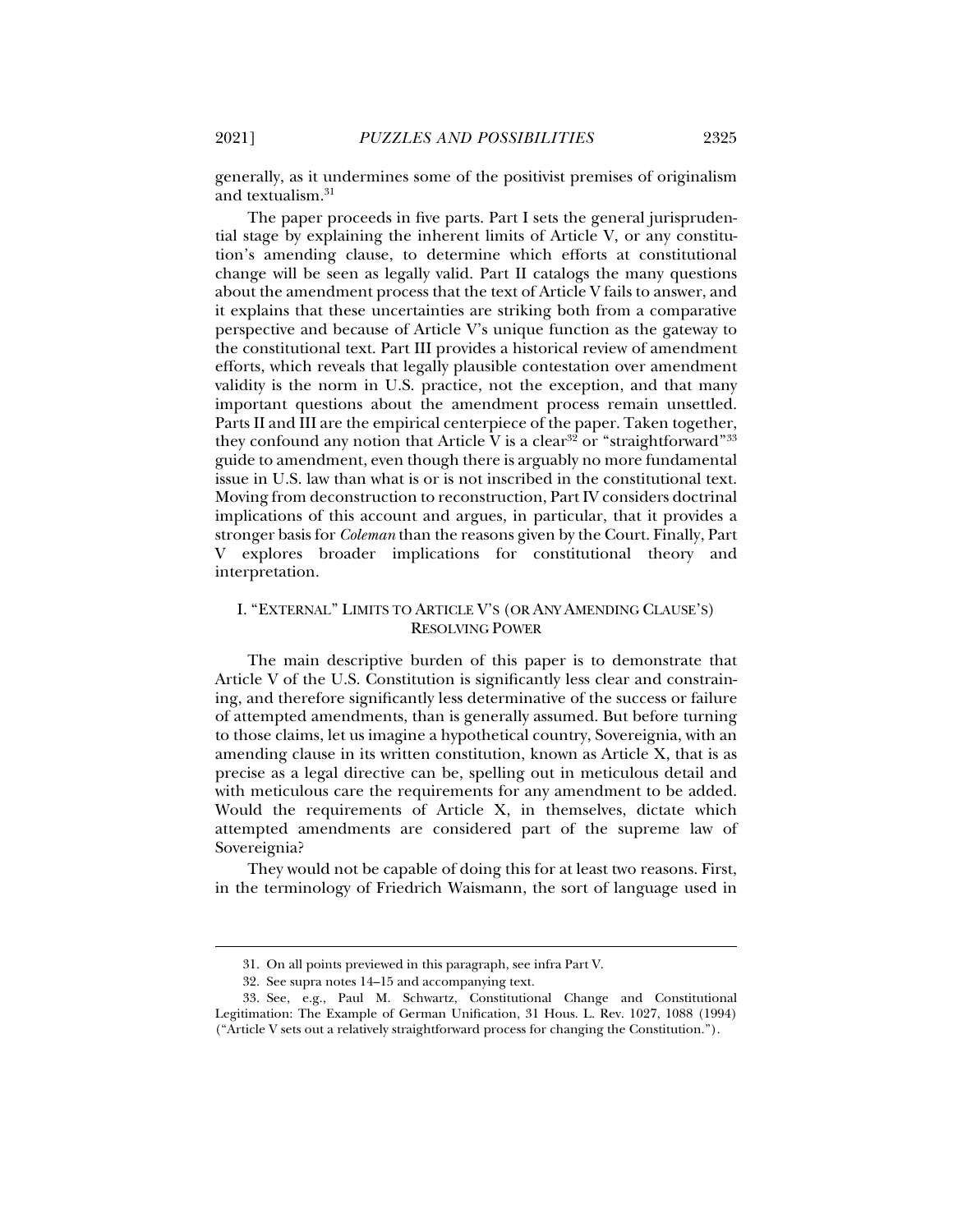generally, as it undermines some of the positivist premises of originalism and textualism.31

The paper proceeds in five parts. Part I sets the general jurisprudential stage by explaining the inherent limits of Article V, or any constitution's amending clause, to determine which efforts at constitutional change will be seen as legally valid. Part II catalogs the many questions about the amendment process that the text of Article V fails to answer, and it explains that these uncertainties are striking both from a comparative perspective and because of Article V's unique function as the gateway to the constitutional text. Part III provides a historical review of amendment efforts, which reveals that legally plausible contestation over amendment validity is the norm in U.S. practice, not the exception, and that many important questions about the amendment process remain unsettled. Parts II and III are the empirical centerpiece of the paper. Taken together, they confound any notion that Article V is a clear<sup>32</sup> or "straightforward"<sup>33</sup> guide to amendment, even though there is arguably no more fundamental issue in U.S. law than what is or is not inscribed in the constitutional text. Moving from deconstruction to reconstruction, Part IV considers doctrinal implications of this account and argues, in particular, that it provides a stronger basis for *Coleman* than the reasons given by the Court. Finally, Part V explores broader implications for constitutional theory and interpretation.

#### I. "EXTERNAL" LIMITS TO ARTICLE V'S (OR ANY AMENDING CLAUSE'S) RESOLVING POWER

The main descriptive burden of this paper is to demonstrate that Article V of the U.S. Constitution is significantly less clear and constraining, and therefore significantly less determinative of the success or failure of attempted amendments, than is generally assumed. But before turning to those claims, let us imagine a hypothetical country, Sovereignia, with an amending clause in its written constitution, known as Article X, that is as precise as a legal directive can be, spelling out in meticulous detail and with meticulous care the requirements for any amendment to be added. Would the requirements of Article X, in themselves, dictate which attempted amendments are considered part of the supreme law of Sovereignia?

They would not be capable of doing this for at least two reasons. First, in the terminology of Friedrich Waismann, the sort of language used in

 <sup>31.</sup> On all points previewed in this paragraph, see infra Part V.

 <sup>32.</sup> See supra notes 14–15 and accompanying text.

 <sup>33.</sup> See, e.g., Paul M. Schwartz, Constitutional Change and Constitutional Legitimation: The Example of German Unification, 31 Hous. L. Rev. 1027, 1088 (1994) ("Article V sets out a relatively straightforward process for changing the Constitution.").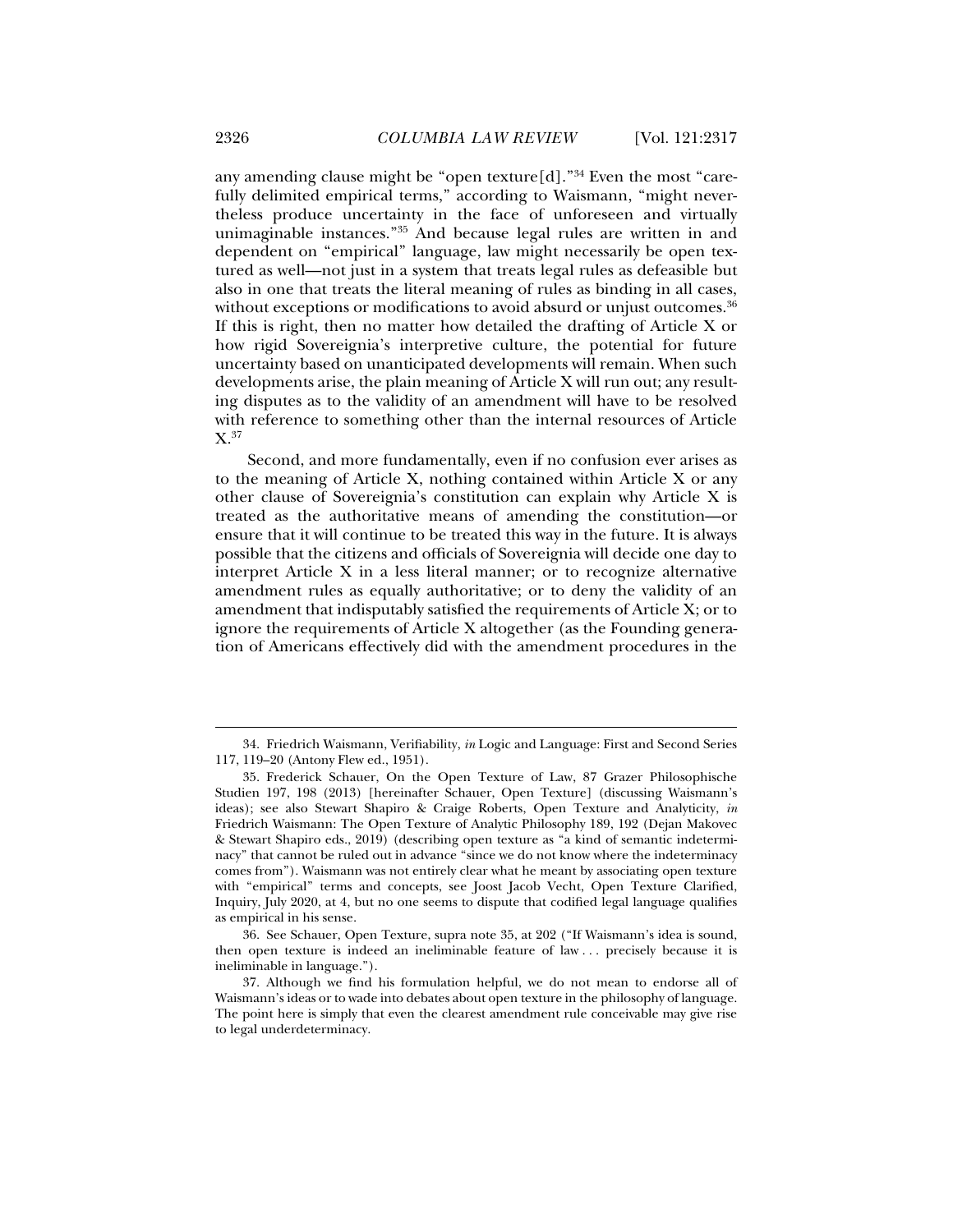any amending clause might be "open texture $[d]$ ."<sup>34</sup> Even the most "carefully delimited empirical terms," according to Waismann, "might nevertheless produce uncertainty in the face of unforeseen and virtually unimaginable instances."35 And because legal rules are written in and dependent on "empirical" language, law might necessarily be open textured as well—not just in a system that treats legal rules as defeasible but also in one that treats the literal meaning of rules as binding in all cases, without exceptions or modifications to avoid absurd or unjust outcomes.<sup>36</sup> If this is right, then no matter how detailed the drafting of Article X or how rigid Sovereignia's interpretive culture, the potential for future uncertainty based on unanticipated developments will remain. When such developments arise, the plain meaning of Article X will run out; any resulting disputes as to the validity of an amendment will have to be resolved with reference to something other than the internal resources of Article X.37

Second, and more fundamentally, even if no confusion ever arises as to the meaning of Article X, nothing contained within Article X or any other clause of Sovereignia's constitution can explain why Article X is treated as the authoritative means of amending the constitution—or ensure that it will continue to be treated this way in the future. It is always possible that the citizens and officials of Sovereignia will decide one day to interpret Article X in a less literal manner; or to recognize alternative amendment rules as equally authoritative; or to deny the validity of an amendment that indisputably satisfied the requirements of Article X; or to ignore the requirements of Article X altogether (as the Founding generation of Americans effectively did with the amendment procedures in the

 <sup>34.</sup> Friedrich Waismann, Verifiability, *in* Logic and Language: First and Second Series 117, 119–20 (Antony Flew ed., 1951).

 <sup>35.</sup> Frederick Schauer, On the Open Texture of Law, 87 Grazer Philosophische Studien 197, 198 (2013) [hereinafter Schauer, Open Texture] (discussing Waismann's ideas); see also Stewart Shapiro & Craige Roberts, Open Texture and Analyticity, *in* Friedrich Waismann: The Open Texture of Analytic Philosophy 189, 192 (Dejan Makovec & Stewart Shapiro eds., 2019) (describing open texture as "a kind of semantic indeterminacy" that cannot be ruled out in advance "since we do not know where the indeterminacy comes from"). Waismann was not entirely clear what he meant by associating open texture with "empirical" terms and concepts, see Joost Jacob Vecht, Open Texture Clarified, Inquiry, July 2020, at 4, but no one seems to dispute that codified legal language qualifies as empirical in his sense.

 <sup>36.</sup> See Schauer, Open Texture, supra note 35, at 202 ("If Waismann's idea is sound, then open texture is indeed an ineliminable feature of law . . . precisely because it is ineliminable in language.").

 <sup>37.</sup> Although we find his formulation helpful, we do not mean to endorse all of Waismann's ideas or to wade into debates about open texture in the philosophy of language. The point here is simply that even the clearest amendment rule conceivable may give rise to legal underdeterminacy.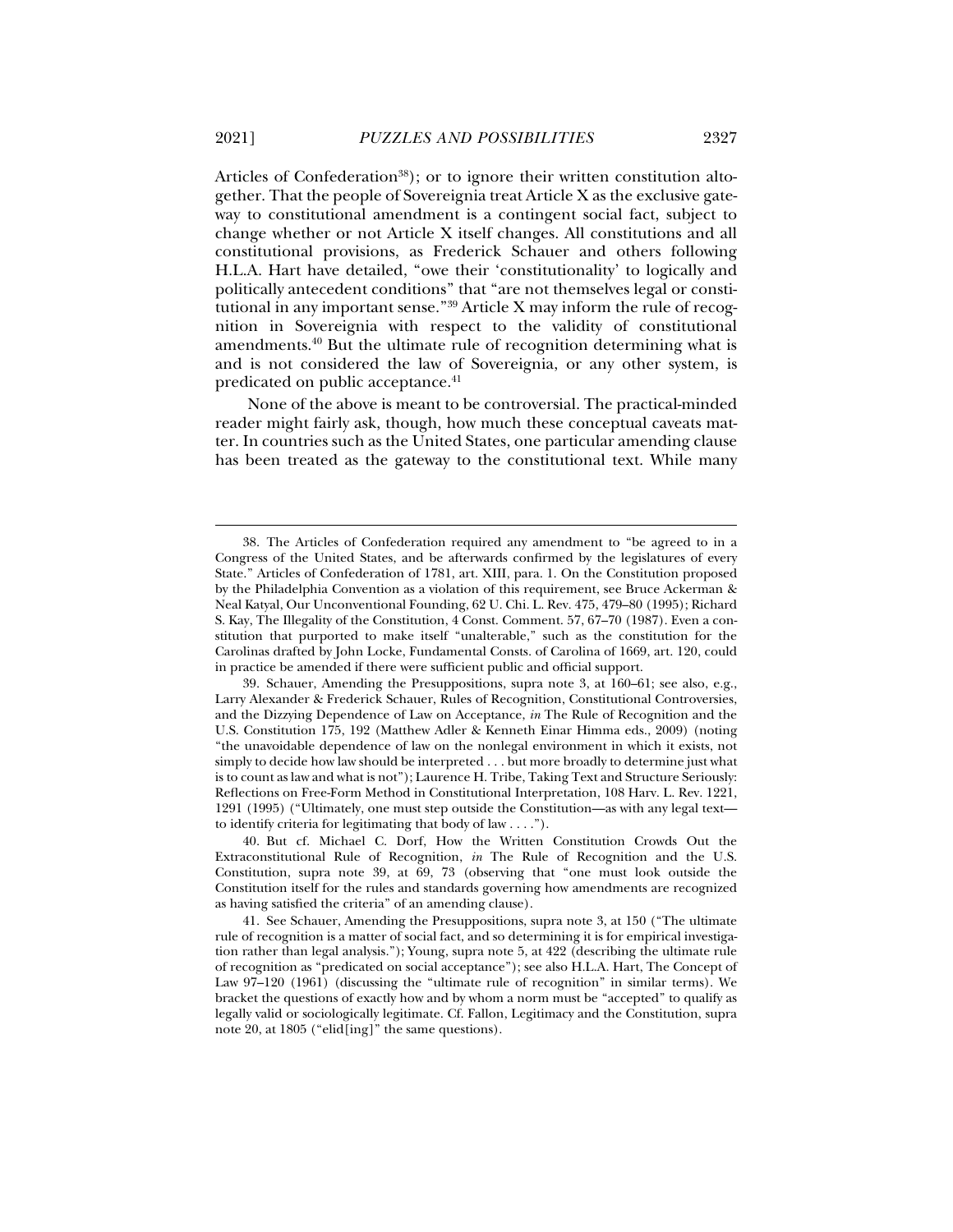Articles of Confederation<sup>38</sup>); or to ignore their written constitution altogether. That the people of Sovereignia treat Article X as the exclusive gateway to constitutional amendment is a contingent social fact, subject to change whether or not Article X itself changes. All constitutions and all constitutional provisions, as Frederick Schauer and others following H.L.A. Hart have detailed, "owe their 'constitutionality' to logically and politically antecedent conditions" that "are not themselves legal or constitutional in any important sense."39 Article X may inform the rule of recognition in Sovereignia with respect to the validity of constitutional amendments.40 But the ultimate rule of recognition determining what is and is not considered the law of Sovereignia, or any other system, is predicated on public acceptance.<sup>41</sup>

None of the above is meant to be controversial. The practical-minded reader might fairly ask, though, how much these conceptual caveats matter. In countries such as the United States, one particular amending clause has been treated as the gateway to the constitutional text. While many

 <sup>38.</sup> The Articles of Confederation required any amendment to "be agreed to in a Congress of the United States, and be afterwards confirmed by the legislatures of every State." Articles of Confederation of 1781, art. XIII, para. 1. On the Constitution proposed by the Philadelphia Convention as a violation of this requirement, see Bruce Ackerman & Neal Katyal, Our Unconventional Founding, 62 U. Chi. L. Rev. 475, 479–80 (1995); Richard S. Kay, The Illegality of the Constitution, 4 Const. Comment. 57, 67–70 (1987). Even a constitution that purported to make itself "unalterable," such as the constitution for the Carolinas drafted by John Locke, Fundamental Consts. of Carolina of 1669, art. 120, could in practice be amended if there were sufficient public and official support.

 <sup>39.</sup> Schauer, Amending the Presuppositions, supra note 3, at 160–61; see also, e.g., Larry Alexander & Frederick Schauer, Rules of Recognition, Constitutional Controversies, and the Dizzying Dependence of Law on Acceptance, *in* The Rule of Recognition and the U.S. Constitution 175, 192 (Matthew Adler & Kenneth Einar Himma eds., 2009) (noting "the unavoidable dependence of law on the nonlegal environment in which it exists, not simply to decide how law should be interpreted . . . but more broadly to determine just what is to count as law and what is not"); Laurence H. Tribe, Taking Text and Structure Seriously: Reflections on Free-Form Method in Constitutional Interpretation, 108 Harv. L. Rev. 1221, 1291 (1995) ("Ultimately, one must step outside the Constitution—as with any legal text to identify criteria for legitimating that body of law . . . .").

 <sup>40.</sup> But cf. Michael C. Dorf, How the Written Constitution Crowds Out the Extraconstitutional Rule of Recognition, *in* The Rule of Recognition and the U.S. Constitution, supra note 39, at 69, 73 (observing that "one must look outside the Constitution itself for the rules and standards governing how amendments are recognized as having satisfied the criteria" of an amending clause).

 <sup>41.</sup> See Schauer, Amending the Presuppositions, supra note 3, at 150 ("The ultimate rule of recognition is a matter of social fact, and so determining it is for empirical investigation rather than legal analysis."); Young, supra note 5, at 422 (describing the ultimate rule of recognition as "predicated on social acceptance"); see also H.L.A. Hart, The Concept of Law 97–120 (1961) (discussing the "ultimate rule of recognition" in similar terms). We bracket the questions of exactly how and by whom a norm must be "accepted" to qualify as legally valid or sociologically legitimate. Cf. Fallon, Legitimacy and the Constitution, supra note 20, at 1805 ("elid[ing]" the same questions).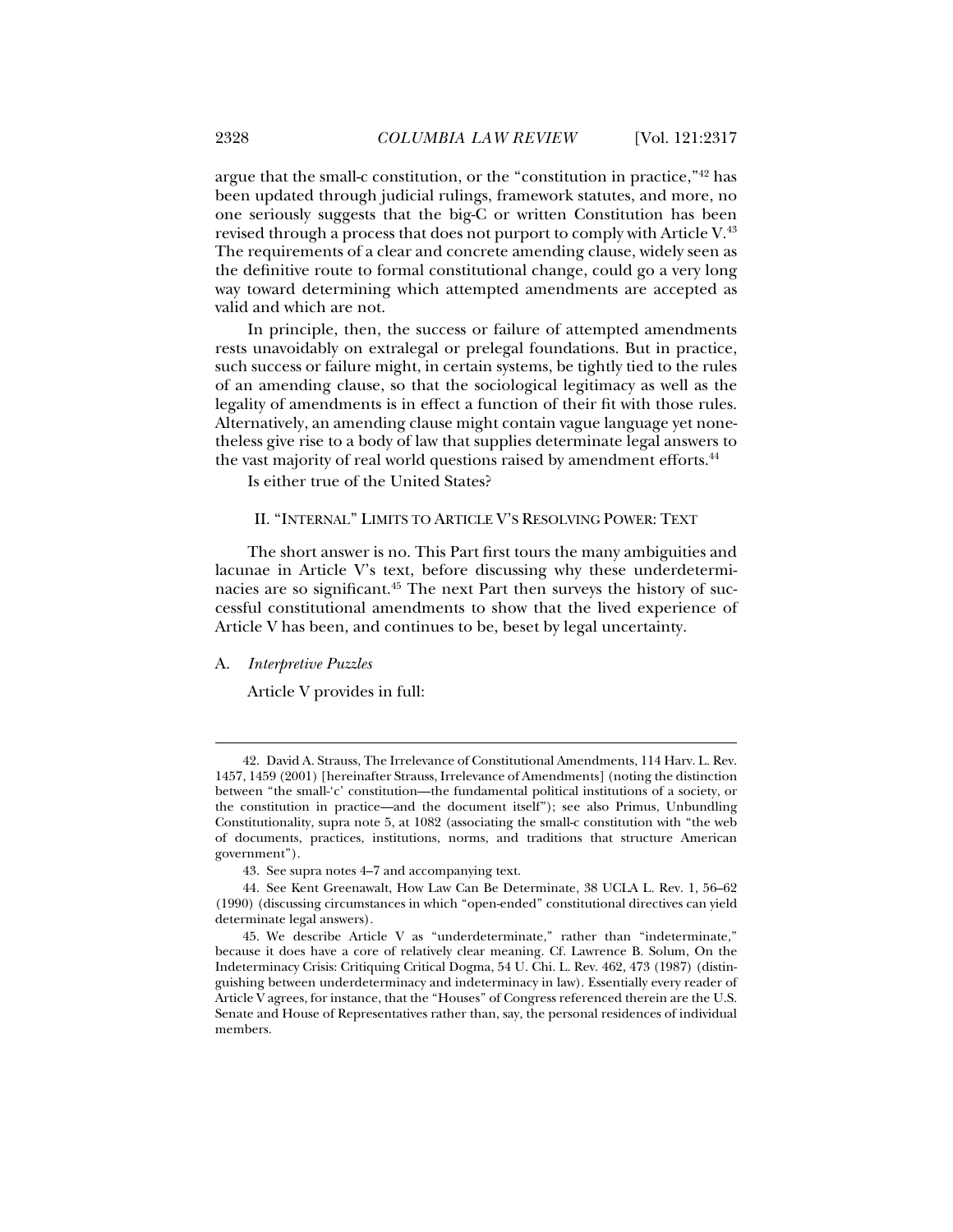argue that the small-c constitution, or the "constitution in practice,"42 has been updated through judicial rulings, framework statutes, and more, no one seriously suggests that the big-C or written Constitution has been revised through a process that does not purport to comply with Article V.43 The requirements of a clear and concrete amending clause, widely seen as the definitive route to formal constitutional change, could go a very long way toward determining which attempted amendments are accepted as valid and which are not.

In principle, then, the success or failure of attempted amendments rests unavoidably on extralegal or prelegal foundations. But in practice, such success or failure might, in certain systems, be tightly tied to the rules of an amending clause, so that the sociological legitimacy as well as the legality of amendments is in effect a function of their fit with those rules. Alternatively, an amending clause might contain vague language yet nonetheless give rise to a body of law that supplies determinate legal answers to the vast majority of real world questions raised by amendment efforts.<sup>44</sup>

Is either true of the United States?

#### II. "INTERNAL" LIMITS TO ARTICLE V'S RESOLVING POWER: TEXT

The short answer is no. This Part first tours the many ambiguities and lacunae in Article V's text, before discussing why these underdeterminacies are so significant.45 The next Part then surveys the history of successful constitutional amendments to show that the lived experience of Article V has been, and continues to be, beset by legal uncertainty.

#### A. *Interpretive Puzzles*

j

Article V provides in full:

 <sup>42.</sup> David A. Strauss, The Irrelevance of Constitutional Amendments, 114 Harv. L. Rev. 1457, 1459 (2001) [hereinafter Strauss, Irrelevance of Amendments] (noting the distinction between "the small-'c' constitution—the fundamental political institutions of a society, or the constitution in practice—and the document itself"); see also Primus, Unbundling Constitutionality, supra note 5, at 1082 (associating the small-c constitution with "the web of documents, practices, institutions, norms, and traditions that structure American government").

 <sup>43.</sup> See supra notes 4–7 and accompanying text.

 <sup>44.</sup> See Kent Greenawalt, How Law Can Be Determinate, 38 UCLA L. Rev. 1, 56–62 (1990) (discussing circumstances in which "open-ended" constitutional directives can yield determinate legal answers).

 <sup>45.</sup> We describe Article V as "underdeterminate," rather than "indeterminate," because it does have a core of relatively clear meaning. Cf. Lawrence B. Solum, On the Indeterminacy Crisis: Critiquing Critical Dogma, 54 U. Chi. L. Rev. 462, 473 (1987) (distinguishing between underdeterminacy and indeterminacy in law). Essentially every reader of Article V agrees, for instance, that the "Houses" of Congress referenced therein are the U.S. Senate and House of Representatives rather than, say, the personal residences of individual members.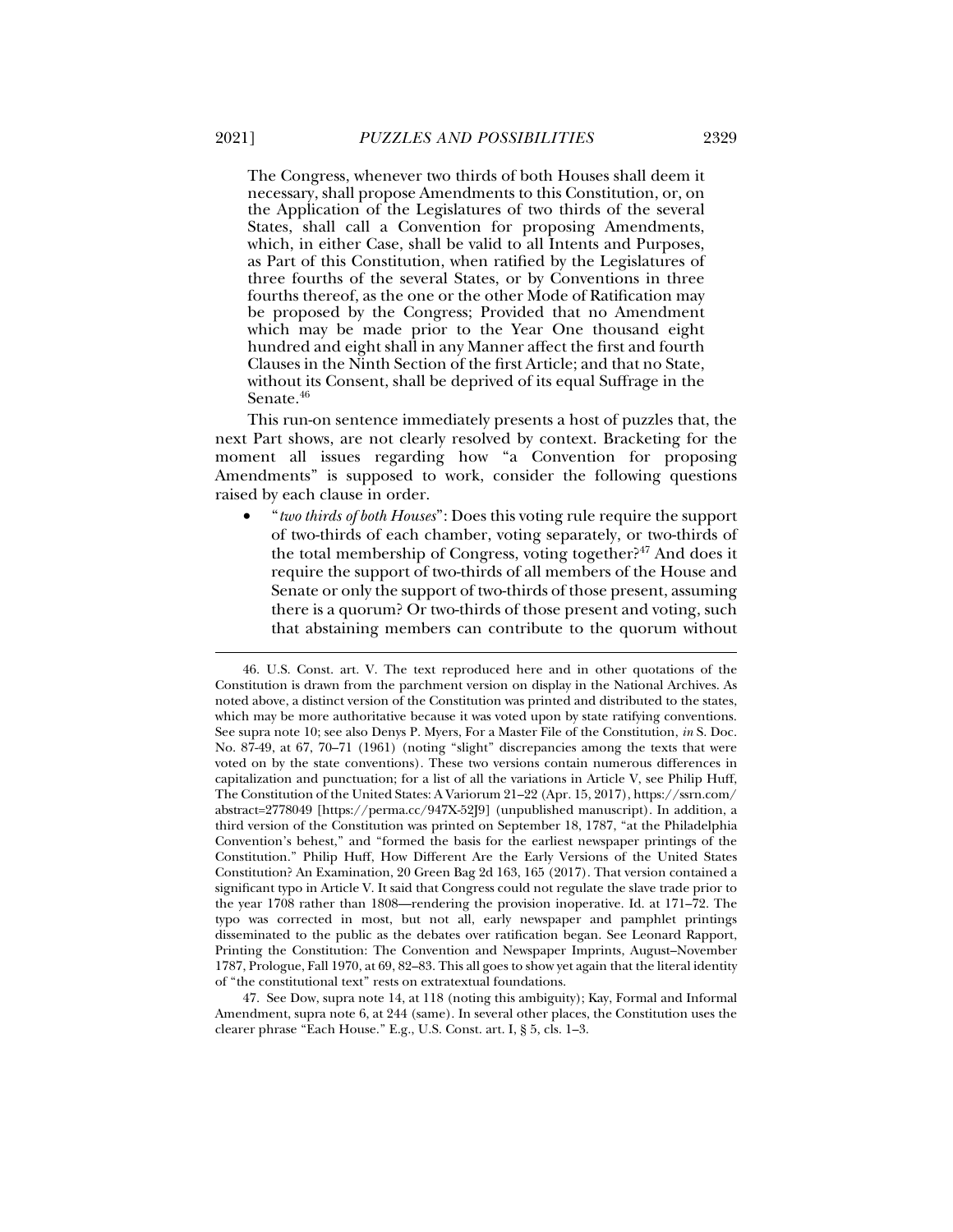The Congress, whenever two thirds of both Houses shall deem it necessary, shall propose Amendments to this Constitution, or, on the Application of the Legislatures of two thirds of the several States, shall call a Convention for proposing Amendments, which, in either Case, shall be valid to all Intents and Purposes, as Part of this Constitution, when ratified by the Legislatures of three fourths of the several States, or by Conventions in three fourths thereof, as the one or the other Mode of Ratification may be proposed by the Congress; Provided that no Amendment which may be made prior to the Year One thousand eight hundred and eight shall in any Manner affect the first and fourth Clauses in the Ninth Section of the first Article; and that no State, without its Consent, shall be deprived of its equal Suffrage in the Senate.<sup>46</sup>

This run-on sentence immediately presents a host of puzzles that, the next Part shows, are not clearly resolved by context. Bracketing for the moment all issues regarding how "a Convention for proposing Amendments" is supposed to work, consider the following questions raised by each clause in order.

• "*two thirds of both Houses*": Does this voting rule require the support of two-thirds of each chamber, voting separately, or two-thirds of the total membership of Congress, voting together?<sup>47</sup> And does it require the support of two-thirds of all members of the House and Senate or only the support of two-thirds of those present, assuming there is a quorum? Or two-thirds of those present and voting, such that abstaining members can contribute to the quorum without

 47. See Dow, supra note 14, at 118 (noting this ambiguity); Kay, Formal and Informal Amendment, supra note 6, at 244 (same). In several other places, the Constitution uses the clearer phrase "Each House." E.g., U.S. Const. art. I, § 5, cls. 1–3.

 <sup>46.</sup> U.S. Const. art. V. The text reproduced here and in other quotations of the Constitution is drawn from the parchment version on display in the National Archives. As noted above, a distinct version of the Constitution was printed and distributed to the states, which may be more authoritative because it was voted upon by state ratifying conventions. See supra note 10; see also Denys P. Myers, For a Master File of the Constitution, *in* S. Doc. No. 87-49, at 67, 70–71 (1961) (noting "slight" discrepancies among the texts that were voted on by the state conventions). These two versions contain numerous differences in capitalization and punctuation; for a list of all the variations in Article V, see Philip Huff, The Constitution of the United States: A Variorum 21–22 (Apr. 15, 2017), https://ssrn.com/ abstract=2778049 [https://perma.cc/947X-52J9] (unpublished manuscript). In addition, a third version of the Constitution was printed on September 18, 1787, "at the Philadelphia Convention's behest," and "formed the basis for the earliest newspaper printings of the Constitution." Philip Huff, How Different Are the Early Versions of the United States Constitution? An Examination, 20 Green Bag 2d 163, 165 (2017). That version contained a significant typo in Article V. It said that Congress could not regulate the slave trade prior to the year 1708 rather than 1808—rendering the provision inoperative. Id. at 171–72. The typo was corrected in most, but not all, early newspaper and pamphlet printings disseminated to the public as the debates over ratification began. See Leonard Rapport, Printing the Constitution: The Convention and Newspaper Imprints, August–November 1787, Prologue, Fall 1970, at 69, 82–83. This all goes to show yet again that the literal identity of "the constitutional text" rests on extratextual foundations.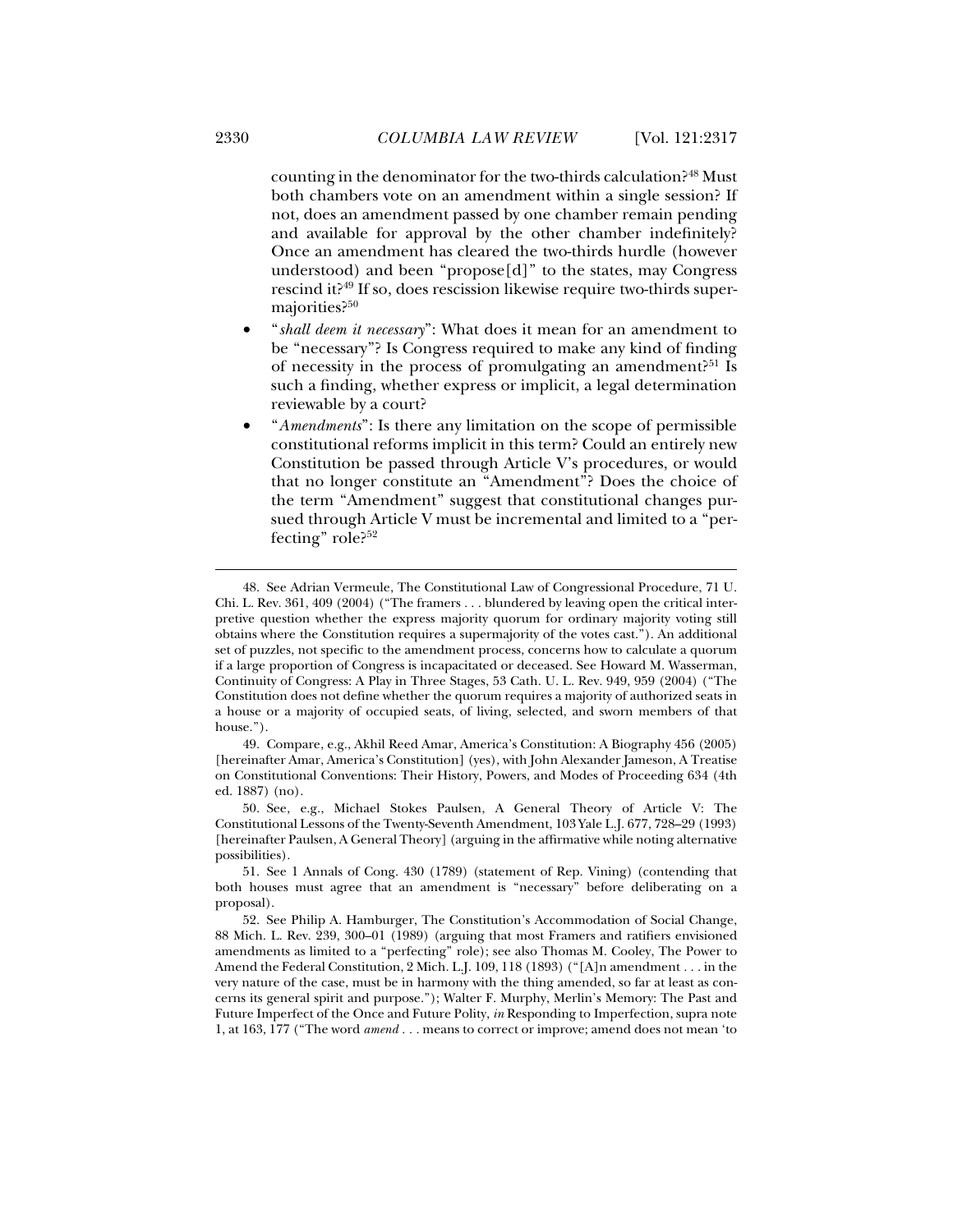counting in the denominator for the two-thirds calculation?48 Must both chambers vote on an amendment within a single session? If not, does an amendment passed by one chamber remain pending and available for approval by the other chamber indefinitely? Once an amendment has cleared the two-thirds hurdle (however understood) and been "propose[d]" to the states, may Congress rescind it?49 If so, does rescission likewise require two-thirds supermajorities?<sup>50</sup>

- "*shall deem it necessary*": What does it mean for an amendment to be "necessary"? Is Congress required to make any kind of finding of necessity in the process of promulgating an amendment?<sup>51</sup> Is such a finding, whether express or implicit, a legal determination reviewable by a court?
- "*Amendments*": Is there any limitation on the scope of permissible constitutional reforms implicit in this term? Could an entirely new Constitution be passed through Article V's procedures, or would that no longer constitute an "Amendment"? Does the choice of the term "Amendment" suggest that constitutional changes pursued through Article V must be incremental and limited to a "perfecting" role? $52$

 49. Compare, e.g., Akhil Reed Amar, America's Constitution: A Biography 456 (2005) [hereinafter Amar, America's Constitution] (yes), with John Alexander Jameson, A Treatise on Constitutional Conventions: Their History, Powers, and Modes of Proceeding 634 (4th ed. 1887) (no).

 <sup>48.</sup> See Adrian Vermeule, The Constitutional Law of Congressional Procedure, 71 U. Chi. L. Rev. 361, 409 (2004) ("The framers . . . blundered by leaving open the critical interpretive question whether the express majority quorum for ordinary majority voting still obtains where the Constitution requires a supermajority of the votes cast."). An additional set of puzzles, not specific to the amendment process, concerns how to calculate a quorum if a large proportion of Congress is incapacitated or deceased. See Howard M. Wasserman, Continuity of Congress: A Play in Three Stages, 53 Cath. U. L. Rev. 949, 959 (2004) ("The Constitution does not define whether the quorum requires a majority of authorized seats in a house or a majority of occupied seats, of living, selected, and sworn members of that house.").

 <sup>50.</sup> See, e.g., Michael Stokes Paulsen, A General Theory of Article V: The Constitutional Lessons of the Twenty-Seventh Amendment, 103 Yale L.J. 677, 728–29 (1993) [hereinafter Paulsen, A General Theory] (arguing in the affirmative while noting alternative possibilities).

 <sup>51.</sup> See 1 Annals of Cong. 430 (1789) (statement of Rep. Vining) (contending that both houses must agree that an amendment is "necessary" before deliberating on a proposal).

 <sup>52.</sup> See Philip A. Hamburger, The Constitution's Accommodation of Social Change, 88 Mich. L. Rev. 239, 300–01 (1989) (arguing that most Framers and ratifiers envisioned amendments as limited to a "perfecting" role); see also Thomas M. Cooley, The Power to Amend the Federal Constitution, 2 Mich. L.J. 109, 118 (1893) ("[A]n amendment . . . in the very nature of the case, must be in harmony with the thing amended, so far at least as concerns its general spirit and purpose."); Walter F. Murphy, Merlin's Memory: The Past and Future Imperfect of the Once and Future Polity, *in* Responding to Imperfection, supra note 1, at 163, 177 ("The word *amend . . .* means to correct or improve; amend does not mean 'to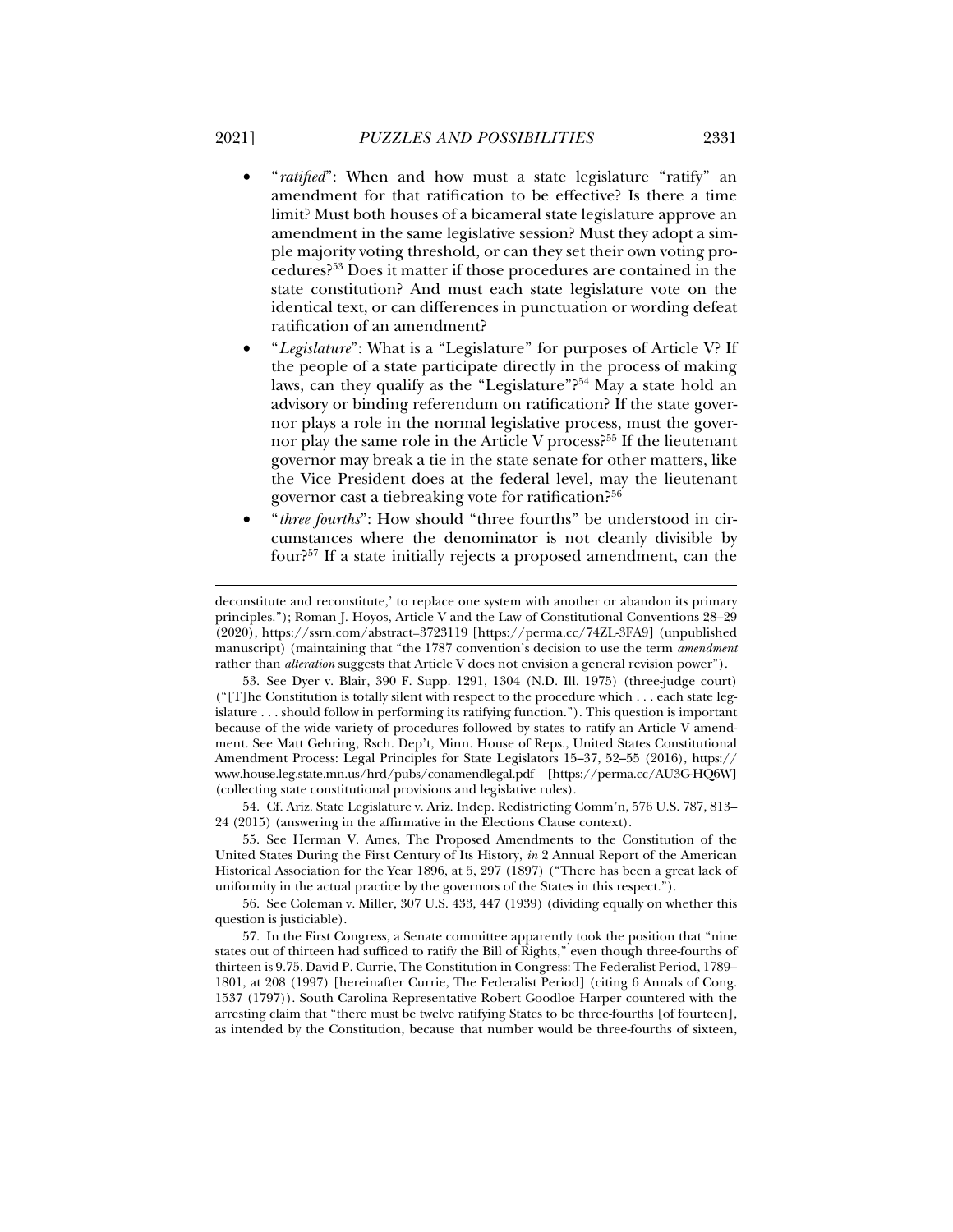- "*ratified*": When and how must a state legislature "ratify" an amendment for that ratification to be effective? Is there a time limit? Must both houses of a bicameral state legislature approve an amendment in the same legislative session? Must they adopt a simple majority voting threshold, or can they set their own voting procedures?53 Does it matter if those procedures are contained in the state constitution? And must each state legislature vote on the identical text, or can differences in punctuation or wording defeat ratification of an amendment?
- "*Legislature*": What is a "Legislature" for purposes of Article V? If the people of a state participate directly in the process of making laws, can they qualify as the "Legislature"?<sup>54</sup> May a state hold an advisory or binding referendum on ratification? If the state governor plays a role in the normal legislative process, must the governor play the same role in the Article V process?<sup>55</sup> If the lieutenant governor may break a tie in the state senate for other matters, like the Vice President does at the federal level, may the lieutenant governor cast a tiebreaking vote for ratification?56
- "*three fourths*": How should "three fourths" be understood in circumstances where the denominator is not cleanly divisible by four?57 If a state initially rejects a proposed amendment, can the

 53. See Dyer v. Blair, 390 F. Supp. 1291, 1304 (N.D. Ill. 1975) (three-judge court) ("[T]he Constitution is totally silent with respect to the procedure which . . . each state legislature . . . should follow in performing its ratifying function."). This question is important because of the wide variety of procedures followed by states to ratify an Article V amendment. See Matt Gehring, Rsch. Dep't, Minn. House of Reps., United States Constitutional Amendment Process: Legal Principles for State Legislators 15–37, 52–55 (2016), https:// www.house.leg.state.mn.us/hrd/pubs/conamendlegal.pdf [https://perma.cc/AU3G-HQ6W] (collecting state constitutional provisions and legislative rules).

 54. Cf. Ariz. State Legislature v. Ariz. Indep. Redistricting Comm'n, 576 U.S. 787, 813– 24 (2015) (answering in the affirmative in the Elections Clause context).

 55. See Herman V. Ames, The Proposed Amendments to the Constitution of the United States During the First Century of Its History, *in* 2 Annual Report of the American Historical Association for the Year 1896, at 5, 297 (1897) ("There has been a great lack of uniformity in the actual practice by the governors of the States in this respect.").

 56. See Coleman v. Miller, 307 U.S. 433, 447 (1939) (dividing equally on whether this question is justiciable).

 57. In the First Congress, a Senate committee apparently took the position that "nine states out of thirteen had sufficed to ratify the Bill of Rights," even though three-fourths of thirteen is 9.75. David P. Currie, The Constitution in Congress: The Federalist Period, 1789– 1801, at 208 (1997) [hereinafter Currie, The Federalist Period] (citing 6 Annals of Cong. 1537 (1797)). South Carolina Representative Robert Goodloe Harper countered with the arresting claim that "there must be twelve ratifying States to be three-fourths [of fourteen], as intended by the Constitution, because that number would be three-fourths of sixteen,

deconstitute and reconstitute,' to replace one system with another or abandon its primary principles."); Roman J. Hoyos, Article V and the Law of Constitutional Conventions 28–29 (2020), https://ssrn.com/abstract=3723119 [https://perma.cc/74ZL-3FA9] (unpublished manuscript) (maintaining that "the 1787 convention's decision to use the term *amendment* rather than *alteration* suggests that Article V does not envision a general revision power").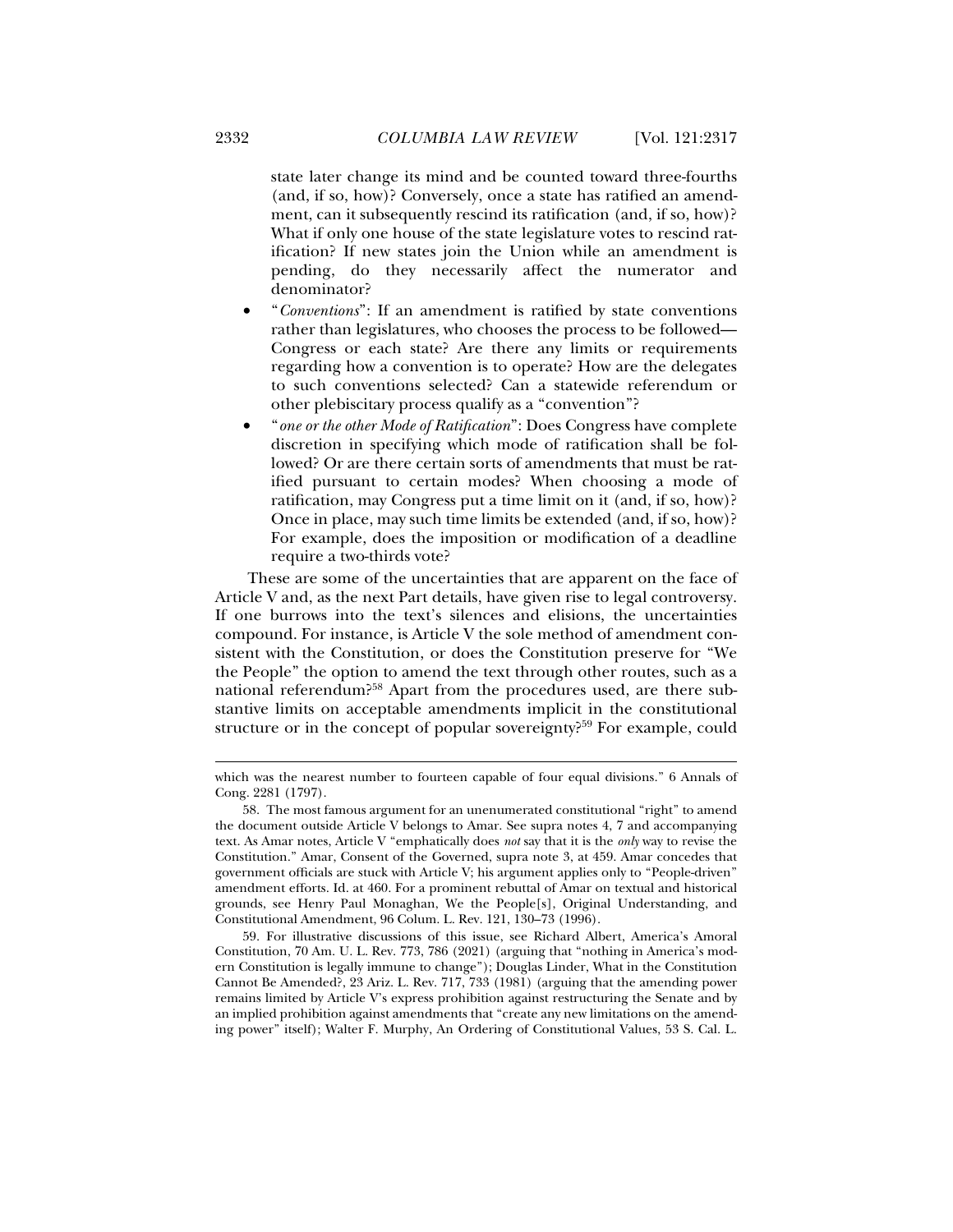state later change its mind and be counted toward three-fourths (and, if so, how)? Conversely, once a state has ratified an amendment, can it subsequently rescind its ratification (and, if so, how)? What if only one house of the state legislature votes to rescind ratification? If new states join the Union while an amendment is pending, do they necessarily affect the numerator and denominator?

- "*Conventions*": If an amendment is ratified by state conventions rather than legislatures, who chooses the process to be followed— Congress or each state? Are there any limits or requirements regarding how a convention is to operate? How are the delegates to such conventions selected? Can a statewide referendum or other plebiscitary process qualify as a "convention"?
- "*one or the other Mode of Ratification*": Does Congress have complete discretion in specifying which mode of ratification shall be followed? Or are there certain sorts of amendments that must be ratified pursuant to certain modes? When choosing a mode of ratification, may Congress put a time limit on it (and, if so, how)? Once in place, may such time limits be extended (and, if so, how)? For example, does the imposition or modification of a deadline require a two-thirds vote?

These are some of the uncertainties that are apparent on the face of Article V and, as the next Part details, have given rise to legal controversy. If one burrows into the text's silences and elisions, the uncertainties compound. For instance, is Article V the sole method of amendment consistent with the Constitution, or does the Constitution preserve for "We the People" the option to amend the text through other routes, such as a national referendum?58 Apart from the procedures used, are there substantive limits on acceptable amendments implicit in the constitutional structure or in the concept of popular sovereignty?<sup>59</sup> For example, could

 59. For illustrative discussions of this issue, see Richard Albert, America's Amoral Constitution, 70 Am. U. L. Rev. 773, 786 (2021) (arguing that "nothing in America's modern Constitution is legally immune to change"); Douglas Linder, What in the Constitution Cannot Be Amended?, 23 Ariz. L. Rev. 717, 733 (1981) (arguing that the amending power remains limited by Article V's express prohibition against restructuring the Senate and by an implied prohibition against amendments that "create any new limitations on the amending power" itself); Walter F. Murphy, An Ordering of Constitutional Values, 53 S. Cal. L.

which was the nearest number to fourteen capable of four equal divisions." 6 Annals of Cong. 2281 (1797).

 <sup>58.</sup> The most famous argument for an unenumerated constitutional "right" to amend the document outside Article V belongs to Amar. See supra notes 4, 7 and accompanying text. As Amar notes, Article V "emphatically does *not* say that it is the *only* way to revise the Constitution." Amar, Consent of the Governed, supra note 3, at 459. Amar concedes that government officials are stuck with Article V; his argument applies only to "People-driven" amendment efforts. Id. at 460. For a prominent rebuttal of Amar on textual and historical grounds, see Henry Paul Monaghan, We the People[s], Original Understanding, and Constitutional Amendment, 96 Colum. L. Rev. 121, 130–73 (1996).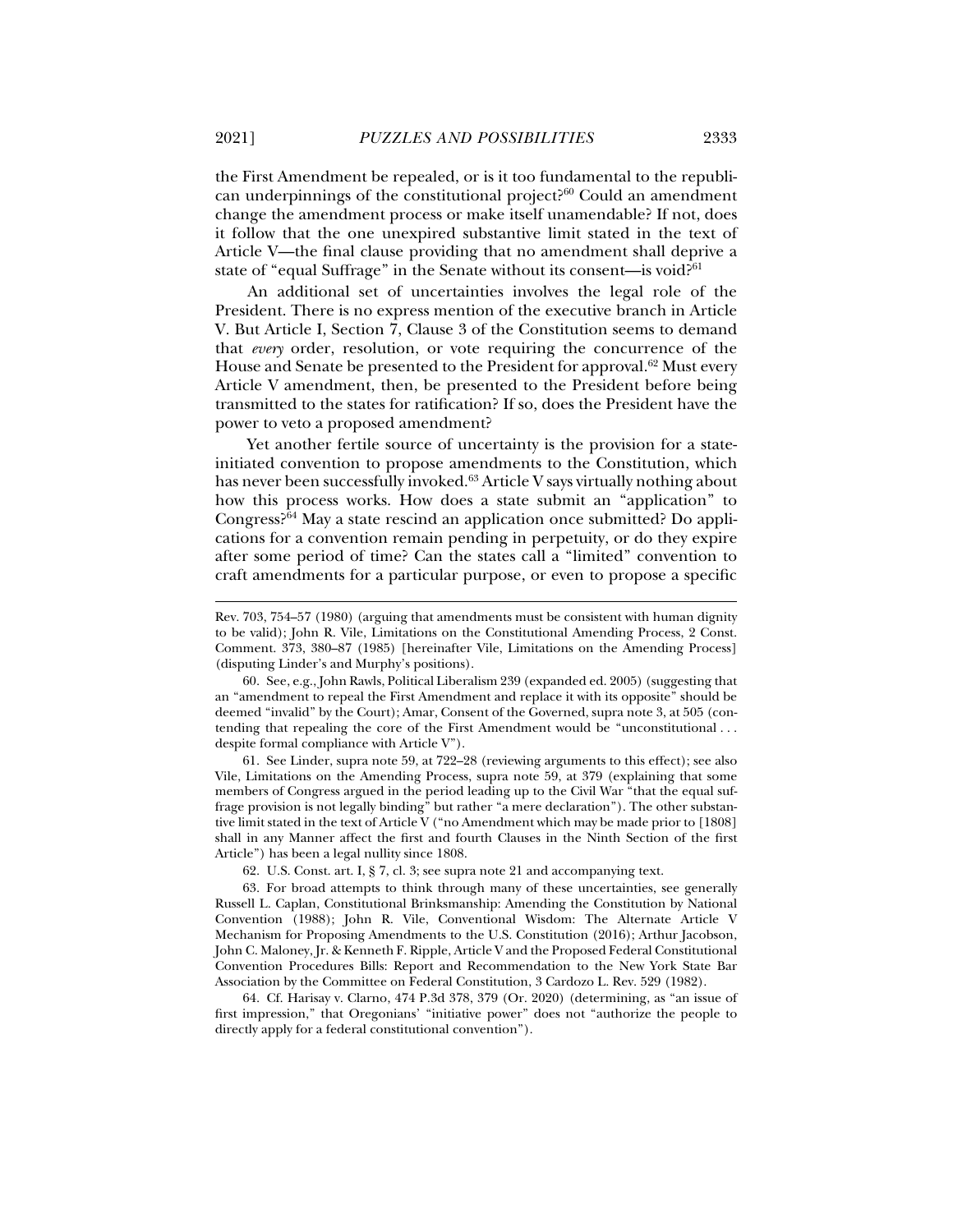the First Amendment be repealed, or is it too fundamental to the republican underpinnings of the constitutional project?60 Could an amendment change the amendment process or make itself unamendable? If not, does it follow that the one unexpired substantive limit stated in the text of Article V—the final clause providing that no amendment shall deprive a state of "equal Suffrage" in the Senate without its consent—is void?<sup>61</sup>

An additional set of uncertainties involves the legal role of the President. There is no express mention of the executive branch in Article V. But Article I, Section 7, Clause 3 of the Constitution seems to demand that *every* order, resolution, or vote requiring the concurrence of the House and Senate be presented to the President for approval.<sup>62</sup> Must every Article V amendment, then, be presented to the President before being transmitted to the states for ratification? If so, does the President have the power to veto a proposed amendment?

Yet another fertile source of uncertainty is the provision for a stateinitiated convention to propose amendments to the Constitution, which has never been successfully invoked.<sup>63</sup> Article V says virtually nothing about how this process works. How does a state submit an "application" to Congress?64 May a state rescind an application once submitted? Do applications for a convention remain pending in perpetuity, or do they expire after some period of time? Can the states call a "limited" convention to craft amendments for a particular purpose, or even to propose a specific

 61. See Linder, supra note 59, at 722–28 (reviewing arguments to this effect); see also Vile, Limitations on the Amending Process, supra note 59, at 379 (explaining that some members of Congress argued in the period leading up to the Civil War "that the equal suffrage provision is not legally binding" but rather "a mere declaration"). The other substantive limit stated in the text of Article V ("no Amendment which may be made prior to [1808] shall in any Manner affect the first and fourth Clauses in the Ninth Section of the first Article") has been a legal nullity since 1808.

Rev. 703, 754–57 (1980) (arguing that amendments must be consistent with human dignity to be valid); John R. Vile, Limitations on the Constitutional Amending Process, 2 Const. Comment. 373, 380–87 (1985) [hereinafter Vile, Limitations on the Amending Process] (disputing Linder's and Murphy's positions).

 <sup>60.</sup> See, e.g., John Rawls, Political Liberalism 239 (expanded ed. 2005) (suggesting that an "amendment to repeal the First Amendment and replace it with its opposite" should be deemed "invalid" by the Court); Amar, Consent of the Governed, supra note 3, at 505 (contending that repealing the core of the First Amendment would be "unconstitutional . . . despite formal compliance with Article V").

 <sup>62.</sup> U.S. Const. art. I, § 7, cl. 3; see supra note 21 and accompanying text.

 <sup>63.</sup> For broad attempts to think through many of these uncertainties, see generally Russell L. Caplan, Constitutional Brinksmanship: Amending the Constitution by National Convention (1988); John R. Vile, Conventional Wisdom: The Alternate Article V Mechanism for Proposing Amendments to the U.S. Constitution (2016); Arthur Jacobson, John C. Maloney, Jr. & Kenneth F. Ripple, Article V and the Proposed Federal Constitutional Convention Procedures Bills: Report and Recommendation to the New York State Bar Association by the Committee on Federal Constitution, 3 Cardozo L. Rev. 529 (1982).

 <sup>64.</sup> Cf. Harisay v. Clarno, 474 P.3d 378, 379 (Or. 2020) (determining, as "an issue of first impression," that Oregonians' "initiative power" does not "authorize the people to directly apply for a federal constitutional convention").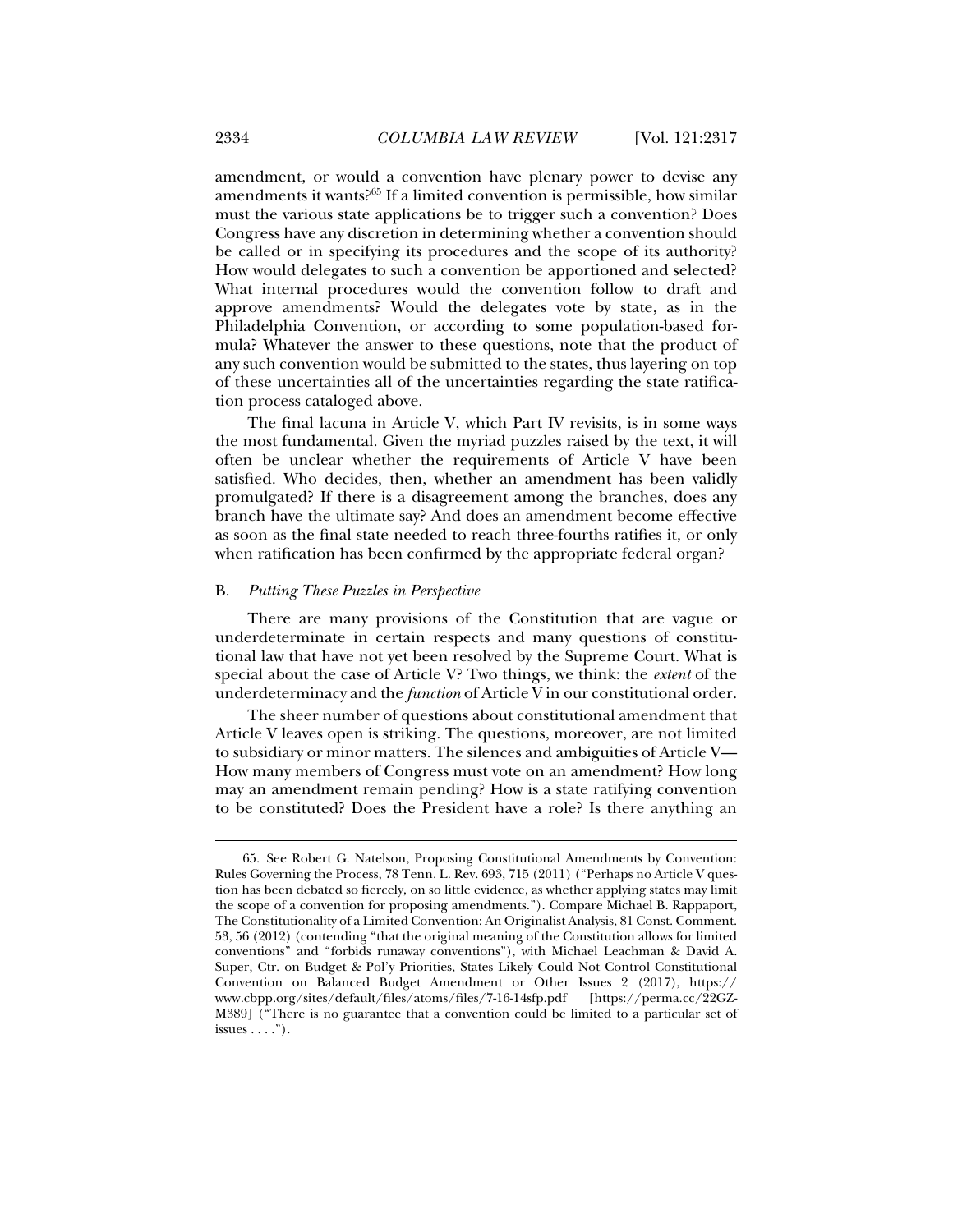amendment, or would a convention have plenary power to devise any amendments it wants?65 If a limited convention is permissible, how similar must the various state applications be to trigger such a convention? Does Congress have any discretion in determining whether a convention should be called or in specifying its procedures and the scope of its authority? How would delegates to such a convention be apportioned and selected? What internal procedures would the convention follow to draft and approve amendments? Would the delegates vote by state, as in the Philadelphia Convention, or according to some population-based formula? Whatever the answer to these questions, note that the product of any such convention would be submitted to the states, thus layering on top of these uncertainties all of the uncertainties regarding the state ratification process cataloged above.

The final lacuna in Article V, which Part IV revisits, is in some ways the most fundamental. Given the myriad puzzles raised by the text, it will often be unclear whether the requirements of Article V have been satisfied. Who decides, then, whether an amendment has been validly promulgated? If there is a disagreement among the branches, does any branch have the ultimate say? And does an amendment become effective as soon as the final state needed to reach three-fourths ratifies it, or only when ratification has been confirmed by the appropriate federal organ?

#### B. *Putting These Puzzles in Perspective*

There are many provisions of the Constitution that are vague or underdeterminate in certain respects and many questions of constitutional law that have not yet been resolved by the Supreme Court. What is special about the case of Article V? Two things, we think: the *extent* of the underdeterminacy and the *function* of Article V in our constitutional order.

The sheer number of questions about constitutional amendment that Article V leaves open is striking. The questions, moreover, are not limited to subsidiary or minor matters. The silences and ambiguities of Article V— How many members of Congress must vote on an amendment? How long may an amendment remain pending? How is a state ratifying convention to be constituted? Does the President have a role? Is there anything an

 <sup>65.</sup> See Robert G. Natelson, Proposing Constitutional Amendments by Convention: Rules Governing the Process, 78 Tenn. L. Rev. 693, 715 (2011) ("Perhaps no Article V question has been debated so fiercely, on so little evidence, as whether applying states may limit the scope of a convention for proposing amendments."). Compare Michael B. Rappaport, The Constitutionality of a Limited Convention: An Originalist Analysis, 81 Const. Comment. 53, 56 (2012) (contending "that the original meaning of the Constitution allows for limited conventions" and "forbids runaway conventions"), with Michael Leachman & David A. Super, Ctr. on Budget & Pol'y Priorities, States Likely Could Not Control Constitutional Convention on Balanced Budget Amendment or Other Issues 2 (2017), https:// www.cbpp.org/sites/default/files/atoms/files/7-16-14sfp.pdf M389] ("There is no guarantee that a convention could be limited to a particular set of issues  $\dots$ .").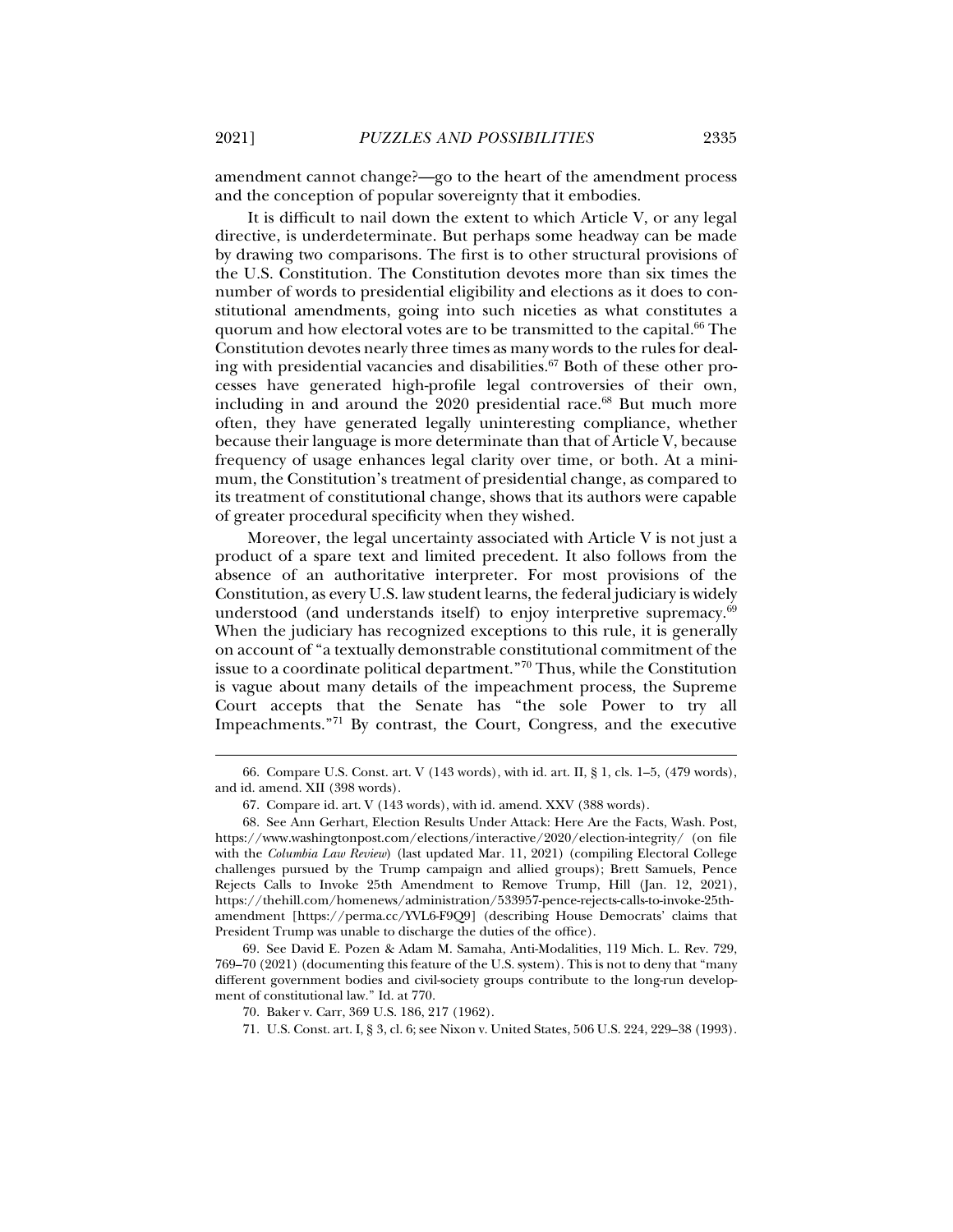amendment cannot change?—go to the heart of the amendment process and the conception of popular sovereignty that it embodies.

It is difficult to nail down the extent to which Article V, or any legal directive, is underdeterminate. But perhaps some headway can be made by drawing two comparisons. The first is to other structural provisions of the U.S. Constitution. The Constitution devotes more than six times the number of words to presidential eligibility and elections as it does to constitutional amendments, going into such niceties as what constitutes a quorum and how electoral votes are to be transmitted to the capital.<sup>66</sup> The Constitution devotes nearly three times as many words to the rules for dealing with presidential vacancies and disabilities.<sup>67</sup> Both of these other processes have generated high-profile legal controversies of their own, including in and around the 2020 presidential race.<sup>68</sup> But much more often, they have generated legally uninteresting compliance, whether because their language is more determinate than that of Article V, because frequency of usage enhances legal clarity over time, or both. At a minimum, the Constitution's treatment of presidential change, as compared to its treatment of constitutional change, shows that its authors were capable of greater procedural specificity when they wished.

Moreover, the legal uncertainty associated with Article V is not just a product of a spare text and limited precedent. It also follows from the absence of an authoritative interpreter. For most provisions of the Constitution, as every U.S. law student learns, the federal judiciary is widely understood (and understands itself) to enjoy interpretive supremacy.<sup>69</sup> When the judiciary has recognized exceptions to this rule, it is generally on account of "a textually demonstrable constitutional commitment of the issue to a coordinate political department."70 Thus, while the Constitution is vague about many details of the impeachment process, the Supreme Court accepts that the Senate has "the sole Power to try all Impeachments."71 By contrast, the Court, Congress, and the executive

 <sup>66.</sup> Compare U.S. Const. art. V (143 words), with id. art. II, § 1, cls. 1–5, (479 words), and id. amend. XII (398 words).

 <sup>67.</sup> Compare id. art. V (143 words), with id. amend. XXV (388 words).

 <sup>68.</sup> See Ann Gerhart, Election Results Under Attack: Here Are the Facts, Wash. Post, https://www.washingtonpost.com/elections/interactive/2020/election-integrity/ (on file with the *Columbia Law Review*) (last updated Mar. 11, 2021) (compiling Electoral College challenges pursued by the Trump campaign and allied groups); Brett Samuels, Pence Rejects Calls to Invoke 25th Amendment to Remove Trump, Hill (Jan. 12, 2021), https://thehill.com/homenews/administration/533957-pence-rejects-calls-to-invoke-25thamendment [https://perma.cc/YVL6-F9Q9] (describing House Democrats' claims that President Trump was unable to discharge the duties of the office).

 <sup>69.</sup> See David E. Pozen & Adam M. Samaha, Anti-Modalities, 119 Mich. L. Rev. 729, 769–70 (2021) (documenting this feature of the U.S. system). This is not to deny that "many different government bodies and civil-society groups contribute to the long-run development of constitutional law." Id. at 770.

 <sup>70.</sup> Baker v. Carr, 369 U.S. 186, 217 (1962).

 <sup>71.</sup> U.S. Const. art. I, § 3, cl. 6; see Nixon v. United States, 506 U.S. 224, 229–38 (1993).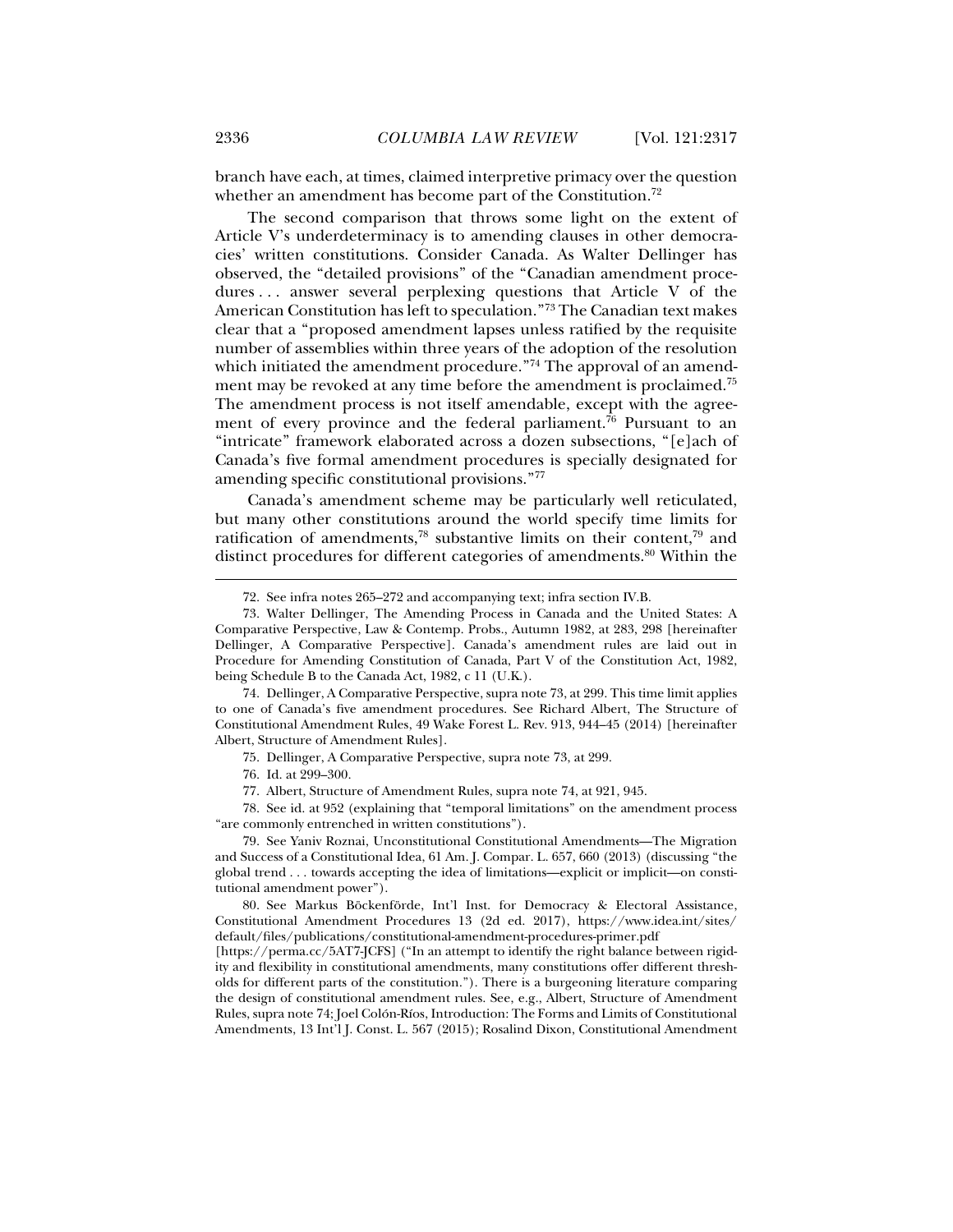branch have each, at times, claimed interpretive primacy over the question whether an amendment has become part of the Constitution.<sup>72</sup>

The second comparison that throws some light on the extent of Article V's underdeterminacy is to amending clauses in other democracies' written constitutions. Consider Canada. As Walter Dellinger has observed, the "detailed provisions" of the "Canadian amendment procedures ... answer several perplexing questions that Article V of the American Constitution has left to speculation."73 The Canadian text makes clear that a "proposed amendment lapses unless ratified by the requisite number of assemblies within three years of the adoption of the resolution which initiated the amendment procedure."<sup>74</sup> The approval of an amendment may be revoked at any time before the amendment is proclaimed.75 The amendment process is not itself amendable, except with the agreement of every province and the federal parliament.<sup>76</sup> Pursuant to an "intricate" framework elaborated across a dozen subsections, "[e]ach of Canada's five formal amendment procedures is specially designated for amending specific constitutional provisions."77

Canada's amendment scheme may be particularly well reticulated, but many other constitutions around the world specify time limits for ratification of amendments,<sup>78</sup> substantive limits on their content,<sup>79</sup> and distinct procedures for different categories of amendments.<sup>80</sup> Within the

 74. Dellinger, A Comparative Perspective, supra note 73, at 299. This time limit applies to one of Canada's five amendment procedures. See Richard Albert, The Structure of Constitutional Amendment Rules, 49 Wake Forest L. Rev. 913, 944–45 (2014) [hereinafter Albert, Structure of Amendment Rules].

75. Dellinger, A Comparative Perspective, supra note 73, at 299.

76. Id. at 299–300.

77. Albert, Structure of Amendment Rules, supra note 74, at 921, 945.

 78. See id. at 952 (explaining that "temporal limitations" on the amendment process "are commonly entrenched in written constitutions").

 79. See Yaniv Roznai, Unconstitutional Constitutional Amendments—The Migration and Success of a Constitutional Idea, 61 Am. J. Compar. L. 657, 660 (2013) (discussing "the global trend . . . towards accepting the idea of limitations—explicit or implicit—on constitutional amendment power").

 80. See Markus Böckenförde, Int'l Inst. for Democracy & Electoral Assistance, Constitutional Amendment Procedures 13 (2d ed. 2017), https://www.idea.int/sites/ default/files/publications/constitutional-amendment-procedures-primer.pdf

[https://perma.cc/5AT7-JCFS] ("In an attempt to identify the right balance between rigidity and flexibility in constitutional amendments, many constitutions offer different thresholds for different parts of the constitution."). There is a burgeoning literature comparing the design of constitutional amendment rules. See, e.g., Albert, Structure of Amendment Rules, supra note 74; Joel Colón-Ríos, Introduction: The Forms and Limits of Constitutional Amendments, 13 Int'l J. Const. L. 567 (2015); Rosalind Dixon, Constitutional Amendment

 <sup>72.</sup> See infra notes 265–272 and accompanying text; infra section IV.B.

 <sup>73.</sup> Walter Dellinger, The Amending Process in Canada and the United States: A Comparative Perspective, Law & Contemp. Probs., Autumn 1982, at 283, 298 [hereinafter Dellinger, A Comparative Perspective]. Canada's amendment rules are laid out in Procedure for Amending Constitution of Canada, Part V of the Constitution Act, 1982, being Schedule B to the Canada Act, 1982, c 11 (U.K.).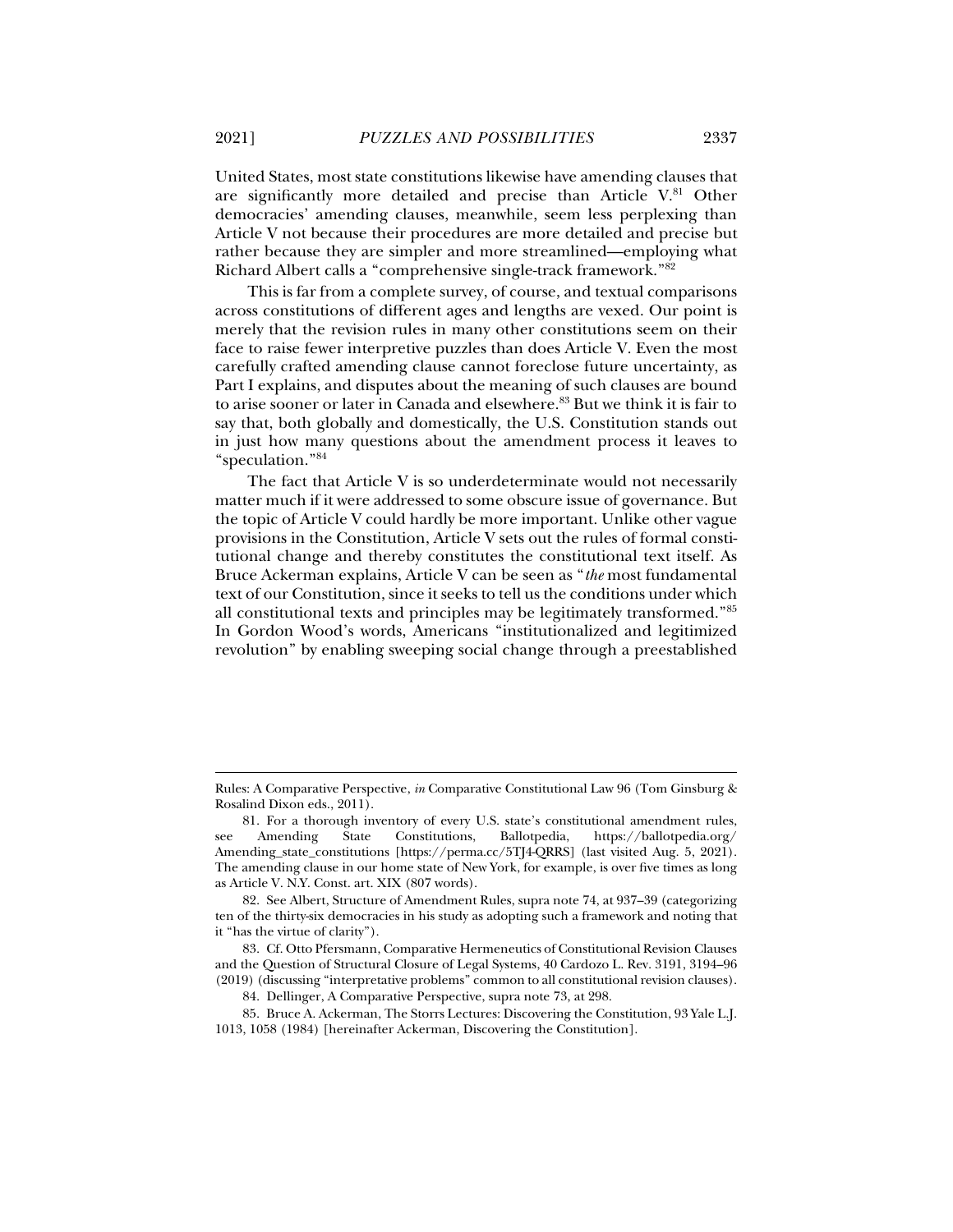United States, most state constitutions likewise have amending clauses that are significantly more detailed and precise than Article V.81 Other democracies' amending clauses, meanwhile, seem less perplexing than Article V not because their procedures are more detailed and precise but rather because they are simpler and more streamlined—employing what Richard Albert calls a "comprehensive single-track framework."82

This is far from a complete survey, of course, and textual comparisons across constitutions of different ages and lengths are vexed. Our point is merely that the revision rules in many other constitutions seem on their face to raise fewer interpretive puzzles than does Article V. Even the most carefully crafted amending clause cannot foreclose future uncertainty, as Part I explains, and disputes about the meaning of such clauses are bound to arise sooner or later in Canada and elsewhere.<sup>83</sup> But we think it is fair to say that, both globally and domestically, the U.S. Constitution stands out in just how many questions about the amendment process it leaves to "speculation."84

The fact that Article V is so underdeterminate would not necessarily matter much if it were addressed to some obscure issue of governance. But the topic of Article V could hardly be more important. Unlike other vague provisions in the Constitution, Article V sets out the rules of formal constitutional change and thereby constitutes the constitutional text itself. As Bruce Ackerman explains, Article V can be seen as "*the* most fundamental text of our Constitution, since it seeks to tell us the conditions under which all constitutional texts and principles may be legitimately transformed."85 In Gordon Wood's words, Americans "institutionalized and legitimized revolution" by enabling sweeping social change through a preestablished

84. Dellinger, A Comparative Perspective, supra note 73, at 298.

Rules: A Comparative Perspective, *in* Comparative Constitutional Law 96 (Tom Ginsburg & Rosalind Dixon eds., 2011).

 <sup>81.</sup> For a thorough inventory of every U.S. state's constitutional amendment rules, see Amending State Constitutions, Ballotpedia, https://ballotpedia.org/ Amending\_state\_constitutions [https://perma.cc/5TJ4-QRRS] (last visited Aug. 5, 2021). The amending clause in our home state of New York, for example, is over five times as long as Article V. N.Y. Const. art. XIX (807 words).

 <sup>82.</sup> See Albert, Structure of Amendment Rules, supra note 74, at 937–39 (categorizing ten of the thirty-six democracies in his study as adopting such a framework and noting that it "has the virtue of clarity").

 <sup>83.</sup> Cf. Otto Pfersmann, Comparative Hermeneutics of Constitutional Revision Clauses and the Question of Structural Closure of Legal Systems, 40 Cardozo L. Rev. 3191, 3194–96 (2019) (discussing "interpretative problems" common to all constitutional revision clauses).

 <sup>85.</sup> Bruce A. Ackerman, The Storrs Lectures: Discovering the Constitution, 93 Yale L.J. 1013, 1058 (1984) [hereinafter Ackerman, Discovering the Constitution].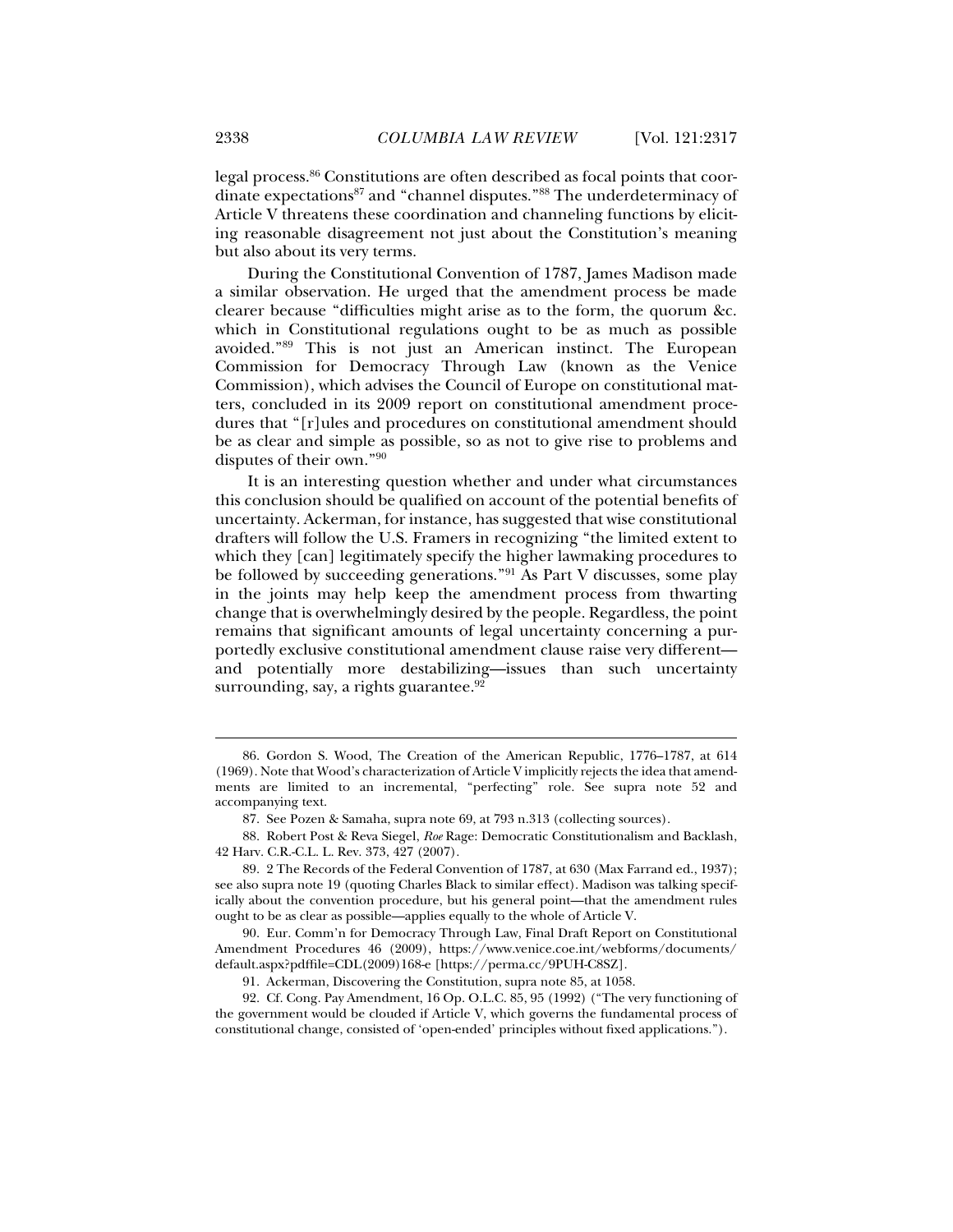legal process.86 Constitutions are often described as focal points that coordinate expectations<sup>87</sup> and "channel disputes."<sup>88</sup> The underdeterminacy of Article V threatens these coordination and channeling functions by eliciting reasonable disagreement not just about the Constitution's meaning but also about its very terms.

During the Constitutional Convention of 1787, James Madison made a similar observation. He urged that the amendment process be made clearer because "difficulties might arise as to the form, the quorum &c. which in Constitutional regulations ought to be as much as possible avoided."89 This is not just an American instinct. The European Commission for Democracy Through Law (known as the Venice Commission), which advises the Council of Europe on constitutional matters, concluded in its 2009 report on constitutional amendment procedures that "[r]ules and procedures on constitutional amendment should be as clear and simple as possible, so as not to give rise to problems and disputes of their own."90

It is an interesting question whether and under what circumstances this conclusion should be qualified on account of the potential benefits of uncertainty. Ackerman, for instance, has suggested that wise constitutional drafters will follow the U.S. Framers in recognizing "the limited extent to which they [can] legitimately specify the higher lawmaking procedures to be followed by succeeding generations."91 As Part V discusses, some play in the joints may help keep the amendment process from thwarting change that is overwhelmingly desired by the people. Regardless, the point remains that significant amounts of legal uncertainty concerning a purportedly exclusive constitutional amendment clause raise very different and potentially more destabilizing—issues than such uncertainty surrounding, say, a rights guarantee. $92$ 

 <sup>86.</sup> Gordon S. Wood, The Creation of the American Republic, 1776–1787, at 614 (1969). Note that Wood's characterization of Article V implicitly rejects the idea that amendments are limited to an incremental, "perfecting" role. See supra note 52 and accompanying text.

 <sup>87.</sup> See Pozen & Samaha, supra note 69, at 793 n.313 (collecting sources).

 <sup>88.</sup> Robert Post & Reva Siegel, *Roe* Rage: Democratic Constitutionalism and Backlash, 42 Harv. C.R.-C.L. L. Rev. 373, 427 (2007).

 <sup>89. 2</sup> The Records of the Federal Convention of 1787, at 630 (Max Farrand ed., 1937); see also supra note 19 (quoting Charles Black to similar effect). Madison was talking specifically about the convention procedure, but his general point—that the amendment rules ought to be as clear as possible—applies equally to the whole of Article V.

 <sup>90.</sup> Eur. Comm'n for Democracy Through Law, Final Draft Report on Constitutional Amendment Procedures 46 (2009), https://www.venice.coe.int/webforms/documents/ default.aspx?pdffile=CDL(2009)168-e [https://perma.cc/9PUH-C8SZ].

 <sup>91.</sup> Ackerman, Discovering the Constitution, supra note 85, at 1058.

 <sup>92.</sup> Cf. Cong. Pay Amendment, 16 Op. O.L.C. 85, 95 (1992) ("The very functioning of the government would be clouded if Article V, which governs the fundamental process of constitutional change, consisted of 'open-ended' principles without fixed applications.").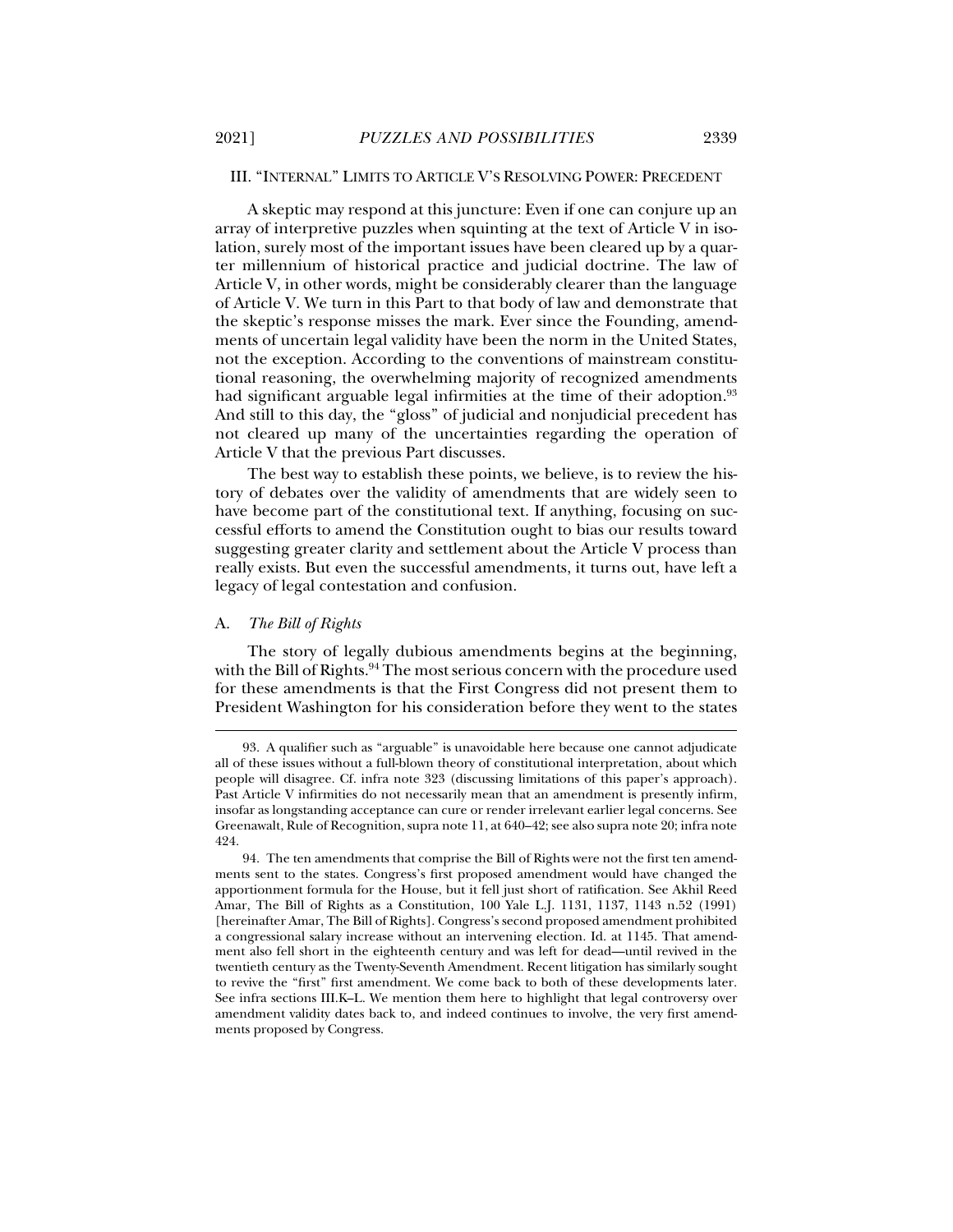#### III. "INTERNAL" LIMITS TO ARTICLE V'S RESOLVING POWER: PRECEDENT

A skeptic may respond at this juncture: Even if one can conjure up an array of interpretive puzzles when squinting at the text of Article V in isolation, surely most of the important issues have been cleared up by a quarter millennium of historical practice and judicial doctrine. The law of Article V, in other words, might be considerably clearer than the language of Article V. We turn in this Part to that body of law and demonstrate that the skeptic's response misses the mark. Ever since the Founding, amendments of uncertain legal validity have been the norm in the United States, not the exception. According to the conventions of mainstream constitutional reasoning, the overwhelming majority of recognized amendments had significant arguable legal infirmities at the time of their adoption.<sup>93</sup> And still to this day, the "gloss" of judicial and nonjudicial precedent has not cleared up many of the uncertainties regarding the operation of Article V that the previous Part discusses.

The best way to establish these points, we believe, is to review the history of debates over the validity of amendments that are widely seen to have become part of the constitutional text. If anything, focusing on successful efforts to amend the Constitution ought to bias our results toward suggesting greater clarity and settlement about the Article V process than really exists. But even the successful amendments, it turns out, have left a legacy of legal contestation and confusion.

#### A. *The Bill of Rights*

j

The story of legally dubious amendments begins at the beginning, with the Bill of Rights.<sup>94</sup> The most serious concern with the procedure used for these amendments is that the First Congress did not present them to President Washington for his consideration before they went to the states

 <sup>93.</sup> A qualifier such as "arguable" is unavoidable here because one cannot adjudicate all of these issues without a full-blown theory of constitutional interpretation, about which people will disagree. Cf. infra note 323 (discussing limitations of this paper's approach). Past Article V infirmities do not necessarily mean that an amendment is presently infirm, insofar as longstanding acceptance can cure or render irrelevant earlier legal concerns. See Greenawalt, Rule of Recognition, supra note 11, at 640–42; see also supra note 20; infra note 424.

 <sup>94.</sup> The ten amendments that comprise the Bill of Rights were not the first ten amendments sent to the states. Congress's first proposed amendment would have changed the apportionment formula for the House, but it fell just short of ratification. See Akhil Reed Amar, The Bill of Rights as a Constitution, 100 Yale L.J. 1131, 1137, 1143 n.52 (1991) [hereinafter Amar, The Bill of Rights]. Congress's second proposed amendment prohibited a congressional salary increase without an intervening election. Id. at 1145. That amendment also fell short in the eighteenth century and was left for dead—until revived in the twentieth century as the Twenty-Seventh Amendment. Recent litigation has similarly sought to revive the "first" first amendment. We come back to both of these developments later. See infra sections III.K–L. We mention them here to highlight that legal controversy over amendment validity dates back to, and indeed continues to involve, the very first amendments proposed by Congress.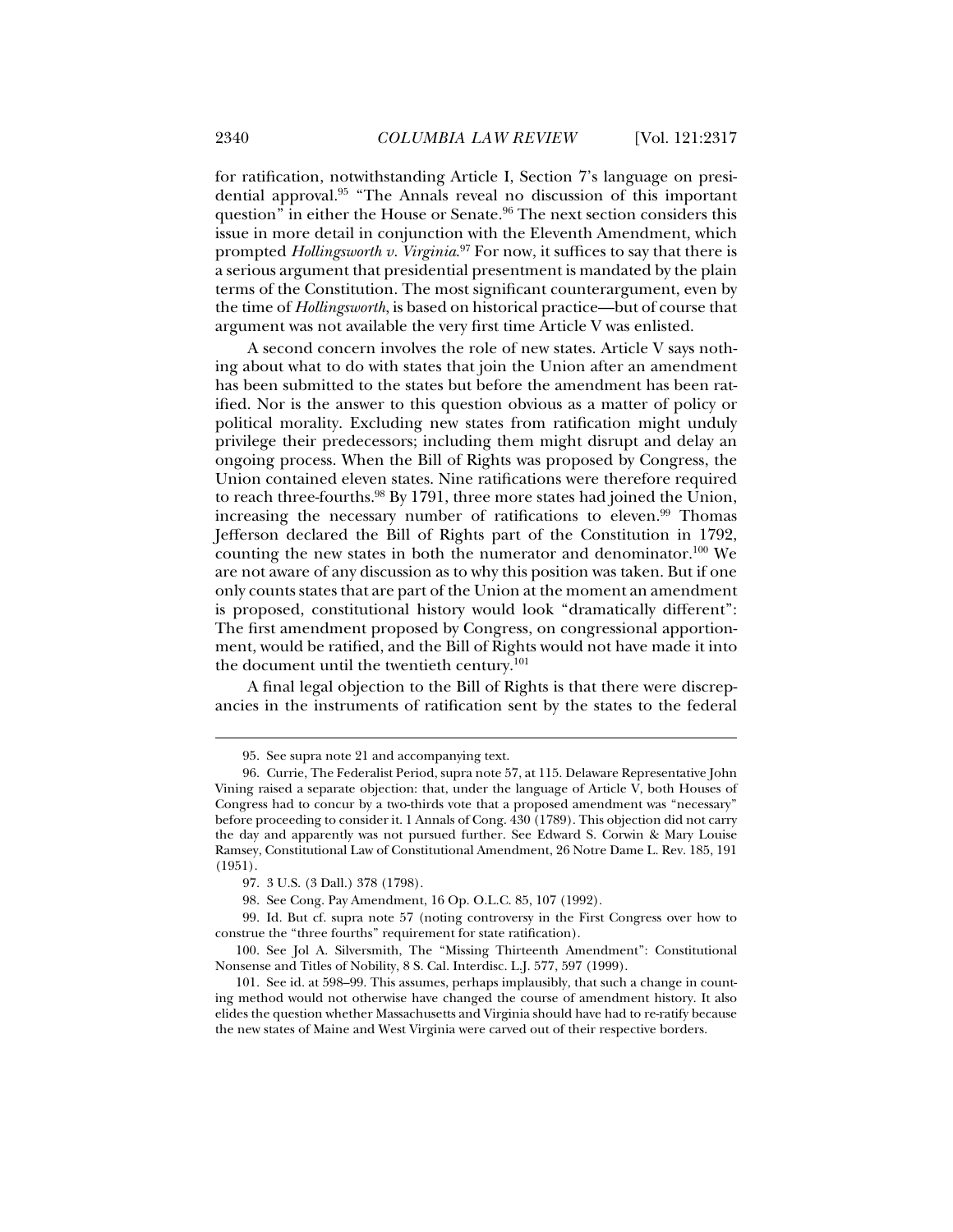for ratification, notwithstanding Article I, Section 7's language on presidential approval.95 "The Annals reveal no discussion of this important question" in either the House or Senate.<sup>96</sup> The next section considers this issue in more detail in conjunction with the Eleventh Amendment, which prompted *Hollingsworth v. Virginia*. 97 For now, it suffices to say that there is a serious argument that presidential presentment is mandated by the plain terms of the Constitution. The most significant counterargument, even by the time of *Hollingsworth*, is based on historical practice—but of course that argument was not available the very first time Article V was enlisted.

A second concern involves the role of new states. Article V says nothing about what to do with states that join the Union after an amendment has been submitted to the states but before the amendment has been ratified. Nor is the answer to this question obvious as a matter of policy or political morality. Excluding new states from ratification might unduly privilege their predecessors; including them might disrupt and delay an ongoing process. When the Bill of Rights was proposed by Congress, the Union contained eleven states. Nine ratifications were therefore required to reach three-fourths.<sup>98</sup> By 1791, three more states had joined the Union, increasing the necessary number of ratifications to eleven.<sup>99</sup> Thomas Jefferson declared the Bill of Rights part of the Constitution in 1792, counting the new states in both the numerator and denominator.100 We are not aware of any discussion as to why this position was taken. But if one only counts states that are part of the Union at the moment an amendment is proposed, constitutional history would look "dramatically different": The first amendment proposed by Congress, on congressional apportionment, would be ratified, and the Bill of Rights would not have made it into the document until the twentieth century.<sup>101</sup>

A final legal objection to the Bill of Rights is that there were discrepancies in the instruments of ratification sent by the states to the federal

 <sup>95.</sup> See supra note 21 and accompanying text.

 <sup>96.</sup> Currie, The Federalist Period, supra note 57, at 115. Delaware Representative John Vining raised a separate objection: that, under the language of Article V, both Houses of Congress had to concur by a two-thirds vote that a proposed amendment was "necessary" before proceeding to consider it. 1 Annals of Cong. 430 (1789). This objection did not carry the day and apparently was not pursued further. See Edward S. Corwin & Mary Louise Ramsey, Constitutional Law of Constitutional Amendment, 26 Notre Dame L. Rev. 185, 191 (1951).

 <sup>97. 3</sup> U.S. (3 Dall.) 378 (1798).

 <sup>98.</sup> See Cong. Pay Amendment, 16 Op. O.L.C. 85, 107 (1992).

 <sup>99.</sup> Id. But cf. supra note 57 (noting controversy in the First Congress over how to construe the "three fourths" requirement for state ratification).

 <sup>100.</sup> See Jol A. Silversmith, The "Missing Thirteenth Amendment": Constitutional Nonsense and Titles of Nobility, 8 S. Cal. Interdisc. L.J. 577, 597 (1999).

 <sup>101.</sup> See id. at 598–99. This assumes, perhaps implausibly, that such a change in counting method would not otherwise have changed the course of amendment history. It also elides the question whether Massachusetts and Virginia should have had to re-ratify because the new states of Maine and West Virginia were carved out of their respective borders.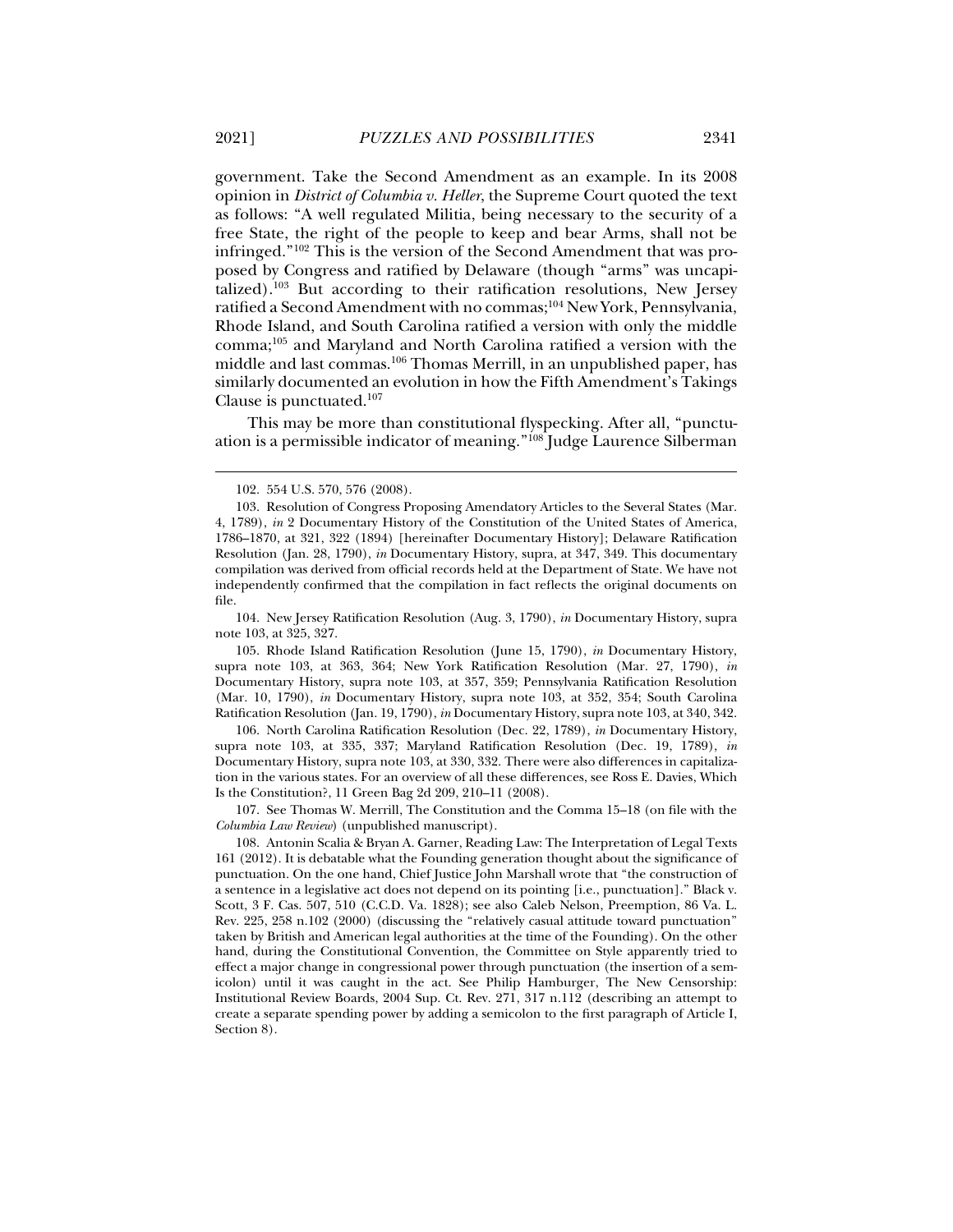government. Take the Second Amendment as an example. In its 2008 opinion in *District of Columbia v. Heller*, the Supreme Court quoted the text as follows: "A well regulated Militia, being necessary to the security of a free State, the right of the people to keep and bear Arms, shall not be infringed."102 This is the version of the Second Amendment that was proposed by Congress and ratified by Delaware (though "arms" was uncapitalized).103 But according to their ratification resolutions, New Jersey ratified a Second Amendment with no commas;104 New York, Pennsylvania, Rhode Island, and South Carolina ratified a version with only the middle comma;105 and Maryland and North Carolina ratified a version with the middle and last commas.106 Thomas Merrill, in an unpublished paper, has similarly documented an evolution in how the Fifth Amendment's Takings Clause is punctuated.107

This may be more than constitutional flyspecking. After all, "punctuation is a permissible indicator of meaning."<sup>108</sup> Judge Laurence Silberman

 104. New Jersey Ratification Resolution (Aug. 3, 1790), *in* Documentary History, supra note 103, at 325, 327.

 105. Rhode Island Ratification Resolution (June 15, 1790), *in* Documentary History, supra note 103, at 363, 364; New York Ratification Resolution (Mar. 27, 1790), *in* Documentary History, supra note 103, at 357, 359; Pennsylvania Ratification Resolution (Mar. 10, 1790), *in* Documentary History, supra note 103, at 352, 354; South Carolina Ratification Resolution (Jan. 19, 1790), *in* Documentary History, supra note 103, at 340, 342.

 106. North Carolina Ratification Resolution (Dec. 22, 1789), *in* Documentary History, supra note 103, at 335, 337; Maryland Ratification Resolution (Dec. 19, 1789), *in* Documentary History, supra note 103, at 330, 332. There were also differences in capitalization in the various states. For an overview of all these differences, see Ross E. Davies, Which Is the Constitution?, 11 Green Bag 2d 209, 210–11 (2008).

 107. See Thomas W. Merrill, The Constitution and the Comma 15–18 (on file with the *Columbia Law Review*) (unpublished manuscript).

 108. Antonin Scalia & Bryan A. Garner, Reading Law: The Interpretation of Legal Texts 161 (2012). It is debatable what the Founding generation thought about the significance of punctuation. On the one hand, Chief Justice John Marshall wrote that "the construction of a sentence in a legislative act does not depend on its pointing [i.e., punctuation]." Black v. Scott, 3 F. Cas. 507, 510 (C.C.D. Va. 1828); see also Caleb Nelson, Preemption, 86 Va. L. Rev. 225, 258 n.102 (2000) (discussing the "relatively casual attitude toward punctuation" taken by British and American legal authorities at the time of the Founding). On the other hand, during the Constitutional Convention, the Committee on Style apparently tried to effect a major change in congressional power through punctuation (the insertion of a semicolon) until it was caught in the act. See Philip Hamburger, The New Censorship: Institutional Review Boards, 2004 Sup. Ct. Rev. 271, 317 n.112 (describing an attempt to create a separate spending power by adding a semicolon to the first paragraph of Article I, Section 8).

 <sup>102. 554</sup> U.S. 570, 576 (2008).

 <sup>103.</sup> Resolution of Congress Proposing Amendatory Articles to the Several States (Mar. 4, 1789), *in* 2 Documentary History of the Constitution of the United States of America, 1786–1870, at 321, 322 (1894) [hereinafter Documentary History]; Delaware Ratification Resolution (Jan. 28, 1790), *in* Documentary History, supra, at 347, 349. This documentary compilation was derived from official records held at the Department of State. We have not independently confirmed that the compilation in fact reflects the original documents on file.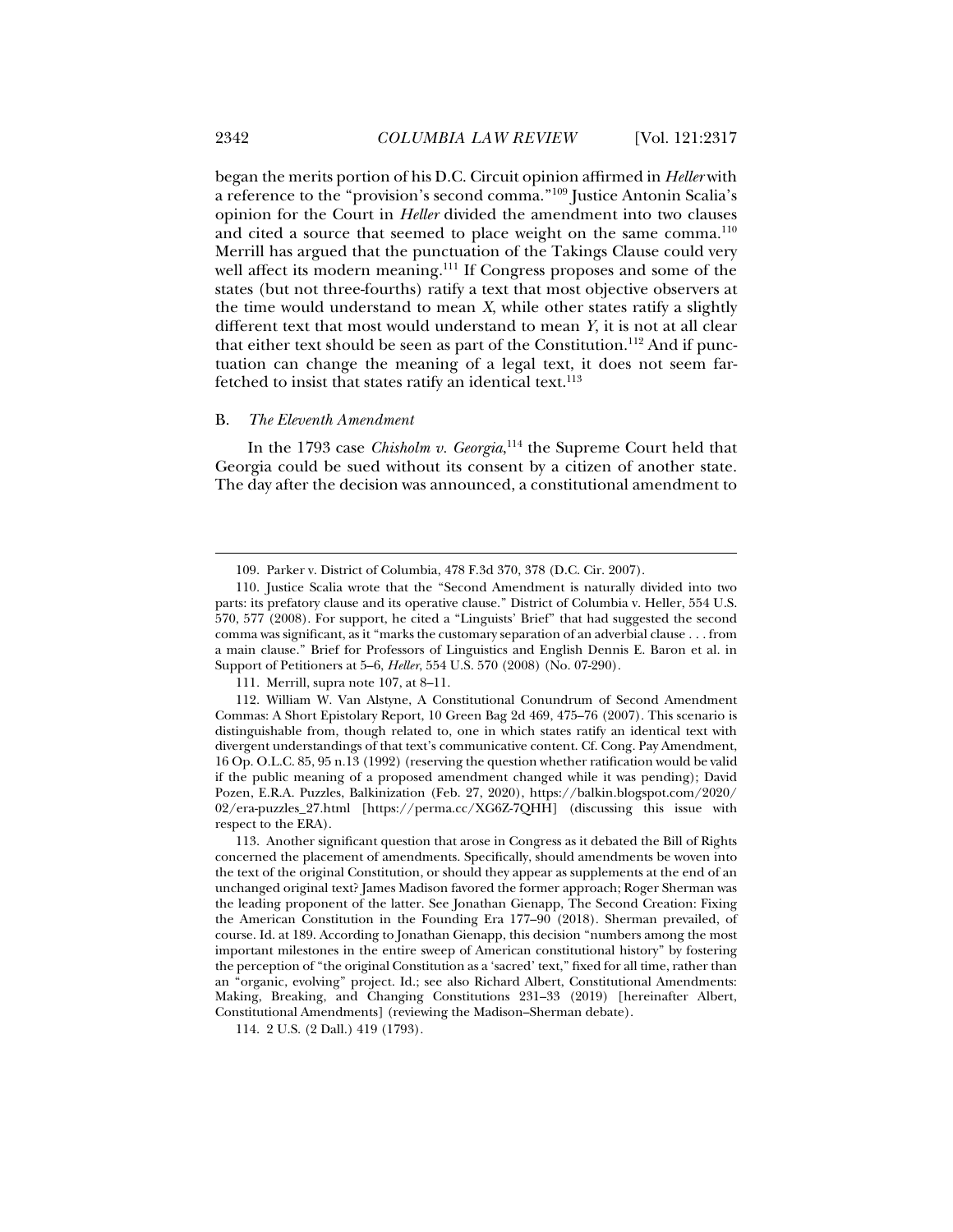began the merits portion of his D.C. Circuit opinion affirmed in *Heller* with a reference to the "provision's second comma."109 Justice Antonin Scalia's opinion for the Court in *Heller* divided the amendment into two clauses and cited a source that seemed to place weight on the same comma.<sup>110</sup> Merrill has argued that the punctuation of the Takings Clause could very well affect its modern meaning.<sup>111</sup> If Congress proposes and some of the states (but not three-fourths) ratify a text that most objective observers at the time would understand to mean *X*, while other states ratify a slightly different text that most would understand to mean *Y*, it is not at all clear that either text should be seen as part of the Constitution.<sup>112</sup> And if punctuation can change the meaning of a legal text, it does not seem farfetched to insist that states ratify an identical text.<sup>113</sup>

#### B. *The Eleventh Amendment*

In the 1793 case *Chisholm v. Georgia*, 114 the Supreme Court held that Georgia could be sued without its consent by a citizen of another state. The day after the decision was announced, a constitutional amendment to

 <sup>109.</sup> Parker v. District of Columbia, 478 F.3d 370, 378 (D.C. Cir. 2007).

 <sup>110.</sup> Justice Scalia wrote that the "Second Amendment is naturally divided into two parts: its prefatory clause and its operative clause." District of Columbia v. Heller, 554 U.S. 570, 577 (2008). For support, he cited a "Linguists' Brief" that had suggested the second comma was significant, as it "marks the customary separation of an adverbial clause . . . from a main clause." Brief for Professors of Linguistics and English Dennis E. Baron et al. in Support of Petitioners at 5–6, *Heller*, 554 U.S. 570 (2008) (No. 07-290).

 <sup>111.</sup> Merrill, supra note 107, at 8–11.

 <sup>112.</sup> William W. Van Alstyne, A Constitutional Conundrum of Second Amendment Commas: A Short Epistolary Report, 10 Green Bag 2d 469, 475–76 (2007). This scenario is distinguishable from, though related to, one in which states ratify an identical text with divergent understandings of that text's communicative content. Cf. Cong. Pay Amendment, 16 Op. O.L.C. 85, 95 n.13 (1992) (reserving the question whether ratification would be valid if the public meaning of a proposed amendment changed while it was pending); David Pozen, E.R.A. Puzzles, Balkinization (Feb. 27, 2020), https://balkin.blogspot.com/2020/ 02/era-puzzles\_27.html [https://perma.cc/XG6Z-7QHH] (discussing this issue with respect to the ERA).

 <sup>113.</sup> Another significant question that arose in Congress as it debated the Bill of Rights concerned the placement of amendments. Specifically, should amendments be woven into the text of the original Constitution, or should they appear as supplements at the end of an unchanged original text? James Madison favored the former approach; Roger Sherman was the leading proponent of the latter. See Jonathan Gienapp, The Second Creation: Fixing the American Constitution in the Founding Era 177–90 (2018). Sherman prevailed, of course. Id. at 189. According to Jonathan Gienapp, this decision "numbers among the most important milestones in the entire sweep of American constitutional history" by fostering the perception of "the original Constitution as a 'sacred' text," fixed for all time, rather than an "organic, evolving" project. Id.; see also Richard Albert, Constitutional Amendments: Making, Breaking, and Changing Constitutions 231–33 (2019) [hereinafter Albert, Constitutional Amendments] (reviewing the Madison–Sherman debate).

 <sup>114. 2</sup> U.S. (2 Dall.) 419 (1793).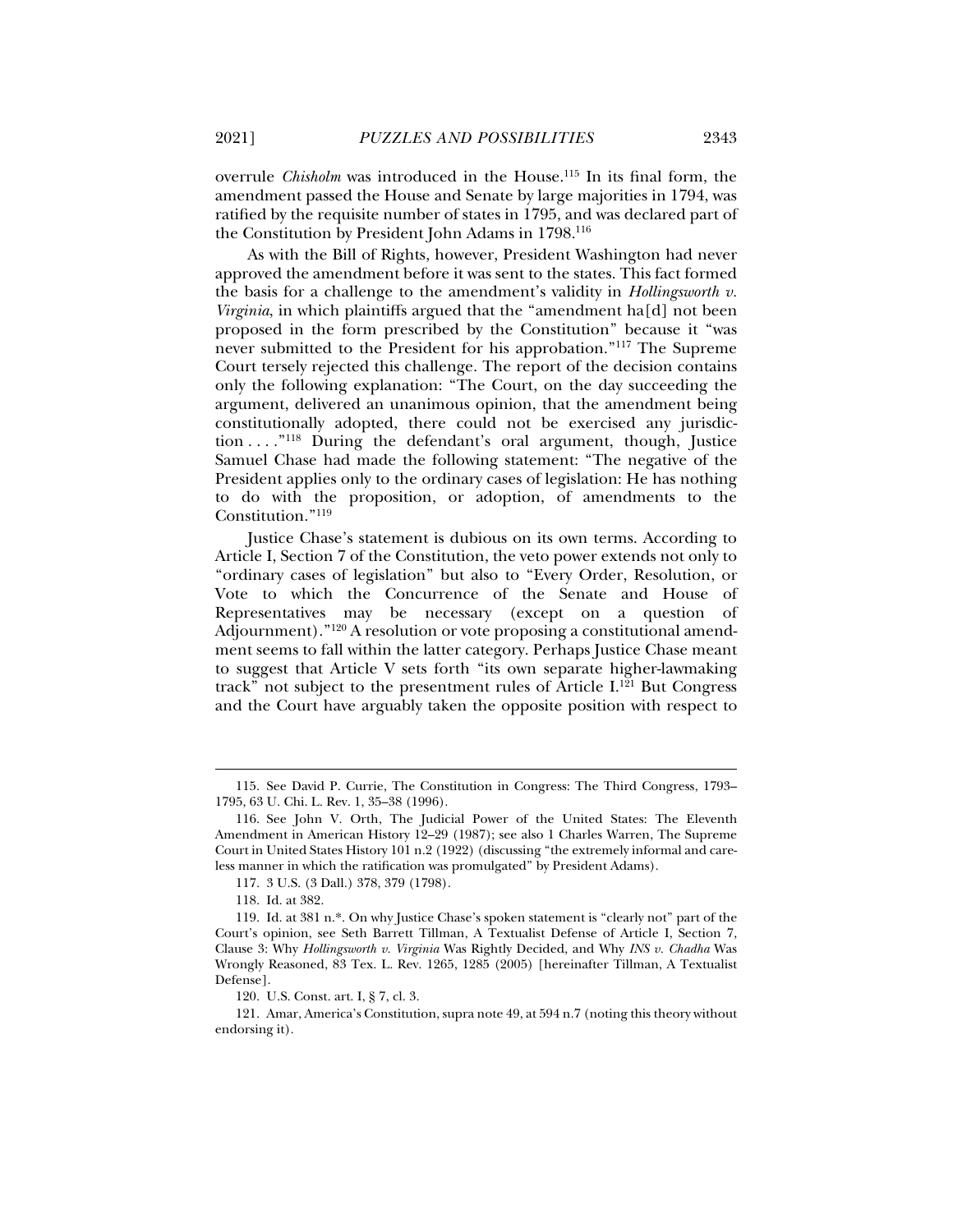overrule *Chisholm* was introduced in the House.115 In its final form, the amendment passed the House and Senate by large majorities in 1794, was ratified by the requisite number of states in 1795, and was declared part of the Constitution by President John Adams in 1798.116

As with the Bill of Rights, however, President Washington had never approved the amendment before it was sent to the states. This fact formed the basis for a challenge to the amendment's validity in *Hollingsworth v. Virginia*, in which plaintiffs argued that the "amendment ha[d] not been proposed in the form prescribed by the Constitution" because it "was never submitted to the President for his approbation."117 The Supreme Court tersely rejected this challenge. The report of the decision contains only the following explanation: "The Court, on the day succeeding the argument, delivered an unanimous opinion, that the amendment being constitutionally adopted, there could not be exercised any jurisdiction . . . ."118 During the defendant's oral argument, though, Justice Samuel Chase had made the following statement: "The negative of the President applies only to the ordinary cases of legislation: He has nothing to do with the proposition, or adoption, of amendments to the Constitution."119

Justice Chase's statement is dubious on its own terms. According to Article I, Section 7 of the Constitution, the veto power extends not only to "ordinary cases of legislation" but also to "Every Order, Resolution, or Vote to which the Concurrence of the Senate and House of Representatives may be necessary (except on a question of Adjournment)."120 A resolution or vote proposing a constitutional amendment seems to fall within the latter category. Perhaps Justice Chase meant to suggest that Article V sets forth "its own separate higher-lawmaking track" not subject to the presentment rules of Article  $I^{121}$  But Congress and the Court have arguably taken the opposite position with respect to

 <sup>115.</sup> See David P. Currie, The Constitution in Congress: The Third Congress, 1793– 1795, 63 U. Chi. L. Rev. 1, 35–38 (1996).

 <sup>116.</sup> See John V. Orth, The Judicial Power of the United States: The Eleventh Amendment in American History 12–29 (1987); see also 1 Charles Warren, The Supreme Court in United States History 101 n.2 (1922) (discussing "the extremely informal and careless manner in which the ratification was promulgated" by President Adams).

 <sup>117. 3</sup> U.S. (3 Dall.) 378, 379 (1798).

 <sup>118.</sup> Id. at 382.

 <sup>119.</sup> Id. at 381 n.\*. On why Justice Chase's spoken statement is "clearly not" part of the Court's opinion, see Seth Barrett Tillman, A Textualist Defense of Article I, Section 7, Clause 3: Why *Hollingsworth v. Virginia* Was Rightly Decided, and Why *INS v. Chadha* Was Wrongly Reasoned, 83 Tex. L. Rev. 1265, 1285 (2005) [hereinafter Tillman, A Textualist Defense].

 <sup>120.</sup> U.S. Const. art. I, § 7, cl. 3.

 <sup>121.</sup> Amar, America's Constitution, supra note 49, at 594 n.7 (noting this theory without endorsing it).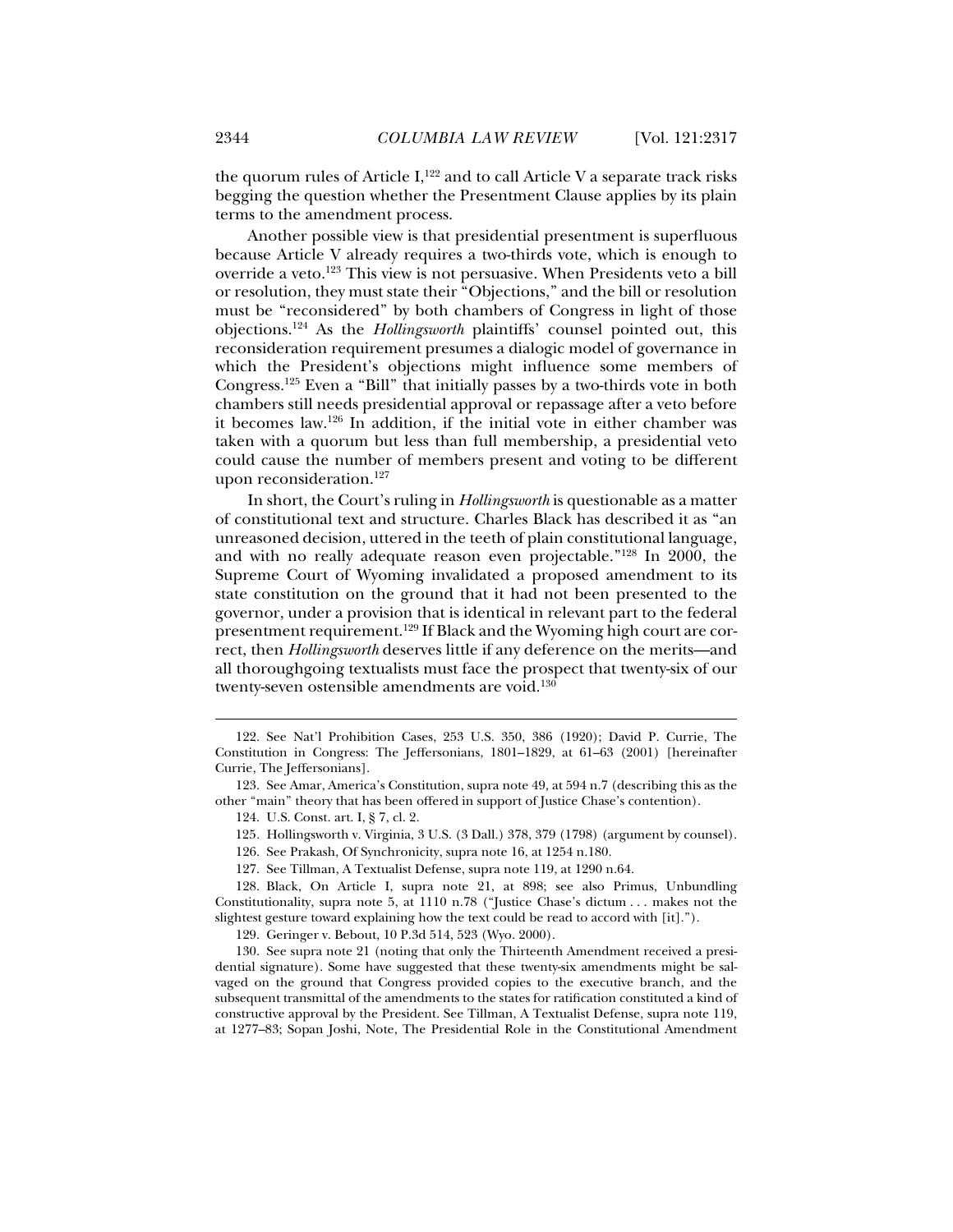the quorum rules of Article I,<sup>122</sup> and to call Article V a separate track risks begging the question whether the Presentment Clause applies by its plain terms to the amendment process.

Another possible view is that presidential presentment is superfluous because Article V already requires a two-thirds vote, which is enough to override a veto.<sup>123</sup> This view is not persuasive. When Presidents veto a bill or resolution, they must state their "Objections," and the bill or resolution must be "reconsidered" by both chambers of Congress in light of those objections.124 As the *Hollingsworth* plaintiffs' counsel pointed out, this reconsideration requirement presumes a dialogic model of governance in which the President's objections might influence some members of Congress.125 Even a "Bill" that initially passes by a two-thirds vote in both chambers still needs presidential approval or repassage after a veto before it becomes law.126 In addition, if the initial vote in either chamber was taken with a quorum but less than full membership, a presidential veto could cause the number of members present and voting to be different upon reconsideration.<sup>127</sup>

In short, the Court's ruling in *Hollingsworth* is questionable as a matter of constitutional text and structure. Charles Black has described it as "an unreasoned decision, uttered in the teeth of plain constitutional language, and with no really adequate reason even projectable."128 In 2000, the Supreme Court of Wyoming invalidated a proposed amendment to its state constitution on the ground that it had not been presented to the governor, under a provision that is identical in relevant part to the federal presentment requirement.129 If Black and the Wyoming high court are correct, then *Hollingsworth* deserves little if any deference on the merits—and all thoroughgoing textualists must face the prospect that twenty-six of our twenty-seven ostensible amendments are void.<sup>130</sup>

j

129. Geringer v. Bebout, 10 P.3d 514, 523 (Wyo. 2000).

 130. See supra note 21 (noting that only the Thirteenth Amendment received a presidential signature). Some have suggested that these twenty-six amendments might be salvaged on the ground that Congress provided copies to the executive branch, and the subsequent transmittal of the amendments to the states for ratification constituted a kind of constructive approval by the President. See Tillman, A Textualist Defense, supra note 119, at 1277–83; Sopan Joshi, Note, The Presidential Role in the Constitutional Amendment

 <sup>122.</sup> See Nat'l Prohibition Cases, 253 U.S. 350, 386 (1920); David P. Currie, The Constitution in Congress: The Jeffersonians, 1801–1829, at 61–63 (2001) [hereinafter Currie, The Jeffersonians].

 <sup>123.</sup> See Amar, America's Constitution, supra note 49, at 594 n.7 (describing this as the other "main" theory that has been offered in support of Justice Chase's contention).

 <sup>124.</sup> U.S. Const. art. I, § 7, cl. 2.

<sup>125</sup>*.* Hollingsworth v. Virginia, 3 U.S. (3 Dall.) 378, 379 (1798) (argument by counsel).

 <sup>126.</sup> See Prakash, Of Synchronicity, supra note 16, at 1254 n.180.

 <sup>127.</sup> See Tillman, A Textualist Defense, supra note 119, at 1290 n.64.

 <sup>128.</sup> Black, On Article I, supra note 21, at 898; see also Primus, Unbundling Constitutionality, supra note 5, at 1110 n.78 ("Justice Chase's dictum . . . makes not the slightest gesture toward explaining how the text could be read to accord with [it].").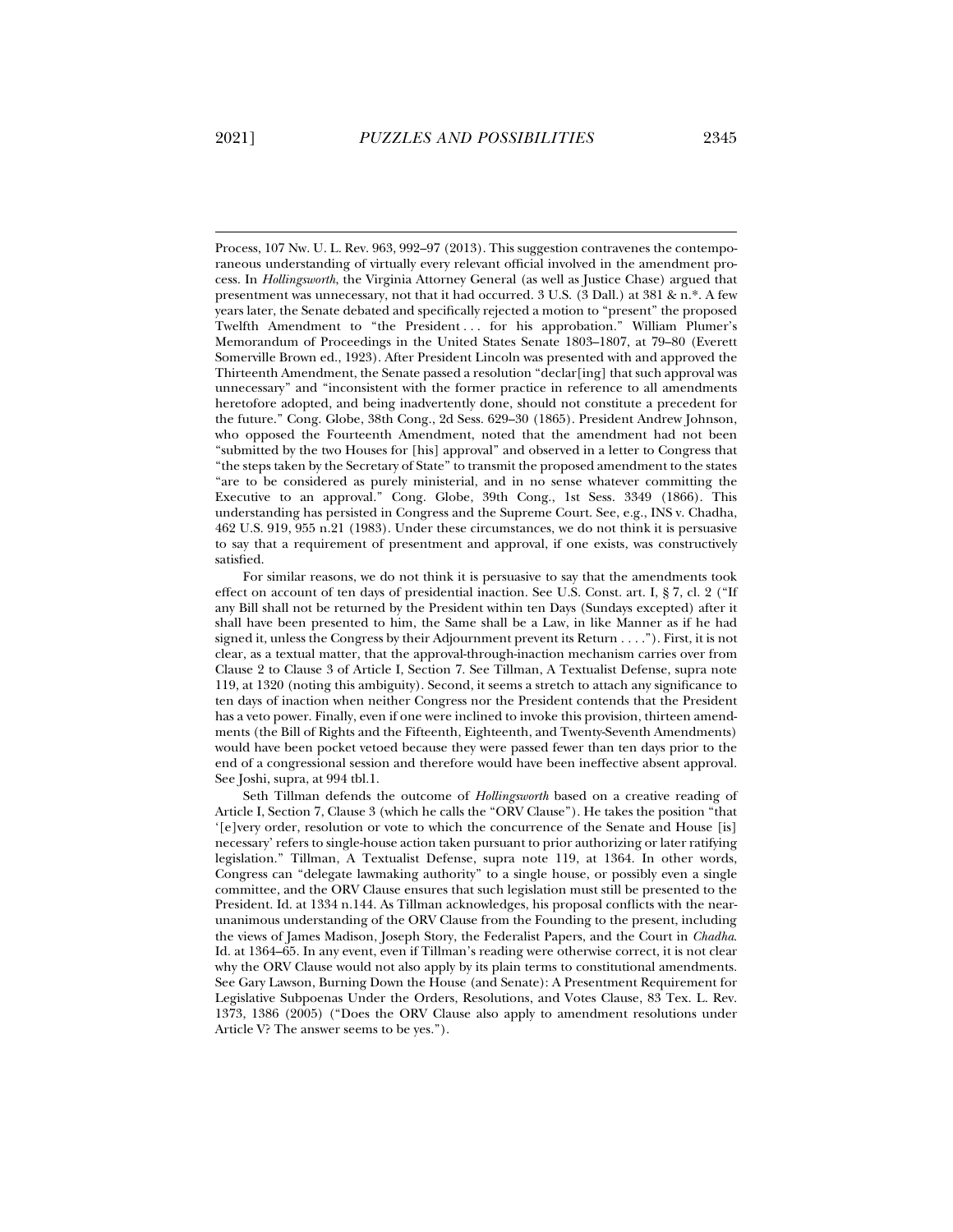Process, 107 Nw. U. L. Rev. 963, 992–97 (2013). This suggestion contravenes the contemporaneous understanding of virtually every relevant official involved in the amendment process. In *Hollingsworth*, the Virginia Attorney General (as well as Justice Chase) argued that presentment was unnecessary, not that it had occurred. 3 U.S. (3 Dall.) at 381 & n.\*. A few years later, the Senate debated and specifically rejected a motion to "present" the proposed Twelfth Amendment to "the President ... for his approbation." William Plumer's Memorandum of Proceedings in the United States Senate 1803–1807, at 79–80 (Everett Somerville Brown ed., 1923). After President Lincoln was presented with and approved the Thirteenth Amendment, the Senate passed a resolution "declar[ing] that such approval was unnecessary" and "inconsistent with the former practice in reference to all amendments heretofore adopted, and being inadvertently done, should not constitute a precedent for the future." Cong. Globe, 38th Cong., 2d Sess. 629–30 (1865). President Andrew Johnson, who opposed the Fourteenth Amendment, noted that the amendment had not been "submitted by the two Houses for [his] approval" and observed in a letter to Congress that "the steps taken by the Secretary of State" to transmit the proposed amendment to the states "are to be considered as purely ministerial, and in no sense whatever committing the Executive to an approval." Cong. Globe, 39th Cong., 1st Sess. 3349 (1866). This understanding has persisted in Congress and the Supreme Court. See, e.g., INS v. Chadha, 462 U.S. 919, 955 n.21 (1983). Under these circumstances, we do not think it is persuasive to say that a requirement of presentment and approval, if one exists, was constructively satisfied.

For similar reasons, we do not think it is persuasive to say that the amendments took effect on account of ten days of presidential inaction. See U.S. Const. art. I, § 7, cl. 2 ("If any Bill shall not be returned by the President within ten Days (Sundays excepted) after it shall have been presented to him, the Same shall be a Law, in like Manner as if he had signed it, unless the Congress by their Adjournment prevent its Return . . . ."). First, it is not clear, as a textual matter, that the approval-through-inaction mechanism carries over from Clause 2 to Clause 3 of Article I, Section 7. See Tillman, A Textualist Defense, supra note 119, at 1320 (noting this ambiguity). Second, it seems a stretch to attach any significance to ten days of inaction when neither Congress nor the President contends that the President has a veto power. Finally, even if one were inclined to invoke this provision, thirteen amendments (the Bill of Rights and the Fifteenth, Eighteenth, and Twenty-Seventh Amendments) would have been pocket vetoed because they were passed fewer than ten days prior to the end of a congressional session and therefore would have been ineffective absent approval. See Joshi, supra, at 994 tbl.1.

Seth Tillman defends the outcome of *Hollingsworth* based on a creative reading of Article I, Section 7, Clause 3 (which he calls the "ORV Clause"). He takes the position "that '[e]very order, resolution or vote to which the concurrence of the Senate and House [is] necessary' refers to single-house action taken pursuant to prior authorizing or later ratifying legislation." Tillman, A Textualist Defense, supra note 119, at 1364. In other words, Congress can "delegate lawmaking authority" to a single house, or possibly even a single committee, and the ORV Clause ensures that such legislation must still be presented to the President. Id. at 1334 n.144. As Tillman acknowledges, his proposal conflicts with the nearunanimous understanding of the ORV Clause from the Founding to the present, including the views of James Madison, Joseph Story, the Federalist Papers, and the Court in *Chadha*. Id. at 1364–65. In any event, even if Tillman's reading were otherwise correct, it is not clear why the ORV Clause would not also apply by its plain terms to constitutional amendments. See Gary Lawson, Burning Down the House (and Senate): A Presentment Requirement for Legislative Subpoenas Under the Orders, Resolutions, and Votes Clause, 83 Tex. L. Rev. 1373, 1386 (2005) ("Does the ORV Clause also apply to amendment resolutions under Article V? The answer seems to be yes.").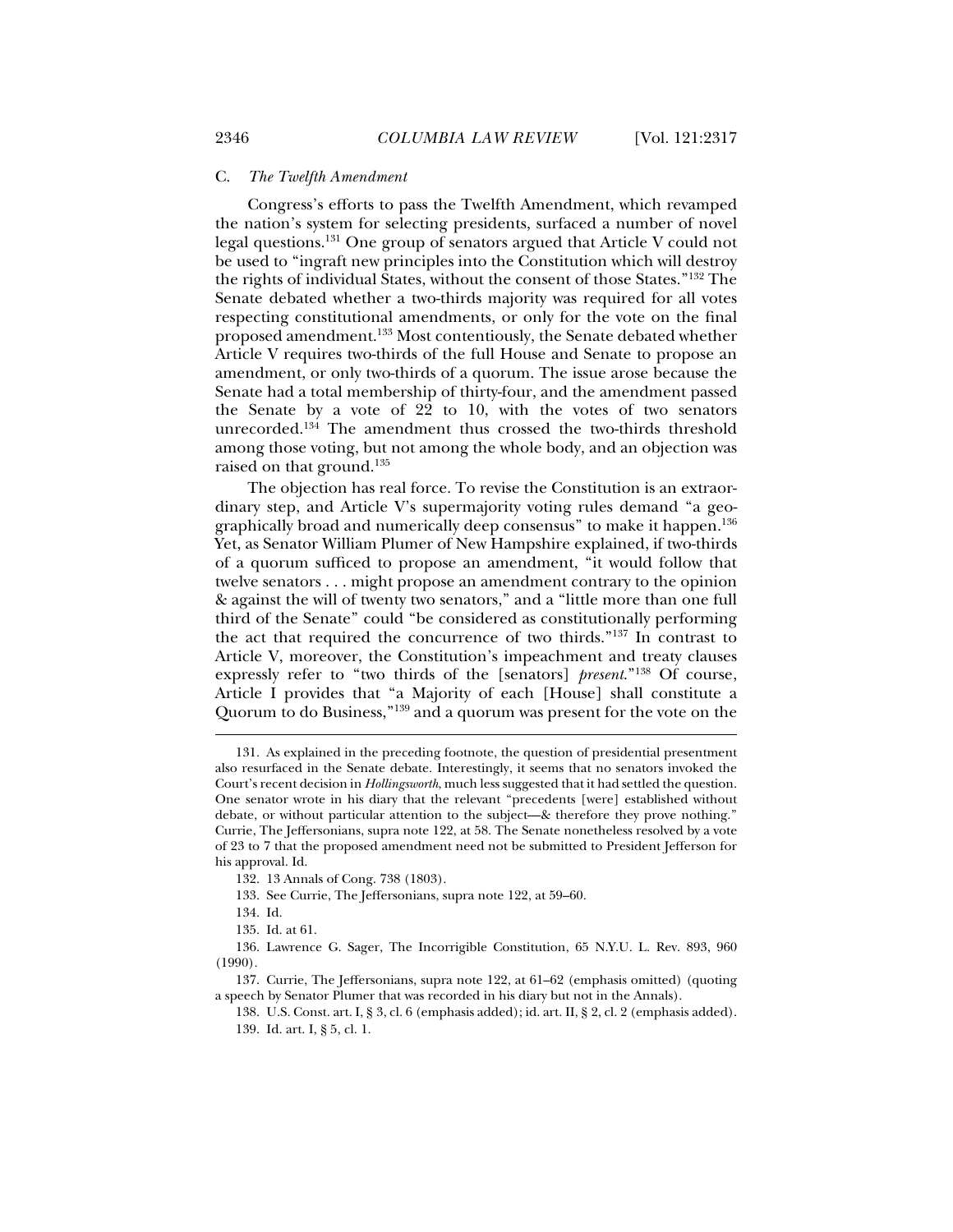#### C. *The Twelfth Amendment*

Congress's efforts to pass the Twelfth Amendment, which revamped the nation's system for selecting presidents, surfaced a number of novel legal questions.131 One group of senators argued that Article V could not be used to "ingraft new principles into the Constitution which will destroy the rights of individual States, without the consent of those States."132 The Senate debated whether a two-thirds majority was required for all votes respecting constitutional amendments, or only for the vote on the final proposed amendment.133 Most contentiously, the Senate debated whether Article V requires two-thirds of the full House and Senate to propose an amendment, or only two-thirds of a quorum. The issue arose because the Senate had a total membership of thirty-four, and the amendment passed the Senate by a vote of 22 to 10, with the votes of two senators unrecorded.134 The amendment thus crossed the two-thirds threshold among those voting, but not among the whole body, and an objection was raised on that ground.135

The objection has real force. To revise the Constitution is an extraordinary step, and Article V's supermajority voting rules demand "a geographically broad and numerically deep consensus" to make it happen.136 Yet, as Senator William Plumer of New Hampshire explained, if two-thirds of a quorum sufficed to propose an amendment, "it would follow that twelve senators . . . might propose an amendment contrary to the opinion & against the will of twenty two senators," and a "little more than one full third of the Senate" could "be considered as constitutionally performing the act that required the concurrence of two thirds."137 In contrast to Article V, moreover, the Constitution's impeachment and treaty clauses expressly refer to "two thirds of the [senators] *present*."138 Of course, Article I provides that "a Majority of each [House] shall constitute a Quorum to do Business,"139 and a quorum was present for the vote on the

133. See Currie, The Jeffersonians, supra note 122, at 59–60.

134. Id.

 <sup>131.</sup> As explained in the preceding footnote, the question of presidential presentment also resurfaced in the Senate debate. Interestingly, it seems that no senators invoked the Court's recent decision in *Hollingsworth*, much less suggested that it had settled the question. One senator wrote in his diary that the relevant "precedents [were] established without debate, or without particular attention to the subject—& therefore they prove nothing." Currie, The Jeffersonians, supra note 122, at 58. The Senate nonetheless resolved by a vote of 23 to 7 that the proposed amendment need not be submitted to President Jefferson for his approval. Id.

 <sup>132. 13</sup> Annals of Cong. 738 (1803).

 <sup>135.</sup> Id. at 61.

 <sup>136.</sup> Lawrence G. Sager, The Incorrigible Constitution, 65 N.Y.U. L. Rev. 893, 960 (1990).

 <sup>137.</sup> Currie, The Jeffersonians, supra note 122, at 61–62 (emphasis omitted) (quoting a speech by Senator Plumer that was recorded in his diary but not in the Annals).

 <sup>138.</sup> U.S. Const. art. I, § 3, cl. 6 (emphasis added); id. art. II, § 2, cl. 2 (emphasis added). 139. Id. art. I, § 5, cl. 1.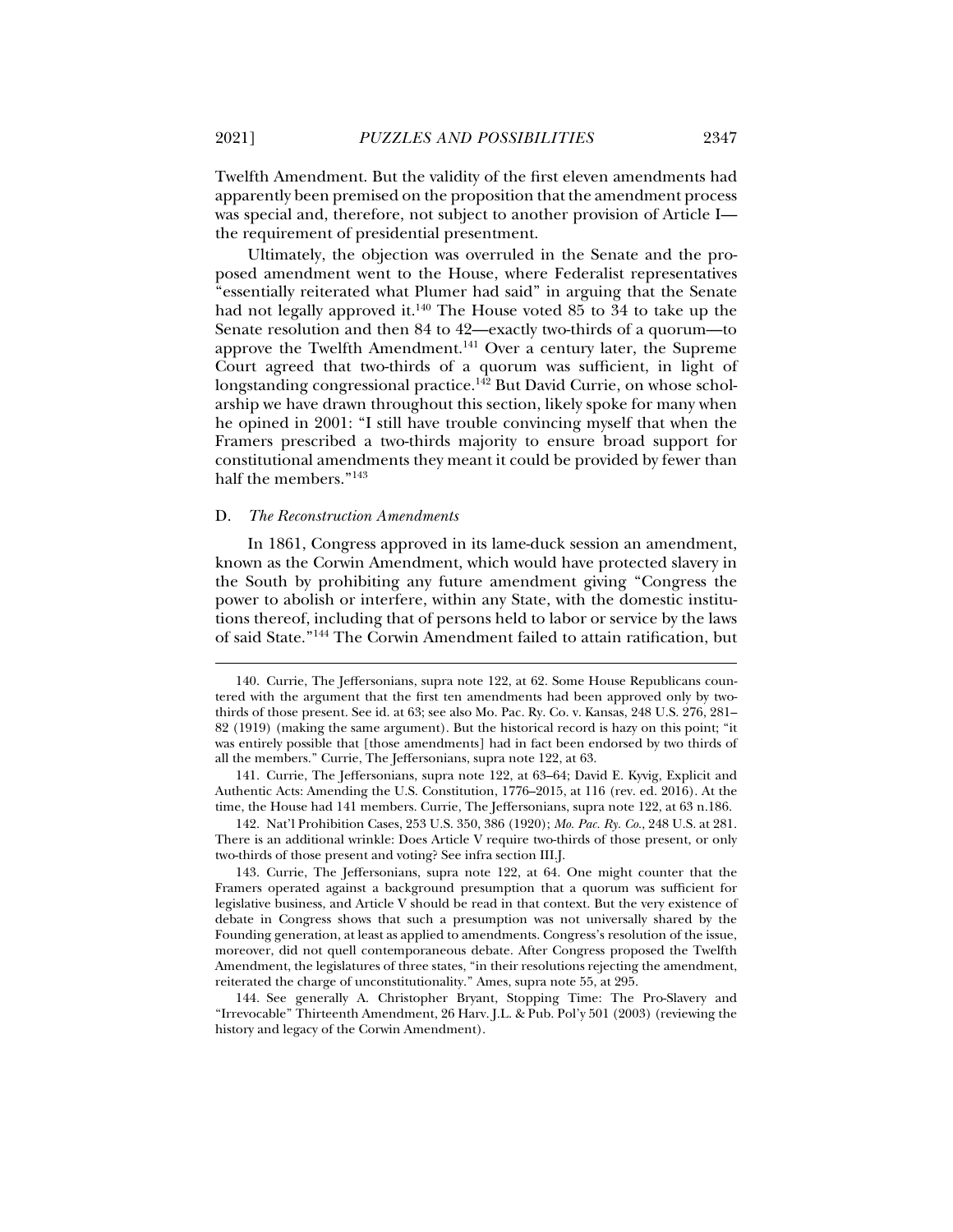Twelfth Amendment. But the validity of the first eleven amendments had apparently been premised on the proposition that the amendment process was special and, therefore, not subject to another provision of Article I the requirement of presidential presentment.

Ultimately, the objection was overruled in the Senate and the proposed amendment went to the House, where Federalist representatives "essentially reiterated what Plumer had said" in arguing that the Senate had not legally approved it.<sup>140</sup> The House voted  $85$  to  $34$  to take up the Senate resolution and then 84 to 42—exactly two-thirds of a quorum—to approve the Twelfth Amendment.<sup>141</sup> Over a century later, the Supreme Court agreed that two-thirds of a quorum was sufficient, in light of longstanding congressional practice.<sup>142</sup> But David Currie, on whose scholarship we have drawn throughout this section, likely spoke for many when he opined in 2001: "I still have trouble convincing myself that when the Framers prescribed a two-thirds majority to ensure broad support for constitutional amendments they meant it could be provided by fewer than half the members."<sup>143</sup>

#### D. *The Reconstruction Amendments*

In 1861, Congress approved in its lame-duck session an amendment, known as the Corwin Amendment, which would have protected slavery in the South by prohibiting any future amendment giving "Congress the power to abolish or interfere, within any State, with the domestic institutions thereof, including that of persons held to labor or service by the laws of said State."144 The Corwin Amendment failed to attain ratification, but

 141. Currie, The Jeffersonians, supra note 122, at 63–64; David E. Kyvig, Explicit and Authentic Acts: Amending the U.S. Constitution, 1776–2015, at 116 (rev. ed. 2016). At the time, the House had 141 members. Currie, The Jeffersonians, supra note 122, at 63 n.186.

 142. Nat'l Prohibition Cases, 253 U.S. 350, 386 (1920); *Mo. Pac. Ry. Co.*, 248 U.S. at 281. There is an additional wrinkle: Does Article V require two-thirds of those present, or only two-thirds of those present and voting? See infra section III.J.

 143. Currie, The Jeffersonians, supra note 122, at 64. One might counter that the Framers operated against a background presumption that a quorum was sufficient for legislative business, and Article V should be read in that context. But the very existence of debate in Congress shows that such a presumption was not universally shared by the Founding generation, at least as applied to amendments. Congress's resolution of the issue, moreover, did not quell contemporaneous debate. After Congress proposed the Twelfth Amendment, the legislatures of three states, "in their resolutions rejecting the amendment, reiterated the charge of unconstitutionality." Ames, supra note 55, at 295.

 144. See generally A. Christopher Bryant, Stopping Time: The Pro-Slavery and "Irrevocable" Thirteenth Amendment, 26 Harv. J.L. & Pub. Pol'y 501 (2003) (reviewing the history and legacy of the Corwin Amendment).

 <sup>140.</sup> Currie, The Jeffersonians, supra note 122, at 62. Some House Republicans countered with the argument that the first ten amendments had been approved only by twothirds of those present. See id. at 63; see also Mo. Pac. Ry. Co. v. Kansas, 248 U.S. 276, 281– 82 (1919) (making the same argument). But the historical record is hazy on this point; "it was entirely possible that [those amendments] had in fact been endorsed by two thirds of all the members." Currie, The Jeffersonians, supra note 122, at 63.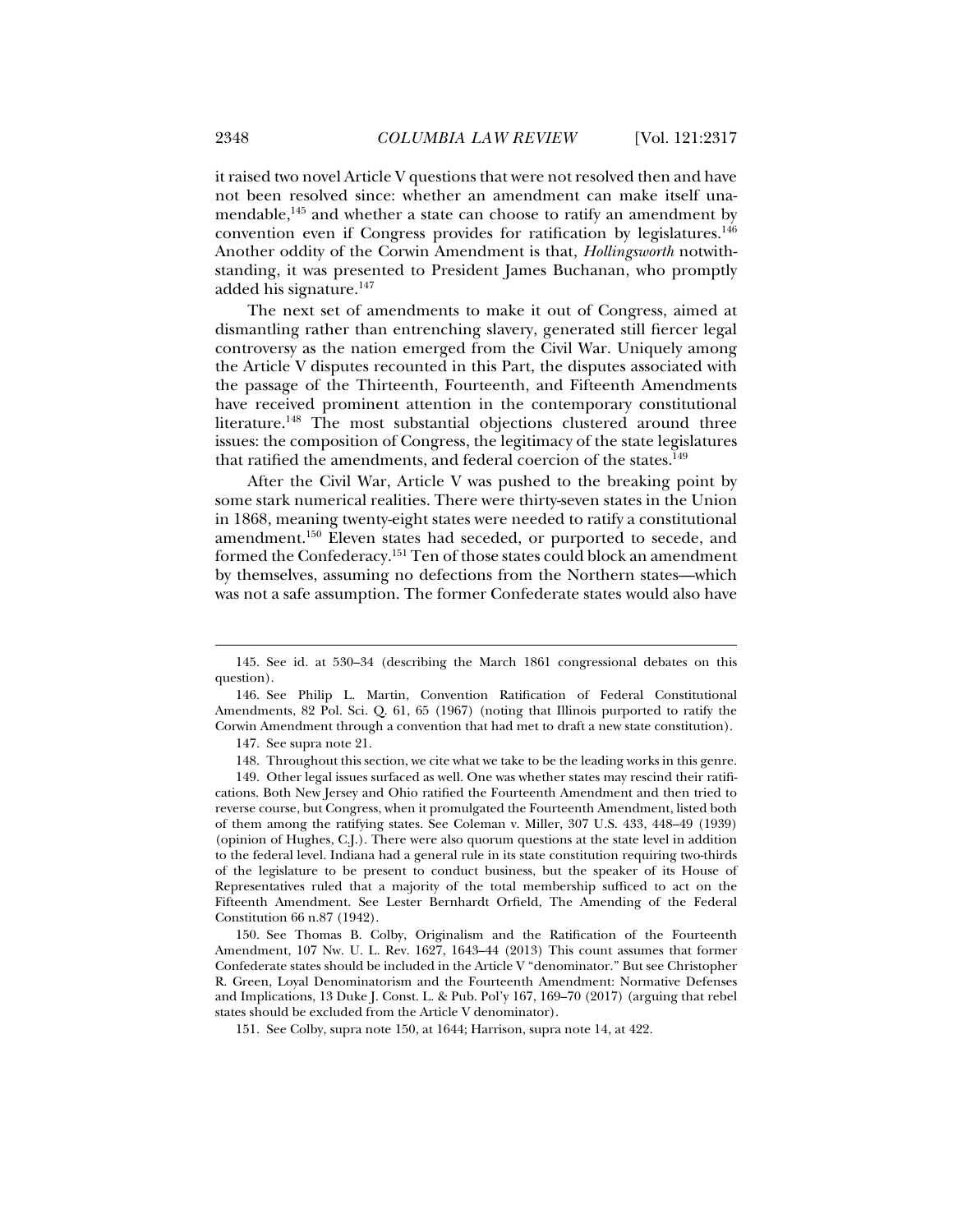it raised two novel Article V questions that were not resolved then and have not been resolved since: whether an amendment can make itself unamendable, $145$  and whether a state can choose to ratify an amendment by convention even if Congress provides for ratification by legislatures.146 Another oddity of the Corwin Amendment is that, *Hollingsworth* notwithstanding, it was presented to President James Buchanan, who promptly added his signature.147

The next set of amendments to make it out of Congress, aimed at dismantling rather than entrenching slavery, generated still fiercer legal controversy as the nation emerged from the Civil War. Uniquely among the Article V disputes recounted in this Part, the disputes associated with the passage of the Thirteenth, Fourteenth, and Fifteenth Amendments have received prominent attention in the contemporary constitutional literature.<sup>148</sup> The most substantial objections clustered around three issues: the composition of Congress, the legitimacy of the state legislatures that ratified the amendments, and federal coercion of the states.<sup>149</sup>

After the Civil War, Article V was pushed to the breaking point by some stark numerical realities. There were thirty-seven states in the Union in 1868, meaning twenty-eight states were needed to ratify a constitutional amendment.150 Eleven states had seceded, or purported to secede, and formed the Confederacy.151 Ten of those states could block an amendment by themselves, assuming no defections from the Northern states—which was not a safe assumption. The former Confederate states would also have

j

 150. See Thomas B. Colby, Originalism and the Ratification of the Fourteenth Amendment, 107 Nw. U. L. Rev. 1627, 1643–44 (2013) This count assumes that former Confederate states should be included in the Article V "denominator." But see Christopher R. Green, Loyal Denominatorism and the Fourteenth Amendment: Normative Defenses and Implications, 13 Duke J. Const. L. & Pub. Pol'y 167, 169–70 (2017) (arguing that rebel states should be excluded from the Article V denominator).

 <sup>145.</sup> See id. at 530–34 (describing the March 1861 congressional debates on this question).

 <sup>146.</sup> See Philip L. Martin, Convention Ratification of Federal Constitutional Amendments, 82 Pol. Sci. Q. 61, 65 (1967) (noting that Illinois purported to ratify the Corwin Amendment through a convention that had met to draft a new state constitution).

 <sup>147.</sup> See supra note 21.

 <sup>148.</sup> Throughout this section, we cite what we take to be the leading works in this genre.

 <sup>149.</sup> Other legal issues surfaced as well. One was whether states may rescind their ratifications. Both New Jersey and Ohio ratified the Fourteenth Amendment and then tried to reverse course, but Congress, when it promulgated the Fourteenth Amendment, listed both of them among the ratifying states. See Coleman v. Miller, 307 U.S. 433, 448–49 (1939) (opinion of Hughes, C.J.). There were also quorum questions at the state level in addition to the federal level. Indiana had a general rule in its state constitution requiring two-thirds of the legislature to be present to conduct business, but the speaker of its House of Representatives ruled that a majority of the total membership sufficed to act on the Fifteenth Amendment. See Lester Bernhardt Orfield, The Amending of the Federal Constitution 66 n.87 (1942).

 <sup>151.</sup> See Colby, supra note 150, at 1644; Harrison, supra note 14, at 422.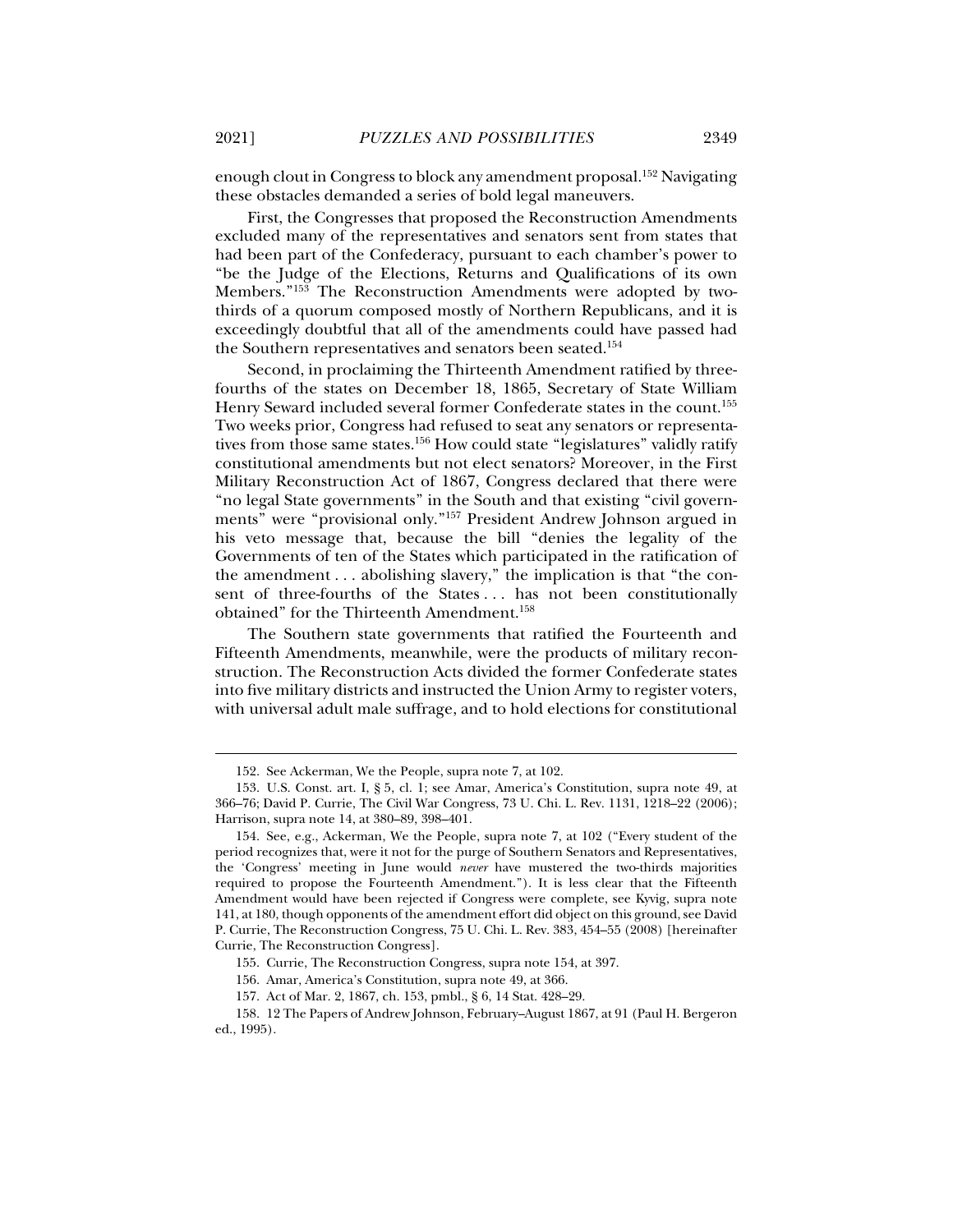enough clout in Congress to block any amendment proposal.152 Navigating these obstacles demanded a series of bold legal maneuvers.

First, the Congresses that proposed the Reconstruction Amendments excluded many of the representatives and senators sent from states that had been part of the Confederacy, pursuant to each chamber's power to "be the Judge of the Elections, Returns and Qualifications of its own Members."153 The Reconstruction Amendments were adopted by twothirds of a quorum composed mostly of Northern Republicans, and it is exceedingly doubtful that all of the amendments could have passed had the Southern representatives and senators been seated.<sup>154</sup>

Second, in proclaiming the Thirteenth Amendment ratified by threefourths of the states on December 18, 1865, Secretary of State William Henry Seward included several former Confederate states in the count.155 Two weeks prior, Congress had refused to seat any senators or representatives from those same states.<sup>156</sup> How could state "legislatures" validly ratify constitutional amendments but not elect senators? Moreover, in the First Military Reconstruction Act of 1867, Congress declared that there were "no legal State governments" in the South and that existing "civil governments" were "provisional only."157 President Andrew Johnson argued in his veto message that, because the bill "denies the legality of the Governments of ten of the States which participated in the ratification of the amendment . . . abolishing slavery," the implication is that "the consent of three-fourths of the States ... has not been constitutionally obtained" for the Thirteenth Amendment.158

The Southern state governments that ratified the Fourteenth and Fifteenth Amendments, meanwhile, were the products of military reconstruction. The Reconstruction Acts divided the former Confederate states into five military districts and instructed the Union Army to register voters, with universal adult male suffrage, and to hold elections for constitutional

 <sup>152.</sup> See Ackerman, We the People, supra note 7, at 102.

 <sup>153.</sup> U.S. Const. art. I, § 5, cl. 1; see Amar, America's Constitution, supra note 49, at 366–76; David P. Currie, The Civil War Congress, 73 U. Chi. L. Rev. 1131, 1218–22 (2006); Harrison, supra note 14, at 380–89, 398–401.

 <sup>154.</sup> See, e.g., Ackerman, We the People, supra note 7, at 102 ("Every student of the period recognizes that, were it not for the purge of Southern Senators and Representatives, the 'Congress' meeting in June would *never* have mustered the two-thirds majorities required to propose the Fourteenth Amendment."). It is less clear that the Fifteenth Amendment would have been rejected if Congress were complete, see Kyvig, supra note 141, at 180, though opponents of the amendment effort did object on this ground, see David P. Currie, The Reconstruction Congress, 75 U. Chi. L. Rev. 383, 454–55 (2008) [hereinafter Currie, The Reconstruction Congress].

 <sup>155.</sup> Currie, The Reconstruction Congress, supra note 154, at 397.

 <sup>156.</sup> Amar, America's Constitution, supra note 49, at 366.

 <sup>157.</sup> Act of Mar. 2, 1867, ch. 153, pmbl., § 6, 14 Stat. 428–29.

 <sup>158. 12</sup> The Papers of Andrew Johnson, February–August 1867, at 91 (Paul H. Bergeron ed., 1995).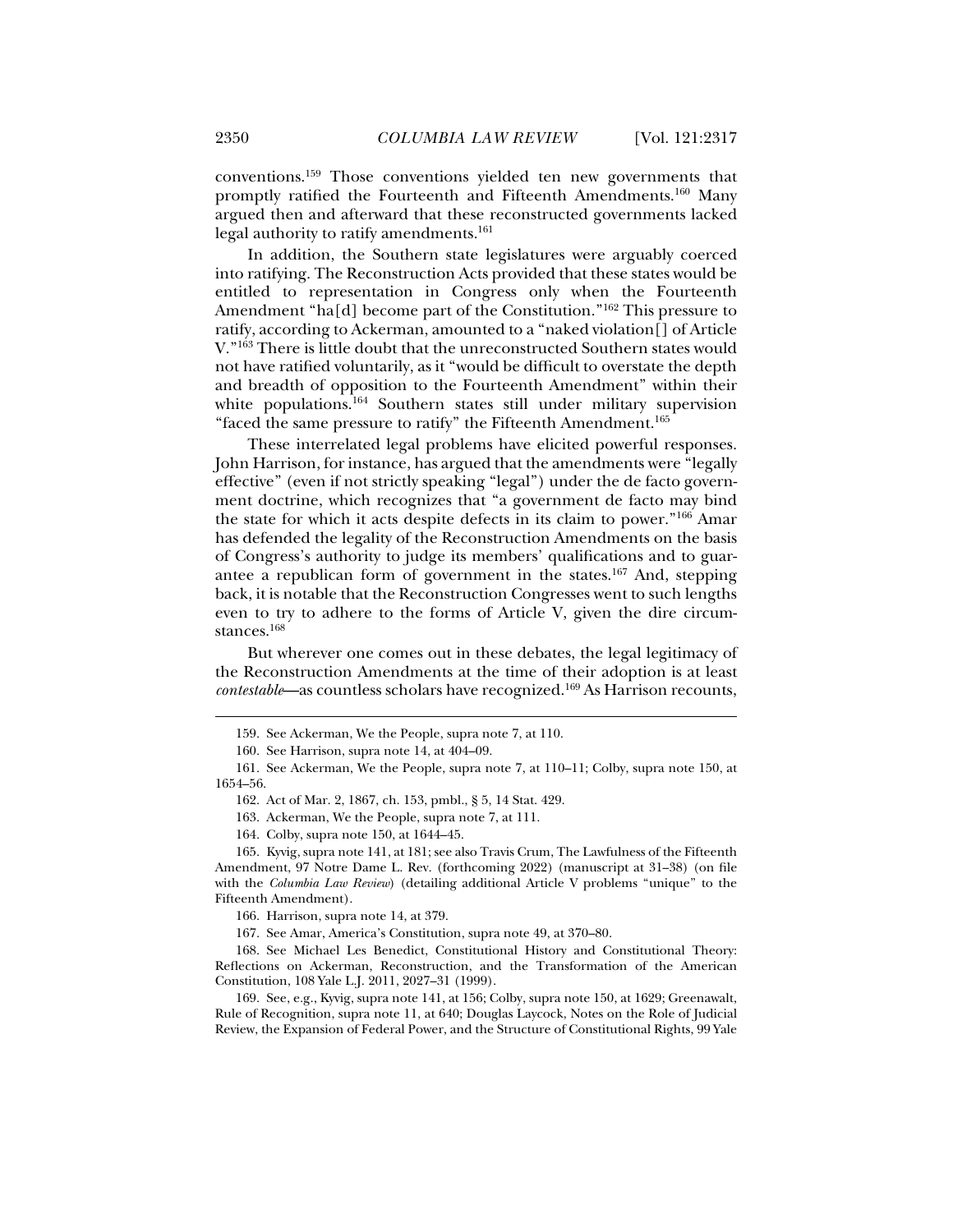conventions.159 Those conventions yielded ten new governments that promptly ratified the Fourteenth and Fifteenth Amendments.160 Many argued then and afterward that these reconstructed governments lacked legal authority to ratify amendments.<sup>161</sup>

In addition, the Southern state legislatures were arguably coerced into ratifying. The Reconstruction Acts provided that these states would be entitled to representation in Congress only when the Fourteenth Amendment "ha[d] become part of the Constitution."<sup>162</sup> This pressure to ratify, according to Ackerman, amounted to a "naked violation[] of Article V."163 There is little doubt that the unreconstructed Southern states would not have ratified voluntarily, as it "would be difficult to overstate the depth and breadth of opposition to the Fourteenth Amendment" within their white populations.<sup>164</sup> Southern states still under military supervision "faced the same pressure to ratify" the Fifteenth Amendment.<sup>165</sup>

These interrelated legal problems have elicited powerful responses. John Harrison, for instance, has argued that the amendments were "legally effective" (even if not strictly speaking "legal") under the de facto government doctrine, which recognizes that "a government de facto may bind the state for which it acts despite defects in its claim to power."166 Amar has defended the legality of the Reconstruction Amendments on the basis of Congress's authority to judge its members' qualifications and to guarantee a republican form of government in the states.167 And, stepping back, it is notable that the Reconstruction Congresses went to such lengths even to try to adhere to the forms of Article V, given the dire circumstances.<sup>168</sup>

But wherever one comes out in these debates, the legal legitimacy of the Reconstruction Amendments at the time of their adoption is at least *contestable*—as countless scholars have recognized.169 As Harrison recounts,

163. Ackerman, We the People, supra note 7, at 111.

164. Colby, supra note 150, at 1644–45.

 165. Kyvig, supra note 141, at 181; see also Travis Crum, The Lawfulness of the Fifteenth Amendment, 97 Notre Dame L. Rev. (forthcoming 2022) (manuscript at 31-38) (on file with the *Columbia Law Review*) (detailing additional Article V problems "unique" to the Fifteenth Amendment).

166. Harrison, supra note 14, at 379.

167. See Amar, America's Constitution, supra note 49, at 370–80.

 168. See Michael Les Benedict, Constitutional History and Constitutional Theory: Reflections on Ackerman, Reconstruction, and the Transformation of the American Constitution, 108 Yale L.J. 2011, 2027–31 (1999).

 169. See, e.g., Kyvig, supra note 141, at 156; Colby, supra note 150, at 1629; Greenawalt, Rule of Recognition, supra note 11, at 640; Douglas Laycock, Notes on the Role of Judicial Review, the Expansion of Federal Power, and the Structure of Constitutional Rights, 99 Yale

 <sup>159.</sup> See Ackerman, We the People, supra note 7, at 110.

 <sup>160.</sup> See Harrison, supra note 14, at 404–09.

 <sup>161.</sup> See Ackerman, We the People, supra note 7, at 110–11; Colby, supra note 150, at 1654–56.

 <sup>162.</sup> Act of Mar. 2, 1867, ch. 153, pmbl., § 5, 14 Stat. 429.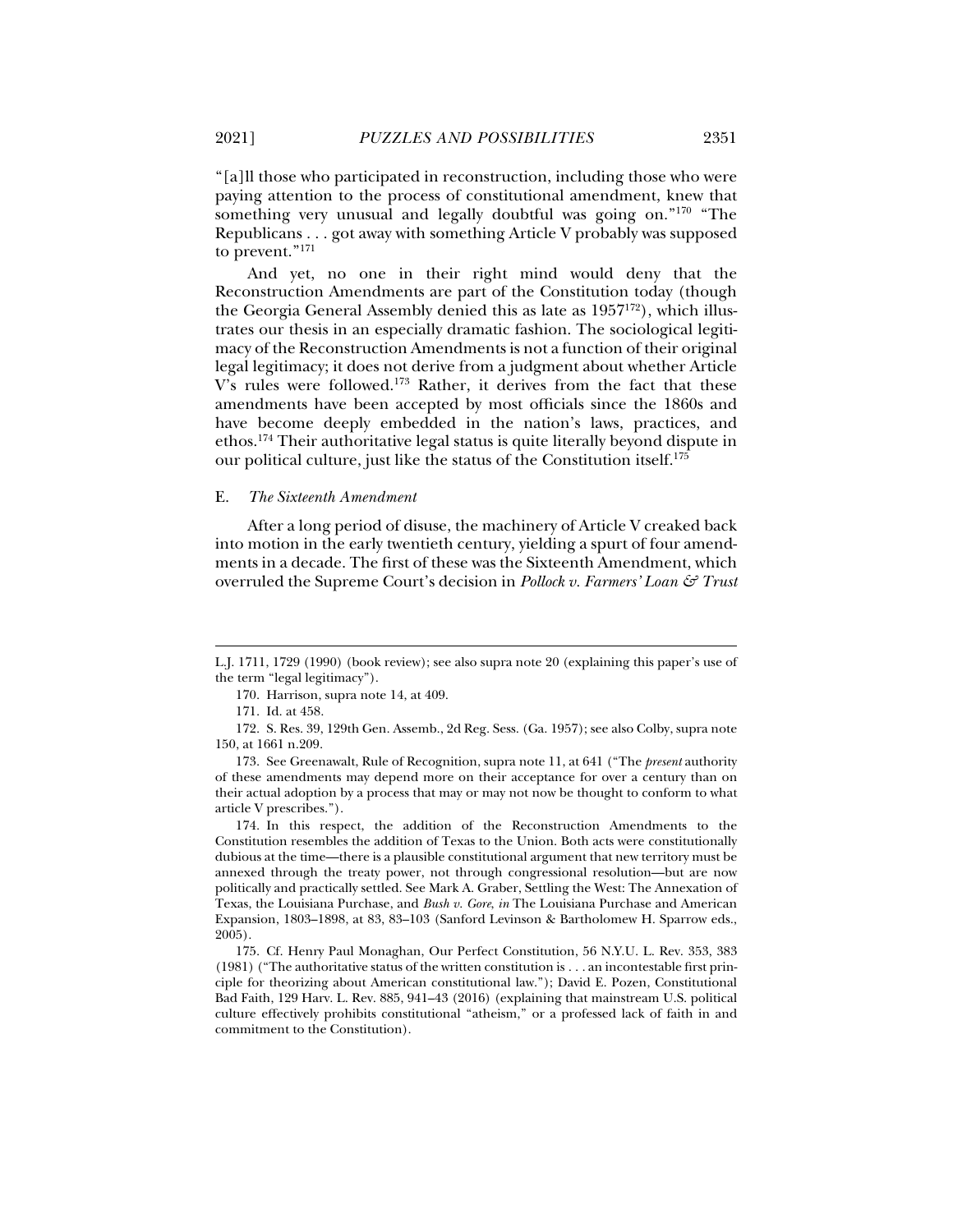"[a]ll those who participated in reconstruction, including those who were paying attention to the process of constitutional amendment, knew that something very unusual and legally doubtful was going on."<sup>170</sup> "The Republicans . . . got away with something Article V probably was supposed to prevent."171

And yet, no one in their right mind would deny that the Reconstruction Amendments are part of the Constitution today (though the Georgia General Assembly denied this as late as  $1957^{172}$ ), which illustrates our thesis in an especially dramatic fashion. The sociological legitimacy of the Reconstruction Amendments is not a function of their original legal legitimacy; it does not derive from a judgment about whether Article V's rules were followed.173 Rather, it derives from the fact that these amendments have been accepted by most officials since the 1860s and have become deeply embedded in the nation's laws, practices, and ethos.174 Their authoritative legal status is quite literally beyond dispute in our political culture, just like the status of the Constitution itself.175

#### E. *The Sixteenth Amendment*

After a long period of disuse, the machinery of Article V creaked back into motion in the early twentieth century, yielding a spurt of four amendments in a decade. The first of these was the Sixteenth Amendment, which overruled the Supreme Court's decision in *Pollock v. Farmers' Loan & Trust* 

j

 174. In this respect, the addition of the Reconstruction Amendments to the Constitution resembles the addition of Texas to the Union. Both acts were constitutionally dubious at the time—there is a plausible constitutional argument that new territory must be annexed through the treaty power, not through congressional resolution—but are now politically and practically settled. See Mark A. Graber, Settling the West: The Annexation of Texas, the Louisiana Purchase, and *Bush v. Gore*, *in* The Louisiana Purchase and American Expansion, 1803–1898, at 83, 83–103 (Sanford Levinson & Bartholomew H. Sparrow eds., 2005).

 175. Cf. Henry Paul Monaghan, Our Perfect Constitution, 56 N.Y.U. L. Rev. 353, 383 (1981) ("The authoritative status of the written constitution is . . . an incontestable first principle for theorizing about American constitutional law."); David E. Pozen, Constitutional Bad Faith, 129 Harv. L. Rev. 885, 941–43 (2016) (explaining that mainstream U.S. political culture effectively prohibits constitutional "atheism," or a professed lack of faith in and commitment to the Constitution).

L.J. 1711, 1729 (1990) (book review); see also supra note 20 (explaining this paper's use of the term "legal legitimacy").

 <sup>170.</sup> Harrison, supra note 14, at 409.

 <sup>171.</sup> Id. at 458.

 <sup>172.</sup> S. Res. 39, 129th Gen. Assemb., 2d Reg. Sess. (Ga. 1957); see also Colby, supra note 150, at 1661 n.209.

 <sup>173.</sup> See Greenawalt, Rule of Recognition, supra note 11, at 641 ("The *present* authority of these amendments may depend more on their acceptance for over a century than on their actual adoption by a process that may or may not now be thought to conform to what article V prescribes.").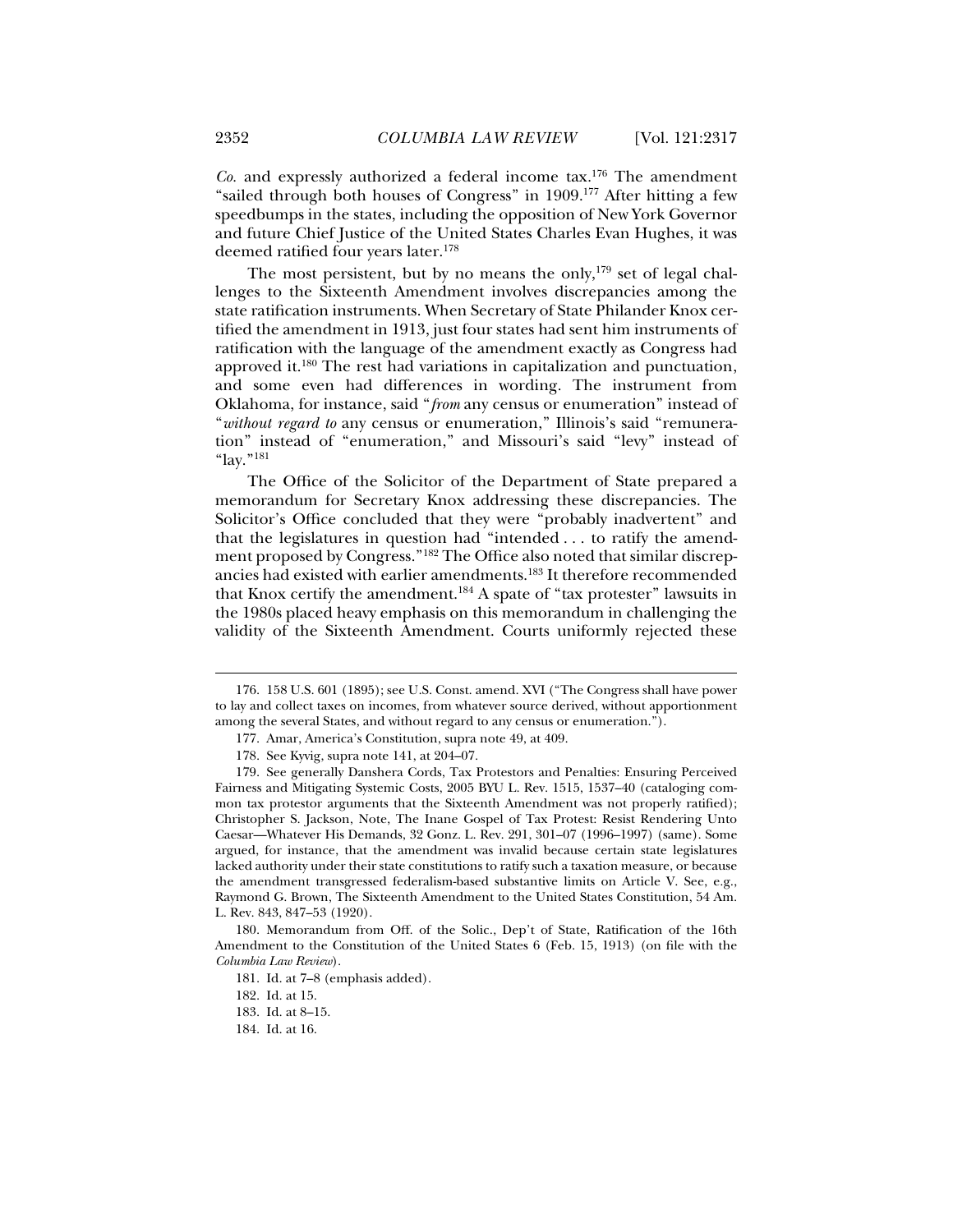*Co.* and expressly authorized a federal income tax.176 The amendment "sailed through both houses of Congress" in 1909.177 After hitting a few speedbumps in the states, including the opposition of New York Governor and future Chief Justice of the United States Charles Evan Hughes, it was deemed ratified four years later.178

The most persistent, but by no means the only, $179$  set of legal challenges to the Sixteenth Amendment involves discrepancies among the state ratification instruments. When Secretary of State Philander Knox certified the amendment in 1913, just four states had sent him instruments of ratification with the language of the amendment exactly as Congress had approved it.180 The rest had variations in capitalization and punctuation, and some even had differences in wording. The instrument from Oklahoma, for instance, said "*from* any census or enumeration" instead of "*without regard to* any census or enumeration," Illinois's said "remuneration" instead of "enumeration," and Missouri's said "levy" instead of "lay."181

The Office of the Solicitor of the Department of State prepared a memorandum for Secretary Knox addressing these discrepancies. The Solicitor's Office concluded that they were "probably inadvertent" and that the legislatures in question had "intended . . . to ratify the amendment proposed by Congress."182 The Office also noted that similar discrepancies had existed with earlier amendments.183 It therefore recommended that Knox certify the amendment.184 A spate of "tax protester" lawsuits in the 1980s placed heavy emphasis on this memorandum in challenging the validity of the Sixteenth Amendment. Courts uniformly rejected these

 <sup>176. 158</sup> U.S. 601 (1895); see U.S. Const. amend. XVI ("The Congress shall have power to lay and collect taxes on incomes, from whatever source derived, without apportionment among the several States, and without regard to any census or enumeration.").

 <sup>177.</sup> Amar, America's Constitution, supra note 49, at 409.

 <sup>178.</sup> See Kyvig, supra note 141, at 204–07.

 <sup>179.</sup> See generally Danshera Cords, Tax Protestors and Penalties: Ensuring Perceived Fairness and Mitigating Systemic Costs, 2005 BYU L. Rev. 1515, 1537–40 (cataloging common tax protestor arguments that the Sixteenth Amendment was not properly ratified); Christopher S. Jackson, Note, The Inane Gospel of Tax Protest: Resist Rendering Unto Caesar—Whatever His Demands, 32 Gonz. L. Rev. 291, 301–07 (1996–1997) (same). Some argued, for instance, that the amendment was invalid because certain state legislatures lacked authority under their state constitutions to ratify such a taxation measure, or because the amendment transgressed federalism-based substantive limits on Article V. See, e.g., Raymond G. Brown, The Sixteenth Amendment to the United States Constitution, 54 Am. L. Rev. 843, 847–53 (1920).

 <sup>180.</sup> Memorandum from Off. of the Solic., Dep't of State, Ratification of the 16th Amendment to the Constitution of the United States 6 (Feb. 15, 1913) (on file with the *Columbia Law Review*).

 <sup>181.</sup> Id. at 7–8 (emphasis added).

 <sup>182.</sup> Id. at 15.

 <sup>183.</sup> Id. at 8–15.

 <sup>184.</sup> Id. at 16.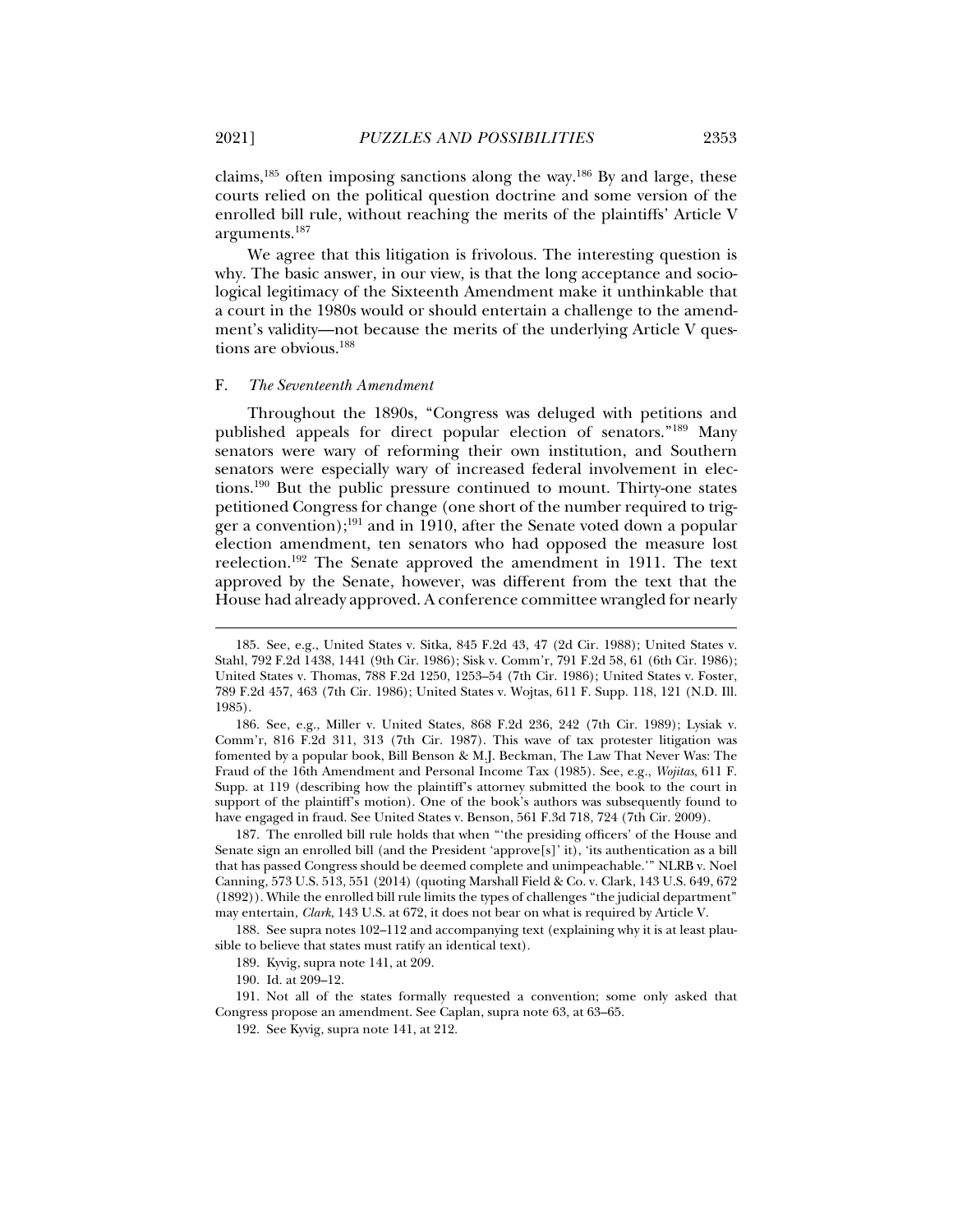claims,<sup>185</sup> often imposing sanctions along the way.<sup>186</sup> By and large, these courts relied on the political question doctrine and some version of the enrolled bill rule, without reaching the merits of the plaintiffs' Article V

arguments.187 We agree that this litigation is frivolous. The interesting question is

why. The basic answer, in our view, is that the long acceptance and sociological legitimacy of the Sixteenth Amendment make it unthinkable that a court in the 1980s would or should entertain a challenge to the amendment's validity—not because the merits of the underlying Article V questions are obvious.<sup>188</sup>

# F. *The Seventeenth Amendment*

Throughout the 1890s, "Congress was deluged with petitions and published appeals for direct popular election of senators."189 Many senators were wary of reforming their own institution, and Southern senators were especially wary of increased federal involvement in elections.190 But the public pressure continued to mount. Thirty-one states petitioned Congress for change (one short of the number required to trigger a convention);191 and in 1910, after the Senate voted down a popular election amendment, ten senators who had opposed the measure lost reelection.192 The Senate approved the amendment in 1911. The text approved by the Senate, however, was different from the text that the House had already approved. A conference committee wrangled for nearly

 187. The enrolled bill rule holds that when "'the presiding officers' of the House and Senate sign an enrolled bill (and the President 'approve[s]' it), 'its authentication as a bill that has passed Congress should be deemed complete and unimpeachable.'" NLRB v. Noel Canning, 573 U.S. 513, 551 (2014) (quoting Marshall Field & Co. v. Clark, 143 U.S. 649, 672 (1892)). While the enrolled bill rule limits the types of challenges "the judicial department" may entertain, *Clark*, 143 U.S. at 672, it does not bear on what is required by Article V.

 188. See supra notes 102–112 and accompanying text (explaining why it is at least plausible to believe that states must ratify an identical text).

 191. Not all of the states formally requested a convention; some only asked that Congress propose an amendment. See Caplan, supra note 63, at 63–65.

 <sup>185.</sup> See, e.g., United States v. Sitka, 845 F.2d 43, 47 (2d Cir. 1988); United States v. Stahl, 792 F.2d 1438, 1441 (9th Cir. 1986); Sisk v. Comm'r, 791 F.2d 58, 61 (6th Cir. 1986); United States v. Thomas, 788 F.2d 1250, 1253–54 (7th Cir. 1986); United States v. Foster, 789 F.2d 457, 463 (7th Cir. 1986); United States v. Wojtas, 611 F. Supp. 118, 121 (N.D. Ill. 1985).

 <sup>186.</sup> See, e.g., Miller v. United States, 868 F.2d 236, 242 (7th Cir. 1989); Lysiak v. Comm'r, 816 F.2d 311, 313 (7th Cir. 1987). This wave of tax protester litigation was fomented by a popular book, Bill Benson & M.J. Beckman, The Law That Never Was: The Fraud of the 16th Amendment and Personal Income Tax (1985). See, e.g., *Wojitas*, 611 F. Supp. at 119 (describing how the plaintiff's attorney submitted the book to the court in support of the plaintiff's motion). One of the book's authors was subsequently found to have engaged in fraud. See United States v. Benson, 561 F.3d 718, 724 (7th Cir. 2009).

 <sup>189.</sup> Kyvig, supra note 141, at 209.

 <sup>190.</sup> Id. at 209–12.

 <sup>192.</sup> See Kyvig, supra note 141, at 212.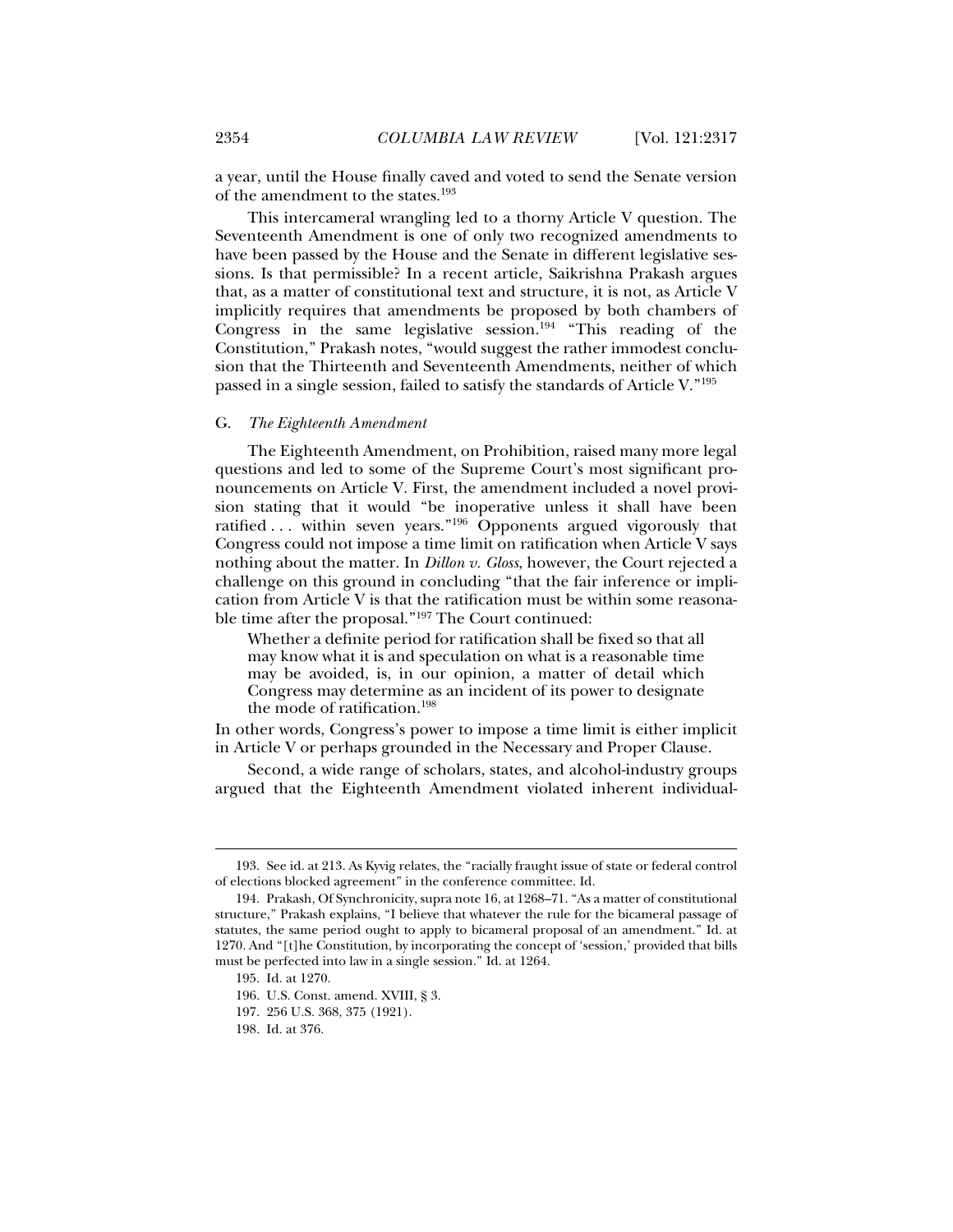a year, until the House finally caved and voted to send the Senate version of the amendment to the states.193

This intercameral wrangling led to a thorny Article V question. The Seventeenth Amendment is one of only two recognized amendments to have been passed by the House and the Senate in different legislative sessions. Is that permissible? In a recent article, Saikrishna Prakash argues that, as a matter of constitutional text and structure, it is not, as Article V implicitly requires that amendments be proposed by both chambers of Congress in the same legislative session.194 "This reading of the Constitution," Prakash notes, "would suggest the rather immodest conclusion that the Thirteenth and Seventeenth Amendments, neither of which passed in a single session, failed to satisfy the standards of Article V."195

# G. *The Eighteenth Amendment*

The Eighteenth Amendment, on Prohibition, raised many more legal questions and led to some of the Supreme Court's most significant pronouncements on Article V. First, the amendment included a novel provision stating that it would "be inoperative unless it shall have been ratified ... within seven years."<sup>196</sup> Opponents argued vigorously that Congress could not impose a time limit on ratification when Article V says nothing about the matter. In *Dillon v. Gloss*, however, the Court rejected a challenge on this ground in concluding "that the fair inference or implication from Article V is that the ratification must be within some reasonable time after the proposal."197 The Court continued:

Whether a definite period for ratification shall be fixed so that all may know what it is and speculation on what is a reasonable time may be avoided, is, in our opinion, a matter of detail which Congress may determine as an incident of its power to designate the mode of ratification.198

In other words, Congress's power to impose a time limit is either implicit in Article V or perhaps grounded in the Necessary and Proper Clause.

Second, a wide range of scholars, states, and alcohol-industry groups argued that the Eighteenth Amendment violated inherent individual-

 <sup>193.</sup> See id. at 213. As Kyvig relates, the "racially fraught issue of state or federal control of elections blocked agreement" in the conference committee. Id.

 <sup>194.</sup> Prakash, Of Synchronicity, supra note 16, at 1268–71. "As a matter of constitutional structure," Prakash explains, "I believe that whatever the rule for the bicameral passage of statutes, the same period ought to apply to bicameral proposal of an amendment." Id. at 1270. And "[t]he Constitution, by incorporating the concept of 'session,' provided that bills must be perfected into law in a single session." Id. at 1264.

 <sup>195.</sup> Id. at 1270.

 <sup>196.</sup> U.S. Const. amend. XVIII, § 3.

 <sup>197. 256</sup> U.S. 368, 375 (1921).

 <sup>198.</sup> Id. at 376.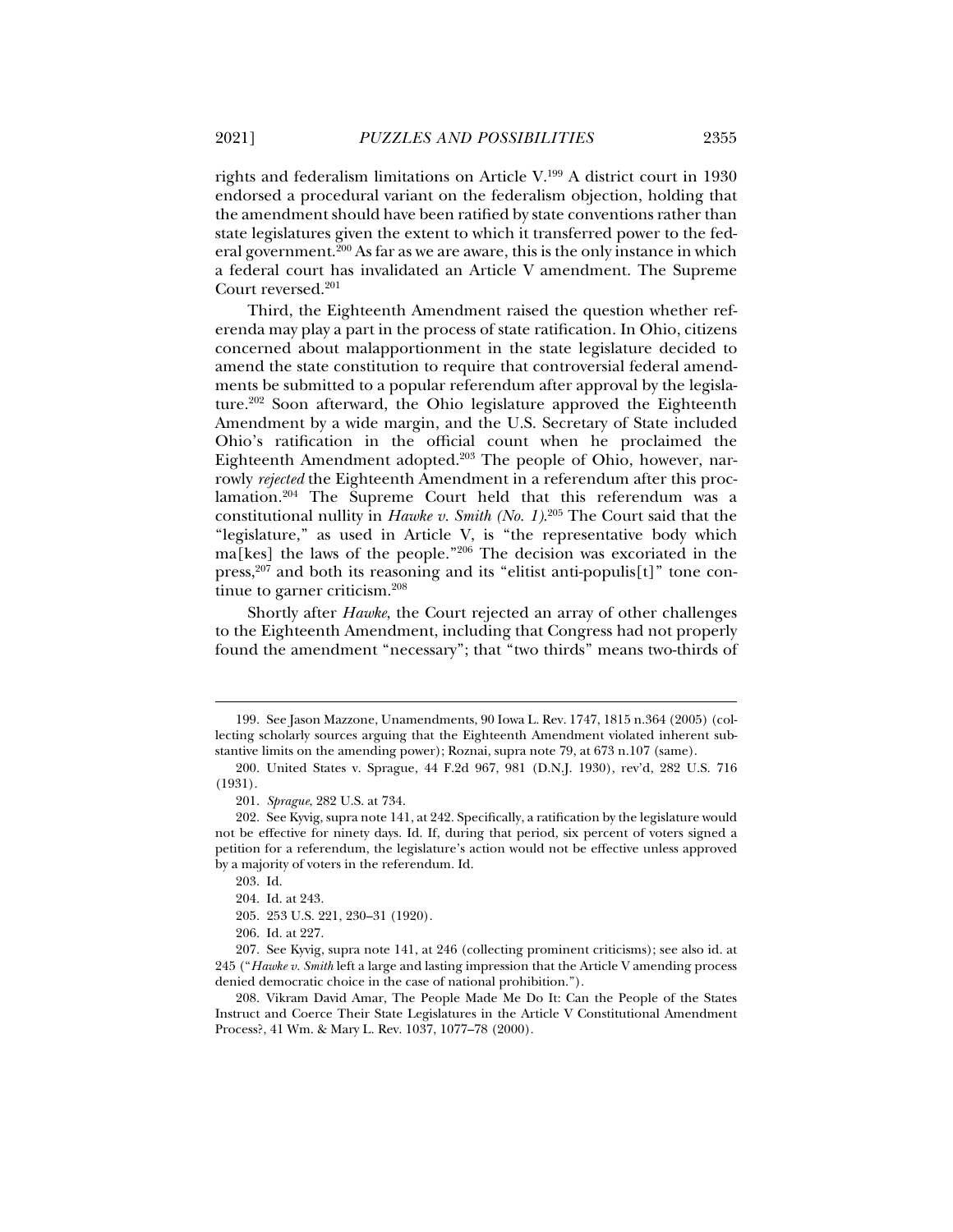rights and federalism limitations on Article V.199 A district court in 1930 endorsed a procedural variant on the federalism objection, holding that the amendment should have been ratified by state conventions rather than state legislatures given the extent to which it transferred power to the federal government.200 As far as we are aware, this is the only instance in which a federal court has invalidated an Article V amendment. The Supreme Court reversed.201

Third, the Eighteenth Amendment raised the question whether referenda may play a part in the process of state ratification. In Ohio, citizens concerned about malapportionment in the state legislature decided to amend the state constitution to require that controversial federal amendments be submitted to a popular referendum after approval by the legislature.202 Soon afterward, the Ohio legislature approved the Eighteenth Amendment by a wide margin, and the U.S. Secretary of State included Ohio's ratification in the official count when he proclaimed the Eighteenth Amendment adopted.203 The people of Ohio, however, narrowly *rejected* the Eighteenth Amendment in a referendum after this proclamation.204 The Supreme Court held that this referendum was a constitutional nullity in *Hawke v. Smith (No. 1)*. 205 The Court said that the "legislature," as used in Article V, is "the representative body which ma[kes] the laws of the people."206 The decision was excoriated in the press,<sup>207</sup> and both its reasoning and its "elitist anti-populis[t]" tone continue to garner criticism.<sup>208</sup>

Shortly after *Hawke*, the Court rejected an array of other challenges to the Eighteenth Amendment, including that Congress had not properly found the amendment "necessary"; that "two thirds" means two-thirds of

j

206. Id. at 227.

 208. Vikram David Amar, The People Made Me Do It: Can the People of the States Instruct and Coerce Their State Legislatures in the Article V Constitutional Amendment Process?, 41 Wm. & Mary L. Rev. 1037, 1077–78 (2000).

 <sup>199.</sup> See Jason Mazzone, Unamendments, 90 Iowa L. Rev. 1747, 1815 n.364 (2005) (collecting scholarly sources arguing that the Eighteenth Amendment violated inherent substantive limits on the amending power); Roznai, supra note 79, at 673 n.107 (same).

 <sup>200.</sup> United States v. Sprague, 44 F.2d 967, 981 (D.N.J. 1930), rev'd, 282 U.S. 716 (1931).

 <sup>201.</sup> *Sprague*, 282 U.S. at 734.

 <sup>202.</sup> See Kyvig, supra note 141, at 242. Specifically, a ratification by the legislature would not be effective for ninety days. Id. If, during that period, six percent of voters signed a petition for a referendum, the legislature's action would not be effective unless approved by a majority of voters in the referendum. Id.

 <sup>203.</sup> Id.

 <sup>204.</sup> Id. at 243.

 <sup>205. 253</sup> U.S. 221, 230–31 (1920).

 <sup>207.</sup> See Kyvig, supra note 141, at 246 (collecting prominent criticisms); see also id. at 245 ("*Hawke v. Smith* left a large and lasting impression that the Article V amending process denied democratic choice in the case of national prohibition.").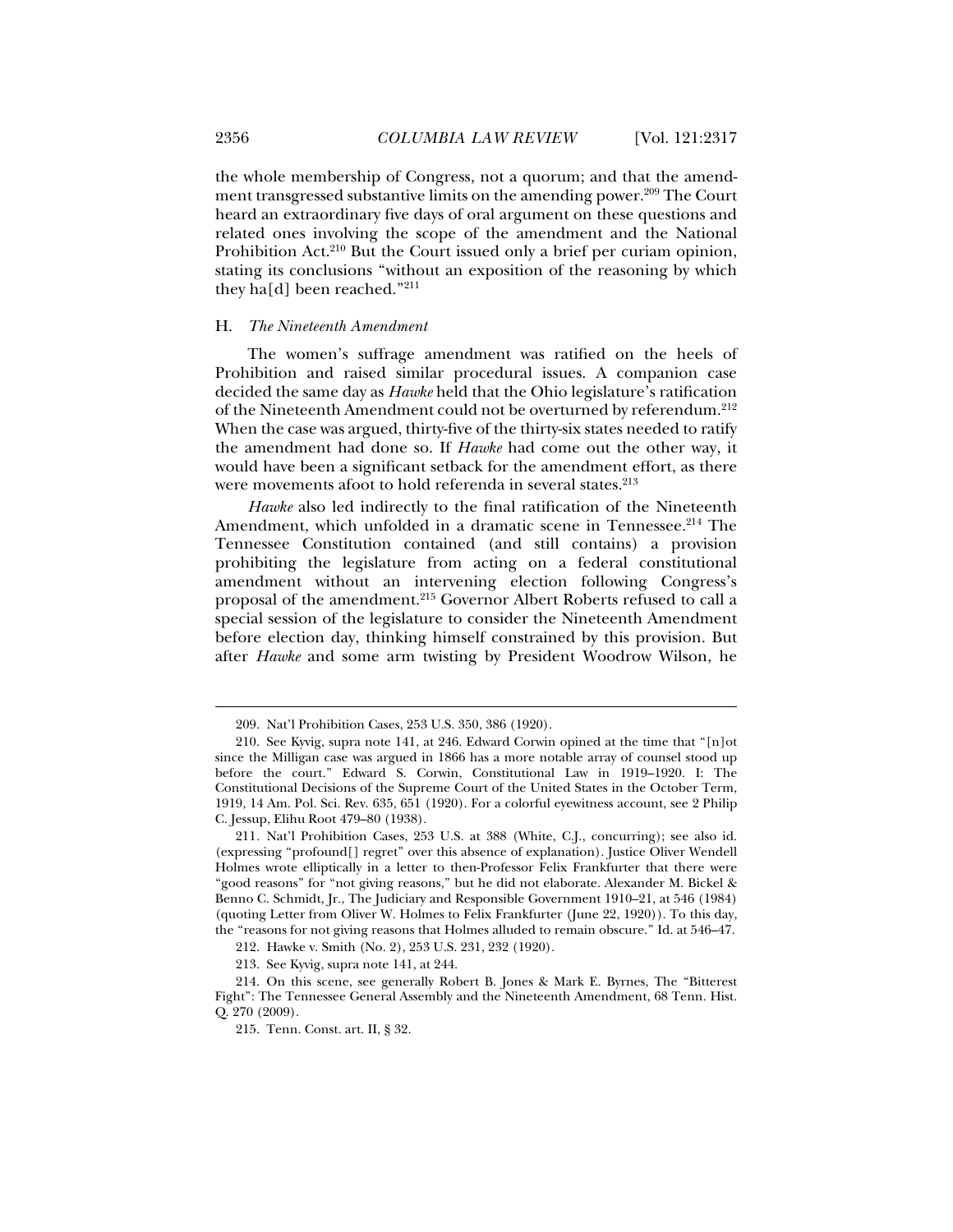the whole membership of Congress, not a quorum; and that the amendment transgressed substantive limits on the amending power.209 The Court heard an extraordinary five days of oral argument on these questions and related ones involving the scope of the amendment and the National Prohibition Act.<sup>210</sup> But the Court issued only a brief per curiam opinion, stating its conclusions "without an exposition of the reasoning by which they ha[d] been reached."211

### H. *The Nineteenth Amendment*

The women's suffrage amendment was ratified on the heels of Prohibition and raised similar procedural issues. A companion case decided the same day as *Hawke* held that the Ohio legislature's ratification of the Nineteenth Amendment could not be overturned by referendum.212 When the case was argued, thirty-five of the thirty-six states needed to ratify the amendment had done so. If *Hawke* had come out the other way, it would have been a significant setback for the amendment effort, as there were movements afoot to hold referenda in several states.<sup>213</sup>

*Hawke* also led indirectly to the final ratification of the Nineteenth Amendment, which unfolded in a dramatic scene in Tennessee.<sup>214</sup> The Tennessee Constitution contained (and still contains) a provision prohibiting the legislature from acting on a federal constitutional amendment without an intervening election following Congress's proposal of the amendment.<sup>215</sup> Governor Albert Roberts refused to call a special session of the legislature to consider the Nineteenth Amendment before election day, thinking himself constrained by this provision. But after *Hawke* and some arm twisting by President Woodrow Wilson, he

 <sup>209.</sup> Nat'l Prohibition Cases, 253 U.S. 350, 386 (1920).

 <sup>210.</sup> See Kyvig, supra note 141, at 246. Edward Corwin opined at the time that "[n]ot since the Milligan case was argued in 1866 has a more notable array of counsel stood up before the court." Edward S. Corwin, Constitutional Law in 1919–1920. I: The Constitutional Decisions of the Supreme Court of the United States in the October Term, 1919, 14 Am. Pol. Sci. Rev. 635, 651 (1920). For a colorful eyewitness account, see 2 Philip C. Jessup, Elihu Root 479–80 (1938).

<sup>211</sup>*.* Nat'l Prohibition Cases, 253 U.S. at 388 (White, C.J., concurring); see also id. (expressing "profound[] regret" over this absence of explanation). Justice Oliver Wendell Holmes wrote elliptically in a letter to then-Professor Felix Frankfurter that there were "good reasons" for "not giving reasons," but he did not elaborate. Alexander M. Bickel & Benno C. Schmidt, Jr., The Judiciary and Responsible Government 1910–21, at 546 (1984) (quoting Letter from Oliver W. Holmes to Felix Frankfurter (June 22, 1920)). To this day, the "reasons for not giving reasons that Holmes alluded to remain obscure." Id. at 546–47.

 <sup>212.</sup> Hawke v. Smith (No. 2), 253 U.S. 231, 232 (1920).

 <sup>213.</sup> See Kyvig, supra note 141, at 244.

 <sup>214.</sup> On this scene, see generally Robert B. Jones & Mark E. Byrnes, The "Bitterest Fight": The Tennessee General Assembly and the Nineteenth Amendment, 68 Tenn. Hist. Q. 270 (2009).

 <sup>215.</sup> Tenn. Const. art. II, § 32.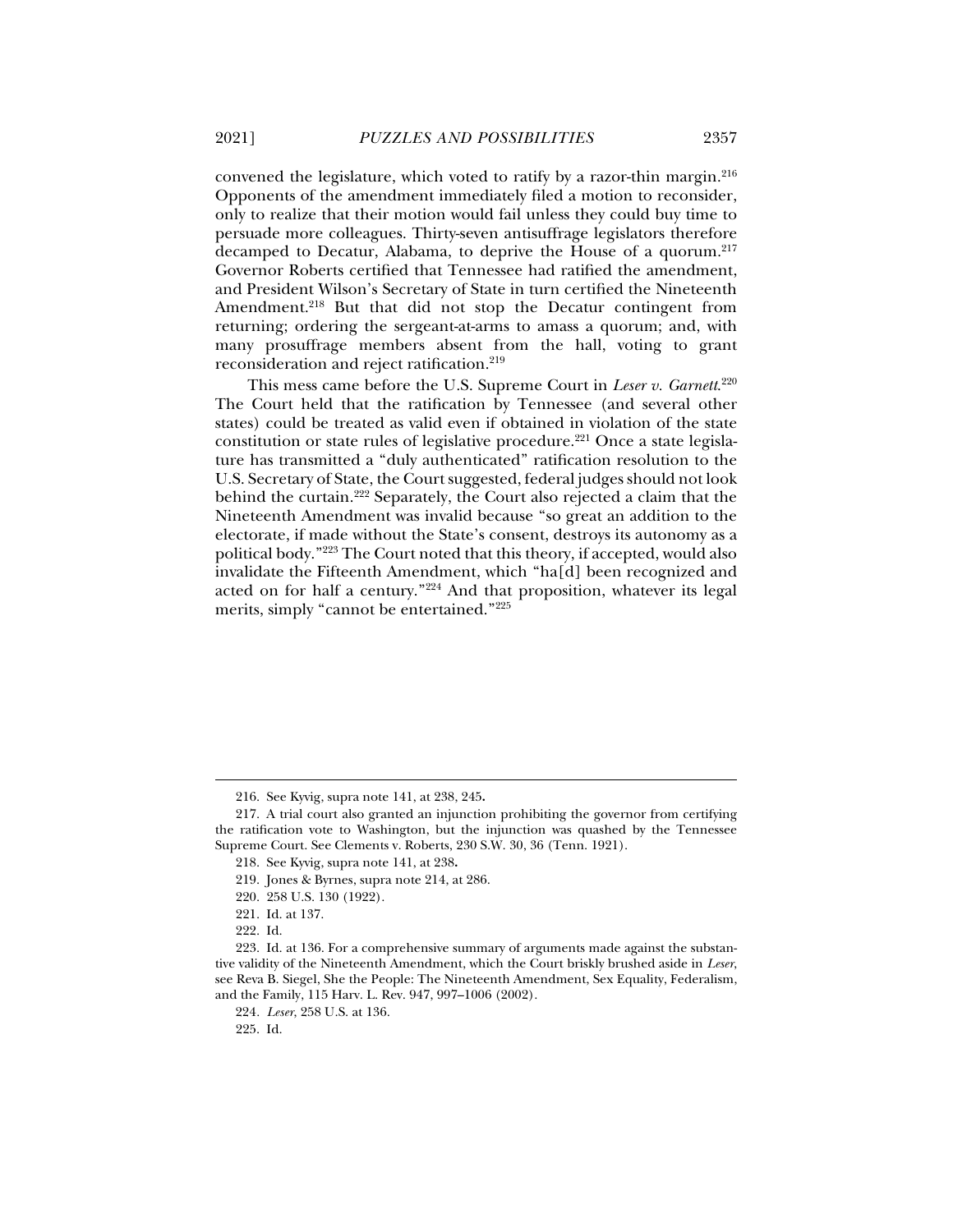convened the legislature, which voted to ratify by a razor-thin margin.216 Opponents of the amendment immediately filed a motion to reconsider, only to realize that their motion would fail unless they could buy time to persuade more colleagues. Thirty-seven antisuffrage legislators therefore decamped to Decatur, Alabama, to deprive the House of a quorum.217 Governor Roberts certified that Tennessee had ratified the amendment, and President Wilson's Secretary of State in turn certified the Nineteenth Amendment.<sup>218</sup> But that did not stop the Decatur contingent from returning; ordering the sergeant-at-arms to amass a quorum; and, with many prosuffrage members absent from the hall, voting to grant reconsideration and reject ratification.219

This mess came before the U.S. Supreme Court in *Leser v. Garnett*. 220 The Court held that the ratification by Tennessee (and several other states) could be treated as valid even if obtained in violation of the state constitution or state rules of legislative procedure.221 Once a state legislature has transmitted a "duly authenticated" ratification resolution to the U.S. Secretary of State, the Court suggested, federal judges should not look behind the curtain.<sup>222</sup> Separately, the Court also rejected a claim that the Nineteenth Amendment was invalid because "so great an addition to the electorate, if made without the State's consent, destroys its autonomy as a political body."223 The Court noted that this theory, if accepted, would also invalidate the Fifteenth Amendment, which "ha[d] been recognized and acted on for half a century."224 And that proposition, whatever its legal merits, simply "cannot be entertained."225

 $\ddot{ }$ 

 <sup>216.</sup> See Kyvig, supra note 141, at 238, 245**.**

 <sup>217.</sup> A trial court also granted an injunction prohibiting the governor from certifying the ratification vote to Washington, but the injunction was quashed by the Tennessee Supreme Court. See Clements v. Roberts, 230 S.W. 30, 36 (Tenn. 1921).

 <sup>218.</sup> See Kyvig, supra note 141, at 238**.**

 <sup>219.</sup> Jones & Byrnes, supra note 214, at 286.

 <sup>220. 258</sup> U.S. 130 (1922).

 <sup>221.</sup> Id. at 137.

 <sup>222.</sup> Id.

 <sup>223.</sup> Id. at 136. For a comprehensive summary of arguments made against the substantive validity of the Nineteenth Amendment, which the Court briskly brushed aside in *Leser*, see Reva B. Siegel, She the People: The Nineteenth Amendment, Sex Equality, Federalism, and the Family, 115 Harv. L. Rev. 947, 997–1006 (2002).

<sup>224</sup>*. Leser*, 258 U.S. at 136.

 <sup>225.</sup> Id.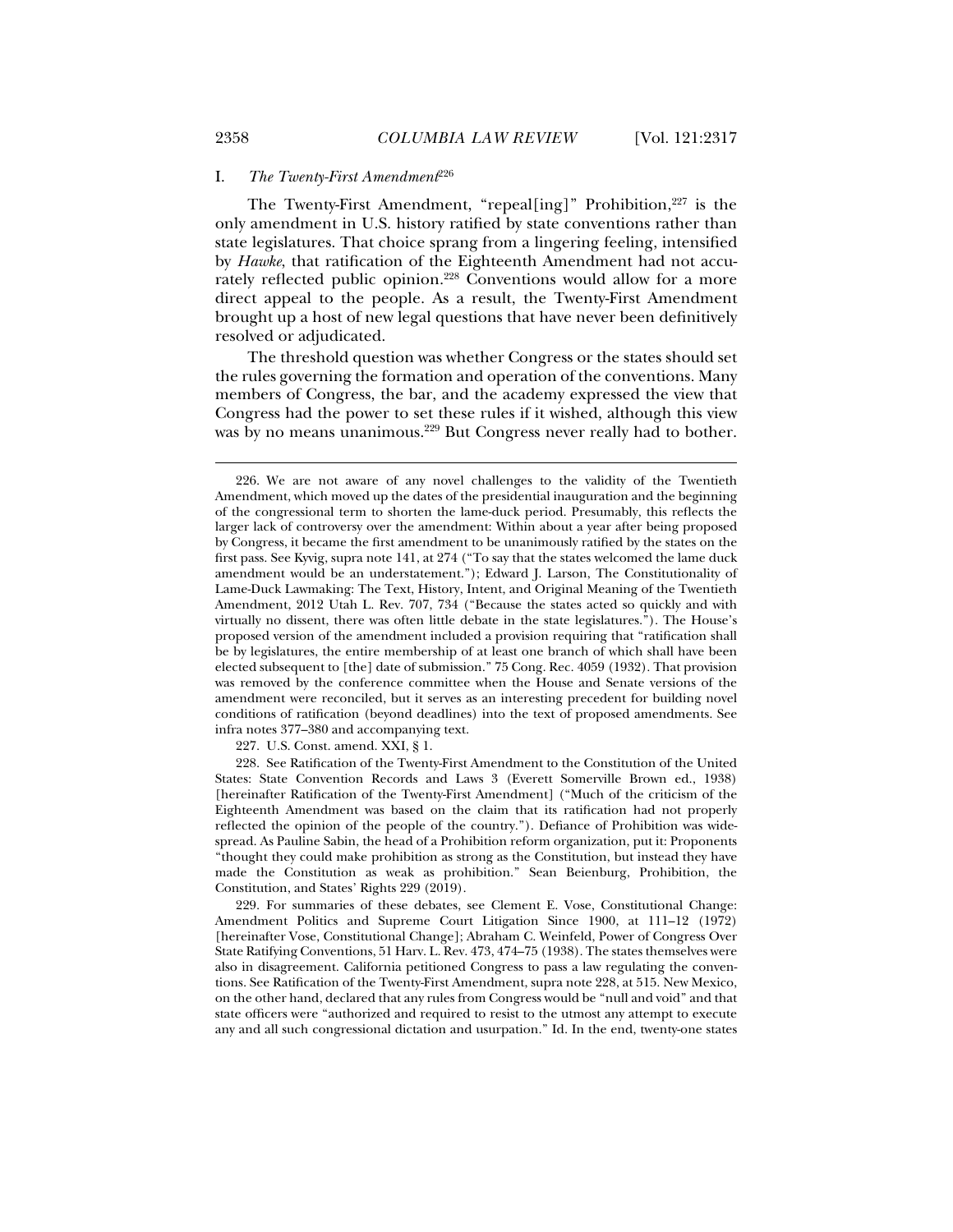#### I. *The Twenty-First Amendment*<sup>226</sup>

The Twenty-First Amendment, "repeal[ing]" Prohibition,<sup>227</sup> is the only amendment in U.S. history ratified by state conventions rather than state legislatures. That choice sprang from a lingering feeling, intensified by *Hawke*, that ratification of the Eighteenth Amendment had not accurately reflected public opinion.<sup>228</sup> Conventions would allow for a more direct appeal to the people. As a result, the Twenty-First Amendment brought up a host of new legal questions that have never been definitively resolved or adjudicated.

The threshold question was whether Congress or the states should set the rules governing the formation and operation of the conventions. Many members of Congress, the bar, and the academy expressed the view that Congress had the power to set these rules if it wished, although this view was by no means unanimous.<sup>229</sup> But Congress never really had to bother.

227. U.S. Const. amend. XXI, § 1.

 228. See Ratification of the Twenty-First Amendment to the Constitution of the United States: State Convention Records and Laws 3 (Everett Somerville Brown ed., 1938) [hereinafter Ratification of the Twenty-First Amendment] ("Much of the criticism of the Eighteenth Amendment was based on the claim that its ratification had not properly reflected the opinion of the people of the country."). Defiance of Prohibition was widespread. As Pauline Sabin, the head of a Prohibition reform organization, put it: Proponents "thought they could make prohibition as strong as the Constitution, but instead they have made the Constitution as weak as prohibition." Sean Beienburg, Prohibition, the Constitution, and States' Rights 229 (2019).

 229. For summaries of these debates, see Clement E. Vose, Constitutional Change: Amendment Politics and Supreme Court Litigation Since 1900, at 111–12 (1972) [hereinafter Vose, Constitutional Change]; Abraham C. Weinfeld, Power of Congress Over State Ratifying Conventions, 51 Harv. L. Rev. 473, 474–75 (1938). The states themselves were also in disagreement. California petitioned Congress to pass a law regulating the conventions. See Ratification of the Twenty-First Amendment, supra note 228, at 515. New Mexico, on the other hand, declared that any rules from Congress would be "null and void" and that state officers were "authorized and required to resist to the utmost any attempt to execute any and all such congressional dictation and usurpation." Id. In the end, twenty-one states

 <sup>226.</sup> We are not aware of any novel challenges to the validity of the Twentieth Amendment, which moved up the dates of the presidential inauguration and the beginning of the congressional term to shorten the lame-duck period. Presumably, this reflects the larger lack of controversy over the amendment: Within about a year after being proposed by Congress, it became the first amendment to be unanimously ratified by the states on the first pass. See Kyvig, supra note 141, at 274 ("To say that the states welcomed the lame duck amendment would be an understatement."); Edward J. Larson, The Constitutionality of Lame-Duck Lawmaking: The Text, History, Intent, and Original Meaning of the Twentieth Amendment, 2012 Utah L. Rev. 707, 734 ("Because the states acted so quickly and with virtually no dissent, there was often little debate in the state legislatures."). The House's proposed version of the amendment included a provision requiring that "ratification shall be by legislatures, the entire membership of at least one branch of which shall have been elected subsequent to [the] date of submission." 75 Cong. Rec. 4059 (1932). That provision was removed by the conference committee when the House and Senate versions of the amendment were reconciled, but it serves as an interesting precedent for building novel conditions of ratification (beyond deadlines) into the text of proposed amendments. See infra notes 377–380 and accompanying text.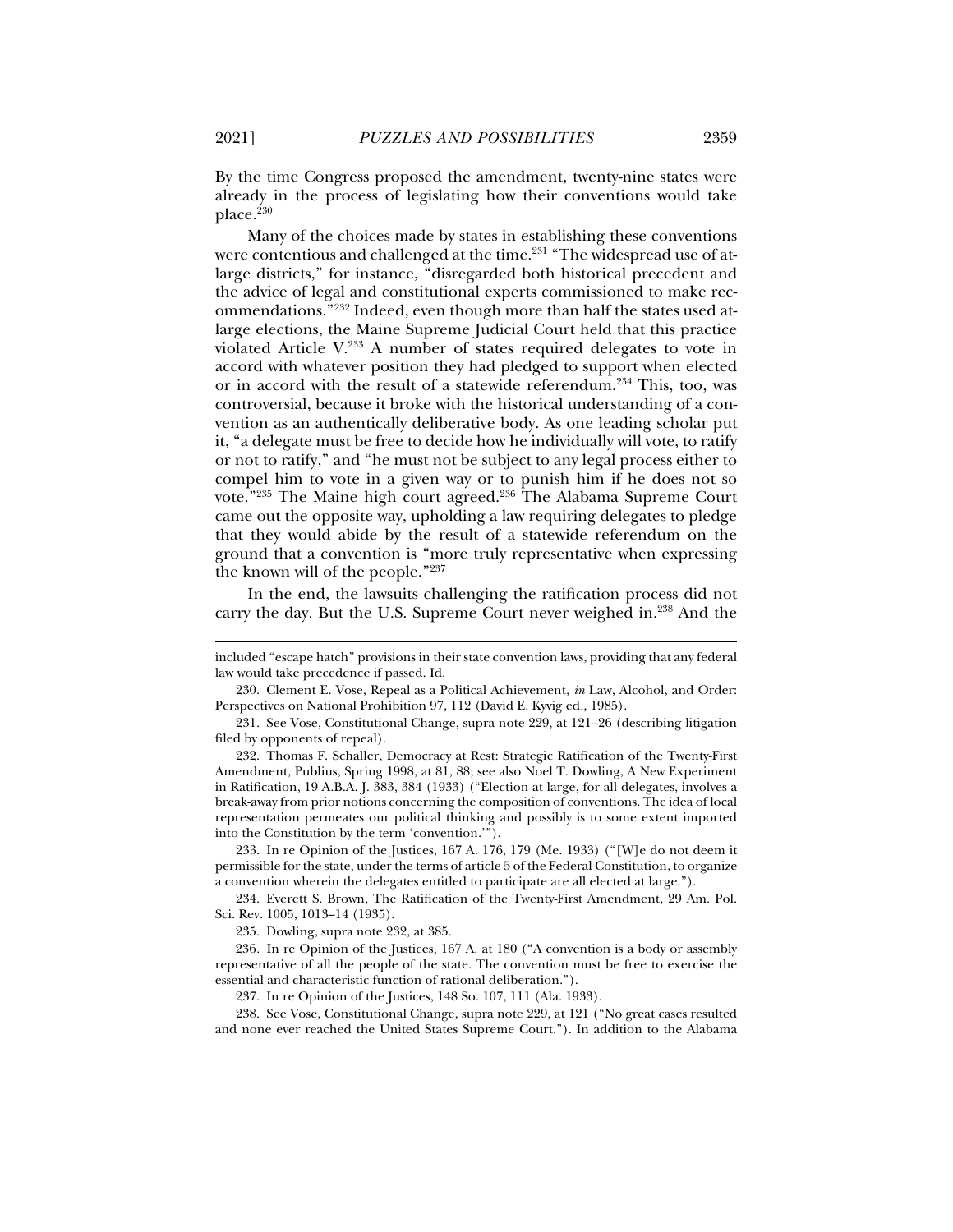By the time Congress proposed the amendment, twenty-nine states were already in the process of legislating how their conventions would take place.<sup>230</sup>

Many of the choices made by states in establishing these conventions were contentious and challenged at the time.<sup>231</sup> "The widespread use of atlarge districts," for instance, "disregarded both historical precedent and the advice of legal and constitutional experts commissioned to make recommendations."232 Indeed, even though more than half the states used atlarge elections, the Maine Supreme Judicial Court held that this practice violated Article V.233 A number of states required delegates to vote in accord with whatever position they had pledged to support when elected or in accord with the result of a statewide referendum.234 This, too, was controversial, because it broke with the historical understanding of a convention as an authentically deliberative body. As one leading scholar put it, "a delegate must be free to decide how he individually will vote, to ratify or not to ratify," and "he must not be subject to any legal process either to compel him to vote in a given way or to punish him if he does not so vote."<sup>235</sup> The Maine high court agreed.<sup>236</sup> The Alabama Supreme Court came out the opposite way, upholding a law requiring delegates to pledge that they would abide by the result of a statewide referendum on the ground that a convention is "more truly representative when expressing the known will of the people."237

In the end, the lawsuits challenging the ratification process did not carry the day. But the U.S. Supreme Court never weighed in.238 And the

 233. In re Opinion of the Justices, 167 A. 176, 179 (Me. 1933) ("[W]e do not deem it permissible for the state, under the terms of article 5 of the Federal Constitution, to organize a convention wherein the delegates entitled to participate are all elected at large.").

 234. Everett S. Brown, The Ratification of the Twenty-First Amendment, 29 Am. Pol. Sci. Rev. 1005, 1013–14 (1935).

235. Dowling, supra note 232, at 385.

236*.* In re Opinion of the Justices, 167 A. at 180 ("A convention is a body or assembly representative of all the people of the state. The convention must be free to exercise the essential and characteristic function of rational deliberation.").

237. In re Opinion of the Justices, 148 So. 107, 111 (Ala. 1933).

 238. See Vose, Constitutional Change, supra note 229, at 121 ("No great cases resulted and none ever reached the United States Supreme Court."). In addition to the Alabama

included "escape hatch" provisions in their state convention laws, providing that any federal law would take precedence if passed. Id.

 <sup>230.</sup> Clement E. Vose, Repeal as a Political Achievement, *in* Law, Alcohol, and Order: Perspectives on National Prohibition 97, 112 (David E. Kyvig ed., 1985).

 <sup>231.</sup> See Vose, Constitutional Change, supra note 229, at 121–26 (describing litigation filed by opponents of repeal).

 <sup>232.</sup> Thomas F. Schaller, Democracy at Rest: Strategic Ratification of the Twenty-First Amendment, Publius, Spring 1998, at 81, 88; see also Noel T. Dowling, A New Experiment in Ratification, 19 A.B.A. J. 383, 384 (1933) ("Election at large, for all delegates, involves a break-away from prior notions concerning the composition of conventions. The idea of local representation permeates our political thinking and possibly is to some extent imported into the Constitution by the term 'convention.'").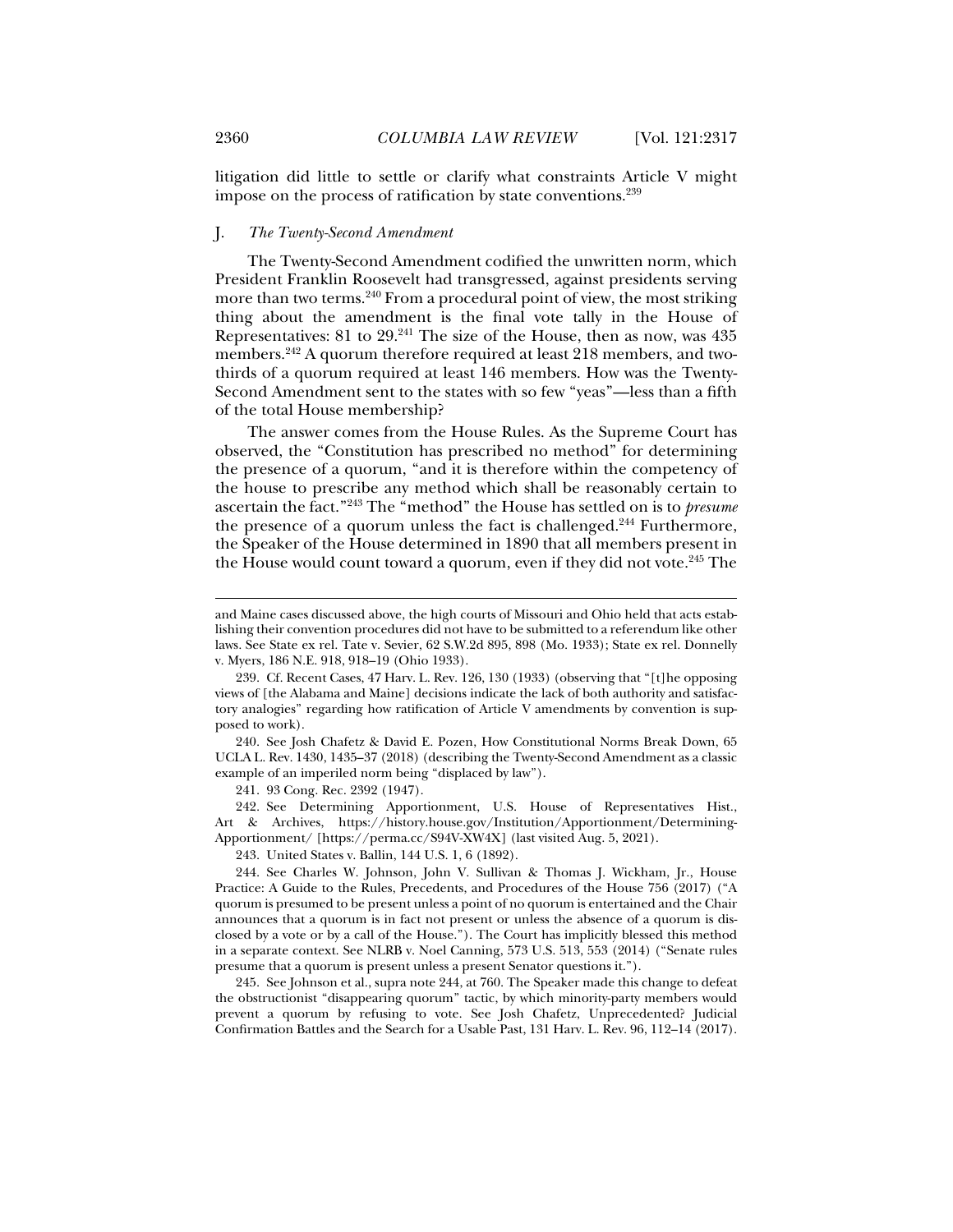litigation did little to settle or clarify what constraints Article V might impose on the process of ratification by state conventions.239

## J. *The Twenty-Second Amendment*

The Twenty-Second Amendment codified the unwritten norm, which President Franklin Roosevelt had transgressed, against presidents serving more than two terms.<sup>240</sup> From a procedural point of view, the most striking thing about the amendment is the final vote tally in the House of Representatives: 81 to 29.241 The size of the House, then as now, was 435 members.<sup>242</sup> A quorum therefore required at least 218 members, and twothirds of a quorum required at least 146 members. How was the Twenty-Second Amendment sent to the states with so few "yeas"—less than a fifth of the total House membership?

The answer comes from the House Rules. As the Supreme Court has observed, the "Constitution has prescribed no method" for determining the presence of a quorum, "and it is therefore within the competency of the house to prescribe any method which shall be reasonably certain to ascertain the fact."243 The "method" the House has settled on is to *presume* the presence of a quorum unless the fact is challenged.<sup>244</sup> Furthermore, the Speaker of the House determined in 1890 that all members present in the House would count toward a quorum, even if they did not vote.<sup>245</sup> The

 240. See Josh Chafetz & David E. Pozen, How Constitutional Norms Break Down, 65 UCLA L. Rev. 1430, 1435–37 (2018) (describing the Twenty-Second Amendment as a classic example of an imperiled norm being "displaced by law").

241. 93 Cong. Rec. 2392 (1947).

 242. See Determining Apportionment, U.S. House of Representatives Hist., Art & Archives, https://history.house.gov/Institution/Apportionment/Determining-Apportionment/ [https://perma.cc/S94V-XW4X] (last visited Aug. 5, 2021).

243. United States v. Ballin, 144 U.S. 1, 6 (1892).

 245. See Johnson et al., supra note 244, at 760. The Speaker made this change to defeat the obstructionist "disappearing quorum" tactic, by which minority-party members would prevent a quorum by refusing to vote. See Josh Chafetz, Unprecedented? Judicial Confirmation Battles and the Search for a Usable Past, 131 Harv. L. Rev. 96, 112–14 (2017).

and Maine cases discussed above, the high courts of Missouri and Ohio held that acts establishing their convention procedures did not have to be submitted to a referendum like other laws. See State ex rel. Tate v. Sevier, 62 S.W.2d 895, 898 (Mo. 1933); State ex rel. Donnelly v. Myers, 186 N.E. 918, 918–19 (Ohio 1933).

 <sup>239.</sup> Cf. Recent Cases, 47 Harv. L. Rev. 126, 130 (1933) (observing that "[t]he opposing views of [the Alabama and Maine] decisions indicate the lack of both authority and satisfactory analogies" regarding how ratification of Article V amendments by convention is supposed to work).

 <sup>244.</sup> See Charles W. Johnson, John V. Sullivan & Thomas J. Wickham, Jr., House Practice: A Guide to the Rules, Precedents, and Procedures of the House 756 (2017) ("A quorum is presumed to be present unless a point of no quorum is entertained and the Chair announces that a quorum is in fact not present or unless the absence of a quorum is disclosed by a vote or by a call of the House."). The Court has implicitly blessed this method in a separate context. See NLRB v. Noel Canning, 573 U.S. 513, 553 (2014) ("Senate rules presume that a quorum is present unless a present Senator questions it.").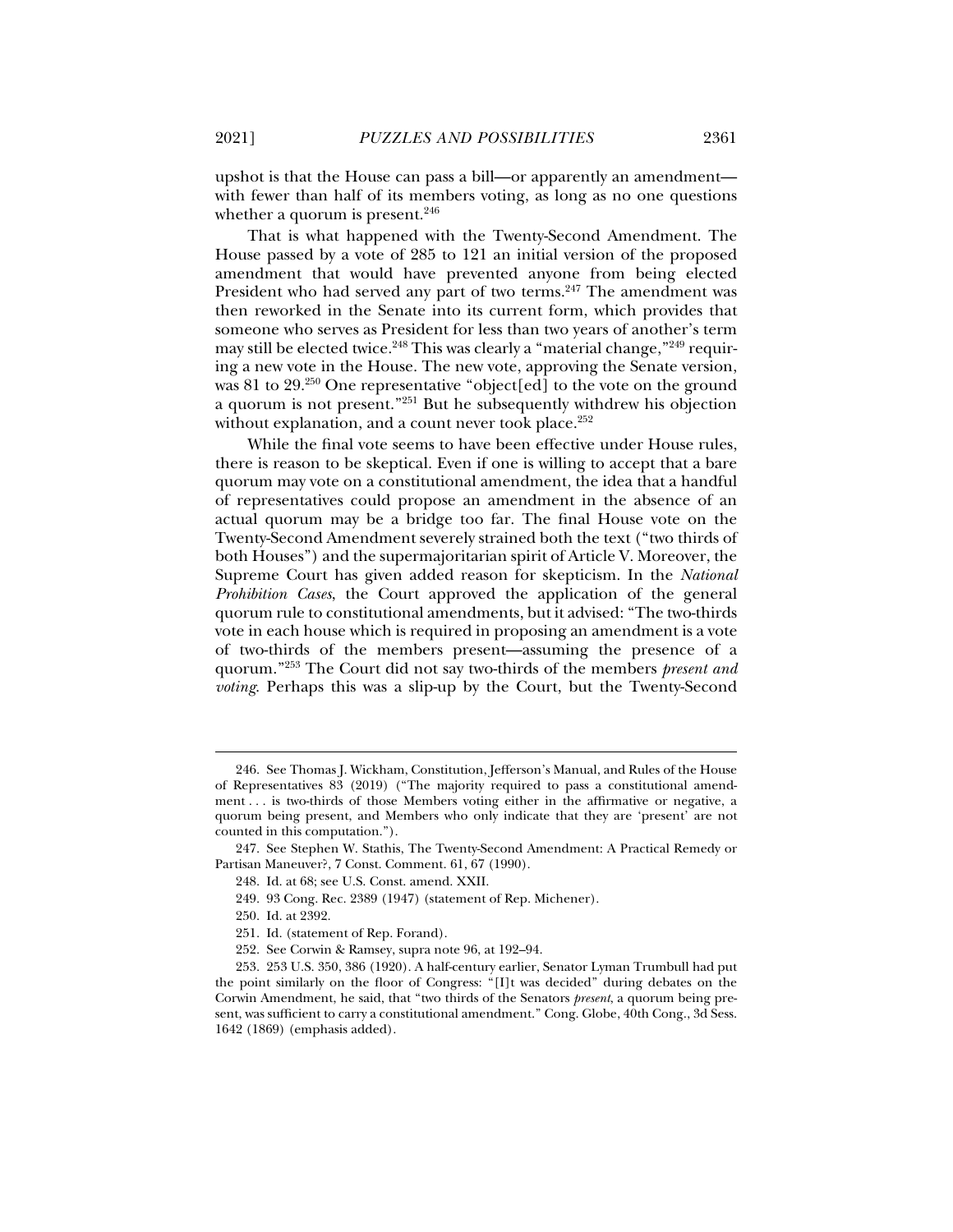upshot is that the House can pass a bill—or apparently an amendment with fewer than half of its members voting, as long as no one questions whether a quorum is present. $246$ 

That is what happened with the Twenty-Second Amendment. The House passed by a vote of 285 to 121 an initial version of the proposed amendment that would have prevented anyone from being elected President who had served any part of two terms.<sup>247</sup> The amendment was then reworked in the Senate into its current form, which provides that someone who serves as President for less than two years of another's term may still be elected twice.<sup>248</sup> This was clearly a "material change,"<sup>249</sup> requiring a new vote in the House. The new vote, approving the Senate version, was 81 to  $29.^{250}$  One representative "object[ed] to the vote on the ground a quorum is not present."251 But he subsequently withdrew his objection without explanation, and a count never took place. $252$ 

While the final vote seems to have been effective under House rules, there is reason to be skeptical. Even if one is willing to accept that a bare quorum may vote on a constitutional amendment, the idea that a handful of representatives could propose an amendment in the absence of an actual quorum may be a bridge too far. The final House vote on the Twenty-Second Amendment severely strained both the text ("two thirds of both Houses") and the supermajoritarian spirit of Article V. Moreover, the Supreme Court has given added reason for skepticism. In the *National Prohibition Cases*, the Court approved the application of the general quorum rule to constitutional amendments, but it advised: "The two-thirds vote in each house which is required in proposing an amendment is a vote of two-thirds of the members present—assuming the presence of a quorum."253 The Court did not say two-thirds of the members *present and voting*. Perhaps this was a slip-up by the Court, but the Twenty-Second

 <sup>246.</sup> See Thomas J. Wickham, Constitution, Jefferson's Manual, and Rules of the House of Representatives 83 (2019) ("The majority required to pass a constitutional amendment . . . is two-thirds of those Members voting either in the affirmative or negative, a quorum being present, and Members who only indicate that they are 'present' are not counted in this computation.").

 <sup>247.</sup> See Stephen W. Stathis, The Twenty-Second Amendment: A Practical Remedy or Partisan Maneuver?, 7 Const. Comment. 61, 67 (1990).

 <sup>248.</sup> Id. at 68; see U.S. Const. amend. XXII.

 <sup>249. 93</sup> Cong. Rec. 2389 (1947) (statement of Rep. Michener).

 <sup>250.</sup> Id. at 2392.

 <sup>251.</sup> Id. (statement of Rep. Forand).

 <sup>252.</sup> See Corwin & Ramsey, supra note 96, at 192–94.

 <sup>253. 253</sup> U.S. 350, 386 (1920). A half-century earlier, Senator Lyman Trumbull had put the point similarly on the floor of Congress: "[I]t was decided" during debates on the Corwin Amendment, he said, that "two thirds of the Senators *present*, a quorum being present, was sufficient to carry a constitutional amendment." Cong. Globe, 40th Cong., 3d Sess. 1642 (1869) (emphasis added).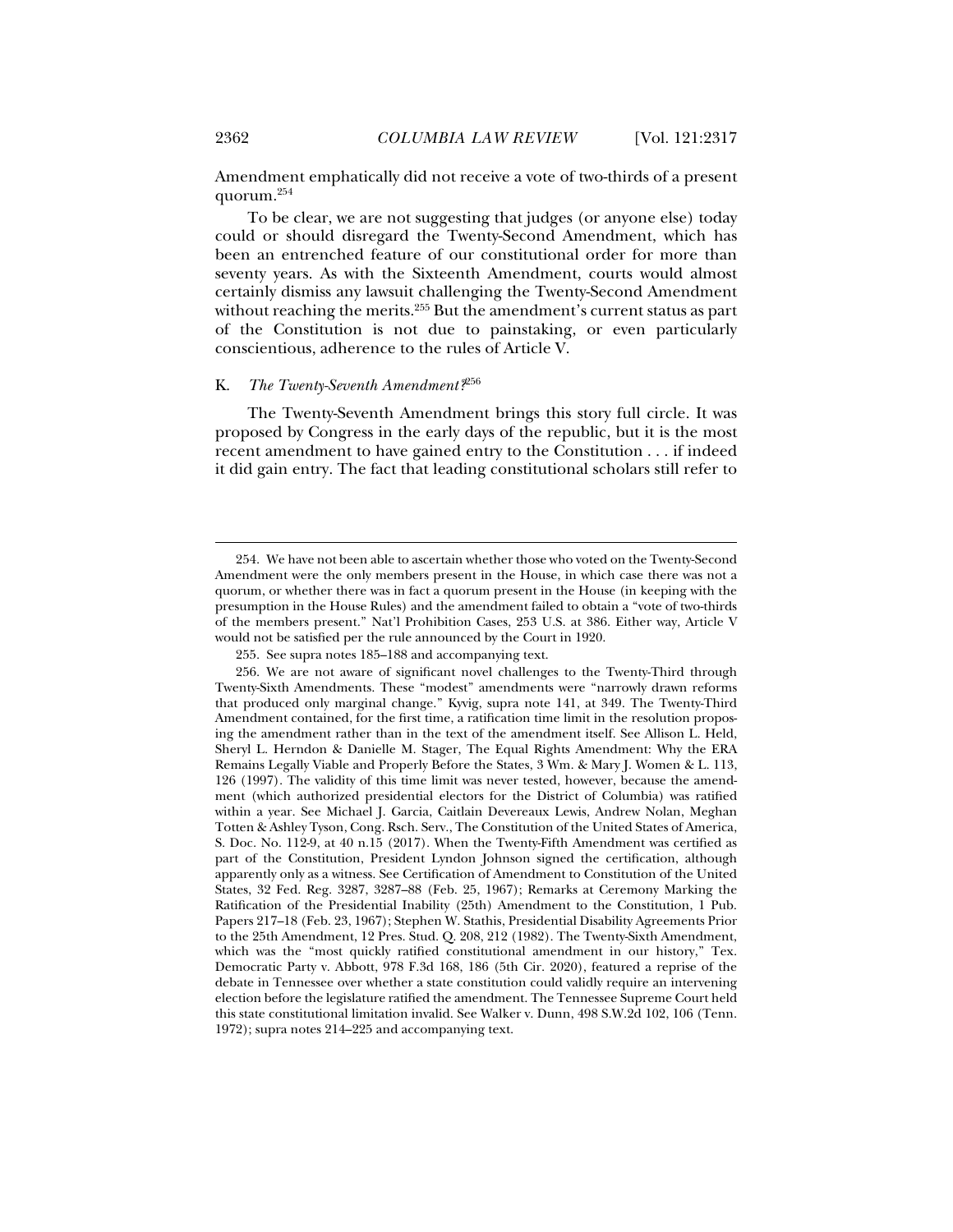Amendment emphatically did not receive a vote of two-thirds of a present quorum.254

To be clear, we are not suggesting that judges (or anyone else) today could or should disregard the Twenty-Second Amendment, which has been an entrenched feature of our constitutional order for more than seventy years. As with the Sixteenth Amendment, courts would almost certainly dismiss any lawsuit challenging the Twenty-Second Amendment without reaching the merits.<sup>255</sup> But the amendment's current status as part of the Constitution is not due to painstaking, or even particularly conscientious, adherence to the rules of Article V.

# K. *The Twenty-Seventh Amendment?*<sup>256</sup>

The Twenty-Seventh Amendment brings this story full circle. It was proposed by Congress in the early days of the republic, but it is the most recent amendment to have gained entry to the Constitution . . . if indeed it did gain entry. The fact that leading constitutional scholars still refer to

 <sup>254.</sup> We have not been able to ascertain whether those who voted on the Twenty-Second Amendment were the only members present in the House, in which case there was not a quorum, or whether there was in fact a quorum present in the House (in keeping with the presumption in the House Rules) and the amendment failed to obtain a "vote of two-thirds of the members present." Nat'l Prohibition Cases, 253 U.S. at 386. Either way, Article V would not be satisfied per the rule announced by the Court in 1920.

 <sup>255.</sup> See supra notes 185–188 and accompanying text.

 <sup>256.</sup> We are not aware of significant novel challenges to the Twenty-Third through Twenty-Sixth Amendments. These "modest" amendments were "narrowly drawn reforms that produced only marginal change." Kyvig, supra note 141, at 349. The Twenty-Third Amendment contained, for the first time, a ratification time limit in the resolution proposing the amendment rather than in the text of the amendment itself. See Allison L. Held, Sheryl L. Herndon & Danielle M. Stager, The Equal Rights Amendment: Why the ERA Remains Legally Viable and Properly Before the States, 3 Wm. & Mary J. Women & L. 113, 126 (1997). The validity of this time limit was never tested, however, because the amendment (which authorized presidential electors for the District of Columbia) was ratified within a year. See Michael J. Garcia, Caitlain Devereaux Lewis, Andrew Nolan, Meghan Totten & Ashley Tyson, Cong. Rsch. Serv., The Constitution of the United States of America, S. Doc. No. 112-9, at 40 n.15 (2017). When the Twenty-Fifth Amendment was certified as part of the Constitution, President Lyndon Johnson signed the certification, although apparently only as a witness. See Certification of Amendment to Constitution of the United States, 32 Fed. Reg. 3287, 3287–88 (Feb. 25, 1967); Remarks at Ceremony Marking the Ratification of the Presidential Inability (25th) Amendment to the Constitution, 1 Pub. Papers 217–18 (Feb. 23, 1967); Stephen W. Stathis, Presidential Disability Agreements Prior to the 25th Amendment, 12 Pres. Stud. Q. 208, 212 (1982). The Twenty-Sixth Amendment, which was the "most quickly ratified constitutional amendment in our history," Tex. Democratic Party v. Abbott, 978 F.3d 168, 186 (5th Cir. 2020), featured a reprise of the debate in Tennessee over whether a state constitution could validly require an intervening election before the legislature ratified the amendment. The Tennessee Supreme Court held this state constitutional limitation invalid. See Walker v. Dunn, 498 S.W.2d 102, 106 (Tenn. 1972); supra notes 214–225 and accompanying text.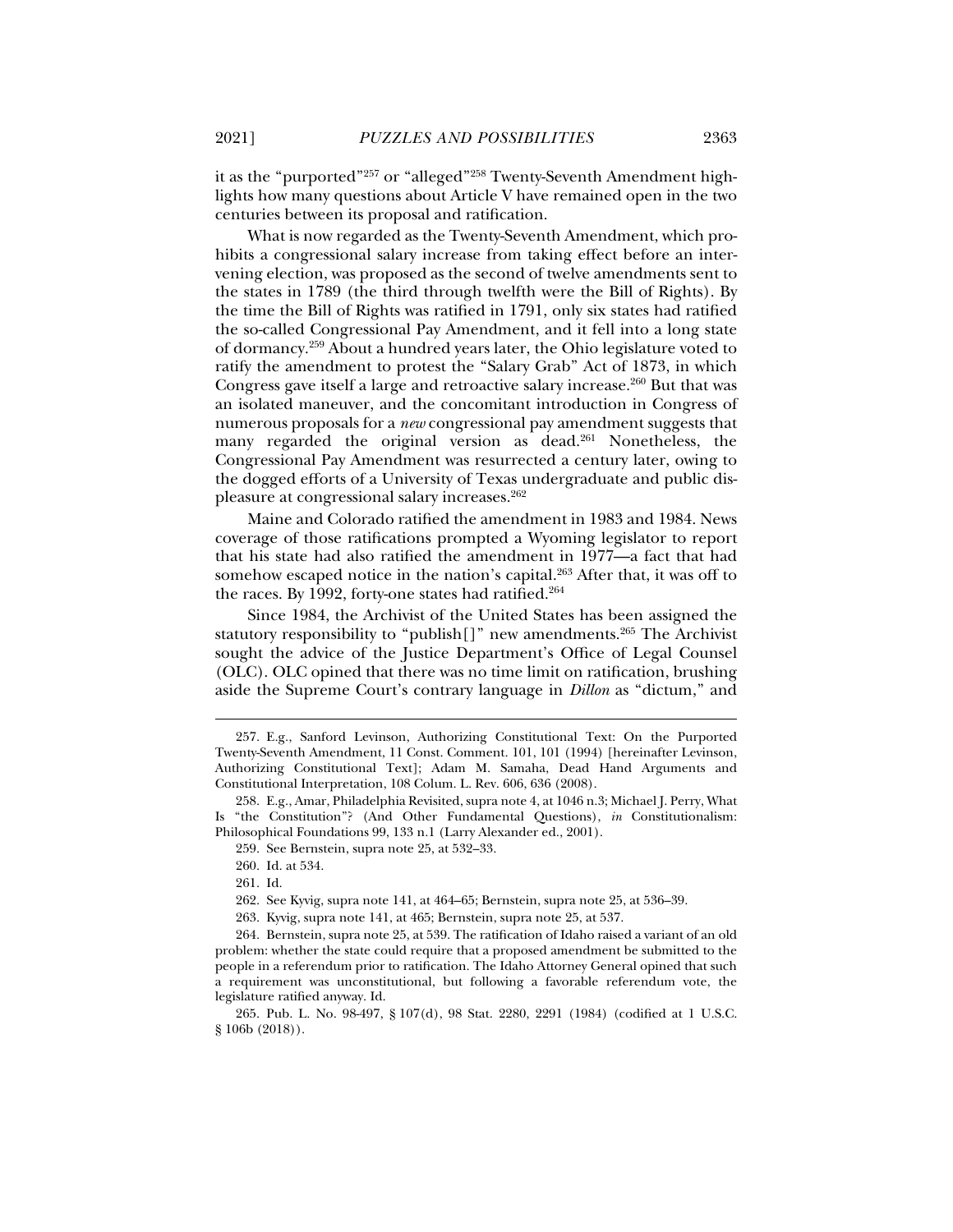it as the "purported"<sup>257</sup> or "alleged"<sup>258</sup> Twenty-Seventh Amendment highlights how many questions about Article V have remained open in the two centuries between its proposal and ratification.

What is now regarded as the Twenty-Seventh Amendment, which prohibits a congressional salary increase from taking effect before an intervening election, was proposed as the second of twelve amendments sent to the states in 1789 (the third through twelfth were the Bill of Rights). By the time the Bill of Rights was ratified in 1791, only six states had ratified the so-called Congressional Pay Amendment, and it fell into a long state of dormancy.259 About a hundred years later, the Ohio legislature voted to ratify the amendment to protest the "Salary Grab" Act of 1873, in which Congress gave itself a large and retroactive salary increase.<sup>260</sup> But that was an isolated maneuver, and the concomitant introduction in Congress of numerous proposals for a *new* congressional pay amendment suggests that many regarded the original version as dead.<sup>261</sup> Nonetheless, the Congressional Pay Amendment was resurrected a century later, owing to the dogged efforts of a University of Texas undergraduate and public displeasure at congressional salary increases.262

Maine and Colorado ratified the amendment in 1983 and 1984. News coverage of those ratifications prompted a Wyoming legislator to report that his state had also ratified the amendment in 1977—a fact that had somehow escaped notice in the nation's capital. $263$  After that, it was off to the races. By 1992, forty-one states had ratified.<sup>264</sup>

Since 1984, the Archivist of the United States has been assigned the statutory responsibility to "publish[]" new amendments.<sup>265</sup> The Archivist sought the advice of the Justice Department's Office of Legal Counsel (OLC). OLC opined that there was no time limit on ratification, brushing aside the Supreme Court's contrary language in *Dillon* as "dictum," and

 <sup>257.</sup> E.g., Sanford Levinson, Authorizing Constitutional Text: On the Purported Twenty-Seventh Amendment, 11 Const. Comment. 101, 101 (1994) [hereinafter Levinson, Authorizing Constitutional Text]; Adam M. Samaha, Dead Hand Arguments and Constitutional Interpretation, 108 Colum. L. Rev. 606, 636 (2008).

 <sup>258.</sup> E.g., Amar, Philadelphia Revisited, supra note 4, at 1046 n.3; Michael J. Perry, What Is "the Constitution"? (And Other Fundamental Questions), *in* Constitutionalism: Philosophical Foundations 99, 133 n.1 (Larry Alexander ed., 2001).

 <sup>259.</sup> See Bernstein, supra note 25, at 532–33.

 <sup>260.</sup> Id. at 534.

 <sup>261.</sup> Id.

 <sup>262.</sup> See Kyvig, supra note 141, at 464–65; Bernstein, supra note 25, at 536–39.

 <sup>263.</sup> Kyvig, supra note 141, at 465; Bernstein, supra note 25, at 537.

 <sup>264.</sup> Bernstein, supra note 25, at 539. The ratification of Idaho raised a variant of an old problem: whether the state could require that a proposed amendment be submitted to the people in a referendum prior to ratification. The Idaho Attorney General opined that such a requirement was unconstitutional, but following a favorable referendum vote, the legislature ratified anyway. Id.

 <sup>265.</sup> Pub. L. No. 98-497, § 107(d), 98 Stat. 2280, 2291 (1984) (codified at 1 U.S.C. § 106b (2018)).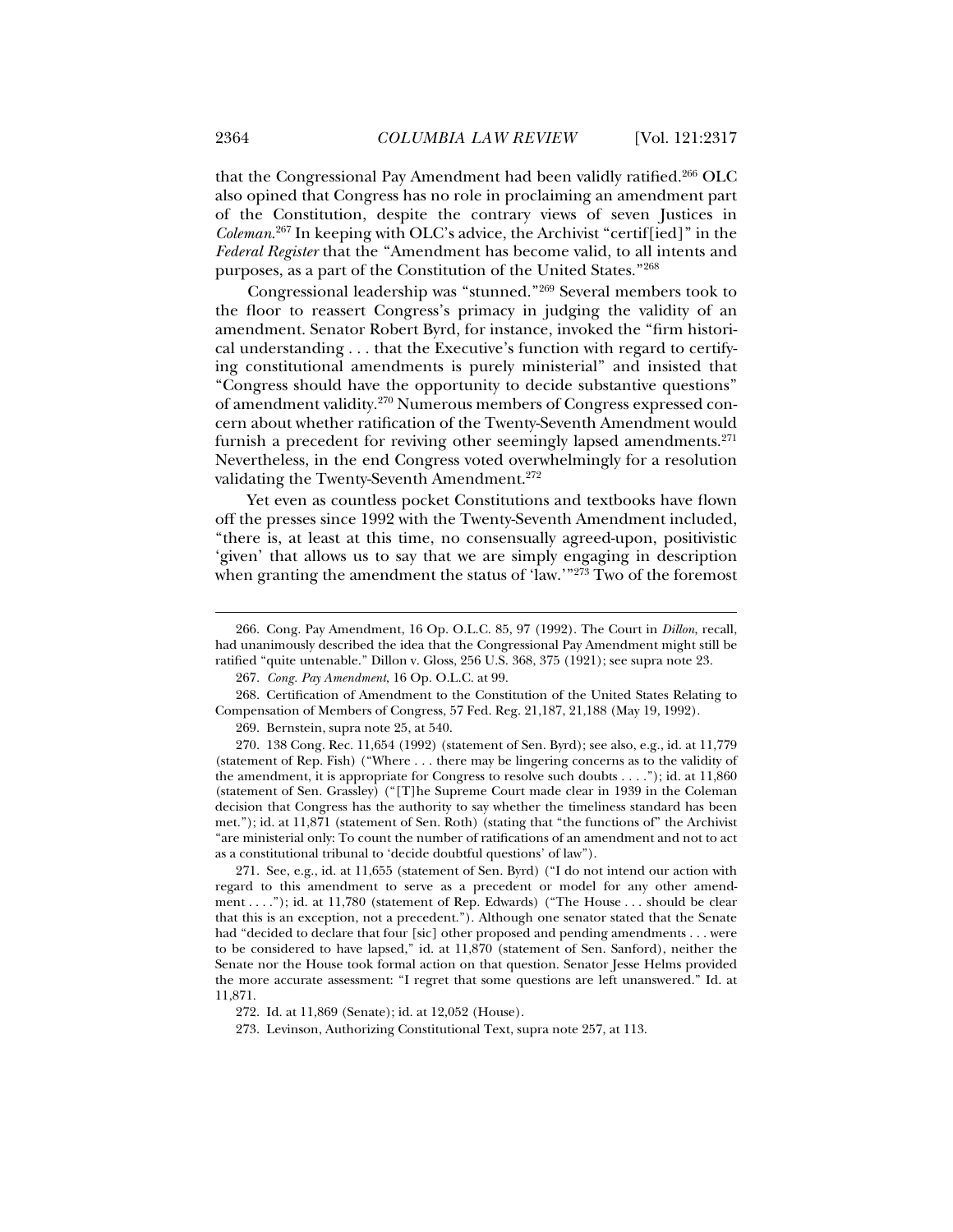that the Congressional Pay Amendment had been validly ratified.266 OLC also opined that Congress has no role in proclaiming an amendment part of the Constitution, despite the contrary views of seven Justices in *Coleman*. 267 In keeping with OLC's advice, the Archivist "certif[ied]" in the *Federal Register* that the "Amendment has become valid, to all intents and purposes, as a part of the Constitution of the United States."268

Congressional leadership was "stunned."269 Several members took to the floor to reassert Congress's primacy in judging the validity of an amendment. Senator Robert Byrd, for instance, invoked the "firm historical understanding . . . that the Executive's function with regard to certifying constitutional amendments is purely ministerial" and insisted that "Congress should have the opportunity to decide substantive questions" of amendment validity.270 Numerous members of Congress expressed concern about whether ratification of the Twenty-Seventh Amendment would furnish a precedent for reviving other seemingly lapsed amendments. $271$ Nevertheless, in the end Congress voted overwhelmingly for a resolution validating the Twenty-Seventh Amendment.<sup>272</sup>

Yet even as countless pocket Constitutions and textbooks have flown off the presses since 1992 with the Twenty-Seventh Amendment included, "there is, at least at this time, no consensually agreed-upon, positivistic 'given' that allows us to say that we are simply engaging in description when granting the amendment the status of 'law.'"<sup>273</sup> Two of the foremost

 270. 138 Cong. Rec. 11,654 (1992) (statement of Sen. Byrd); see also, e.g., id. at 11,779 (statement of Rep. Fish) ("Where . . . there may be lingering concerns as to the validity of the amendment, it is appropriate for Congress to resolve such doubts . . . ."); id. at 11,860 (statement of Sen. Grassley) ("[T]he Supreme Court made clear in 1939 in the Coleman decision that Congress has the authority to say whether the timeliness standard has been met."); id. at 11,871 (statement of Sen. Roth) (stating that "the functions of" the Archivist "are ministerial only: To count the number of ratifications of an amendment and not to act as a constitutional tribunal to 'decide doubtful questions' of law").

 271. See, e.g., id. at 11,655 (statement of Sen. Byrd) ("I do not intend our action with regard to this amendment to serve as a precedent or model for any other amendment . . . ."); id. at 11,780 (statement of Rep. Edwards) ("The House . . . should be clear that this is an exception, not a precedent."). Although one senator stated that the Senate had "decided to declare that four [sic] other proposed and pending amendments . . . were to be considered to have lapsed," id. at 11,870 (statement of Sen. Sanford), neither the Senate nor the House took formal action on that question. Senator Jesse Helms provided the more accurate assessment: "I regret that some questions are left unanswered." Id. at 11,871.

 <sup>266.</sup> Cong. Pay Amendment, 16 Op. O.L.C. 85, 97 (1992). The Court in *Dillon*, recall, had unanimously described the idea that the Congressional Pay Amendment might still be ratified "quite untenable." Dillon v. Gloss, 256 U.S. 368, 375 (1921); see supra note 23.

 <sup>267.</sup> *Cong. Pay Amendment*, 16 Op. O.L.C. at 99.

 <sup>268.</sup> Certification of Amendment to the Constitution of the United States Relating to Compensation of Members of Congress, 57 Fed. Reg. 21,187, 21,188 (May 19, 1992).

 <sup>269.</sup> Bernstein, supra note 25, at 540.

 <sup>272.</sup> Id. at 11,869 (Senate); id. at 12,052 (House).

 <sup>273.</sup> Levinson, Authorizing Constitutional Text, supra note 257, at 113.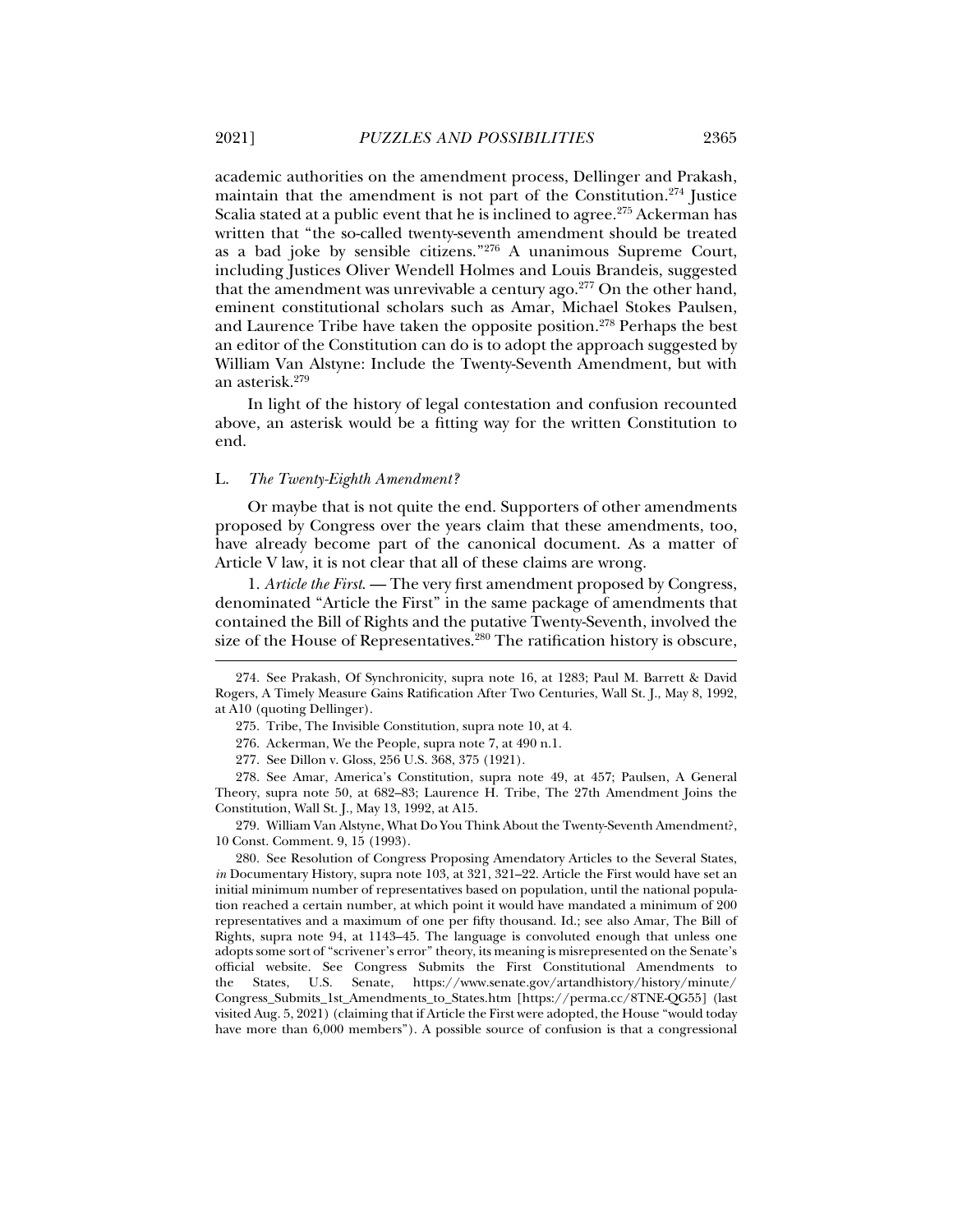academic authorities on the amendment process, Dellinger and Prakash, maintain that the amendment is not part of the Constitution.274 Justice Scalia stated at a public event that he is inclined to agree.<sup>275</sup> Ackerman has written that "the so-called twenty-seventh amendment should be treated as a bad joke by sensible citizens."276 A unanimous Supreme Court, including Justices Oliver Wendell Holmes and Louis Brandeis, suggested that the amendment was unrevivable a century ago. $277$  On the other hand, eminent constitutional scholars such as Amar, Michael Stokes Paulsen, and Laurence Tribe have taken the opposite position.278 Perhaps the best an editor of the Constitution can do is to adopt the approach suggested by William Van Alstyne: Include the Twenty-Seventh Amendment, but with an asterisk.279

In light of the history of legal contestation and confusion recounted above, an asterisk would be a fitting way for the written Constitution to end.

### L. *The Twenty-Eighth Amendment?*

Or maybe that is not quite the end. Supporters of other amendments proposed by Congress over the years claim that these amendments, too, have already become part of the canonical document. As a matter of Article V law, it is not clear that all of these claims are wrong.

1. *Article the First*. — The very first amendment proposed by Congress, denominated "Article the First" in the same package of amendments that contained the Bill of Rights and the putative Twenty-Seventh, involved the size of the House of Representatives.<sup>280</sup> The ratification history is obscure,

276. Ackerman, We the People, supra note 7, at 490 n.1.

 278. See Amar, America's Constitution, supra note 49, at 457; Paulsen, A General Theory, supra note 50, at 682–83; Laurence H. Tribe, The 27th Amendment Joins the Constitution, Wall St. J., May 13, 1992, at A15.

 279. William Van Alstyne, What Do You Think About the Twenty-Seventh Amendment?, 10 Const. Comment. 9, 15 (1993).

 280. See Resolution of Congress Proposing Amendatory Articles to the Several States, *in* Documentary History, supra note 103, at 321, 321–22. Article the First would have set an initial minimum number of representatives based on population, until the national population reached a certain number, at which point it would have mandated a minimum of 200 representatives and a maximum of one per fifty thousand. Id.; see also Amar, The Bill of Rights, supra note 94, at 1143–45. The language is convoluted enough that unless one adopts some sort of "scrivener's error" theory, its meaning is misrepresented on the Senate's official website. See Congress Submits the First Constitutional Amendments to the States, U.S. Senate, https://www.senate.gov/artandhistory/history/minute/ Congress\_Submits\_1st\_Amendments\_to\_States.htm [https://perma.cc/8TNE-QG55] (last visited Aug. 5, 2021) (claiming that if Article the First were adopted, the House "would today have more than 6,000 members"). A possible source of confusion is that a congressional

 <sup>274.</sup> See Prakash, Of Synchronicity, supra note 16, at 1283; Paul M. Barrett & David Rogers, A Timely Measure Gains Ratification After Two Centuries, Wall St. J., May 8, 1992, at A10 (quoting Dellinger).

 <sup>275.</sup> Tribe, The Invisible Constitution, supra note 10, at 4.

 <sup>277.</sup> See Dillon v. Gloss, 256 U.S. 368, 375 (1921).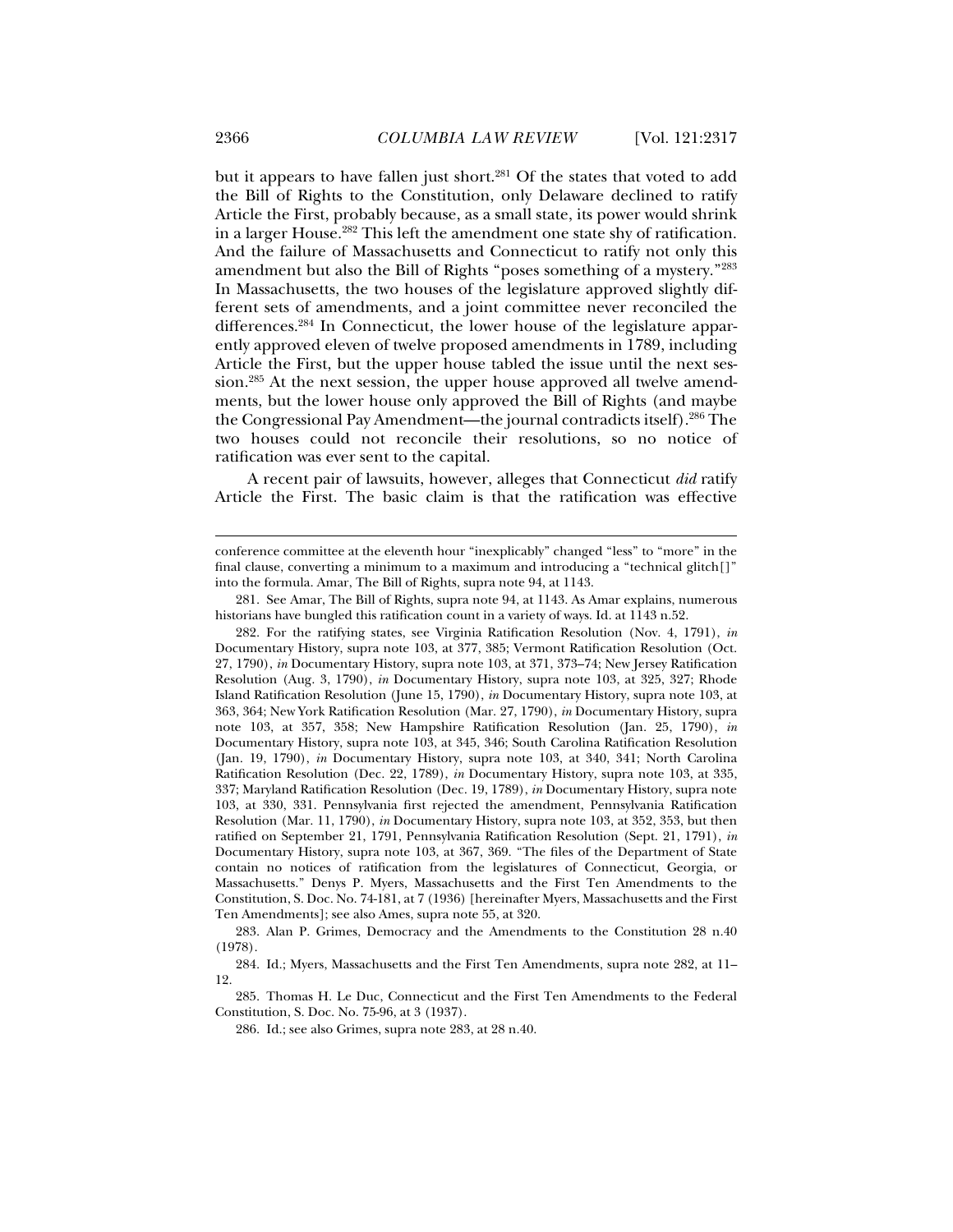but it appears to have fallen just short.<sup>281</sup> Of the states that voted to add the Bill of Rights to the Constitution, only Delaware declined to ratify Article the First, probably because, as a small state, its power would shrink in a larger House.282 This left the amendment one state shy of ratification. And the failure of Massachusetts and Connecticut to ratify not only this amendment but also the Bill of Rights "poses something of a mystery."283 In Massachusetts, the two houses of the legislature approved slightly different sets of amendments, and a joint committee never reconciled the differences.284 In Connecticut, the lower house of the legislature apparently approved eleven of twelve proposed amendments in 1789, including Article the First, but the upper house tabled the issue until the next session.285 At the next session, the upper house approved all twelve amendments, but the lower house only approved the Bill of Rights (and maybe the Congressional Pay Amendment—the journal contradicts itself).286 The two houses could not reconcile their resolutions, so no notice of ratification was ever sent to the capital.

A recent pair of lawsuits, however, alleges that Connecticut *did* ratify Article the First. The basic claim is that the ratification was effective

conference committee at the eleventh hour "inexplicably" changed "less" to "more" in the final clause, converting a minimum to a maximum and introducing a "technical glitch[]" into the formula. Amar, The Bill of Rights, supra note 94, at 1143.

 <sup>281.</sup> See Amar, The Bill of Rights, supra note 94, at 1143. As Amar explains, numerous historians have bungled this ratification count in a variety of ways. Id. at 1143 n.52.

 <sup>282.</sup> For the ratifying states, see Virginia Ratification Resolution (Nov. 4, 1791), *in*  Documentary History, supra note 103, at 377, 385; Vermont Ratification Resolution (Oct. 27, 1790), *in* Documentary History, supra note 103, at 371, 373–74; New Jersey Ratification Resolution (Aug. 3, 1790), *in* Documentary History, supra note 103, at 325, 327; Rhode Island Ratification Resolution (June 15, 1790), *in* Documentary History, supra note 103, at 363, 364; New York Ratification Resolution (Mar. 27, 1790), *in* Documentary History, supra note 103, at 357, 358; New Hampshire Ratification Resolution (Jan. 25, 1790), *in*  Documentary History, supra note 103, at 345, 346; South Carolina Ratification Resolution (Jan. 19, 1790), *in* Documentary History, supra note 103, at 340, 341; North Carolina Ratification Resolution (Dec. 22, 1789), *in* Documentary History, supra note 103, at 335, 337; Maryland Ratification Resolution (Dec. 19, 1789), *in* Documentary History, supra note 103, at 330, 331. Pennsylvania first rejected the amendment, Pennsylvania Ratification Resolution (Mar. 11, 1790), *in* Documentary History, supra note 103, at 352, 353, but then ratified on September 21, 1791, Pennsylvania Ratification Resolution (Sept. 21, 1791), *in*  Documentary History, supra note 103, at 367, 369. "The files of the Department of State contain no notices of ratification from the legislatures of Connecticut, Georgia, or Massachusetts." Denys P. Myers, Massachusetts and the First Ten Amendments to the Constitution, S. Doc. No. 74-181, at 7 (1936) [hereinafter Myers, Massachusetts and the First Ten Amendments]; see also Ames, supra note 55, at 320.

 <sup>283.</sup> Alan P. Grimes, Democracy and the Amendments to the Constitution 28 n.40 (1978).

 <sup>284.</sup> Id.; Myers, Massachusetts and the First Ten Amendments, supra note 282, at 11– 12.

 <sup>285.</sup> Thomas H. Le Duc, Connecticut and the First Ten Amendments to the Federal Constitution, S. Doc. No. 75-96, at 3 (1937).

 <sup>286.</sup> Id.; see also Grimes, supra note 283, at 28 n.40.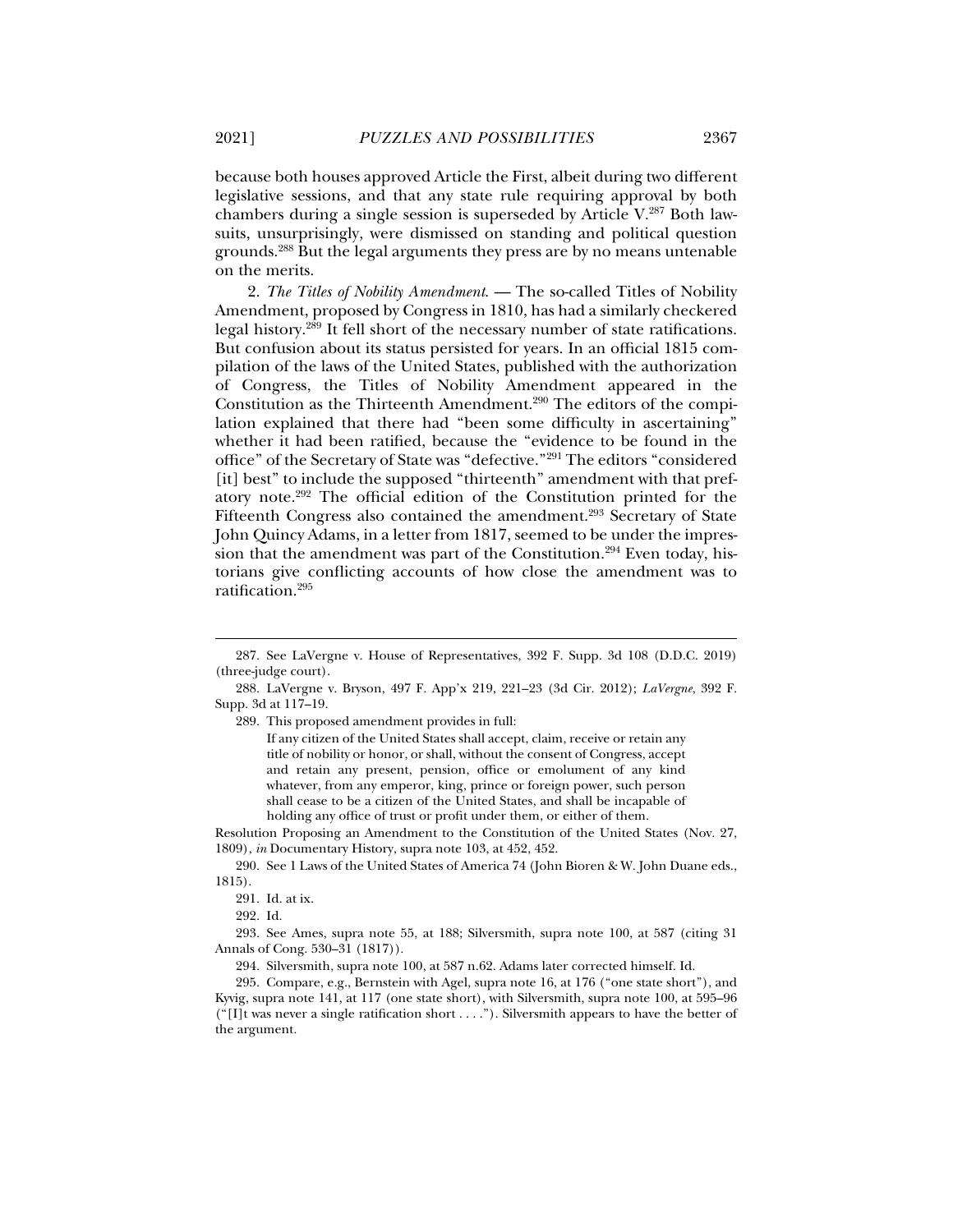because both houses approved Article the First, albeit during two different legislative sessions, and that any state rule requiring approval by both chambers during a single session is superseded by Article V.287 Both lawsuits, unsurprisingly, were dismissed on standing and political question grounds.288 But the legal arguments they press are by no means untenable

2. *The Titles of Nobility Amendment*. — The so-called Titles of Nobility Amendment, proposed by Congress in 1810, has had a similarly checkered legal history.289 It fell short of the necessary number of state ratifications. But confusion about its status persisted for years. In an official 1815 compilation of the laws of the United States, published with the authorization of Congress, the Titles of Nobility Amendment appeared in the Constitution as the Thirteenth Amendment.<sup>290</sup> The editors of the compilation explained that there had "been some difficulty in ascertaining" whether it had been ratified, because the "evidence to be found in the office" of the Secretary of State was "defective."291 The editors "considered [it] best" to include the supposed "thirteenth" amendment with that prefatory note.292 The official edition of the Constitution printed for the Fifteenth Congress also contained the amendment.<sup>293</sup> Secretary of State John Quincy Adams, in a letter from 1817, seemed to be under the impression that the amendment was part of the Constitution.<sup>294</sup> Even today, historians give conflicting accounts of how close the amendment was to ratification.295

289. This proposed amendment provides in full:

If any citizen of the United States shall accept, claim, receive or retain any title of nobility or honor, or shall, without the consent of Congress, accept and retain any present, pension, office or emolument of any kind whatever, from any emperor, king, prince or foreign power, such person shall cease to be a citizen of the United States, and shall be incapable of holding any office of trust or profit under them, or either of them.

Resolution Proposing an Amendment to the Constitution of the United States (Nov. 27, 1809), *in* Documentary History, supra note 103, at 452, 452.

 290. See 1 Laws of the United States of America 74 (John Bioren & W. John Duane eds., 1815).

j

 293. See Ames, supra note 55, at 188; Silversmith, supra note 100, at 587 (citing 31 Annals of Cong. 530–31 (1817)).

294. Silversmith, supra note 100, at 587 n.62. Adams later corrected himself. Id.

 295. Compare, e.g., Bernstein with Agel, supra note 16, at 176 ("one state short"), and Kyvig, supra note 141, at 117 (one state short), with Silversmith, supra note 100, at 595–96  $("[1]$ t was never a single ratification short . . . ."). Silversmith appears to have the better of the argument.

on the merits.

 <sup>287.</sup> See LaVergne v. House of Representatives, 392 F. Supp. 3d 108 (D.D.C. 2019) (three-judge court).

 <sup>288.</sup> LaVergne v. Bryson, 497 F. App'x 219, 221–23 (3d Cir. 2012); *LaVergne*, 392 F. Supp. 3d at 117–19.

 <sup>291.</sup> Id. at ix.

 <sup>292.</sup> Id.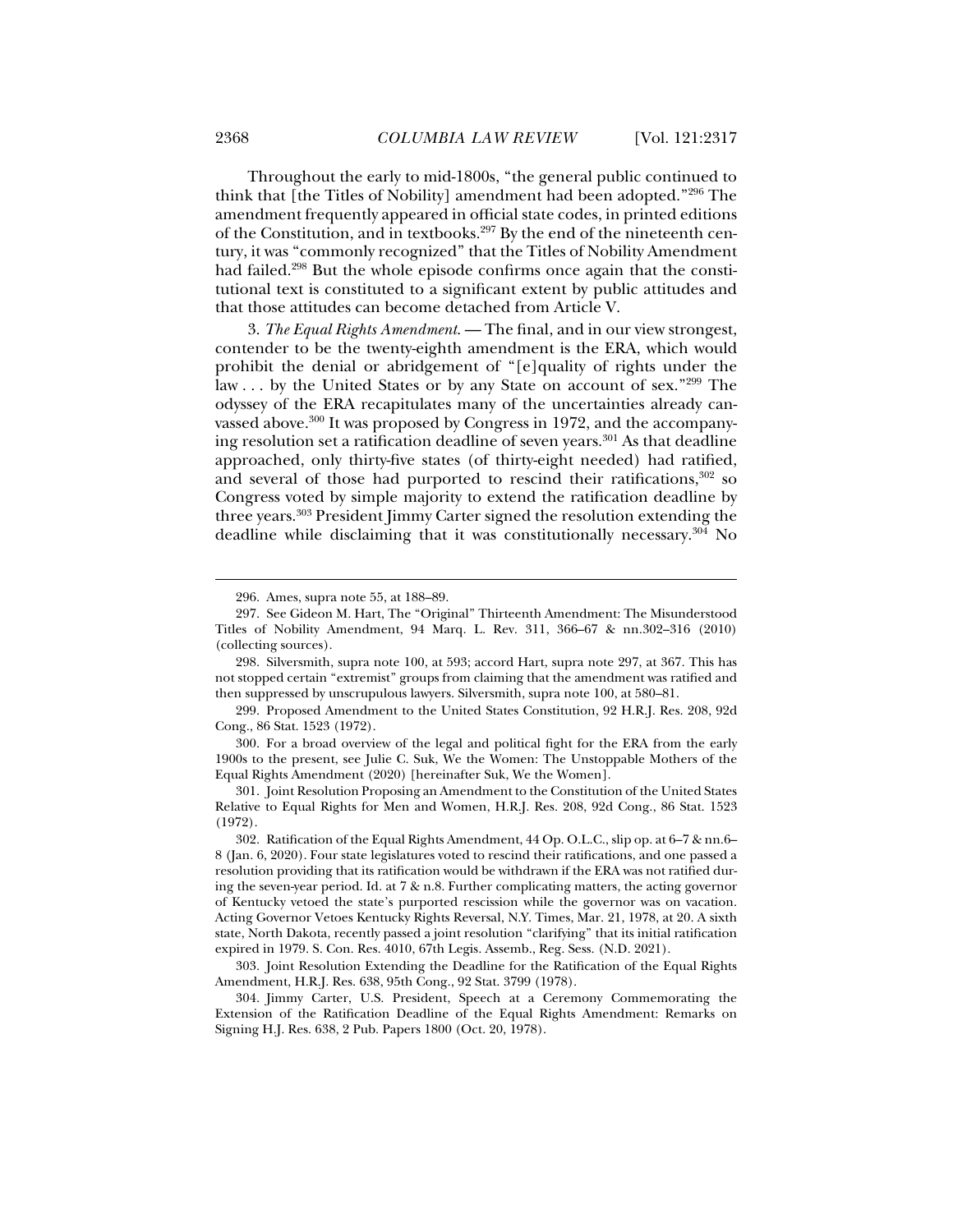Throughout the early to mid-1800s, "the general public continued to think that [the Titles of Nobility] amendment had been adopted."296 The amendment frequently appeared in official state codes, in printed editions of the Constitution, and in textbooks.297 By the end of the nineteenth century, it was "commonly recognized" that the Titles of Nobility Amendment had failed.298 But the whole episode confirms once again that the constitutional text is constituted to a significant extent by public attitudes and that those attitudes can become detached from Article V.

3. *The Equal Rights Amendment*. — The final, and in our view strongest, contender to be the twenty-eighth amendment is the ERA, which would prohibit the denial or abridgement of "[e]quality of rights under the law . . . by the United States or by any State on account of sex."299 The odyssey of the ERA recapitulates many of the uncertainties already canvassed above.<sup>300</sup> It was proposed by Congress in 1972, and the accompanying resolution set a ratification deadline of seven years.301 As that deadline approached, only thirty-five states (of thirty-eight needed) had ratified, and several of those had purported to rescind their ratifications,<sup>302</sup> so Congress voted by simple majority to extend the ratification deadline by three years.303 President Jimmy Carter signed the resolution extending the deadline while disclaiming that it was constitutionally necessary.<sup>304</sup> No

 298. Silversmith, supra note 100, at 593; accord Hart, supra note 297, at 367. This has not stopped certain "extremist" groups from claiming that the amendment was ratified and then suppressed by unscrupulous lawyers. Silversmith, supra note 100, at 580–81.

 299. Proposed Amendment to the United States Constitution, 92 H.R.J. Res. 208, 92d Cong., 86 Stat. 1523 (1972).

 300. For a broad overview of the legal and political fight for the ERA from the early 1900s to the present, see Julie C. Suk, We the Women: The Unstoppable Mothers of the Equal Rights Amendment (2020) [hereinafter Suk, We the Women].

 301. Joint Resolution Proposing an Amendment to the Constitution of the United States Relative to Equal Rights for Men and Women, H.R.J. Res. 208, 92d Cong., 86 Stat. 1523 (1972).

 303. Joint Resolution Extending the Deadline for the Ratification of the Equal Rights Amendment, H.R.J. Res. 638, 95th Cong., 92 Stat. 3799 (1978).

 304. Jimmy Carter, U.S. President, Speech at a Ceremony Commemorating the Extension of the Ratification Deadline of the Equal Rights Amendment: Remarks on Signing H.J. Res. 638, 2 Pub. Papers 1800 (Oct. 20, 1978).

 <sup>296.</sup> Ames, supra note 55, at 188–89.

 <sup>297.</sup> See Gideon M. Hart, The "Original" Thirteenth Amendment: The Misunderstood Titles of Nobility Amendment, 94 Marq. L. Rev. 311, 366–67 & nn.302–316 (2010) (collecting sources).

 <sup>302.</sup> Ratification of the Equal Rights Amendment, 44 Op. O.L.C., slip op. at 6–7 & nn.6– 8 (Jan. 6, 2020). Four state legislatures voted to rescind their ratifications, and one passed a resolution providing that its ratification would be withdrawn if the ERA was not ratified during the seven-year period. Id. at  $7 \& n.8$ . Further complicating matters, the acting governor of Kentucky vetoed the state's purported rescission while the governor was on vacation. Acting Governor Vetoes Kentucky Rights Reversal, N.Y. Times, Mar. 21, 1978, at 20. A sixth state, North Dakota, recently passed a joint resolution "clarifying" that its initial ratification expired in 1979. S. Con. Res. 4010, 67th Legis. Assemb., Reg. Sess. (N.D. 2021).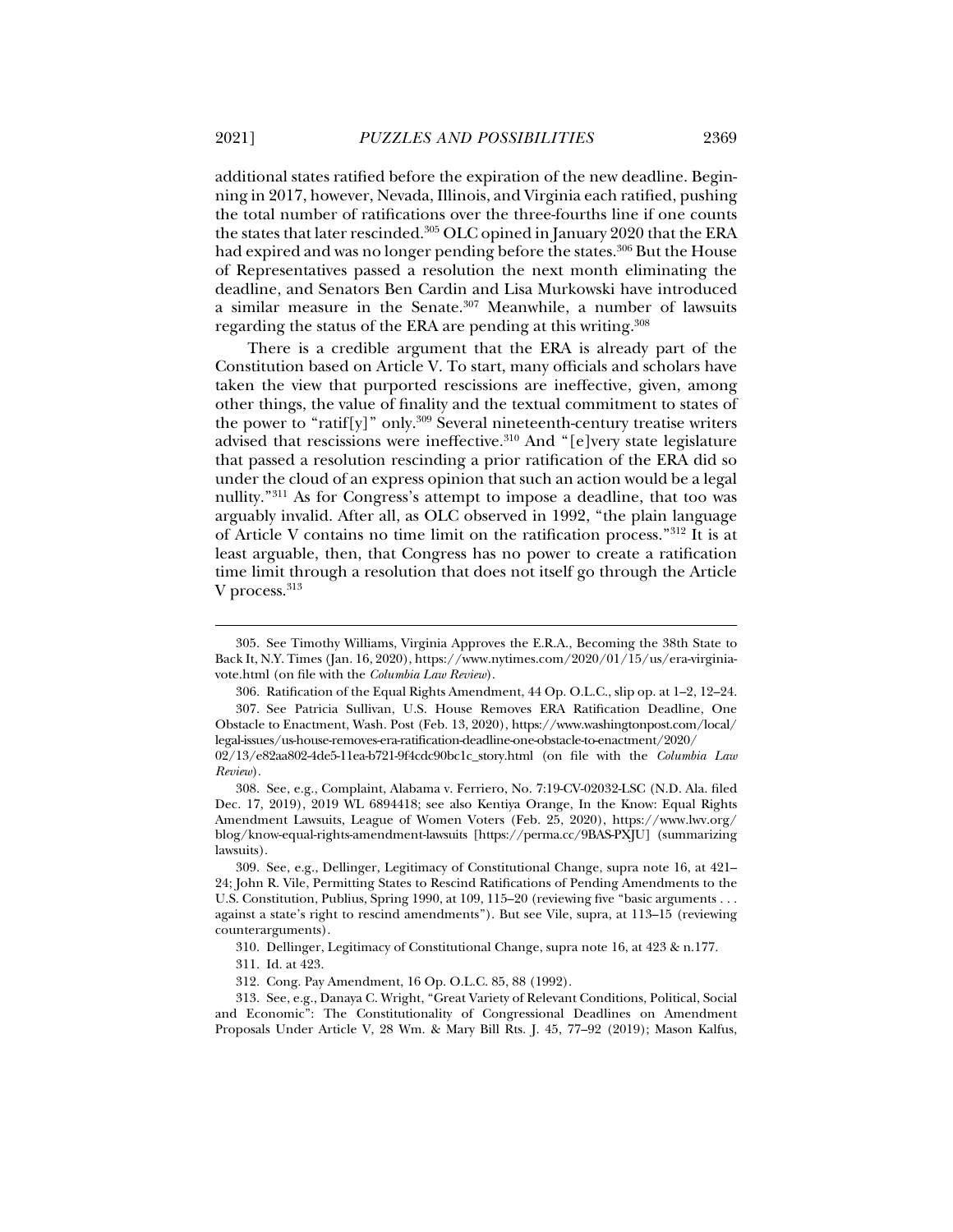additional states ratified before the expiration of the new deadline. Beginning in 2017, however, Nevada, Illinois, and Virginia each ratified, pushing the total number of ratifications over the three-fourths line if one counts the states that later rescinded.305 OLC opined in January 2020 that the ERA had expired and was no longer pending before the states.<sup>306</sup> But the House of Representatives passed a resolution the next month eliminating the deadline, and Senators Ben Cardin and Lisa Murkowski have introduced a similar measure in the Senate.307 Meanwhile, a number of lawsuits regarding the status of the ERA are pending at this writing.308

There is a credible argument that the ERA is already part of the Constitution based on Article V. To start, many officials and scholars have taken the view that purported rescissions are ineffective, given, among other things, the value of finality and the textual commitment to states of the power to "ratif[y]" only.<sup>309</sup> Several nineteenth-century treatise writers advised that rescissions were ineffective.<sup>310</sup> And "[e]very state legislature that passed a resolution rescinding a prior ratification of the ERA did so under the cloud of an express opinion that such an action would be a legal nullity."311 As for Congress's attempt to impose a deadline, that too was arguably invalid. After all, as OLC observed in 1992, "the plain language of Article V contains no time limit on the ratification process."312 It is at least arguable, then, that Congress has no power to create a ratification time limit through a resolution that does not itself go through the Article V process.<sup>313</sup>

310. Dellinger, Legitimacy of Constitutional Change, supra note 16, at 423 & n.177.

 <sup>305.</sup> See Timothy Williams, Virginia Approves the E.R.A., Becoming the 38th State to Back It, N.Y. Times (Jan. 16, 2020), https://www.nytimes.com/2020/01/15/us/era-virginiavote.html (on file with the *Columbia Law Review*).

 <sup>306.</sup> Ratification of the Equal Rights Amendment, 44 Op. O.L.C., slip op. at 1–2, 12–24.

 <sup>307.</sup> See Patricia Sullivan, U.S. House Removes ERA Ratification Deadline, One Obstacle to Enactment, Wash. Post (Feb. 13, 2020), https://www.washingtonpost.com/local/ legal-issues/us-house-removes-era-ratification-deadline-one-obstacle-to-enactment/2020/

<sup>02/13/</sup>e82aa802-4de5-11ea-b721-9f4cdc90bc1c\_story.html (on file with the *Columbia Law Review*).

 <sup>308.</sup> See, e.g., Complaint, Alabama v. Ferriero, No. 7:19-CV-02032-LSC (N.D. Ala. filed Dec. 17, 2019), 2019 WL 6894418; see also Kentiya Orange, In the Know: Equal Rights Amendment Lawsuits, League of Women Voters (Feb. 25, 2020), https://www.lwv.org/ blog/know-equal-rights-amendment-lawsuits [https://perma.cc/9BAS-PXJU] (summarizing lawsuits).

 <sup>309.</sup> See, e.g., Dellinger, Legitimacy of Constitutional Change, supra note 16, at 421– 24; John R. Vile, Permitting States to Rescind Ratifications of Pending Amendments to the U.S. Constitution, Publius, Spring 1990, at 109, 115–20 (reviewing five "basic arguments . . . against a state's right to rescind amendments"). But see Vile, supra, at 113–15 (reviewing counterarguments).

 <sup>311.</sup> Id. at 423.

 <sup>312.</sup> Cong. Pay Amendment, 16 Op. O.L.C. 85, 88 (1992).

 <sup>313.</sup> See, e.g., Danaya C. Wright, "Great Variety of Relevant Conditions, Political, Social and Economic": The Constitutionality of Congressional Deadlines on Amendment Proposals Under Article V, 28 Wm. & Mary Bill Rts. J. 45, 77–92 (2019); Mason Kalfus,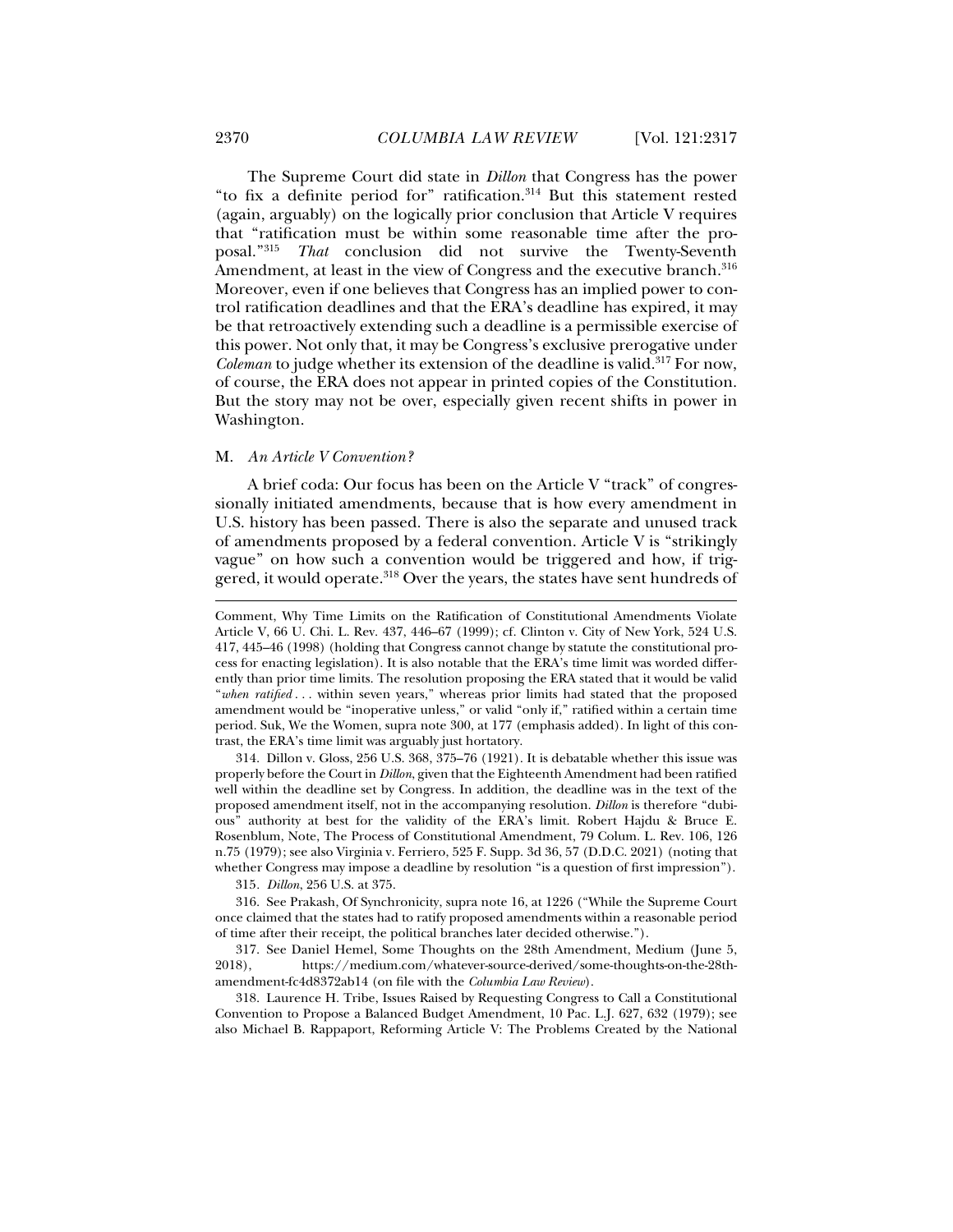The Supreme Court did state in *Dillon* that Congress has the power "to fix a definite period for" ratification.314 But this statement rested (again, arguably) on the logically prior conclusion that Article V requires that "ratification must be within some reasonable time after the proposal."315 *That* conclusion did not survive the Twenty-Seventh Amendment, at least in the view of Congress and the executive branch.<sup>316</sup> Moreover, even if one believes that Congress has an implied power to control ratification deadlines and that the ERA's deadline has expired, it may be that retroactively extending such a deadline is a permissible exercise of this power. Not only that, it may be Congress's exclusive prerogative under *Coleman* to judge whether its extension of the deadline is valid.<sup>317</sup> For now, of course, the ERA does not appear in printed copies of the Constitution. But the story may not be over, especially given recent shifts in power in Washington.

#### M. *An Article V Convention?*

A brief coda: Our focus has been on the Article V "track" of congressionally initiated amendments, because that is how every amendment in U.S. history has been passed. There is also the separate and unused track of amendments proposed by a federal convention. Article V is "strikingly vague" on how such a convention would be triggered and how, if triggered, it would operate.318 Over the years, the states have sent hundreds of

 314. Dillon v. Gloss, 256 U.S. 368, 375–76 (1921). It is debatable whether this issue was properly before the Court in *Dillon*, given that the Eighteenth Amendment had been ratified well within the deadline set by Congress. In addition, the deadline was in the text of the proposed amendment itself, not in the accompanying resolution. *Dillon* is therefore "dubious" authority at best for the validity of the ERA's limit. Robert Hajdu & Bruce E. Rosenblum, Note, The Process of Constitutional Amendment, 79 Colum. L. Rev. 106, 126 n.75 (1979); see also Virginia v. Ferriero, 525 F. Supp. 3d 36, 57 (D.D.C. 2021) (noting that whether Congress may impose a deadline by resolution "is a question of first impression").

315*. Dillon*, 256 U.S. at 375.

 316. See Prakash, Of Synchronicity, supra note 16, at 1226 ("While the Supreme Court once claimed that the states had to ratify proposed amendments within a reasonable period of time after their receipt, the political branches later decided otherwise.").

317. See Daniel Hemel, Some Thoughts on the 28th Amendment, Medium (June 5, 2018). https://medium.com/whatever-source-derived/some-thoughts-on-the-28th-2018), https://medium.com/whatever-source-derived/some-thoughts-on-the-28thamendment-fc4d8372ab14 (on file with the *Columbia Law Review*).

 318. Laurence H. Tribe, Issues Raised by Requesting Congress to Call a Constitutional Convention to Propose a Balanced Budget Amendment, 10 Pac. L.J. 627, 632 (1979); see also Michael B. Rappaport, Reforming Article V: The Problems Created by the National

 $\ddot{ }$ 

Comment, Why Time Limits on the Ratification of Constitutional Amendments Violate Article V, 66 U. Chi. L. Rev. 437, 446–67 (1999); cf. Clinton v. City of New York, 524 U.S. 417, 445–46 (1998) (holding that Congress cannot change by statute the constitutional process for enacting legislation). It is also notable that the ERA's time limit was worded differently than prior time limits. The resolution proposing the ERA stated that it would be valid "*when ratified* . . . within seven years," whereas prior limits had stated that the proposed amendment would be "inoperative unless," or valid "only if," ratified within a certain time period. Suk, We the Women, supra note 300, at 177 (emphasis added). In light of this contrast, the ERA's time limit was arguably just hortatory.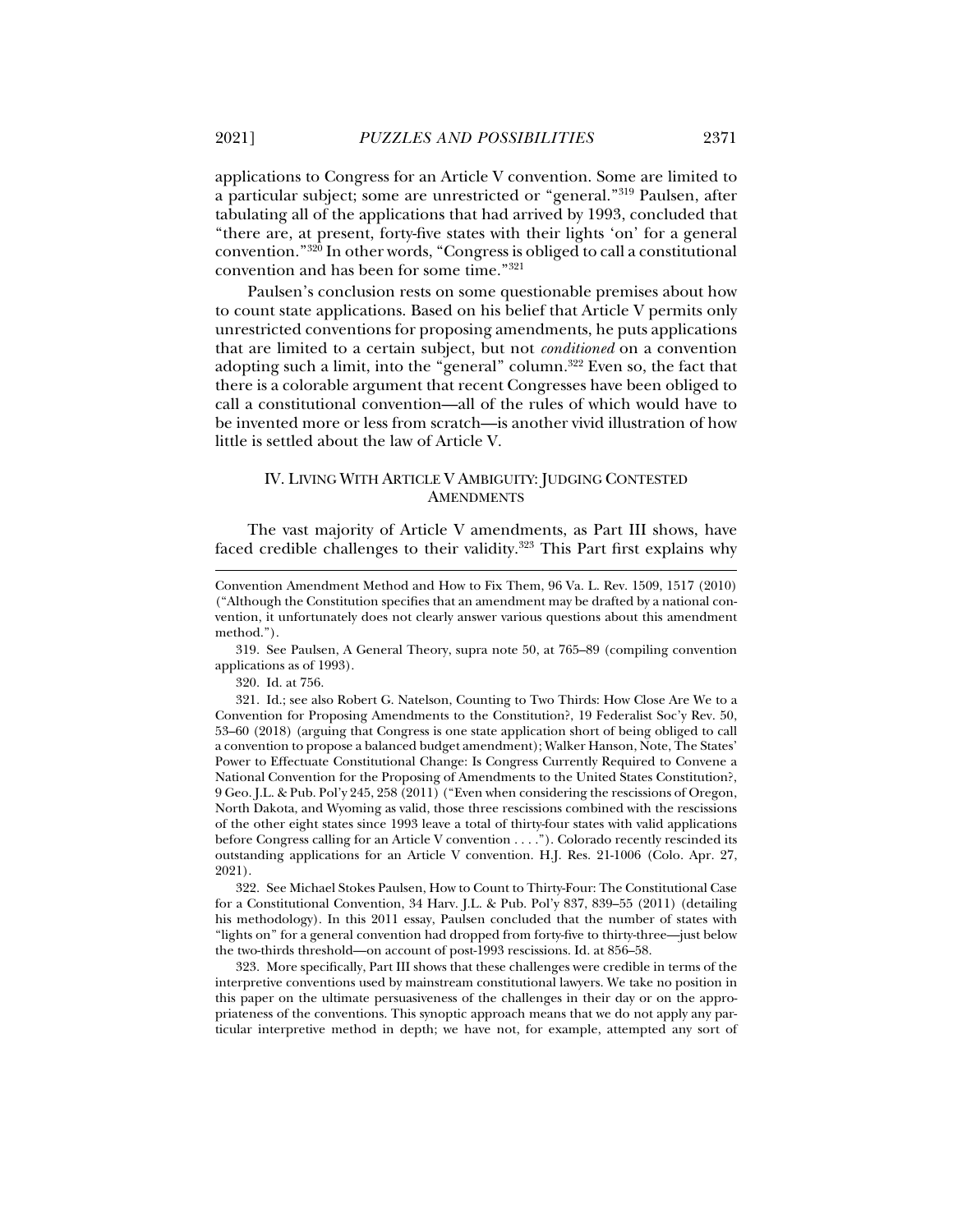applications to Congress for an Article V convention. Some are limited to a particular subject; some are unrestricted or "general."319 Paulsen, after tabulating all of the applications that had arrived by 1993, concluded that "there are, at present, forty-five states with their lights 'on' for a general convention."320 In other words, "Congress is obliged to call a constitutional convention and has been for some time."321

Paulsen's conclusion rests on some questionable premises about how to count state applications. Based on his belief that Article V permits only unrestricted conventions for proposing amendments, he puts applications that are limited to a certain subject, but not *conditioned* on a convention adopting such a limit, into the "general" column.<sup>322</sup> Even so, the fact that there is a colorable argument that recent Congresses have been obliged to call a constitutional convention—all of the rules of which would have to be invented more or less from scratch—is another vivid illustration of how little is settled about the law of Article V.

# IV. LIVING WITH ARTICLE V AMBIGUITY: JUDGING CONTESTED **AMENDMENTS**

The vast majority of Article V amendments, as Part III shows, have faced credible challenges to their validity.<sup>323</sup> This Part first explains why

 319. See Paulsen, A General Theory, supra note 50, at 765–89 (compiling convention applications as of 1993).

320. Id. at 756.

j

 321. Id.; see also Robert G. Natelson, Counting to Two Thirds: How Close Are We to a Convention for Proposing Amendments to the Constitution?, 19 Federalist Soc'y Rev. 50, 53–60 (2018) (arguing that Congress is one state application short of being obliged to call a convention to propose a balanced budget amendment); Walker Hanson, Note, The States' Power to Effectuate Constitutional Change: Is Congress Currently Required to Convene a National Convention for the Proposing of Amendments to the United States Constitution?, 9 Geo. J.L. & Pub. Pol'y 245, 258 (2011) ("Even when considering the rescissions of Oregon, North Dakota, and Wyoming as valid, those three rescissions combined with the rescissions of the other eight states since 1993 leave a total of thirty-four states with valid applications before Congress calling for an Article V convention . . . ."). Colorado recently rescinded its outstanding applications for an Article V convention. H.J. Res. 21-1006 (Colo. Apr. 27, 2021).

 322. See Michael Stokes Paulsen, How to Count to Thirty-Four: The Constitutional Case for a Constitutional Convention, 34 Harv. J.L. & Pub. Pol'y 837, 839–55 (2011) (detailing his methodology). In this 2011 essay, Paulsen concluded that the number of states with "lights on" for a general convention had dropped from forty-five to thirty-three—just below the two-thirds threshold—on account of post-1993 rescissions. Id. at 856–58.

 323. More specifically, Part III shows that these challenges were credible in terms of the interpretive conventions used by mainstream constitutional lawyers. We take no position in this paper on the ultimate persuasiveness of the challenges in their day or on the appropriateness of the conventions. This synoptic approach means that we do not apply any particular interpretive method in depth; we have not, for example, attempted any sort of

Convention Amendment Method and How to Fix Them, 96 Va. L. Rev. 1509, 1517 (2010) ("Although the Constitution specifies that an amendment may be drafted by a national convention, it unfortunately does not clearly answer various questions about this amendment method.").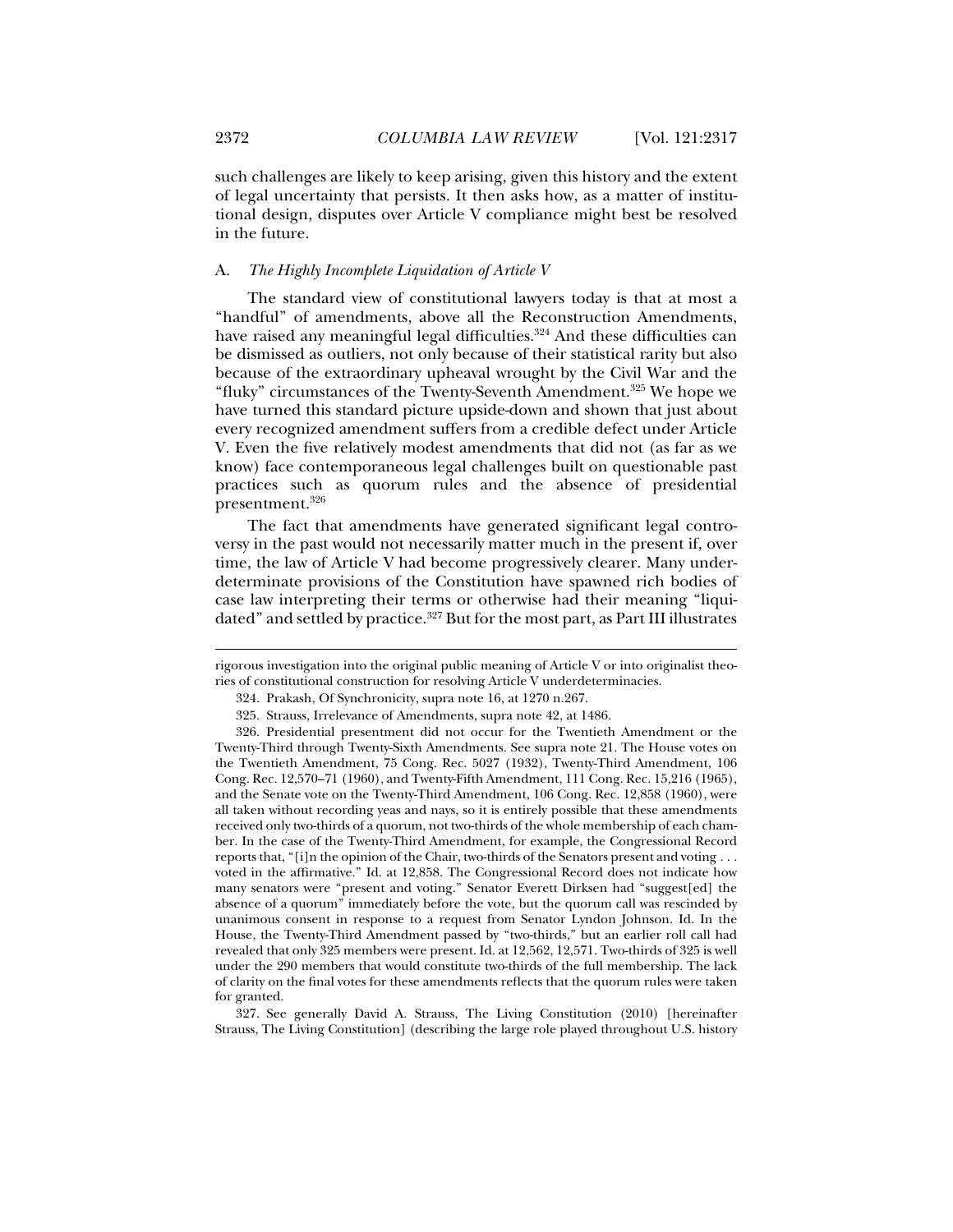such challenges are likely to keep arising, given this history and the extent of legal uncertainty that persists. It then asks how, as a matter of institutional design, disputes over Article V compliance might best be resolved in the future.

# A. *The Highly Incomplete Liquidation of Article V*

The standard view of constitutional lawyers today is that at most a "handful" of amendments, above all the Reconstruction Amendments, have raised any meaningful legal difficulties.<sup>324</sup> And these difficulties can be dismissed as outliers, not only because of their statistical rarity but also because of the extraordinary upheaval wrought by the Civil War and the "fluky" circumstances of the Twenty-Seventh Amendment.<sup>325</sup> We hope we have turned this standard picture upside-down and shown that just about every recognized amendment suffers from a credible defect under Article V. Even the five relatively modest amendments that did not (as far as we know) face contemporaneous legal challenges built on questionable past practices such as quorum rules and the absence of presidential presentment.326

The fact that amendments have generated significant legal controversy in the past would not necessarily matter much in the present if, over time, the law of Article V had become progressively clearer. Many underdeterminate provisions of the Constitution have spawned rich bodies of case law interpreting their terms or otherwise had their meaning "liquidated" and settled by practice.<sup>327</sup> But for the most part, as Part III illustrates

rigorous investigation into the original public meaning of Article V or into originalist theories of constitutional construction for resolving Article V underdeterminacies.

 <sup>324.</sup> Prakash, Of Synchronicity, supra note 16, at 1270 n.267.

 <sup>325.</sup> Strauss, Irrelevance of Amendments, supra note 42, at 1486.

 <sup>326.</sup> Presidential presentment did not occur for the Twentieth Amendment or the Twenty-Third through Twenty-Sixth Amendments. See supra note 21. The House votes on the Twentieth Amendment, 75 Cong. Rec. 5027 (1932), Twenty-Third Amendment, 106 Cong. Rec. 12,570–71 (1960), and Twenty-Fifth Amendment, 111 Cong. Rec. 15,216 (1965), and the Senate vote on the Twenty-Third Amendment, 106 Cong. Rec. 12,858 (1960), were all taken without recording yeas and nays, so it is entirely possible that these amendments received only two-thirds of a quorum, not two-thirds of the whole membership of each chamber. In the case of the Twenty-Third Amendment, for example, the Congressional Record reports that, "[i]n the opinion of the Chair, two-thirds of the Senators present and voting . . . voted in the affirmative." Id. at 12,858. The Congressional Record does not indicate how many senators were "present and voting." Senator Everett Dirksen had "suggest[ed] the absence of a quorum" immediately before the vote, but the quorum call was rescinded by unanimous consent in response to a request from Senator Lyndon Johnson. Id. In the House, the Twenty-Third Amendment passed by "two-thirds," but an earlier roll call had revealed that only 325 members were present. Id. at 12,562, 12,571. Two-thirds of 325 is well under the 290 members that would constitute two-thirds of the full membership. The lack of clarity on the final votes for these amendments reflects that the quorum rules were taken for granted.

 <sup>327.</sup> See generally David A. Strauss, The Living Constitution (2010) [hereinafter Strauss, The Living Constitution] (describing the large role played throughout U.S. history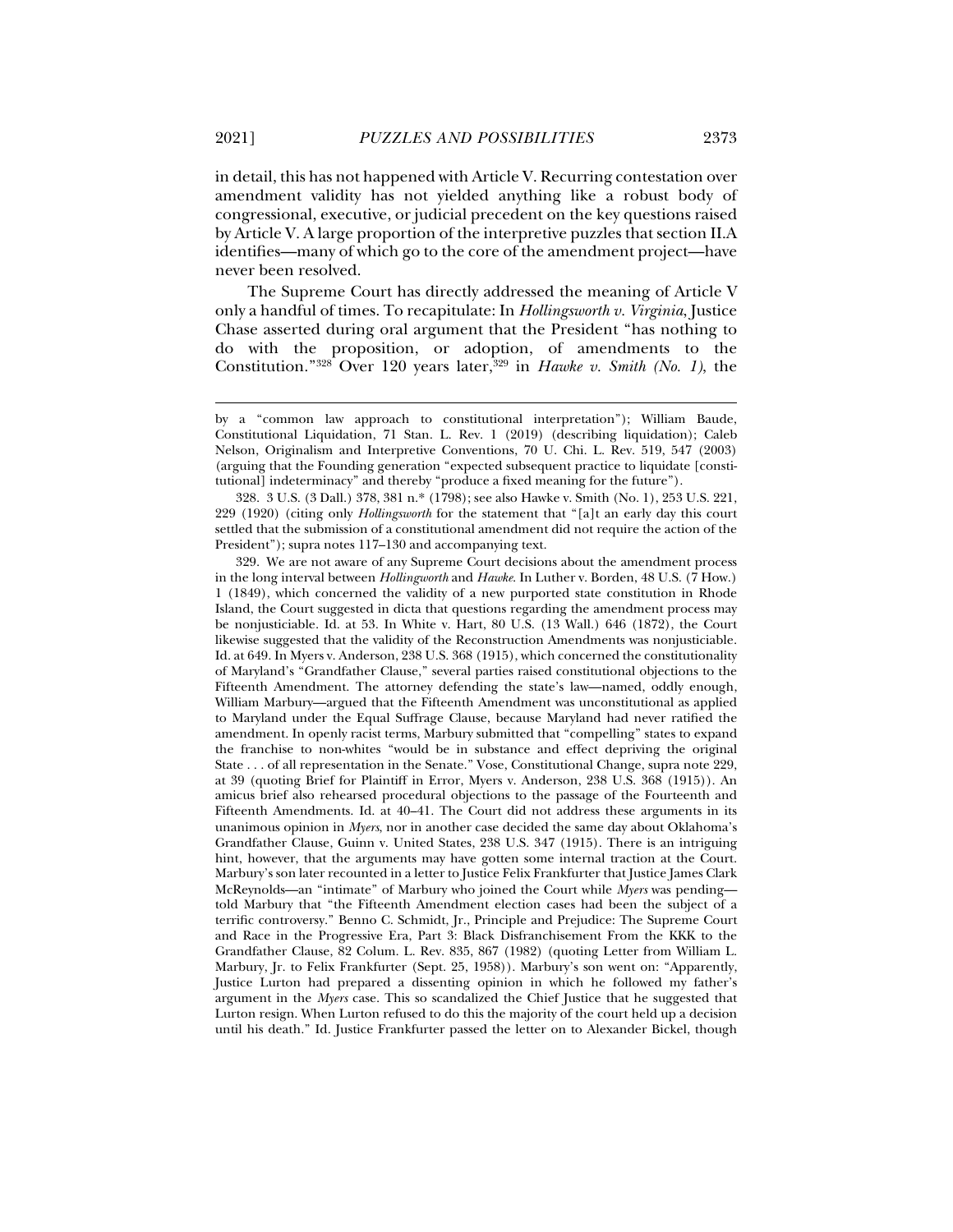in detail, this has not happened with Article V. Recurring contestation over amendment validity has not yielded anything like a robust body of congressional, executive, or judicial precedent on the key questions raised by Article V. A large proportion of the interpretive puzzles that section II.A identifies—many of which go to the core of the amendment project—have never been resolved.

The Supreme Court has directly addressed the meaning of Article V only a handful of times. To recapitulate: In *Hollingsworth v. Virginia*, Justice Chase asserted during oral argument that the President "has nothing to do with the proposition, or adoption, of amendments to the Constitution."<sup>328</sup> Over 120 years later,<sup>329</sup> in *Hawke v. Smith (No. 1)*, the

by a "common law approach to constitutional interpretation"); William Baude, Constitutional Liquidation, 71 Stan. L. Rev. 1 (2019) (describing liquidation); Caleb Nelson, Originalism and Interpretive Conventions, 70 U. Chi. L. Rev. 519, 547 (2003) (arguing that the Founding generation "expected subsequent practice to liquidate [constitutional] indeterminacy" and thereby "produce a fixed meaning for the future").

 <sup>328. 3</sup> U.S. (3 Dall.) 378, 381 n.\* (1798); see also Hawke v. Smith (No. 1), 253 U.S. 221, 229 (1920) (citing only *Hollingsworth* for the statement that "[a]t an early day this court settled that the submission of a constitutional amendment did not require the action of the President"); supra notes 117–130 and accompanying text.

 <sup>329.</sup> We are not aware of any Supreme Court decisions about the amendment process in the long interval between *Hollingworth* and *Hawke*. In Luther v. Borden, 48 U.S. (7 How.) 1 (1849), which concerned the validity of a new purported state constitution in Rhode Island, the Court suggested in dicta that questions regarding the amendment process may be nonjusticiable. Id. at 53. In White v. Hart, 80 U.S. (13 Wall.) 646 (1872), the Court likewise suggested that the validity of the Reconstruction Amendments was nonjusticiable. Id. at 649. In Myers v. Anderson, 238 U.S. 368 (1915), which concerned the constitutionality of Maryland's "Grandfather Clause," several parties raised constitutional objections to the Fifteenth Amendment. The attorney defending the state's law—named, oddly enough, William Marbury—argued that the Fifteenth Amendment was unconstitutional as applied to Maryland under the Equal Suffrage Clause, because Maryland had never ratified the amendment. In openly racist terms, Marbury submitted that "compelling" states to expand the franchise to non-whites "would be in substance and effect depriving the original State . . . of all representation in the Senate." Vose, Constitutional Change, supra note 229, at 39 (quoting Brief for Plaintiff in Error, Myers v. Anderson, 238 U.S. 368 (1915)). An amicus brief also rehearsed procedural objections to the passage of the Fourteenth and Fifteenth Amendments. Id. at 40–41. The Court did not address these arguments in its unanimous opinion in *Myers*, nor in another case decided the same day about Oklahoma's Grandfather Clause, Guinn v. United States, 238 U.S. 347 (1915). There is an intriguing hint, however, that the arguments may have gotten some internal traction at the Court. Marbury's son later recounted in a letter to Justice Felix Frankfurter that Justice James Clark McReynolds—an "intimate" of Marbury who joined the Court while *Myers* was pending told Marbury that "the Fifteenth Amendment election cases had been the subject of a terrific controversy." Benno C. Schmidt, Jr., Principle and Prejudice: The Supreme Court and Race in the Progressive Era, Part 3: Black Disfranchisement From the KKK to the Grandfather Clause, 82 Colum. L. Rev. 835, 867 (1982) (quoting Letter from William L. Marbury, Jr. to Felix Frankfurter (Sept. 25, 1958)). Marbury's son went on: "Apparently, Justice Lurton had prepared a dissenting opinion in which he followed my father's argument in the *Myers* case. This so scandalized the Chief Justice that he suggested that Lurton resign. When Lurton refused to do this the majority of the court held up a decision until his death." Id. Justice Frankfurter passed the letter on to Alexander Bickel, though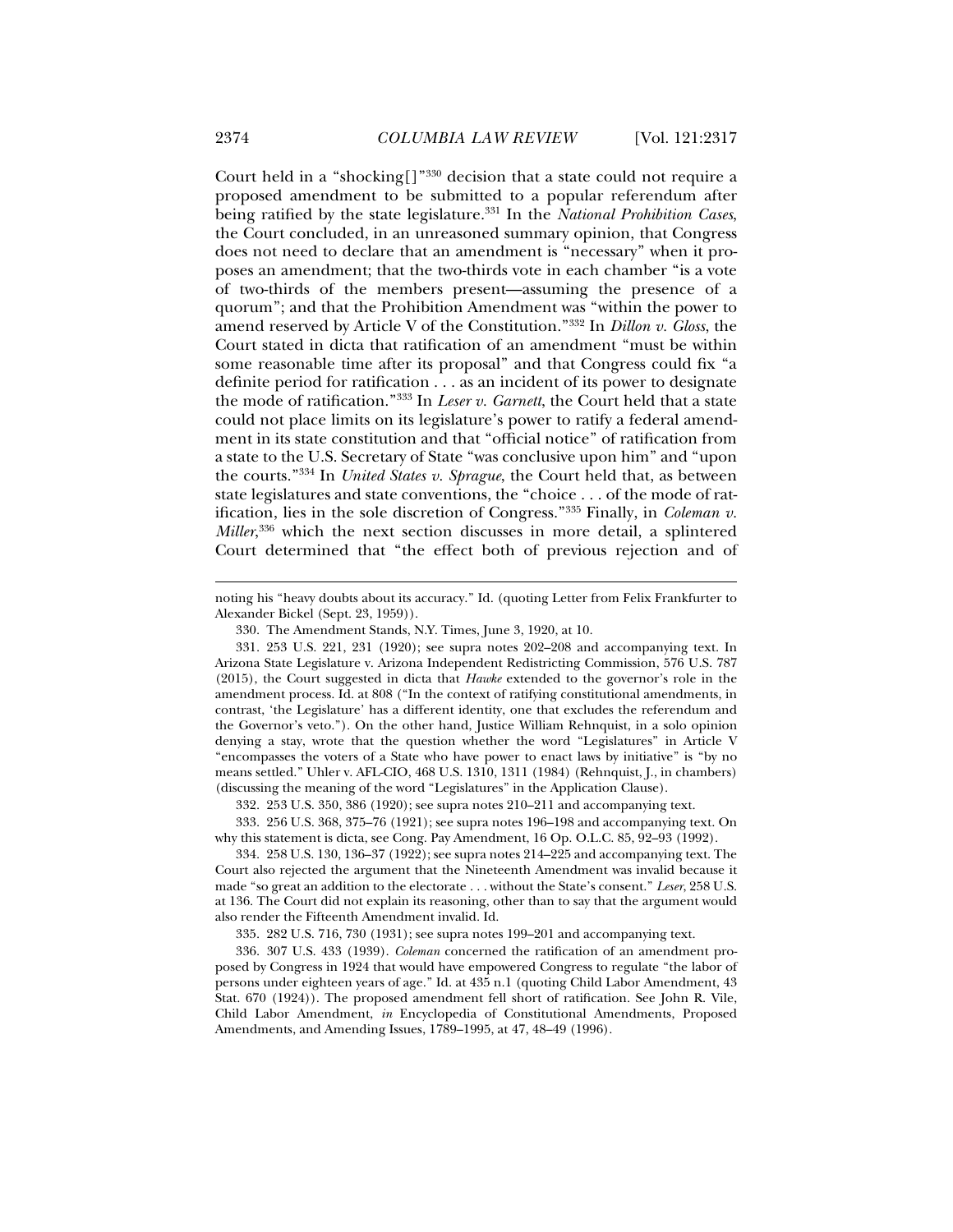Court held in a "shocking[]"330 decision that a state could not require a proposed amendment to be submitted to a popular referendum after being ratified by the state legislature.331 In the *National Prohibition Cases*, the Court concluded, in an unreasoned summary opinion, that Congress does not need to declare that an amendment is "necessary" when it proposes an amendment; that the two-thirds vote in each chamber "is a vote of two-thirds of the members present—assuming the presence of a quorum"; and that the Prohibition Amendment was "within the power to amend reserved by Article V of the Constitution."332 In *Dillon v. Gloss*, the Court stated in dicta that ratification of an amendment "must be within some reasonable time after its proposal" and that Congress could fix "a definite period for ratification . . . as an incident of its power to designate the mode of ratification."333 In *Leser v. Garnett*, the Court held that a state could not place limits on its legislature's power to ratify a federal amendment in its state constitution and that "official notice" of ratification from a state to the U.S. Secretary of State "was conclusive upon him" and "upon the courts."334 In *United States v. Sprague*, the Court held that, as between state legislatures and state conventions, the "choice . . . of the mode of ratification, lies in the sole discretion of Congress."335 Finally, in *Coleman v. Miller*, 336 which the next section discusses in more detail, a splintered Court determined that "the effect both of previous rejection and of

332. 253 U.S. 350, 386 (1920); see supra notes 210–211 and accompanying text.

 333. 256 U.S. 368, 375–76 (1921); see supra notes 196–198 and accompanying text. On why this statement is dicta, see Cong. Pay Amendment, 16 Op. O.L.C. 85, 92–93 (1992).

 334. 258 U.S. 130, 136–37 (1922); see supra notes 214–225 and accompanying text. The Court also rejected the argument that the Nineteenth Amendment was invalid because it made "so great an addition to the electorate . . . without the State's consent." *Leser*, 258 U.S. at 136. The Court did not explain its reasoning, other than to say that the argument would also render the Fifteenth Amendment invalid. Id.

335. 282 U.S. 716, 730 (1931); see supra notes 199–201 and accompanying text.

 336. 307 U.S. 433 (1939). *Coleman* concerned the ratification of an amendment proposed by Congress in 1924 that would have empowered Congress to regulate "the labor of persons under eighteen years of age." Id. at 435 n.1 (quoting Child Labor Amendment, 43 Stat. 670 (1924)). The proposed amendment fell short of ratification. See John R. Vile, Child Labor Amendment, *in* Encyclopedia of Constitutional Amendments, Proposed Amendments, and Amending Issues, 1789–1995, at 47, 48–49 (1996).

noting his "heavy doubts about its accuracy." Id. (quoting Letter from Felix Frankfurter to Alexander Bickel (Sept. 23, 1959)).

 <sup>330.</sup> The Amendment Stands, N.Y. Times, June 3, 1920, at 10.

 <sup>331. 253</sup> U.S. 221, 231 (1920); see supra notes 202–208 and accompanying text. In Arizona State Legislature v. Arizona Independent Redistricting Commission, 576 U.S. 787 (2015), the Court suggested in dicta that *Hawke* extended to the governor's role in the amendment process. Id. at 808 ("In the context of ratifying constitutional amendments, in contrast, 'the Legislature' has a different identity, one that excludes the referendum and the Governor's veto."). On the other hand, Justice William Rehnquist, in a solo opinion denying a stay, wrote that the question whether the word "Legislatures" in Article V "encompasses the voters of a State who have power to enact laws by initiative" is "by no means settled." Uhler v. AFL-CIO, 468 U.S. 1310, 1311 (1984) (Rehnquist, J., in chambers) (discussing the meaning of the word "Legislatures" in the Application Clause).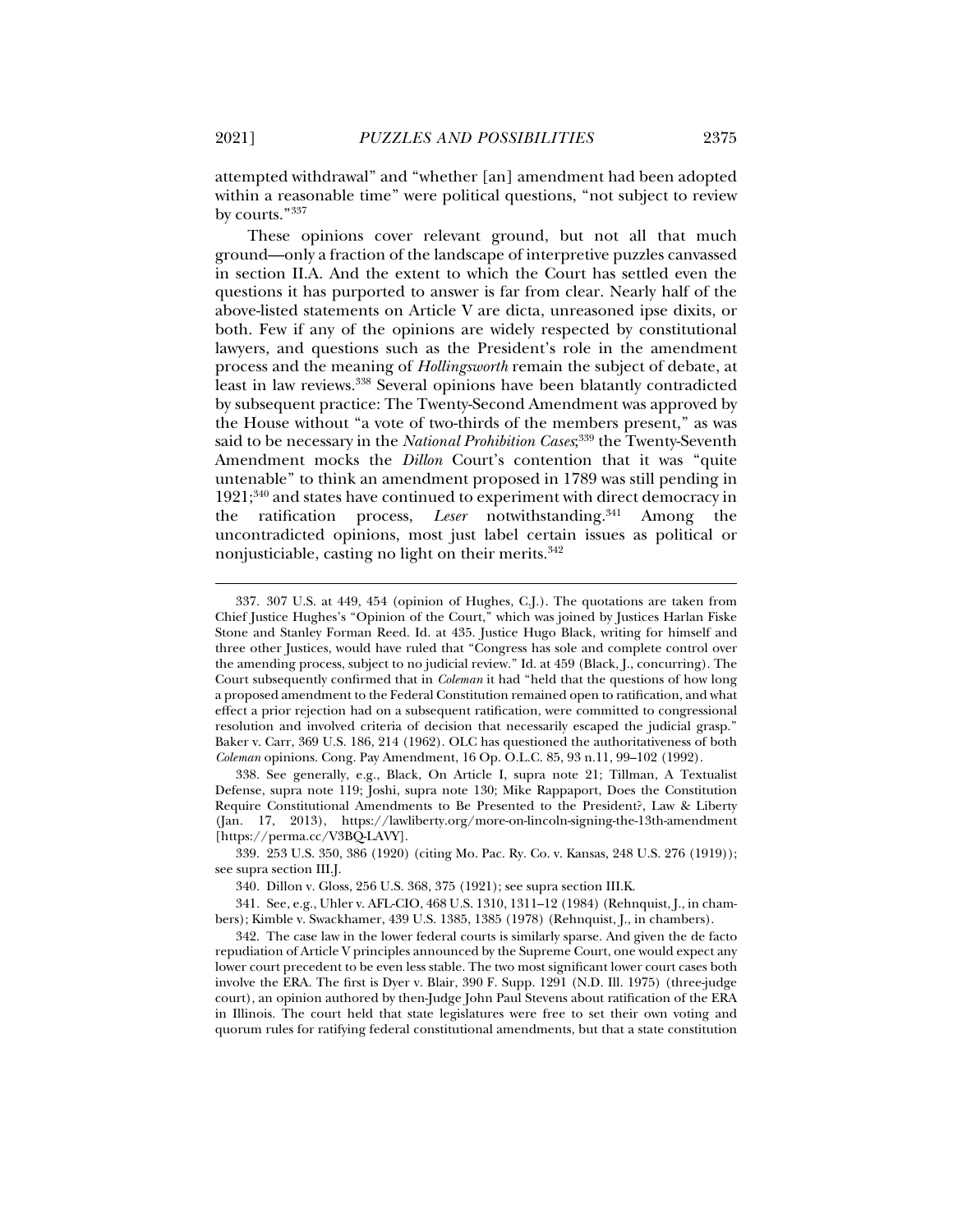attempted withdrawal" and "whether [an] amendment had been adopted within a reasonable time" were political questions, "not subject to review by courts."337

These opinions cover relevant ground, but not all that much ground—only a fraction of the landscape of interpretive puzzles canvassed in section II.A. And the extent to which the Court has settled even the questions it has purported to answer is far from clear. Nearly half of the above-listed statements on Article V are dicta, unreasoned ipse dixits, or both. Few if any of the opinions are widely respected by constitutional lawyers, and questions such as the President's role in the amendment process and the meaning of *Hollingsworth* remain the subject of debate, at least in law reviews.<sup>338</sup> Several opinions have been blatantly contradicted by subsequent practice: The Twenty-Second Amendment was approved by the House without "a vote of two-thirds of the members present," as was said to be necessary in the *National Prohibition Cases*; 339 the Twenty-Seventh Amendment mocks the *Dillon* Court's contention that it was "quite untenable" to think an amendment proposed in 1789 was still pending in  $1921;^{340}$  and states have continued to experiment with direct democracy in the ratification process, *Leser* notwithstanding.<sup>341</sup> Among the uncontradicted opinions, most just label certain issues as political or nonjusticiable, casting no light on their merits. $342$ 

 338. See generally, e.g., Black, On Article I, supra note 21; Tillman, A Textualist Defense, supra note 119; Joshi, supra note 130; Mike Rappaport, Does the Constitution Require Constitutional Amendments to Be Presented to the President?, Law & Liberty (Jan. 17, 2013), https://lawliberty.org/more-on-lincoln-signing-the-13th-amendment [https://perma.cc/V3BQ-LAVY].

340. Dillon v. Gloss, 256 U.S. 368, 375 (1921); see supra section III.K.

 341. See, e.g., Uhler v. AFL-CIO, 468 U.S. 1310, 1311–12 (1984) (Rehnquist, J., in chambers); Kimble v. Swackhamer, 439 U.S. 1385, 1385 (1978) (Rehnquist, J., in chambers).

 342. The case law in the lower federal courts is similarly sparse. And given the de facto repudiation of Article V principles announced by the Supreme Court, one would expect any lower court precedent to be even less stable. The two most significant lower court cases both involve the ERA. The first is Dyer v. Blair, 390 F. Supp. 1291 (N.D. Ill. 1975) (three-judge court), an opinion authored by then-Judge John Paul Stevens about ratification of the ERA in Illinois. The court held that state legislatures were free to set their own voting and quorum rules for ratifying federal constitutional amendments, but that a state constitution

 <sup>337. 307</sup> U.S. at 449, 454 (opinion of Hughes, C.J.). The quotations are taken from Chief Justice Hughes's "Opinion of the Court," which was joined by Justices Harlan Fiske Stone and Stanley Forman Reed. Id. at 435. Justice Hugo Black, writing for himself and three other Justices, would have ruled that "Congress has sole and complete control over the amending process, subject to no judicial review." Id. at 459 (Black, J., concurring). The Court subsequently confirmed that in *Coleman* it had "held that the questions of how long a proposed amendment to the Federal Constitution remained open to ratification, and what effect a prior rejection had on a subsequent ratification, were committed to congressional resolution and involved criteria of decision that necessarily escaped the judicial grasp." Baker v. Carr, 369 U.S. 186, 214 (1962). OLC has questioned the authoritativeness of both *Coleman* opinions. Cong. Pay Amendment, 16 Op. O.L.C. 85, 93 n.11, 99–102 (1992).

 <sup>339. 253</sup> U.S. 350, 386 (1920) (citing Mo. Pac. Ry. Co. v. Kansas, 248 U.S. 276 (1919)); see supra section III.J.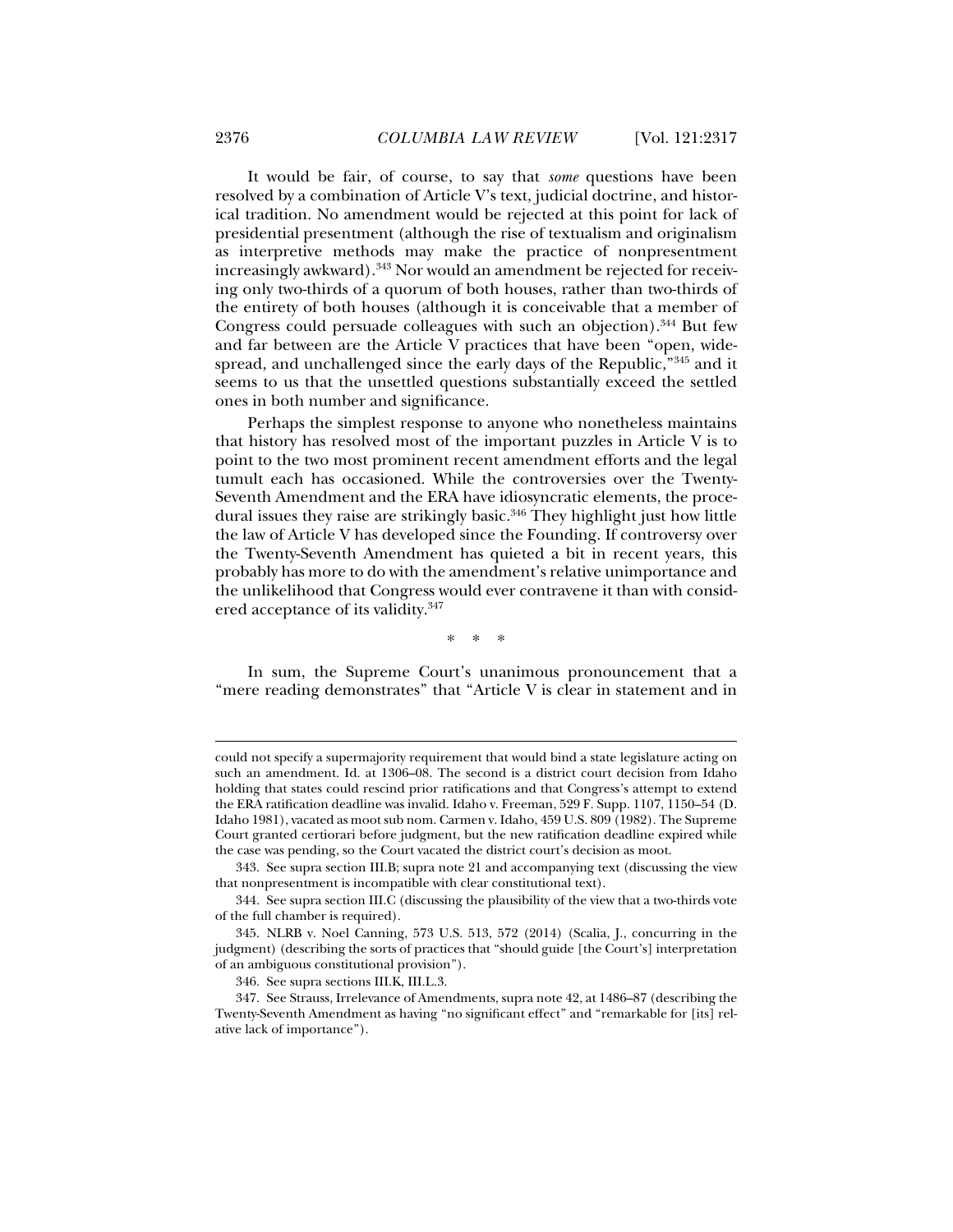It would be fair, of course, to say that *some* questions have been resolved by a combination of Article V's text, judicial doctrine, and historical tradition. No amendment would be rejected at this point for lack of presidential presentment (although the rise of textualism and originalism as interpretive methods may make the practice of nonpresentment increasingly awkward).343 Nor would an amendment be rejected for receiving only two-thirds of a quorum of both houses, rather than two-thirds of the entirety of both houses (although it is conceivable that a member of Congress could persuade colleagues with such an objection).<sup>344</sup> But few and far between are the Article V practices that have been "open, widespread, and unchallenged since the early days of the Republic,"345 and it seems to us that the unsettled questions substantially exceed the settled ones in both number and significance.

Perhaps the simplest response to anyone who nonetheless maintains that history has resolved most of the important puzzles in Article V is to point to the two most prominent recent amendment efforts and the legal tumult each has occasioned. While the controversies over the Twenty-Seventh Amendment and the ERA have idiosyncratic elements, the procedural issues they raise are strikingly basic. $346$  They highlight just how little the law of Article V has developed since the Founding. If controversy over the Twenty-Seventh Amendment has quieted a bit in recent years, this probably has more to do with the amendment's relative unimportance and the unlikelihood that Congress would ever contravene it than with considered acceptance of its validity.<sup>347</sup>

\* \* \*

In sum, the Supreme Court's unanimous pronouncement that a "mere reading demonstrates" that "Article V is clear in statement and in

could not specify a supermajority requirement that would bind a state legislature acting on such an amendment. Id. at 1306–08. The second is a district court decision from Idaho holding that states could rescind prior ratifications and that Congress's attempt to extend the ERA ratification deadline was invalid. Idaho v. Freeman, 529 F. Supp. 1107, 1150–54 (D. Idaho 1981), vacated as moot sub nom. Carmen v. Idaho, 459 U.S. 809 (1982). The Supreme Court granted certiorari before judgment, but the new ratification deadline expired while the case was pending, so the Court vacated the district court's decision as moot.

 <sup>343.</sup> See supra section III.B; supra note 21 and accompanying text (discussing the view that nonpresentment is incompatible with clear constitutional text).

 <sup>344.</sup> See supra section III.C (discussing the plausibility of the view that a two-thirds vote of the full chamber is required).

 <sup>345.</sup> NLRB v. Noel Canning, 573 U.S. 513, 572 (2014) (Scalia, J., concurring in the judgment) (describing the sorts of practices that "should guide [the Court's] interpretation of an ambiguous constitutional provision").

 <sup>346.</sup> See supra sections III.K, III.L.3.

 <sup>347.</sup> See Strauss, Irrelevance of Amendments, supra note 42, at 1486–87 (describing the Twenty-Seventh Amendment as having "no significant effect" and "remarkable for [its] relative lack of importance").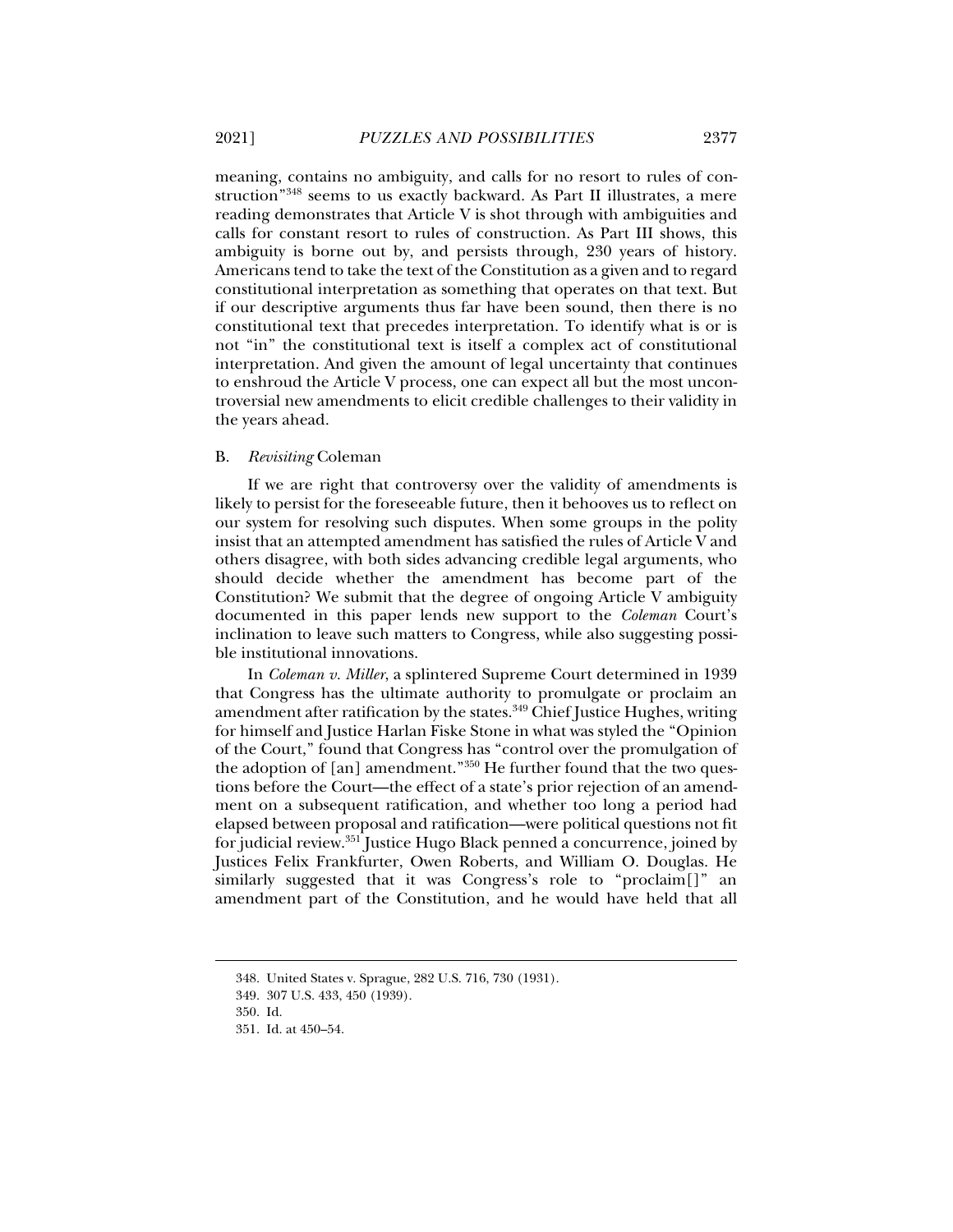meaning, contains no ambiguity, and calls for no resort to rules of construction"348 seems to us exactly backward. As Part II illustrates, a mere reading demonstrates that Article V is shot through with ambiguities and calls for constant resort to rules of construction. As Part III shows, this ambiguity is borne out by, and persists through, 230 years of history. Americans tend to take the text of the Constitution as a given and to regard constitutional interpretation as something that operates on that text. But if our descriptive arguments thus far have been sound, then there is no constitutional text that precedes interpretation. To identify what is or is not "in" the constitutional text is itself a complex act of constitutional interpretation. And given the amount of legal uncertainty that continues to enshroud the Article V process, one can expect all but the most uncontroversial new amendments to elicit credible challenges to their validity in the years ahead.

#### B. *Revisiting* Coleman

If we are right that controversy over the validity of amendments is likely to persist for the foreseeable future, then it behooves us to reflect on our system for resolving such disputes. When some groups in the polity insist that an attempted amendment has satisfied the rules of Article V and others disagree, with both sides advancing credible legal arguments, who should decide whether the amendment has become part of the Constitution? We submit that the degree of ongoing Article V ambiguity documented in this paper lends new support to the *Coleman* Court's inclination to leave such matters to Congress, while also suggesting possible institutional innovations.

In *Coleman v. Miller*, a splintered Supreme Court determined in 1939 that Congress has the ultimate authority to promulgate or proclaim an amendment after ratification by the states.<sup>349</sup> Chief Justice Hughes, writing for himself and Justice Harlan Fiske Stone in what was styled the "Opinion of the Court," found that Congress has "control over the promulgation of the adoption of [an] amendment."350 He further found that the two questions before the Court—the effect of a state's prior rejection of an amendment on a subsequent ratification, and whether too long a period had elapsed between proposal and ratification—were political questions not fit for judicial review.351 Justice Hugo Black penned a concurrence, joined by Justices Felix Frankfurter, Owen Roberts, and William O. Douglas. He similarly suggested that it was Congress's role to "proclaim[]" an amendment part of the Constitution, and he would have held that all

 <sup>348.</sup> United States v. Sprague, 282 U.S. 716, 730 (1931).

 <sup>349. 307</sup> U.S. 433, 450 (1939).

 <sup>350.</sup> Id.

 <sup>351.</sup> Id. at 450–54.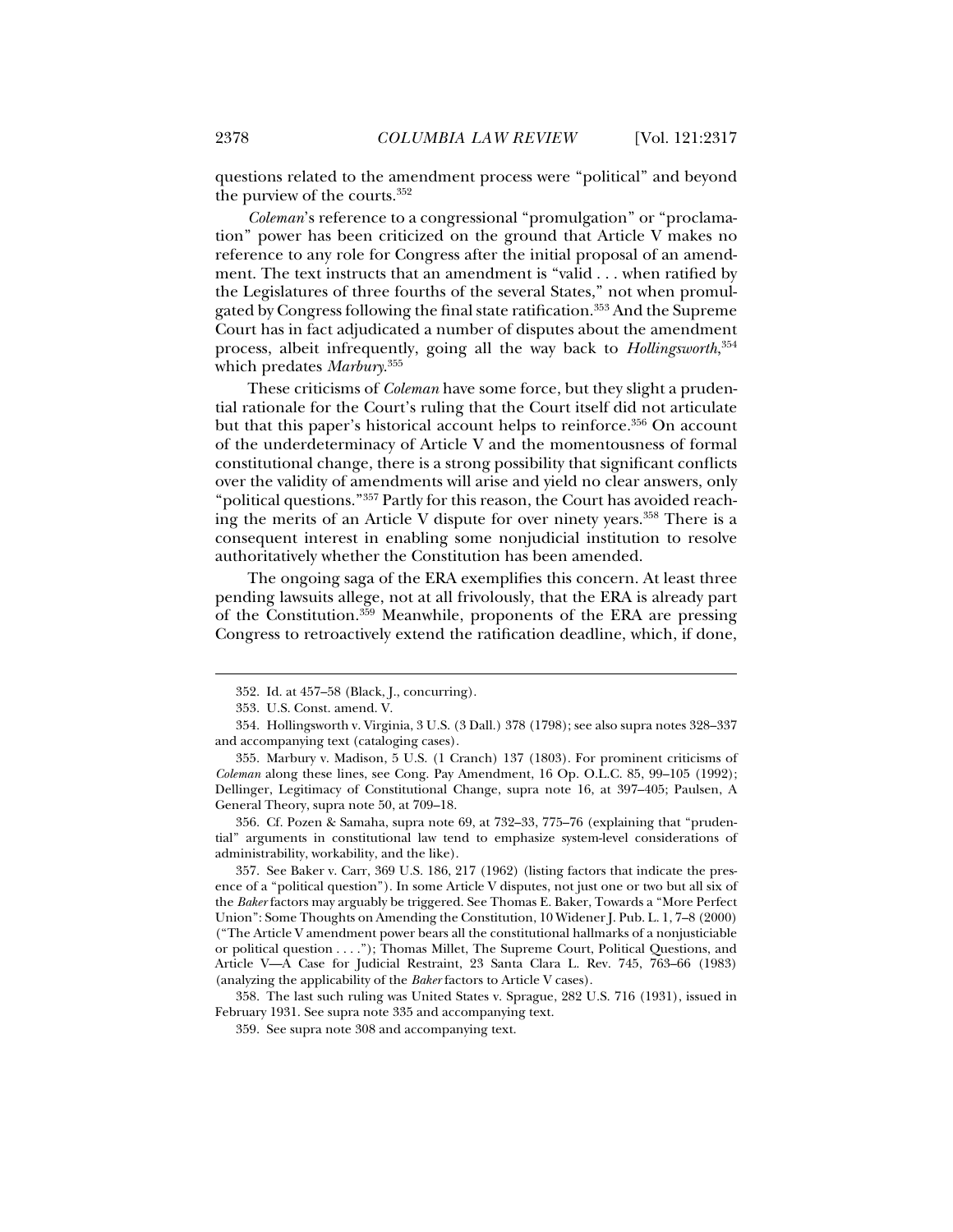questions related to the amendment process were "political" and beyond the purview of the courts.352

*Coleman*'s reference to a congressional "promulgation" or "proclamation" power has been criticized on the ground that Article V makes no reference to any role for Congress after the initial proposal of an amendment. The text instructs that an amendment is "valid . . . when ratified by the Legislatures of three fourths of the several States," not when promulgated by Congress following the final state ratification.<sup>353</sup> And the Supreme Court has in fact adjudicated a number of disputes about the amendment process, albeit infrequently, going all the way back to *Hollingsworth*, 354 which predates *Marbury*. 355

These criticisms of *Coleman* have some force, but they slight a prudential rationale for the Court's ruling that the Court itself did not articulate but that this paper's historical account helps to reinforce.<sup>356</sup> On account of the underdeterminacy of Article V and the momentousness of formal constitutional change, there is a strong possibility that significant conflicts over the validity of amendments will arise and yield no clear answers, only "political questions."357 Partly for this reason, the Court has avoided reaching the merits of an Article V dispute for over ninety years.<sup>358</sup> There is a consequent interest in enabling some nonjudicial institution to resolve authoritatively whether the Constitution has been amended.

The ongoing saga of the ERA exemplifies this concern. At least three pending lawsuits allege, not at all frivolously, that the ERA is already part of the Constitution.359 Meanwhile, proponents of the ERA are pressing Congress to retroactively extend the ratification deadline, which, if done,

j

 356. Cf. Pozen & Samaha, supra note 69, at 732–33, 775–76 (explaining that "prudential" arguments in constitutional law tend to emphasize system-level considerations of administrability, workability, and the like).

 357. See Baker v. Carr, 369 U.S. 186, 217 (1962) (listing factors that indicate the presence of a "political question"). In some Article V disputes, not just one or two but all six of the *Baker* factors may arguably be triggered. See Thomas E. Baker, Towards a "More Perfect Union": Some Thoughts on Amending the Constitution, 10 Widener J. Pub. L. 1, 7–8 (2000) ("The Article V amendment power bears all the constitutional hallmarks of a nonjusticiable or political question . . . ."); Thomas Millet, The Supreme Court, Political Questions, and Article V—A Case for Judicial Restraint, 23 Santa Clara L. Rev. 745, 763–66 (1983) (analyzing the applicability of the *Baker* factors to Article V cases).

 358. The last such ruling was United States v. Sprague, 282 U.S. 716 (1931), issued in February 1931. See supra note 335 and accompanying text.

 <sup>352.</sup> Id. at 457–58 (Black, J., concurring).

 <sup>353.</sup> U.S. Const. amend. V.

 <sup>354.</sup> Hollingsworth v. Virginia, 3 U.S. (3 Dall.) 378 (1798); see also supra notes 328–337 and accompanying text (cataloging cases).

 <sup>355.</sup> Marbury v. Madison, 5 U.S. (1 Cranch) 137 (1803). For prominent criticisms of *Coleman* along these lines, see Cong. Pay Amendment, 16 Op. O.L.C. 85, 99–105 (1992); Dellinger, Legitimacy of Constitutional Change, supra note 16, at 397–405; Paulsen, A General Theory, supra note 50, at 709–18.

 <sup>359.</sup> See supra note 308 and accompanying text.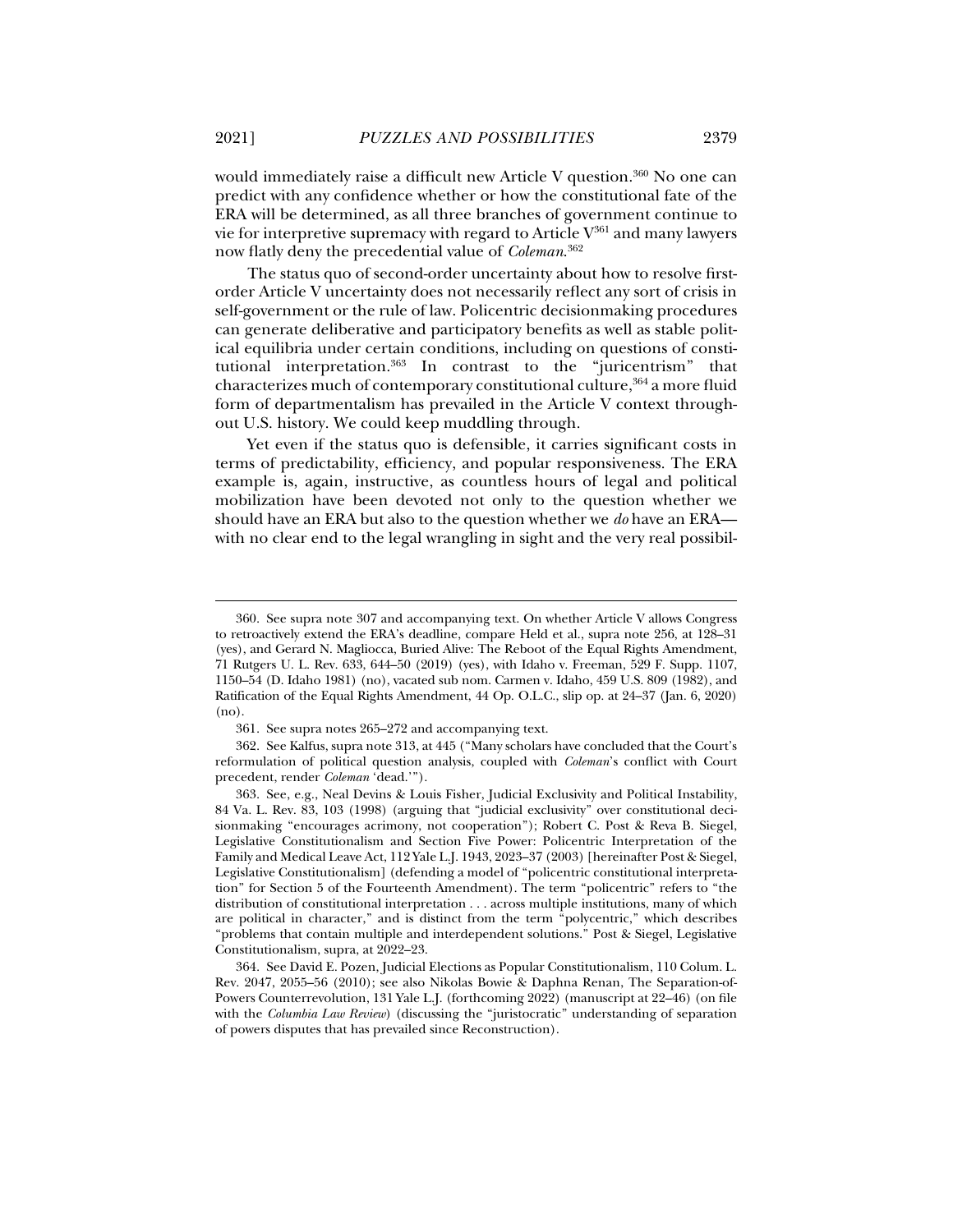would immediately raise a difficult new Article V question.<sup>360</sup> No one can predict with any confidence whether or how the constitutional fate of the ERA will be determined, as all three branches of government continue to vie for interpretive supremacy with regard to Article  $V^{361}$  and many lawyers now flatly deny the precedential value of *Coleman*. 362

The status quo of second-order uncertainty about how to resolve firstorder Article V uncertainty does not necessarily reflect any sort of crisis in self-government or the rule of law. Policentric decisionmaking procedures can generate deliberative and participatory benefits as well as stable political equilibria under certain conditions, including on questions of constitutional interpretation.363 In contrast to the "juricentrism" that characterizes much of contemporary constitutional culture,<sup>364</sup> a more fluid form of departmentalism has prevailed in the Article V context throughout U.S. history. We could keep muddling through.

Yet even if the status quo is defensible, it carries significant costs in terms of predictability, efficiency, and popular responsiveness. The ERA example is, again, instructive, as countless hours of legal and political mobilization have been devoted not only to the question whether we should have an ERA but also to the question whether we *do* have an ERA with no clear end to the legal wrangling in sight and the very real possibil-

 <sup>360.</sup> See supra note 307 and accompanying text. On whether Article V allows Congress to retroactively extend the ERA's deadline, compare Held et al., supra note 256, at 128–31 (yes), and Gerard N. Magliocca, Buried Alive: The Reboot of the Equal Rights Amendment, 71 Rutgers U. L. Rev. 633, 644–50 (2019) (yes), with Idaho v. Freeman, 529 F. Supp. 1107, 1150–54 (D. Idaho 1981) (no), vacated sub nom. Carmen v. Idaho, 459 U.S. 809 (1982), and Ratification of the Equal Rights Amendment, 44 Op. O.L.C., slip op. at 24–37 (Jan. 6, 2020) (no).

 <sup>361.</sup> See supra notes 265–272 and accompanying text.

 <sup>362.</sup> See Kalfus, supra note 313, at 445 ("Many scholars have concluded that the Court's reformulation of political question analysis, coupled with *Coleman*'s conflict with Court precedent, render *Coleman* 'dead.'").

 <sup>363.</sup> See, e.g., Neal Devins & Louis Fisher, Judicial Exclusivity and Political Instability, 84 Va. L. Rev. 83, 103 (1998) (arguing that "judicial exclusivity" over constitutional decisionmaking "encourages acrimony, not cooperation"); Robert C. Post & Reva B. Siegel, Legislative Constitutionalism and Section Five Power: Policentric Interpretation of the Family and Medical Leave Act, 112 Yale L.J. 1943, 2023–37 (2003) [hereinafter Post & Siegel, Legislative Constitutionalism] (defending a model of "policentric constitutional interpretation" for Section 5 of the Fourteenth Amendment). The term "policentric" refers to "the distribution of constitutional interpretation . . . across multiple institutions, many of which are political in character," and is distinct from the term "polycentric," which describes "problems that contain multiple and interdependent solutions." Post & Siegel, Legislative Constitutionalism, supra, at 2022–23.

 <sup>364.</sup> See David E. Pozen, Judicial Elections as Popular Constitutionalism, 110 Colum. L. Rev. 2047, 2055–56 (2010); see also Nikolas Bowie & Daphna Renan, The Separation-of-Powers Counterrevolution, 131 Yale L.J. (forthcoming 2022) (manuscript at 22–46) (on file with the *Columbia Law Review*) (discussing the "juristocratic" understanding of separation of powers disputes that has prevailed since Reconstruction).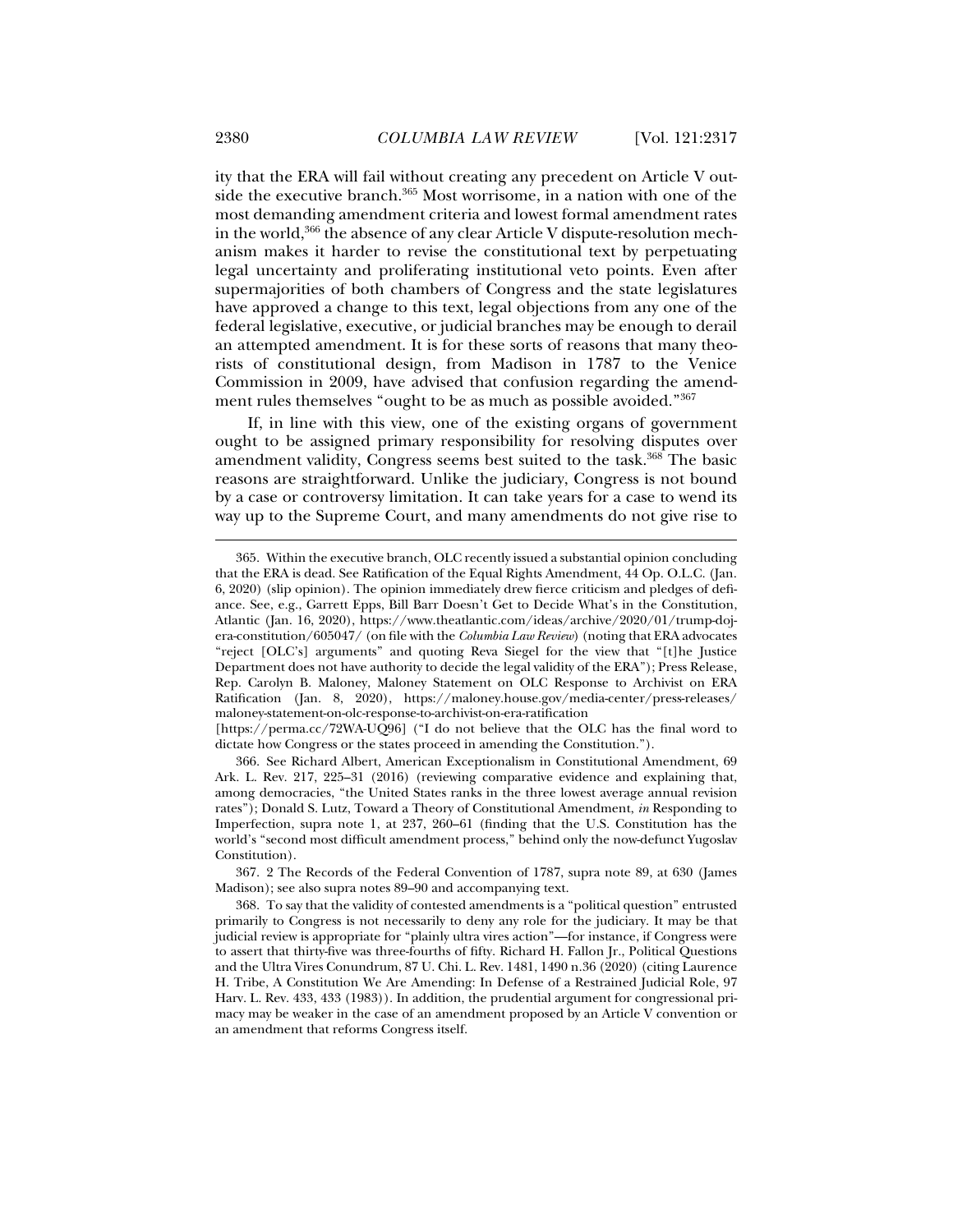ity that the ERA will fail without creating any precedent on Article V outside the executive branch.365 Most worrisome, in a nation with one of the most demanding amendment criteria and lowest formal amendment rates in the world, $366$  the absence of any clear Article V dispute-resolution mechanism makes it harder to revise the constitutional text by perpetuating legal uncertainty and proliferating institutional veto points. Even after supermajorities of both chambers of Congress and the state legislatures have approved a change to this text, legal objections from any one of the federal legislative, executive, or judicial branches may be enough to derail an attempted amendment. It is for these sorts of reasons that many theorists of constitutional design, from Madison in 1787 to the Venice Commission in 2009, have advised that confusion regarding the amendment rules themselves "ought to be as much as possible avoided."<sup>367</sup>

If, in line with this view, one of the existing organs of government ought to be assigned primary responsibility for resolving disputes over amendment validity, Congress seems best suited to the task.<sup>368</sup> The basic reasons are straightforward. Unlike the judiciary, Congress is not bound by a case or controversy limitation. It can take years for a case to wend its way up to the Supreme Court, and many amendments do not give rise to

 <sup>365.</sup> Within the executive branch, OLC recently issued a substantial opinion concluding that the ERA is dead. See Ratification of the Equal Rights Amendment, 44 Op. O.L.C. (Jan. 6, 2020) (slip opinion). The opinion immediately drew fierce criticism and pledges of defiance. See, e.g., Garrett Epps, Bill Barr Doesn't Get to Decide What's in the Constitution, Atlantic (Jan. 16, 2020), https://www.theatlantic.com/ideas/archive/2020/01/trump-dojera-constitution/605047/ (on file with the *Columbia Law Review*) (noting that ERA advocates "reject [OLC's] arguments" and quoting Reva Siegel for the view that "[t]he Justice Department does not have authority to decide the legal validity of the ERA"); Press Release, Rep. Carolyn B. Maloney, Maloney Statement on OLC Response to Archivist on ERA Ratification (Jan. 8, 2020), https://maloney.house.gov/media-center/press-releases/ maloney-statement-on-olc-response-to-archivist-on-era-ratification

<sup>[</sup>https://perma.cc/72WA-UQ96] ("I do not believe that the OLC has the final word to dictate how Congress or the states proceed in amending the Constitution.").

 <sup>366.</sup> See Richard Albert, American Exceptionalism in Constitutional Amendment, 69 Ark. L. Rev. 217, 225–31 (2016) (reviewing comparative evidence and explaining that, among democracies, "the United States ranks in the three lowest average annual revision rates"); Donald S. Lutz, Toward a Theory of Constitutional Amendment, *in* Responding to Imperfection, supra note 1, at 237, 260–61 (finding that the U.S. Constitution has the world's "second most difficult amendment process," behind only the now-defunct Yugoslav Constitution).

 <sup>367. 2</sup> The Records of the Federal Convention of 1787, supra note 89, at 630 (James Madison); see also supra notes 89–90 and accompanying text.

 <sup>368.</sup> To say that the validity of contested amendments is a "political question" entrusted primarily to Congress is not necessarily to deny any role for the judiciary. It may be that judicial review is appropriate for "plainly ultra vires action"—for instance, if Congress were to assert that thirty-five was three-fourths of fifty. Richard H. Fallon Jr., Political Questions and the Ultra Vires Conundrum, 87 U. Chi. L. Rev. 1481, 1490 n.36 (2020) (citing Laurence H. Tribe, A Constitution We Are Amending: In Defense of a Restrained Judicial Role, 97 Harv. L. Rev. 433, 433 (1983)). In addition, the prudential argument for congressional primacy may be weaker in the case of an amendment proposed by an Article V convention or an amendment that reforms Congress itself.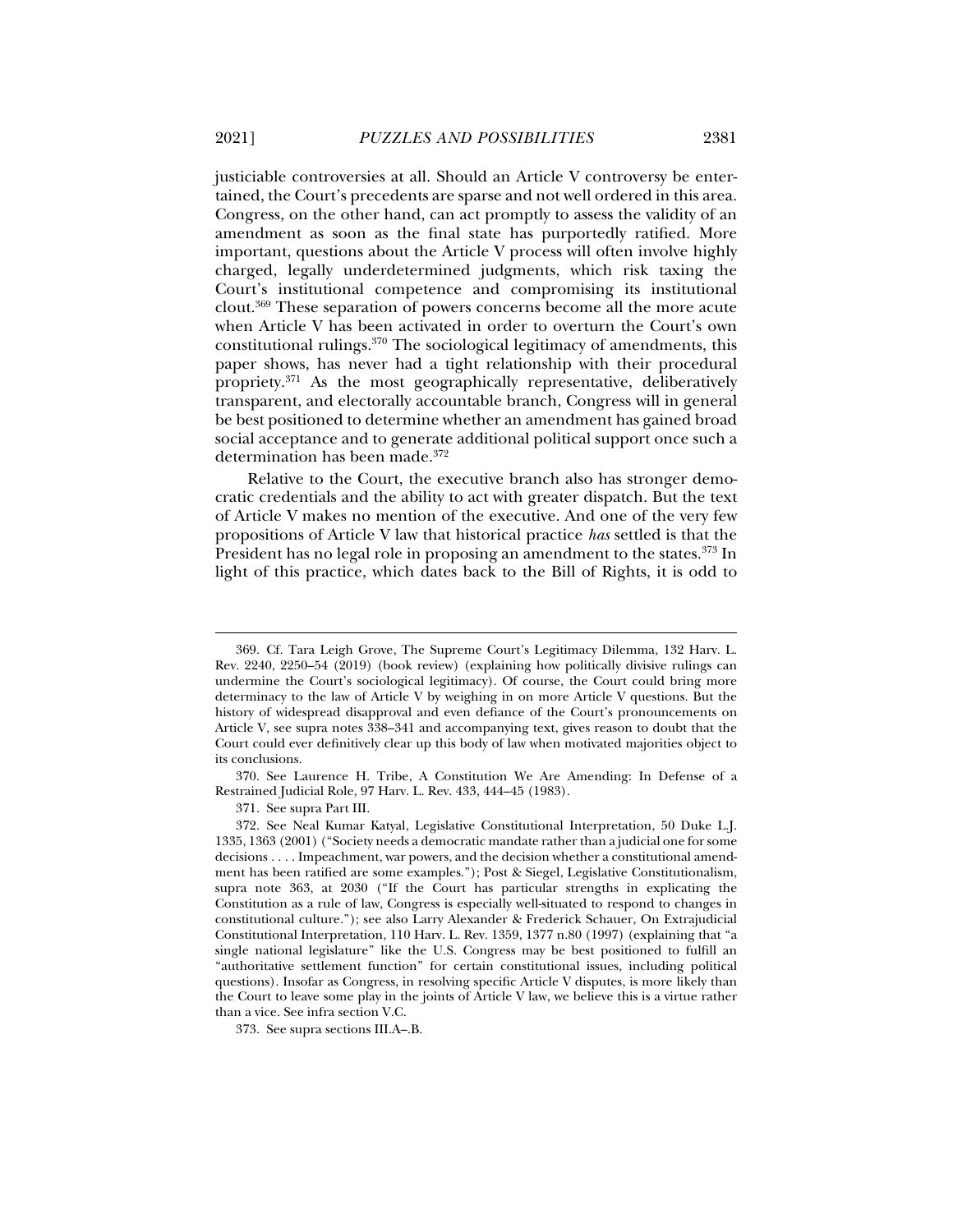justiciable controversies at all. Should an Article V controversy be entertained, the Court's precedents are sparse and not well ordered in this area. Congress, on the other hand, can act promptly to assess the validity of an amendment as soon as the final state has purportedly ratified. More important, questions about the Article V process will often involve highly charged, legally underdetermined judgments, which risk taxing the Court's institutional competence and compromising its institutional clout.369 These separation of powers concerns become all the more acute when Article V has been activated in order to overturn the Court's own constitutional rulings.370 The sociological legitimacy of amendments, this paper shows, has never had a tight relationship with their procedural propriety.371 As the most geographically representative, deliberatively transparent, and electorally accountable branch, Congress will in general be best positioned to determine whether an amendment has gained broad social acceptance and to generate additional political support once such a determination has been made.372

Relative to the Court, the executive branch also has stronger democratic credentials and the ability to act with greater dispatch. But the text of Article V makes no mention of the executive. And one of the very few propositions of Article V law that historical practice *has* settled is that the President has no legal role in proposing an amendment to the states.<sup>373</sup> In light of this practice, which dates back to the Bill of Rights, it is odd to

371. See supra Part III.

 <sup>369.</sup> Cf. Tara Leigh Grove, The Supreme Court's Legitimacy Dilemma, 132 Harv. L. Rev. 2240, 2250–54 (2019) (book review) (explaining how politically divisive rulings can undermine the Court's sociological legitimacy). Of course, the Court could bring more determinacy to the law of Article V by weighing in on more Article V questions. But the history of widespread disapproval and even defiance of the Court's pronouncements on Article V, see supra notes 338–341 and accompanying text, gives reason to doubt that the Court could ever definitively clear up this body of law when motivated majorities object to its conclusions.

 <sup>370.</sup> See Laurence H. Tribe, A Constitution We Are Amending: In Defense of a Restrained Judicial Role, 97 Harv. L. Rev. 433, 444–45 (1983).

 <sup>372.</sup> See Neal Kumar Katyal, Legislative Constitutional Interpretation, 50 Duke L.J. 1335, 1363 (2001) ("Society needs a democratic mandate rather than a judicial one for some decisions . . . . Impeachment, war powers, and the decision whether a constitutional amendment has been ratified are some examples."); Post & Siegel, Legislative Constitutionalism, supra note 363, at 2030 ("If the Court has particular strengths in explicating the Constitution as a rule of law, Congress is especially well-situated to respond to changes in constitutional culture."); see also Larry Alexander & Frederick Schauer, On Extrajudicial Constitutional Interpretation, 110 Harv. L. Rev. 1359, 1377 n.80 (1997) (explaining that "a single national legislature" like the U.S. Congress may be best positioned to fulfill an "authoritative settlement function" for certain constitutional issues, including political questions). Insofar as Congress, in resolving specific Article V disputes, is more likely than the Court to leave some play in the joints of Article V law, we believe this is a virtue rather than a vice. See infra section V.C.

 <sup>373.</sup> See supra sections III.A–.B.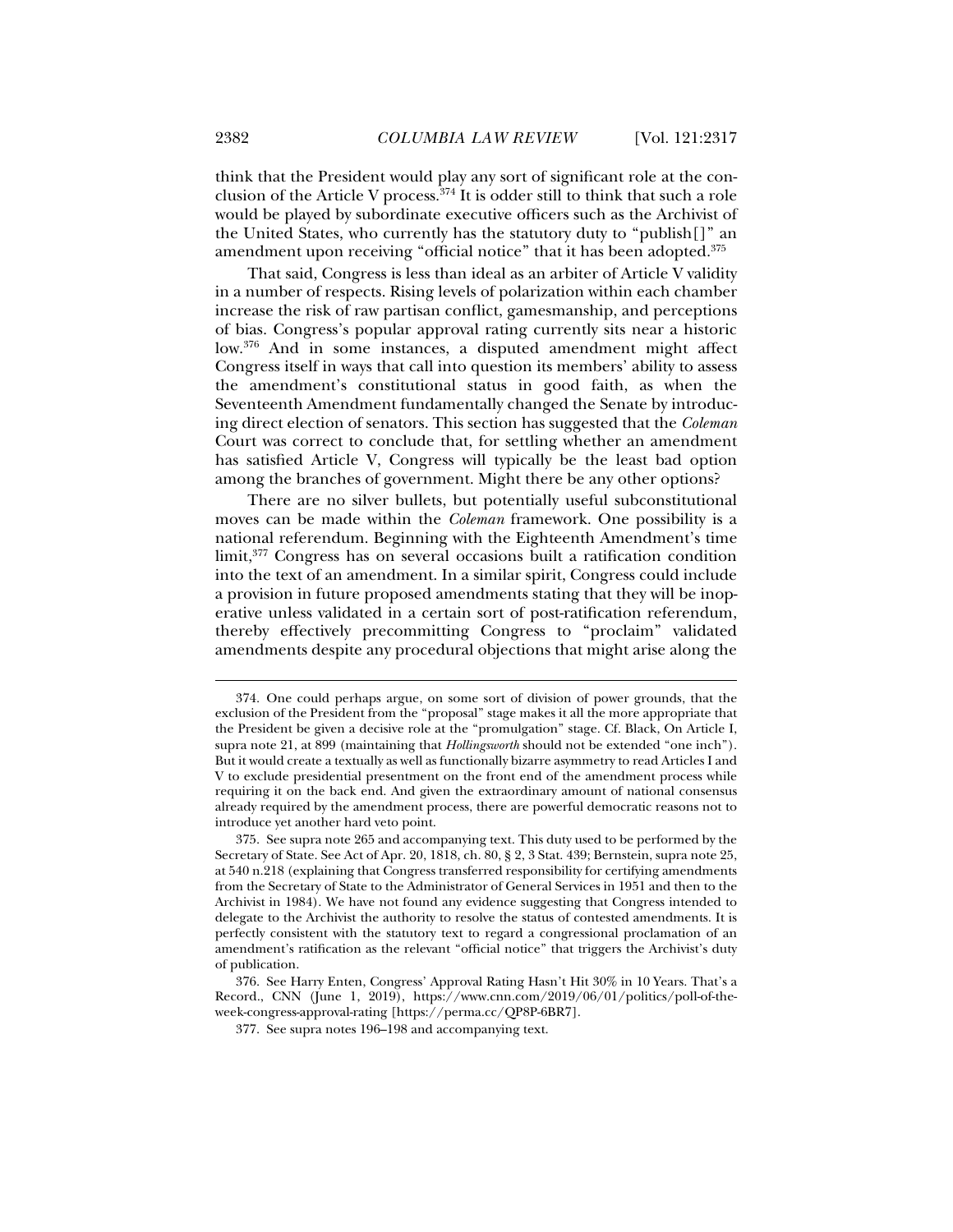think that the President would play any sort of significant role at the conclusion of the Article V process.<sup>374</sup> It is odder still to think that such a role would be played by subordinate executive officers such as the Archivist of the United States, who currently has the statutory duty to "publish[]" an amendment upon receiving "official notice" that it has been adopted.<sup>375</sup>

That said, Congress is less than ideal as an arbiter of Article V validity in a number of respects. Rising levels of polarization within each chamber increase the risk of raw partisan conflict, gamesmanship, and perceptions of bias. Congress's popular approval rating currently sits near a historic low.376 And in some instances, a disputed amendment might affect Congress itself in ways that call into question its members' ability to assess the amendment's constitutional status in good faith, as when the Seventeenth Amendment fundamentally changed the Senate by introducing direct election of senators. This section has suggested that the *Coleman*  Court was correct to conclude that, for settling whether an amendment has satisfied Article V, Congress will typically be the least bad option among the branches of government. Might there be any other options?

There are no silver bullets, but potentially useful subconstitutional moves can be made within the *Coleman* framework. One possibility is a national referendum. Beginning with the Eighteenth Amendment's time limit,377 Congress has on several occasions built a ratification condition into the text of an amendment. In a similar spirit, Congress could include a provision in future proposed amendments stating that they will be inoperative unless validated in a certain sort of post-ratification referendum, thereby effectively precommitting Congress to "proclaim" validated amendments despite any procedural objections that might arise along the

 <sup>374.</sup> One could perhaps argue, on some sort of division of power grounds, that the exclusion of the President from the "proposal" stage makes it all the more appropriate that the President be given a decisive role at the "promulgation" stage. Cf. Black, On Article I, supra note 21, at 899 (maintaining that *Hollingsworth* should not be extended "one inch"). But it would create a textually as well as functionally bizarre asymmetry to read Articles I and V to exclude presidential presentment on the front end of the amendment process while requiring it on the back end. And given the extraordinary amount of national consensus already required by the amendment process, there are powerful democratic reasons not to introduce yet another hard veto point.

 <sup>375.</sup> See supra note 265 and accompanying text. This duty used to be performed by the Secretary of State. See Act of Apr. 20, 1818, ch. 80, § 2, 3 Stat. 439; Bernstein, supra note 25, at 540 n.218 (explaining that Congress transferred responsibility for certifying amendments from the Secretary of State to the Administrator of General Services in 1951 and then to the Archivist in 1984). We have not found any evidence suggesting that Congress intended to delegate to the Archivist the authority to resolve the status of contested amendments. It is perfectly consistent with the statutory text to regard a congressional proclamation of an amendment's ratification as the relevant "official notice" that triggers the Archivist's duty of publication.

 <sup>376.</sup> See Harry Enten, Congress' Approval Rating Hasn't Hit 30% in 10 Years. That's a Record., CNN (June 1, 2019), https://www.cnn.com/2019/06/01/politics/poll-of-theweek-congress-approval-rating [https://perma.cc/QP8P-6BR7].

 <sup>377.</sup> See supra notes 196–198 and accompanying text.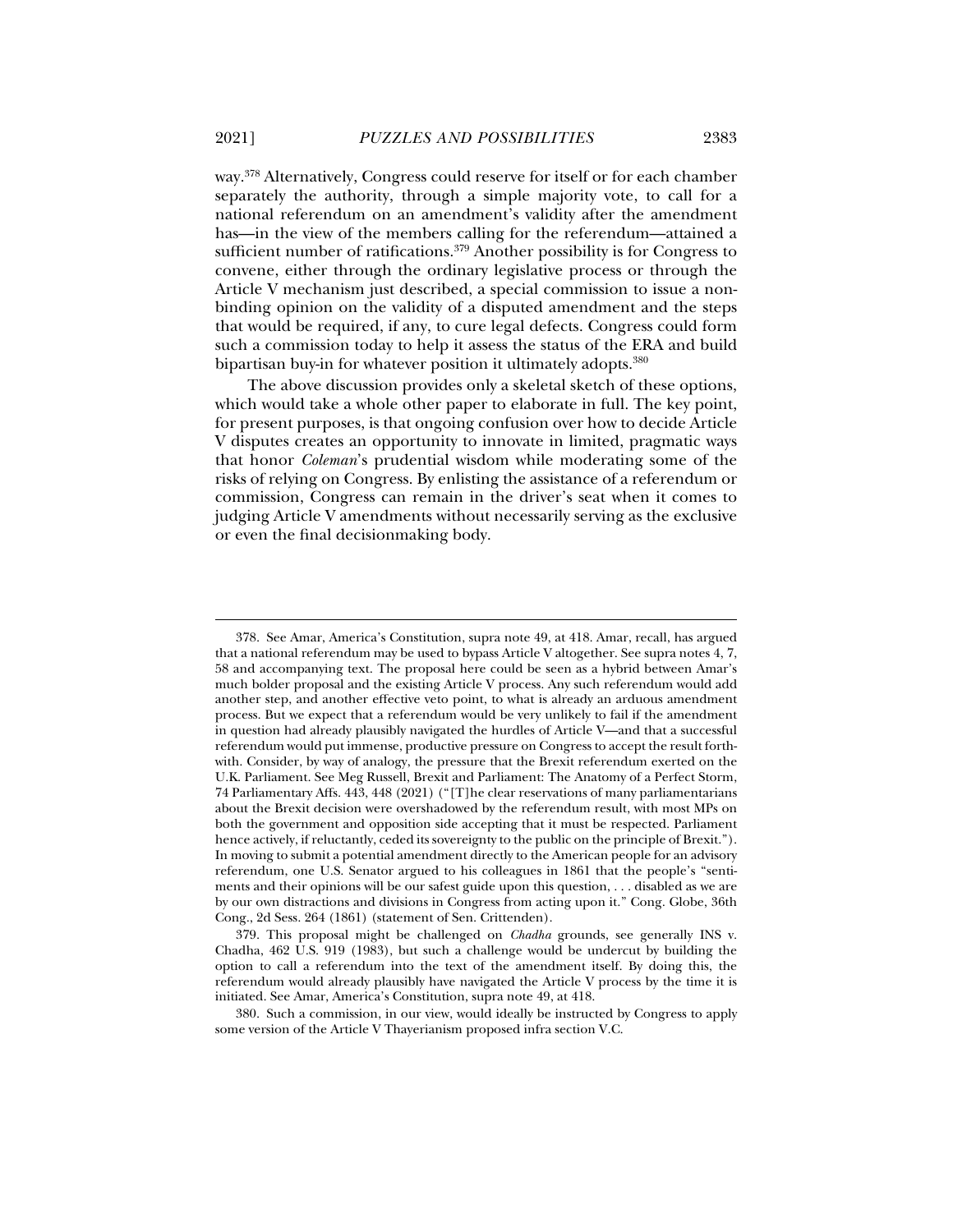way.378 Alternatively, Congress could reserve for itself or for each chamber separately the authority, through a simple majority vote, to call for a national referendum on an amendment's validity after the amendment has—in the view of the members calling for the referendum—attained a sufficient number of ratifications.<sup>379</sup> Another possibility is for Congress to convene, either through the ordinary legislative process or through the Article V mechanism just described, a special commission to issue a nonbinding opinion on the validity of a disputed amendment and the steps that would be required, if any, to cure legal defects. Congress could form such a commission today to help it assess the status of the ERA and build bipartisan buy-in for whatever position it ultimately adopts.<sup>380</sup>

The above discussion provides only a skeletal sketch of these options, which would take a whole other paper to elaborate in full. The key point, for present purposes, is that ongoing confusion over how to decide Article V disputes creates an opportunity to innovate in limited, pragmatic ways that honor *Coleman*'s prudential wisdom while moderating some of the risks of relying on Congress. By enlisting the assistance of a referendum or commission, Congress can remain in the driver's seat when it comes to judging Article V amendments without necessarily serving as the exclusive or even the final decisionmaking body.

 <sup>378.</sup> See Amar, America's Constitution, supra note 49, at 418. Amar, recall, has argued that a national referendum may be used to bypass Article V altogether. See supra notes 4, 7, 58 and accompanying text. The proposal here could be seen as a hybrid between Amar's much bolder proposal and the existing Article V process. Any such referendum would add another step, and another effective veto point, to what is already an arduous amendment process. But we expect that a referendum would be very unlikely to fail if the amendment in question had already plausibly navigated the hurdles of Article V—and that a successful referendum would put immense, productive pressure on Congress to accept the result forthwith. Consider, by way of analogy, the pressure that the Brexit referendum exerted on the U.K. Parliament. See Meg Russell, Brexit and Parliament: The Anatomy of a Perfect Storm, 74 Parliamentary Affs. 443, 448 (2021) ("[T]he clear reservations of many parliamentarians about the Brexit decision were overshadowed by the referendum result, with most MPs on both the government and opposition side accepting that it must be respected. Parliament hence actively, if reluctantly, ceded its sovereignty to the public on the principle of Brexit."). In moving to submit a potential amendment directly to the American people for an advisory referendum, one U.S. Senator argued to his colleagues in 1861 that the people's "sentiments and their opinions will be our safest guide upon this question, . . . disabled as we are by our own distractions and divisions in Congress from acting upon it." Cong. Globe, 36th Cong., 2d Sess. 264 (1861) (statement of Sen. Crittenden).

 <sup>379.</sup> This proposal might be challenged on *Chadha* grounds, see generally INS v. Chadha, 462 U.S. 919 (1983), but such a challenge would be undercut by building the option to call a referendum into the text of the amendment itself. By doing this, the referendum would already plausibly have navigated the Article V process by the time it is initiated. See Amar, America's Constitution, supra note 49, at 418.

 <sup>380.</sup> Such a commission, in our view, would ideally be instructed by Congress to apply some version of the Article V Thayerianism proposed infra section V.C.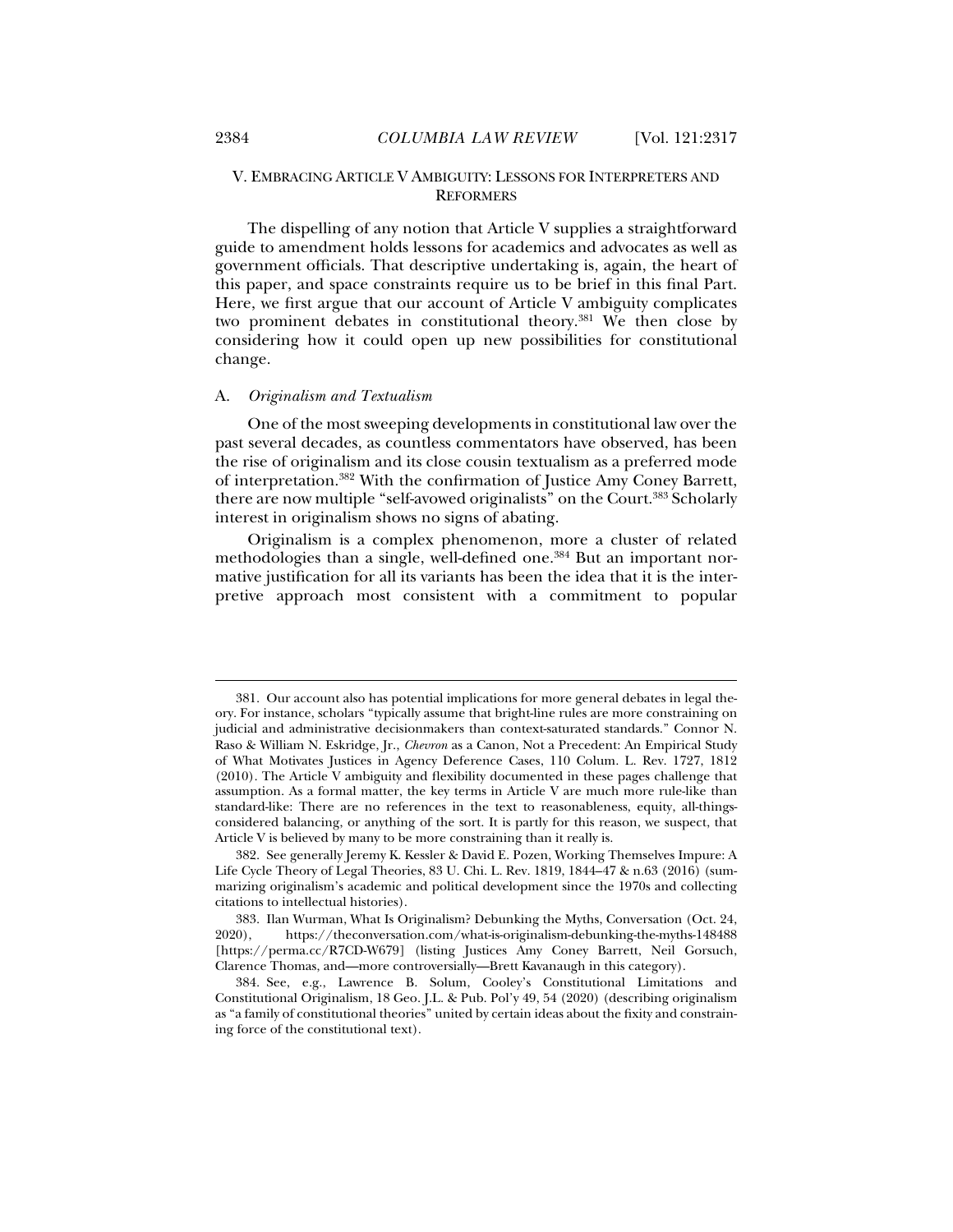# V. EMBRACING ARTICLE V AMBIGUITY: LESSONS FOR INTERPRETERS AND **REFORMERS**

The dispelling of any notion that Article V supplies a straightforward guide to amendment holds lessons for academics and advocates as well as government officials. That descriptive undertaking is, again, the heart of this paper, and space constraints require us to be brief in this final Part. Here, we first argue that our account of Article V ambiguity complicates two prominent debates in constitutional theory.381 We then close by considering how it could open up new possibilities for constitutional change.

### A. *Originalism and Textualism*

One of the most sweeping developments in constitutional law over the past several decades, as countless commentators have observed, has been the rise of originalism and its close cousin textualism as a preferred mode of interpretation.382 With the confirmation of Justice Amy Coney Barrett, there are now multiple "self-avowed originalists" on the Court.<sup>383</sup> Scholarly interest in originalism shows no signs of abating.

Originalism is a complex phenomenon, more a cluster of related methodologies than a single, well-defined one.384 But an important normative justification for all its variants has been the idea that it is the interpretive approach most consistent with a commitment to popular

 <sup>381.</sup> Our account also has potential implications for more general debates in legal theory. For instance, scholars "typically assume that bright-line rules are more constraining on judicial and administrative decisionmakers than context-saturated standards." Connor N. Raso & William N. Eskridge, Jr., *Chevron* as a Canon, Not a Precedent: An Empirical Study of What Motivates Justices in Agency Deference Cases, 110 Colum. L. Rev. 1727, 1812 (2010). The Article V ambiguity and flexibility documented in these pages challenge that assumption. As a formal matter, the key terms in Article V are much more rule-like than standard-like: There are no references in the text to reasonableness, equity, all-thingsconsidered balancing, or anything of the sort. It is partly for this reason, we suspect, that Article V is believed by many to be more constraining than it really is.

 <sup>382.</sup> See generally Jeremy K. Kessler & David E. Pozen, Working Themselves Impure: A Life Cycle Theory of Legal Theories, 83 U. Chi. L. Rev. 1819, 1844–47 & n.63 (2016) (summarizing originalism's academic and political development since the 1970s and collecting citations to intellectual histories).

 <sup>383.</sup> Ilan Wurman, What Is Originalism? Debunking the Myths, Conversation (Oct. 24, 2020), https://theconversation.com/what-is-originalism-debunking-the-myths-148488 [https://perma.cc/R7CD-W679] (listing Justices Amy Coney Barrett, Neil Gorsuch, Clarence Thomas, and—more controversially—Brett Kavanaugh in this category).

 <sup>384.</sup> See, e.g., Lawrence B. Solum, Cooley's Constitutional Limitations and Constitutional Originalism, 18 Geo. J.L. & Pub. Pol'y 49, 54 (2020) (describing originalism as "a family of constitutional theories" united by certain ideas about the fixity and constraining force of the constitutional text).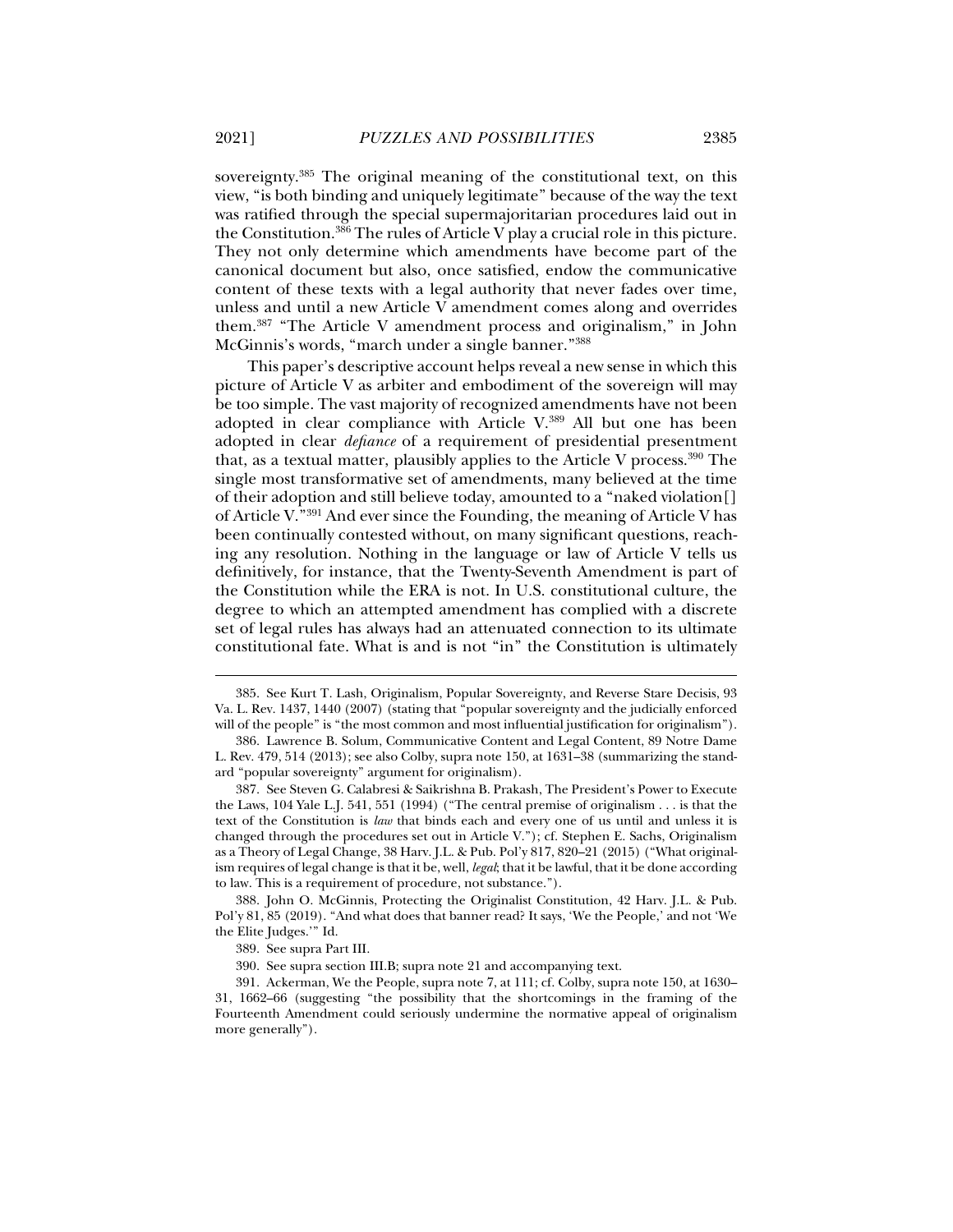sovereignty.385 The original meaning of the constitutional text, on this view, "is both binding and uniquely legitimate" because of the way the text was ratified through the special supermajoritarian procedures laid out in the Constitution.386 The rules of Article V play a crucial role in this picture. They not only determine which amendments have become part of the canonical document but also, once satisfied, endow the communicative content of these texts with a legal authority that never fades over time, unless and until a new Article V amendment comes along and overrides them.387 "The Article V amendment process and originalism," in John McGinnis's words, "march under a single banner."388

This paper's descriptive account helps reveal a new sense in which this picture of Article V as arbiter and embodiment of the sovereign will may be too simple. The vast majority of recognized amendments have not been adopted in clear compliance with Article V.389 All but one has been adopted in clear *defiance* of a requirement of presidential presentment that, as a textual matter, plausibly applies to the Article V process.390 The single most transformative set of amendments, many believed at the time of their adoption and still believe today, amounted to a "naked violation[] of Article V."391 And ever since the Founding, the meaning of Article V has been continually contested without, on many significant questions, reaching any resolution. Nothing in the language or law of Article V tells us definitively, for instance, that the Twenty-Seventh Amendment is part of the Constitution while the ERA is not. In U.S. constitutional culture, the degree to which an attempted amendment has complied with a discrete set of legal rules has always had an attenuated connection to its ultimate constitutional fate. What is and is not "in" the Constitution is ultimately

 388. John O. McGinnis, Protecting the Originalist Constitution, 42 Harv. J.L. & Pub. Pol'y 81, 85 (2019). "And what does that banner read? It says, 'We the People,' and not 'We the Elite Judges.'" Id.

 <sup>385.</sup> See Kurt T. Lash, Originalism, Popular Sovereignty, and Reverse Stare Decisis, 93 Va. L. Rev. 1437, 1440 (2007) (stating that "popular sovereignty and the judicially enforced will of the people" is "the most common and most influential justification for originalism").

 <sup>386.</sup> Lawrence B. Solum, Communicative Content and Legal Content, 89 Notre Dame L. Rev. 479, 514 (2013); see also Colby, supra note 150, at 1631–38 (summarizing the standard "popular sovereignty" argument for originalism).

 <sup>387.</sup> See Steven G. Calabresi & Saikrishna B. Prakash, The President's Power to Execute the Laws, 104 Yale L.J. 541, 551 (1994) ("The central premise of originalism . . . is that the text of the Constitution is *law* that binds each and every one of us until and unless it is changed through the procedures set out in Article V."); cf. Stephen E. Sachs, Originalism as a Theory of Legal Change, 38 Harv. J.L. & Pub. Pol'y 817, 820–21 (2015) ("What originalism requires of legal change is that it be, well, *legal*; that it be lawful, that it be done according to law. This is a requirement of procedure, not substance.").

 <sup>389.</sup> See supra Part III.

 <sup>390.</sup> See supra section III.B; supra note 21 and accompanying text.

 <sup>391.</sup> Ackerman, We the People, supra note 7, at 111; cf. Colby, supra note 150, at 1630– 31, 1662–66 (suggesting "the possibility that the shortcomings in the framing of the Fourteenth Amendment could seriously undermine the normative appeal of originalism more generally").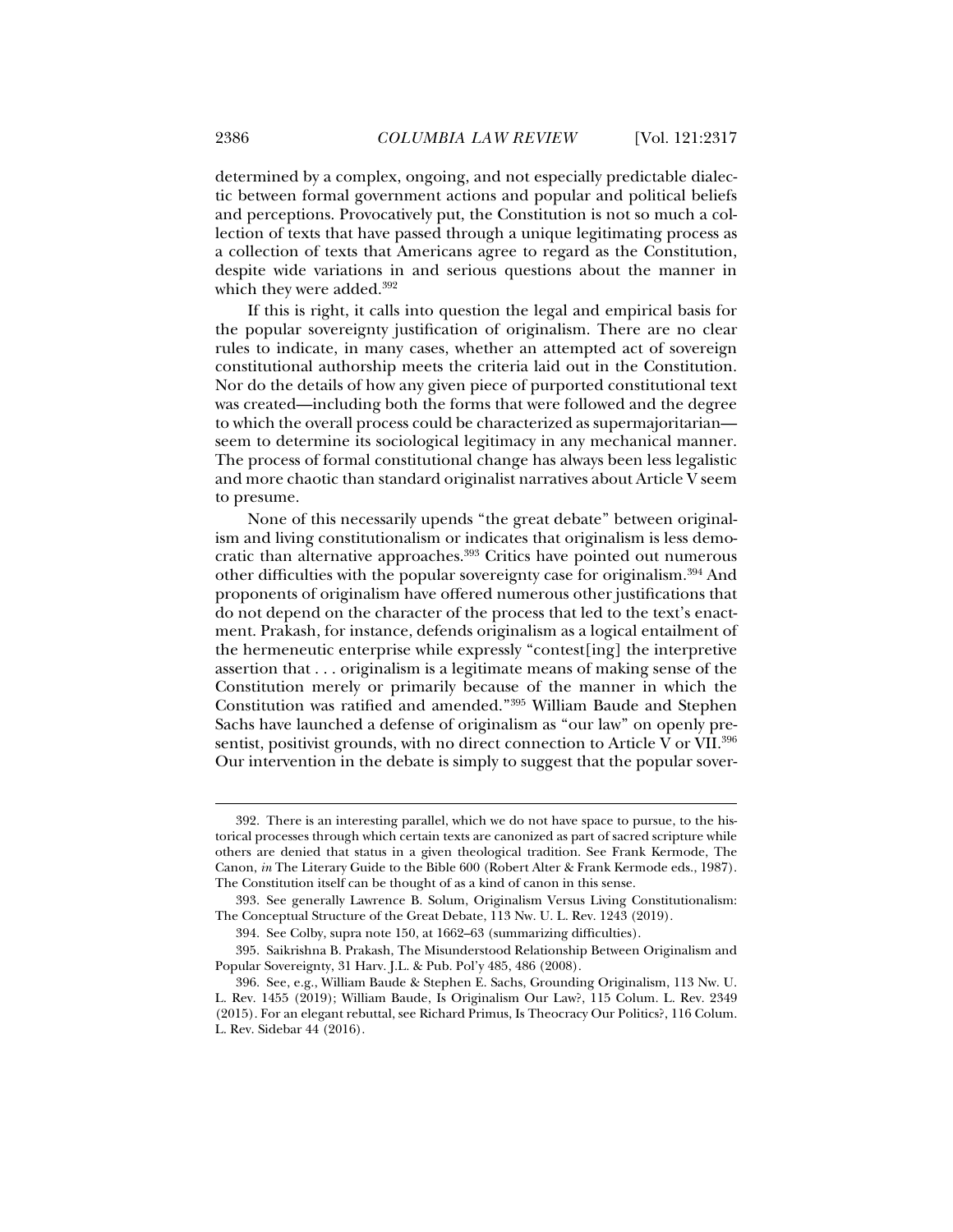determined by a complex, ongoing, and not especially predictable dialectic between formal government actions and popular and political beliefs and perceptions. Provocatively put, the Constitution is not so much a collection of texts that have passed through a unique legitimating process as a collection of texts that Americans agree to regard as the Constitution, despite wide variations in and serious questions about the manner in which they were added.<sup>392</sup>

If this is right, it calls into question the legal and empirical basis for the popular sovereignty justification of originalism. There are no clear rules to indicate, in many cases, whether an attempted act of sovereign constitutional authorship meets the criteria laid out in the Constitution. Nor do the details of how any given piece of purported constitutional text was created—including both the forms that were followed and the degree to which the overall process could be characterized as supermajoritarian seem to determine its sociological legitimacy in any mechanical manner. The process of formal constitutional change has always been less legalistic and more chaotic than standard originalist narratives about Article V seem to presume.

None of this necessarily upends "the great debate" between originalism and living constitutionalism or indicates that originalism is less democratic than alternative approaches.393 Critics have pointed out numerous other difficulties with the popular sovereignty case for originalism.394 And proponents of originalism have offered numerous other justifications that do not depend on the character of the process that led to the text's enactment. Prakash, for instance, defends originalism as a logical entailment of the hermeneutic enterprise while expressly "contest[ing] the interpretive assertion that . . . originalism is a legitimate means of making sense of the Constitution merely or primarily because of the manner in which the Constitution was ratified and amended."395 William Baude and Stephen Sachs have launched a defense of originalism as "our law" on openly presentist, positivist grounds, with no direct connection to Article V or VII.<sup>396</sup> Our intervention in the debate is simply to suggest that the popular sover-

 <sup>392.</sup> There is an interesting parallel, which we do not have space to pursue, to the historical processes through which certain texts are canonized as part of sacred scripture while others are denied that status in a given theological tradition. See Frank Kermode, The Canon, *in* The Literary Guide to the Bible 600 (Robert Alter & Frank Kermode eds., 1987). The Constitution itself can be thought of as a kind of canon in this sense.

 <sup>393.</sup> See generally Lawrence B. Solum, Originalism Versus Living Constitutionalism: The Conceptual Structure of the Great Debate, 113 Nw. U. L. Rev. 1243 (2019).

 <sup>394.</sup> See Colby, supra note 150, at 1662–63 (summarizing difficulties).

 <sup>395.</sup> Saikrishna B. Prakash, The Misunderstood Relationship Between Originalism and Popular Sovereignty, 31 Harv. J.L. & Pub. Pol'y 485, 486 (2008).

 <sup>396.</sup> See, e.g., William Baude & Stephen E. Sachs, Grounding Originalism, 113 Nw. U. L. Rev. 1455 (2019); William Baude, Is Originalism Our Law?, 115 Colum. L. Rev. 2349 (2015). For an elegant rebuttal, see Richard Primus, Is Theocracy Our Politics?, 116 Colum. L. Rev. Sidebar 44 (2016).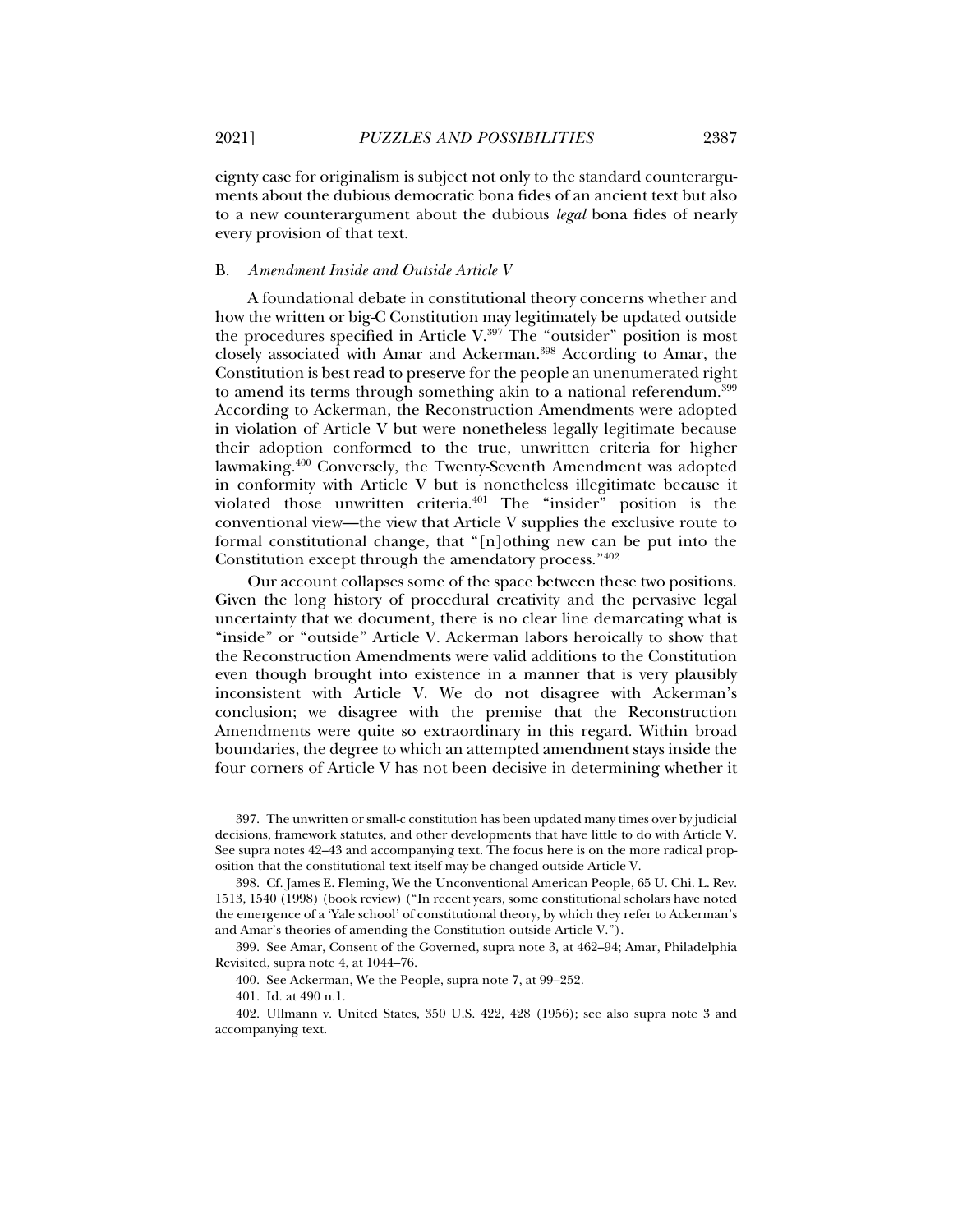eignty case for originalism is subject not only to the standard counterarguments about the dubious democratic bona fides of an ancient text but also to a new counterargument about the dubious *legal* bona fides of nearly every provision of that text.

### B. *Amendment Inside and Outside Article V*

A foundational debate in constitutional theory concerns whether and how the written or big-C Constitution may legitimately be updated outside the procedures specified in Article V.<sup>397</sup> The "outsider" position is most closely associated with Amar and Ackerman.398 According to Amar, the Constitution is best read to preserve for the people an unenumerated right to amend its terms through something akin to a national referendum.399 According to Ackerman, the Reconstruction Amendments were adopted in violation of Article V but were nonetheless legally legitimate because their adoption conformed to the true, unwritten criteria for higher lawmaking.400 Conversely, the Twenty-Seventh Amendment was adopted in conformity with Article V but is nonetheless illegitimate because it violated those unwritten criteria.401 The "insider" position is the conventional view—the view that Article V supplies the exclusive route to formal constitutional change, that "[n]othing new can be put into the Constitution except through the amendatory process."402

Our account collapses some of the space between these two positions. Given the long history of procedural creativity and the pervasive legal uncertainty that we document, there is no clear line demarcating what is "inside" or "outside" Article V. Ackerman labors heroically to show that the Reconstruction Amendments were valid additions to the Constitution even though brought into existence in a manner that is very plausibly inconsistent with Article V. We do not disagree with Ackerman's conclusion; we disagree with the premise that the Reconstruction Amendments were quite so extraordinary in this regard. Within broad boundaries, the degree to which an attempted amendment stays inside the four corners of Article V has not been decisive in determining whether it

 <sup>397.</sup> The unwritten or small-c constitution has been updated many times over by judicial decisions, framework statutes, and other developments that have little to do with Article V. See supra notes 42–43 and accompanying text. The focus here is on the more radical proposition that the constitutional text itself may be changed outside Article V.

 <sup>398.</sup> Cf. James E. Fleming, We the Unconventional American People, 65 U. Chi. L. Rev. 1513, 1540 (1998) (book review) ("In recent years, some constitutional scholars have noted the emergence of a 'Yale school' of constitutional theory, by which they refer to Ackerman's and Amar's theories of amending the Constitution outside Article V.").

 <sup>399.</sup> See Amar, Consent of the Governed, supra note 3, at 462–94; Amar, Philadelphia Revisited, supra note 4, at 1044–76.

 <sup>400.</sup> See Ackerman, We the People, supra note 7, at 99–252.

 <sup>401.</sup> Id. at 490 n.1.

 <sup>402.</sup> Ullmann v. United States, 350 U.S. 422, 428 (1956); see also supra note 3 and accompanying text.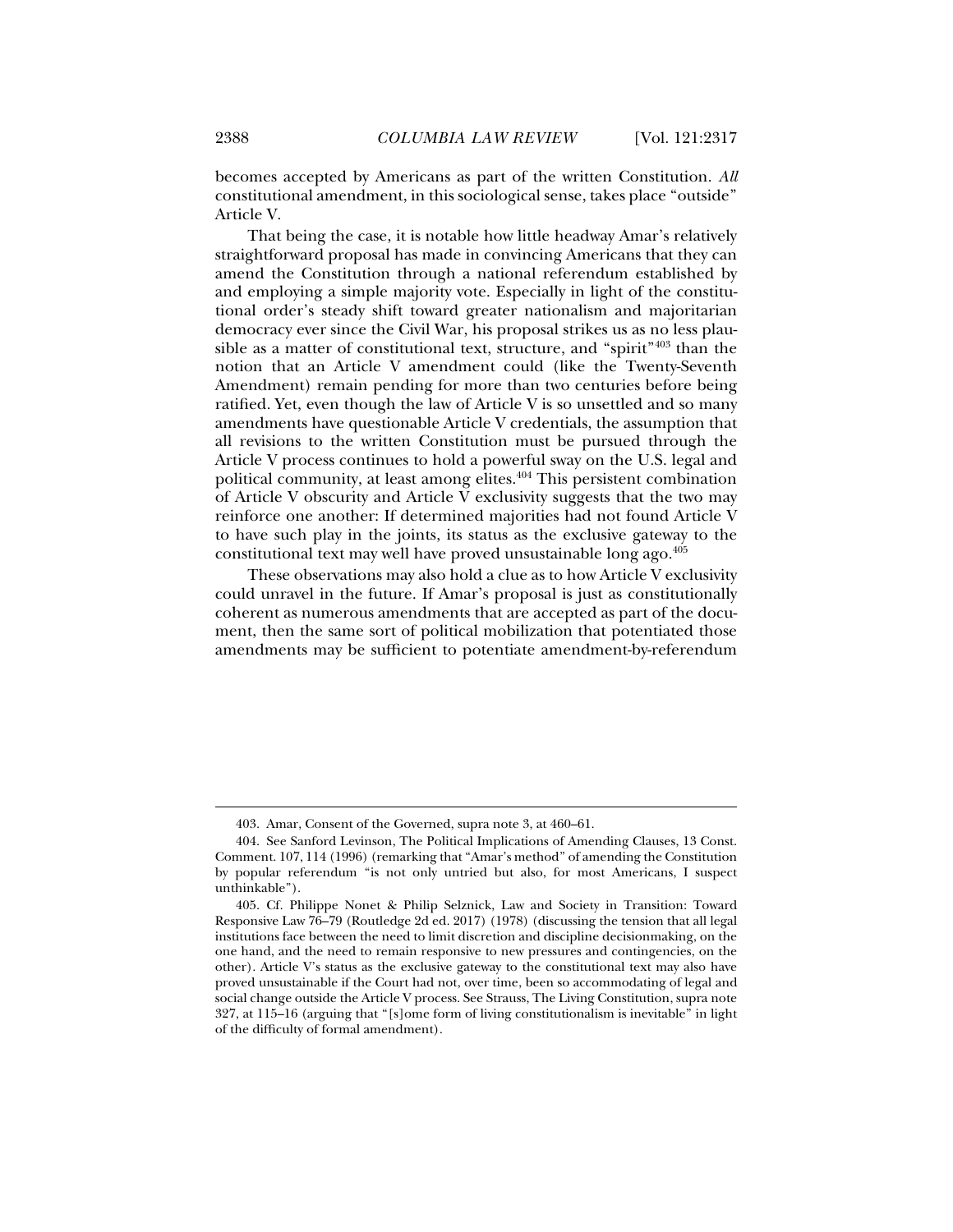becomes accepted by Americans as part of the written Constitution. *All* 

constitutional amendment, in this sociological sense, takes place "outside" Article V.

That being the case, it is notable how little headway Amar's relatively straightforward proposal has made in convincing Americans that they can amend the Constitution through a national referendum established by and employing a simple majority vote. Especially in light of the constitutional order's steady shift toward greater nationalism and majoritarian democracy ever since the Civil War, his proposal strikes us as no less plausible as a matter of constitutional text, structure, and "spirit"403 than the notion that an Article V amendment could (like the Twenty-Seventh Amendment) remain pending for more than two centuries before being ratified. Yet, even though the law of Article V is so unsettled and so many amendments have questionable Article V credentials, the assumption that all revisions to the written Constitution must be pursued through the Article V process continues to hold a powerful sway on the U.S. legal and political community, at least among elites.<sup>404</sup> This persistent combination of Article V obscurity and Article V exclusivity suggests that the two may reinforce one another: If determined majorities had not found Article V to have such play in the joints, its status as the exclusive gateway to the constitutional text may well have proved unsustainable long ago.405

These observations may also hold a clue as to how Article V exclusivity could unravel in the future. If Amar's proposal is just as constitutionally coherent as numerous amendments that are accepted as part of the document, then the same sort of political mobilization that potentiated those amendments may be sufficient to potentiate amendment-by-referendum

 <sup>403.</sup> Amar, Consent of the Governed, supra note 3, at 460–61.

 <sup>404.</sup> See Sanford Levinson, The Political Implications of Amending Clauses, 13 Const. Comment. 107, 114 (1996) (remarking that "Amar's method" of amending the Constitution by popular referendum "is not only untried but also, for most Americans, I suspect unthinkable").

 <sup>405.</sup> Cf. Philippe Nonet & Philip Selznick, Law and Society in Transition: Toward Responsive Law 76–79 (Routledge 2d ed. 2017) (1978) (discussing the tension that all legal institutions face between the need to limit discretion and discipline decisionmaking, on the one hand, and the need to remain responsive to new pressures and contingencies, on the other). Article V's status as the exclusive gateway to the constitutional text may also have proved unsustainable if the Court had not, over time, been so accommodating of legal and social change outside the Article V process. See Strauss, The Living Constitution, supra note 327, at 115–16 (arguing that "[s]ome form of living constitutionalism is inevitable" in light of the difficulty of formal amendment).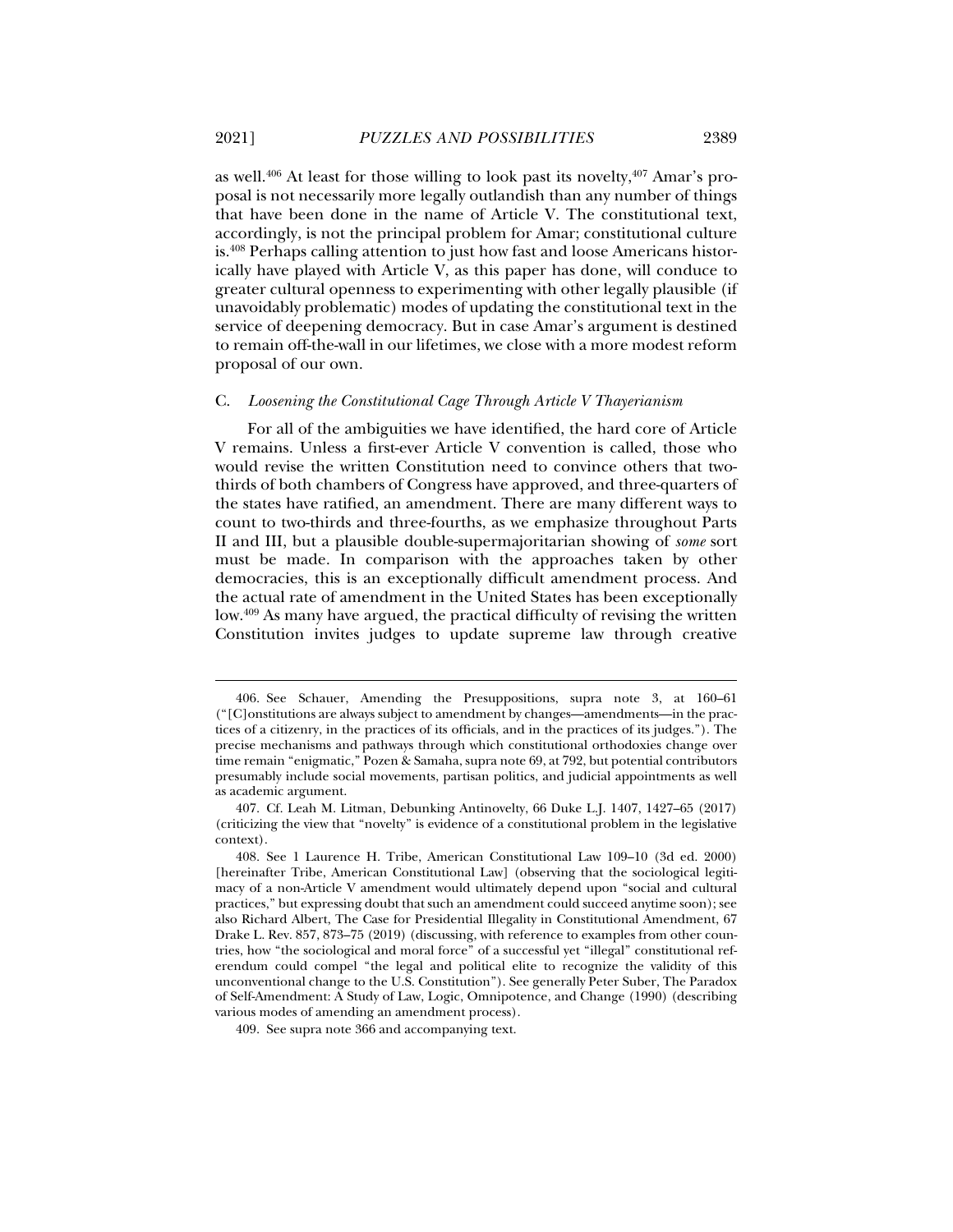as well.<sup>406</sup> At least for those willing to look past its novelty,<sup> $407$ </sup> Amar's proposal is not necessarily more legally outlandish than any number of things that have been done in the name of Article V. The constitutional text, accordingly, is not the principal problem for Amar; constitutional culture is.408 Perhaps calling attention to just how fast and loose Americans historically have played with Article V, as this paper has done, will conduce to greater cultural openness to experimenting with other legally plausible (if unavoidably problematic) modes of updating the constitutional text in the service of deepening democracy. But in case Amar's argument is destined to remain off-the-wall in our lifetimes, we close with a more modest reform proposal of our own.

## C. *Loosening the Constitutional Cage Through Article V Thayerianism*

For all of the ambiguities we have identified, the hard core of Article V remains. Unless a first-ever Article V convention is called, those who would revise the written Constitution need to convince others that twothirds of both chambers of Congress have approved, and three-quarters of the states have ratified, an amendment. There are many different ways to count to two-thirds and three-fourths, as we emphasize throughout Parts II and III, but a plausible double-supermajoritarian showing of *some* sort must be made. In comparison with the approaches taken by other democracies, this is an exceptionally difficult amendment process. And the actual rate of amendment in the United States has been exceptionally low.<sup>409</sup> As many have argued, the practical difficulty of revising the written Constitution invites judges to update supreme law through creative

 <sup>406.</sup> See Schauer, Amending the Presuppositions, supra note 3, at 160–61 ("[C]onstitutions are always subject to amendment by changes—amendments—in the practices of a citizenry, in the practices of its officials, and in the practices of its judges."). The precise mechanisms and pathways through which constitutional orthodoxies change over time remain "enigmatic," Pozen & Samaha, supra note 69, at 792, but potential contributors presumably include social movements, partisan politics, and judicial appointments as well as academic argument.

 <sup>407.</sup> Cf. Leah M. Litman, Debunking Antinovelty, 66 Duke L.J. 1407, 1427–65 (2017) (criticizing the view that "novelty" is evidence of a constitutional problem in the legislative context).

 <sup>408.</sup> See 1 Laurence H. Tribe, American Constitutional Law 109–10 (3d ed. 2000) [hereinafter Tribe, American Constitutional Law] (observing that the sociological legitimacy of a non-Article V amendment would ultimately depend upon "social and cultural practices," but expressing doubt that such an amendment could succeed anytime soon); see also Richard Albert, The Case for Presidential Illegality in Constitutional Amendment, 67 Drake L. Rev. 857, 873–75 (2019) (discussing, with reference to examples from other countries, how "the sociological and moral force" of a successful yet "illegal" constitutional referendum could compel "the legal and political elite to recognize the validity of this unconventional change to the U.S. Constitution"). See generally Peter Suber, The Paradox of Self-Amendment: A Study of Law, Logic, Omnipotence, and Change (1990) (describing various modes of amending an amendment process).

 <sup>409.</sup> See supra note 366 and accompanying text.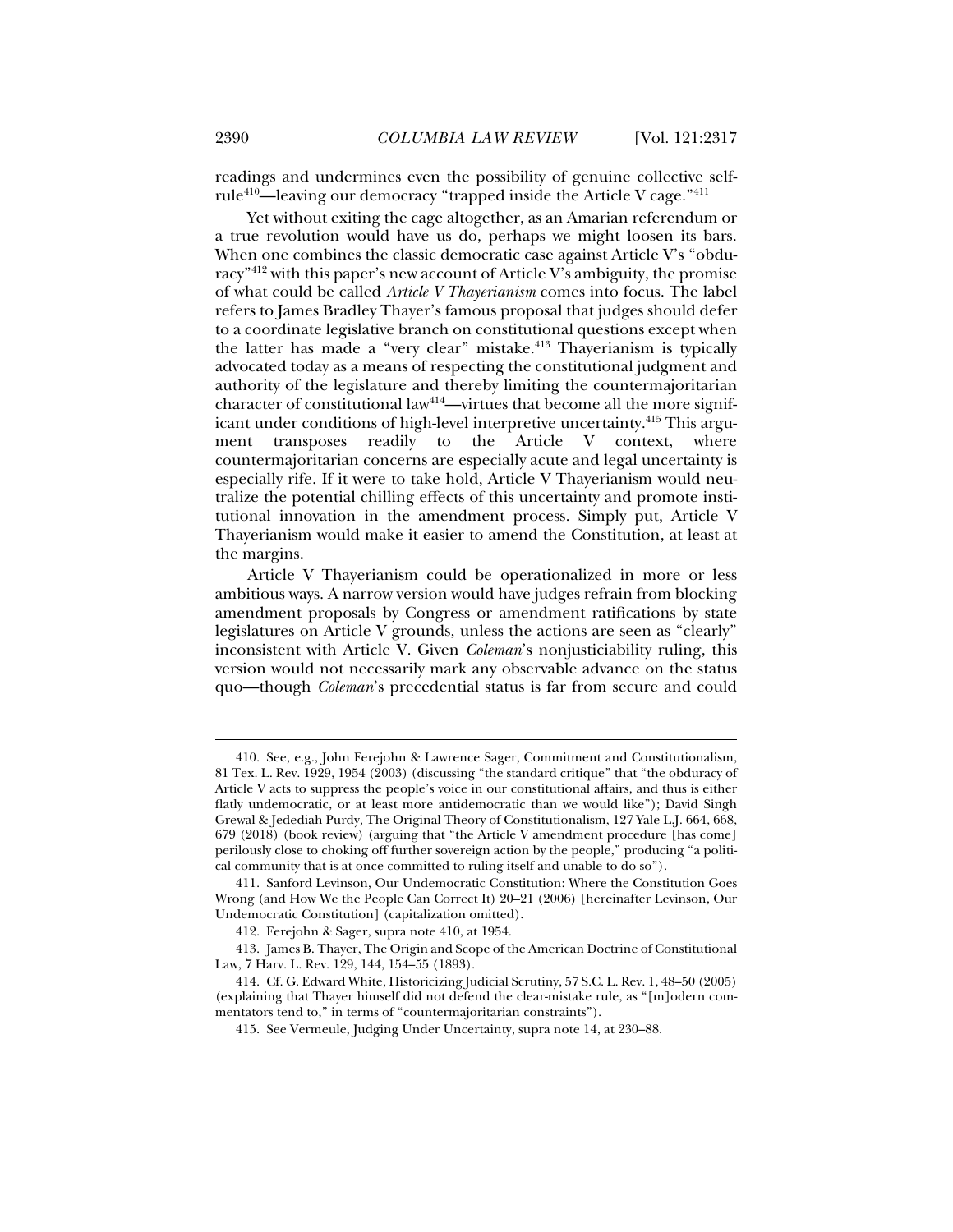readings and undermines even the possibility of genuine collective selfrule410—leaving our democracy "trapped inside the Article V cage."411

Yet without exiting the cage altogether, as an Amarian referendum or a true revolution would have us do, perhaps we might loosen its bars. When one combines the classic democratic case against Article V's "obduracy"<sup>412</sup> with this paper's new account of Article V's ambiguity, the promise of what could be called *Article V Thayerianism* comes into focus. The label refers to James Bradley Thayer's famous proposal that judges should defer to a coordinate legislative branch on constitutional questions except when the latter has made a "very clear" mistake.413 Thayerianism is typically advocated today as a means of respecting the constitutional judgment and authority of the legislature and thereby limiting the countermajoritarian character of constitutional law<sup>414</sup>—virtues that become all the more significant under conditions of high-level interpretive uncertainty.<sup>415</sup> This argument transposes readily to the Article V context, where countermajoritarian concerns are especially acute and legal uncertainty is especially rife. If it were to take hold, Article V Thayerianism would neutralize the potential chilling effects of this uncertainty and promote institutional innovation in the amendment process. Simply put, Article V Thayerianism would make it easier to amend the Constitution, at least at the margins.

Article V Thayerianism could be operationalized in more or less ambitious ways. A narrow version would have judges refrain from blocking amendment proposals by Congress or amendment ratifications by state legislatures on Article V grounds, unless the actions are seen as "clearly" inconsistent with Article V. Given *Coleman*'s nonjusticiability ruling, this version would not necessarily mark any observable advance on the status quo—though *Coleman*'s precedential status is far from secure and could

 <sup>410.</sup> See, e.g., John Ferejohn & Lawrence Sager, Commitment and Constitutionalism, 81 Tex. L. Rev. 1929, 1954 (2003) (discussing "the standard critique" that "the obduracy of Article V acts to suppress the people's voice in our constitutional affairs, and thus is either flatly undemocratic, or at least more antidemocratic than we would like"); David Singh Grewal & Jedediah Purdy, The Original Theory of Constitutionalism, 127 Yale L.J. 664, 668, 679 (2018) (book review) (arguing that "the Article V amendment procedure [has come] perilously close to choking off further sovereign action by the people," producing "a political community that is at once committed to ruling itself and unable to do so").

 <sup>411.</sup> Sanford Levinson, Our Undemocratic Constitution: Where the Constitution Goes Wrong (and How We the People Can Correct It) 20–21 (2006) [hereinafter Levinson, Our Undemocratic Constitution] (capitalization omitted).

 <sup>412.</sup> Ferejohn & Sager, supra note 410, at 1954.

 <sup>413.</sup> James B. Thayer, The Origin and Scope of the American Doctrine of Constitutional Law, 7 Harv. L. Rev. 129, 144, 154–55 (1893).

 <sup>414.</sup> Cf. G. Edward White, Historicizing Judicial Scrutiny, 57 S.C. L. Rev. 1, 48–50 (2005) (explaining that Thayer himself did not defend the clear-mistake rule, as "[m]odern commentators tend to," in terms of "countermajoritarian constraints").

 <sup>415.</sup> See Vermeule, Judging Under Uncertainty, supra note 14, at 230–88.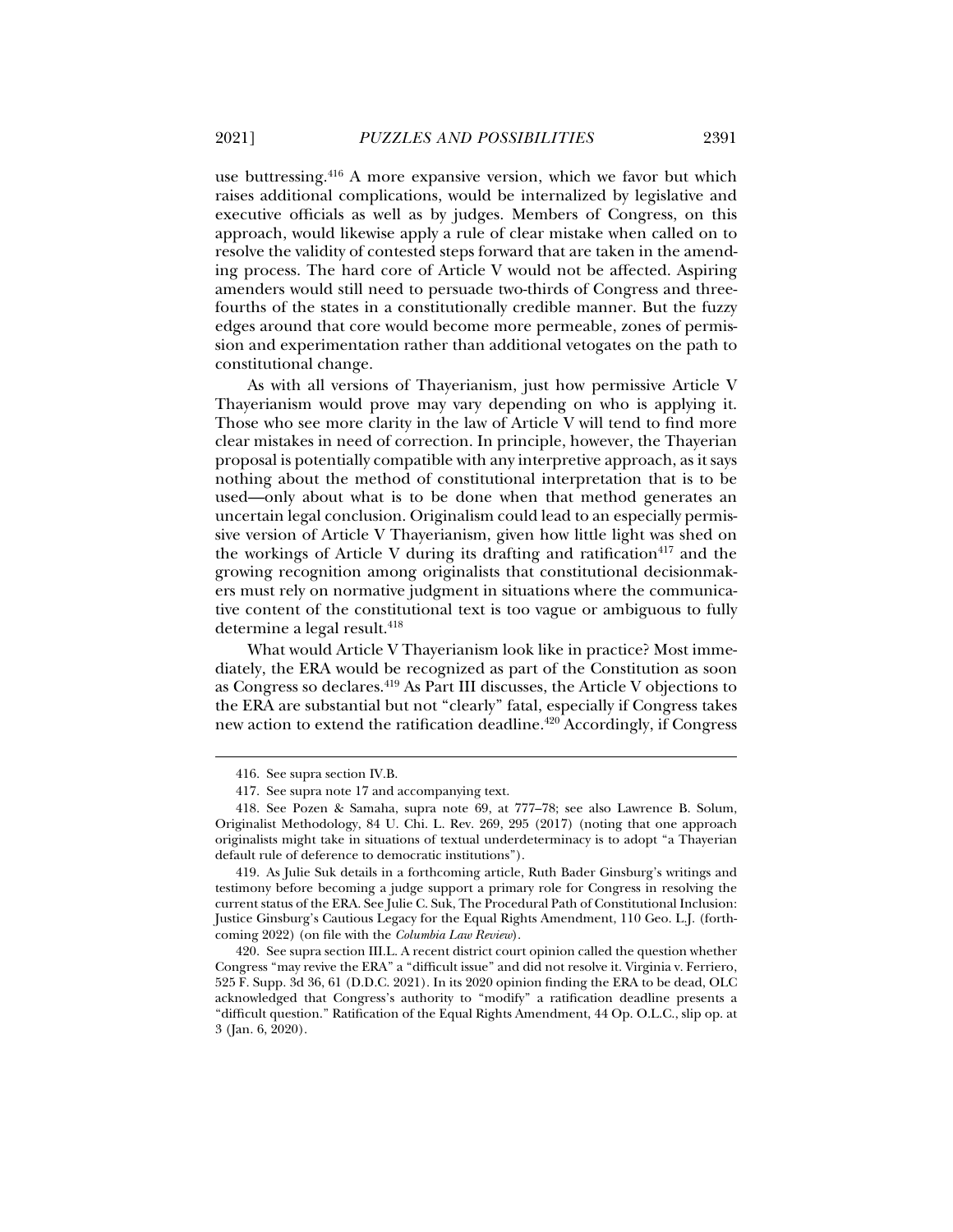use buttressing.416 A more expansive version, which we favor but which raises additional complications, would be internalized by legislative and executive officials as well as by judges. Members of Congress, on this approach, would likewise apply a rule of clear mistake when called on to resolve the validity of contested steps forward that are taken in the amending process. The hard core of Article V would not be affected. Aspiring amenders would still need to persuade two-thirds of Congress and threefourths of the states in a constitutionally credible manner. But the fuzzy edges around that core would become more permeable, zones of permission and experimentation rather than additional vetogates on the path to constitutional change.

As with all versions of Thayerianism, just how permissive Article V Thayerianism would prove may vary depending on who is applying it. Those who see more clarity in the law of Article V will tend to find more clear mistakes in need of correction. In principle, however, the Thayerian proposal is potentially compatible with any interpretive approach, as it says nothing about the method of constitutional interpretation that is to be used—only about what is to be done when that method generates an uncertain legal conclusion. Originalism could lead to an especially permissive version of Article V Thayerianism, given how little light was shed on the workings of Article V during its drafting and ratification $417$  and the growing recognition among originalists that constitutional decisionmakers must rely on normative judgment in situations where the communicative content of the constitutional text is too vague or ambiguous to fully determine a legal result.<sup>418</sup>

What would Article V Thayerianism look like in practice? Most immediately, the ERA would be recognized as part of the Constitution as soon as Congress so declares.419 As Part III discusses, the Article V objections to the ERA are substantial but not "clearly" fatal, especially if Congress takes new action to extend the ratification deadline.420 Accordingly, if Congress

 <sup>416.</sup> See supra section IV.B.

 <sup>417.</sup> See supra note 17 and accompanying text.

 <sup>418.</sup> See Pozen & Samaha, supra note 69, at 777–78; see also Lawrence B. Solum, Originalist Methodology, 84 U. Chi. L. Rev. 269, 295 (2017) (noting that one approach originalists might take in situations of textual underdeterminacy is to adopt "a Thayerian default rule of deference to democratic institutions").

 <sup>419.</sup> As Julie Suk details in a forthcoming article, Ruth Bader Ginsburg's writings and testimony before becoming a judge support a primary role for Congress in resolving the current status of the ERA. See Julie C. Suk, The Procedural Path of Constitutional Inclusion: Justice Ginsburg's Cautious Legacy for the Equal Rights Amendment, 110 Geo. L.J. (forthcoming 2022) (on file with the *Columbia Law Review*).

 <sup>420.</sup> See supra section III.L. A recent district court opinion called the question whether Congress "may revive the ERA" a "difficult issue" and did not resolve it. Virginia v. Ferriero, 525 F. Supp. 3d 36, 61 (D.D.C. 2021). In its 2020 opinion finding the ERA to be dead, OLC acknowledged that Congress's authority to "modify" a ratification deadline presents a "difficult question." Ratification of the Equal Rights Amendment, 44 Op. O.L.C., slip op. at 3 (Jan. 6, 2020).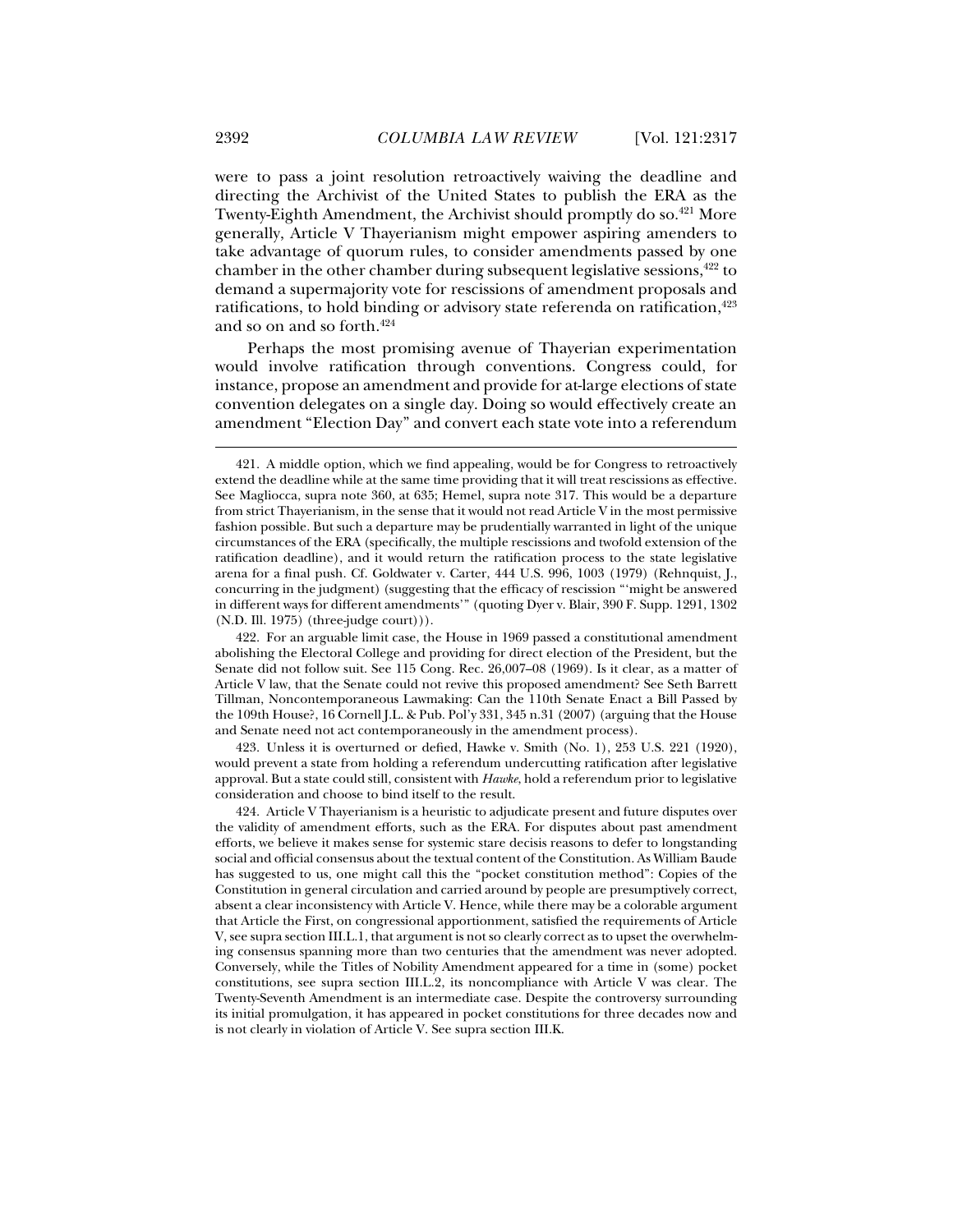were to pass a joint resolution retroactively waiving the deadline and directing the Archivist of the United States to publish the ERA as the Twenty-Eighth Amendment, the Archivist should promptly do so.<sup>421</sup> More generally, Article V Thayerianism might empower aspiring amenders to take advantage of quorum rules, to consider amendments passed by one chamber in the other chamber during subsequent legislative sessions,  $42$  to demand a supermajority vote for rescissions of amendment proposals and ratifications, to hold binding or advisory state referenda on ratification, $423$ and so on and so forth.424

Perhaps the most promising avenue of Thayerian experimentation would involve ratification through conventions. Congress could, for instance, propose an amendment and provide for at-large elections of state convention delegates on a single day. Doing so would effectively create an amendment "Election Day" and convert each state vote into a referendum

 422. For an arguable limit case, the House in 1969 passed a constitutional amendment abolishing the Electoral College and providing for direct election of the President, but the Senate did not follow suit. See 115 Cong. Rec. 26,007–08 (1969). Is it clear, as a matter of Article V law, that the Senate could not revive this proposed amendment? See Seth Barrett Tillman, Noncontemporaneous Lawmaking: Can the 110th Senate Enact a Bill Passed by the 109th House?, 16 Cornell J.L. & Pub. Pol'y 331, 345 n.31 (2007) (arguing that the House and Senate need not act contemporaneously in the amendment process).

 423. Unless it is overturned or defied, Hawke v. Smith (No. 1), 253 U.S. 221 (1920), would prevent a state from holding a referendum undercutting ratification after legislative approval. But a state could still, consistent with *Hawke*, hold a referendum prior to legislative consideration and choose to bind itself to the result.

 <sup>421.</sup> A middle option, which we find appealing, would be for Congress to retroactively extend the deadline while at the same time providing that it will treat rescissions as effective. See Magliocca, supra note 360, at 635; Hemel, supra note 317. This would be a departure from strict Thayerianism, in the sense that it would not read Article V in the most permissive fashion possible. But such a departure may be prudentially warranted in light of the unique circumstances of the ERA (specifically, the multiple rescissions and twofold extension of the ratification deadline), and it would return the ratification process to the state legislative arena for a final push. Cf. Goldwater v. Carter, 444 U.S. 996, 1003 (1979) (Rehnquist, J., concurring in the judgment) (suggesting that the efficacy of rescission "'might be answered in different ways for different amendments'" (quoting Dyer v. Blair, 390 F. Supp. 1291, 1302  $(N.D. III. 1975)$  (three-judge court))).

 <sup>424.</sup> Article V Thayerianism is a heuristic to adjudicate present and future disputes over the validity of amendment efforts, such as the ERA. For disputes about past amendment efforts, we believe it makes sense for systemic stare decisis reasons to defer to longstanding social and official consensus about the textual content of the Constitution. As William Baude has suggested to us, one might call this the "pocket constitution method": Copies of the Constitution in general circulation and carried around by people are presumptively correct, absent a clear inconsistency with Article V. Hence, while there may be a colorable argument that Article the First, on congressional apportionment, satisfied the requirements of Article V, see supra section III.L.1, that argument is not so clearly correct as to upset the overwhelming consensus spanning more than two centuries that the amendment was never adopted. Conversely, while the Titles of Nobility Amendment appeared for a time in (some) pocket constitutions, see supra section III.L.2, its noncompliance with Article V was clear. The Twenty-Seventh Amendment is an intermediate case. Despite the controversy surrounding its initial promulgation, it has appeared in pocket constitutions for three decades now and is not clearly in violation of Article V. See supra section III.K.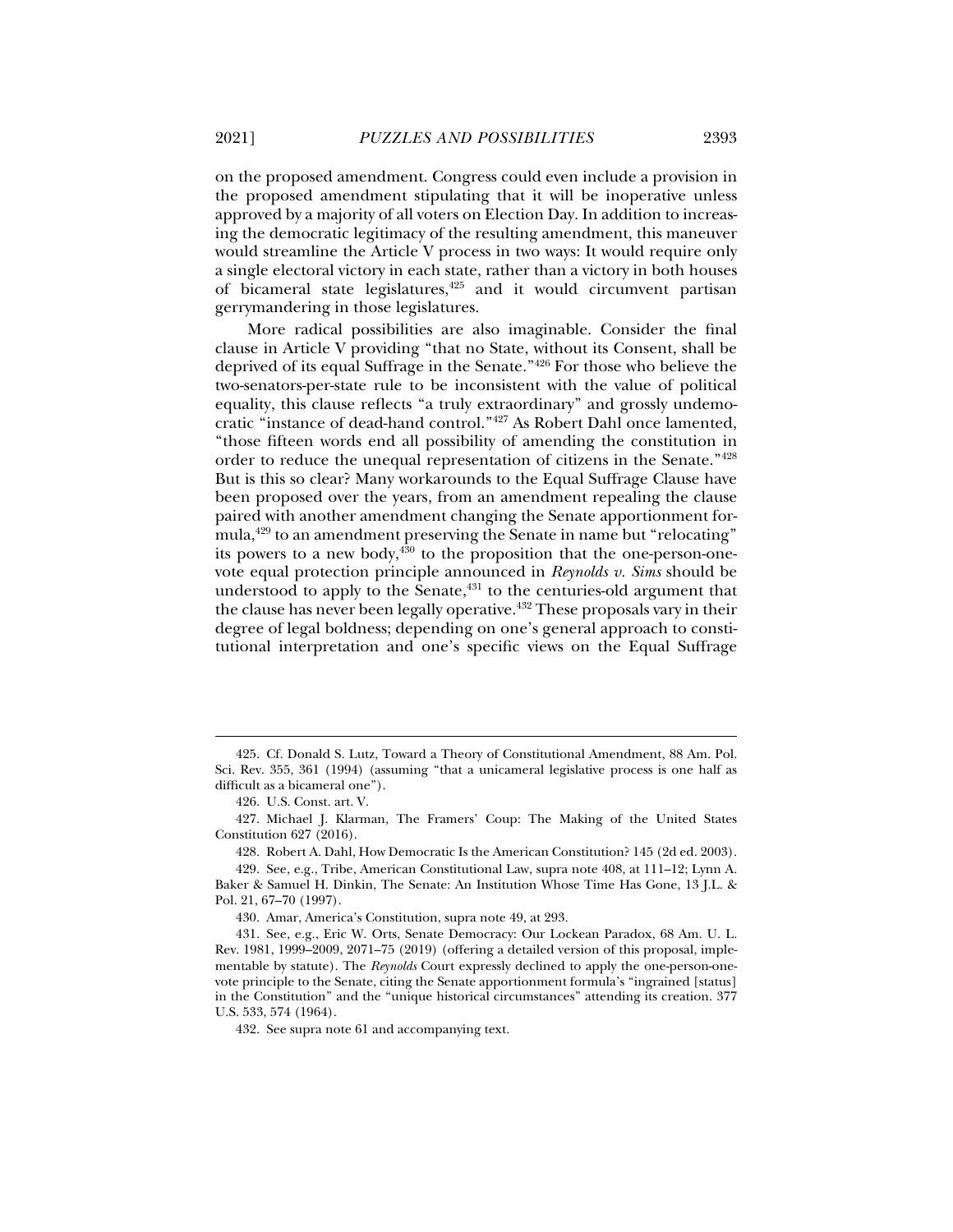on the proposed amendment. Congress could even include a provision in the proposed amendment stipulating that it will be inoperative unless approved by a majority of all voters on Election Day. In addition to increasing the democratic legitimacy of the resulting amendment, this maneuver would streamline the Article V process in two ways: It would require only a single electoral victory in each state, rather than a victory in both houses of bicameral state legislatures, $425$  and it would circumvent partisan gerrymandering in those legislatures.

More radical possibilities are also imaginable. Consider the final clause in Article V providing "that no State, without its Consent, shall be deprived of its equal Suffrage in the Senate."426 For those who believe the two-senators-per-state rule to be inconsistent with the value of political equality, this clause reflects "a truly extraordinary" and grossly undemocratic "instance of dead-hand control."427 As Robert Dahl once lamented, "those fifteen words end all possibility of amending the constitution in order to reduce the unequal representation of citizens in the Senate."428 But is this so clear? Many workarounds to the Equal Suffrage Clause have been proposed over the years, from an amendment repealing the clause paired with another amendment changing the Senate apportionment formula,<sup>429</sup> to an amendment preserving the Senate in name but "relocating" its powers to a new body, $430$  to the proposition that the one-person-onevote equal protection principle announced in *Reynolds v. Sims* should be understood to apply to the Senate,<sup>431</sup> to the centuries-old argument that the clause has never been legally operative.<sup> $432$ </sup> These proposals vary in their degree of legal boldness; depending on one's general approach to constitutional interpretation and one's specific views on the Equal Suffrage

j

428. Robert A. Dahl, How Democratic Is the American Constitution? 145 (2d ed. 2003).

 <sup>425.</sup> Cf. Donald S. Lutz, Toward a Theory of Constitutional Amendment, 88 Am. Pol. Sci. Rev. 355, 361 (1994) (assuming "that a unicameral legislative process is one half as difficult as a bicameral one").

 <sup>426.</sup> U.S. Const. art. V.

 <sup>427.</sup> Michael J. Klarman, The Framers' Coup: The Making of the United States Constitution 627 (2016).

 <sup>429.</sup> See, e.g., Tribe, American Constitutional Law, supra note 408, at 111–12; Lynn A. Baker & Samuel H. Dinkin, The Senate: An Institution Whose Time Has Gone, 13 J.L. & Pol. 21, 67–70 (1997).

 <sup>430.</sup> Amar, America's Constitution, supra note 49, at 293.

 <sup>431.</sup> See, e.g., Eric W. Orts, Senate Democracy: Our Lockean Paradox, 68 Am. U. L. Rev. 1981, 1999–2009, 2071–75 (2019) (offering a detailed version of this proposal, implementable by statute). The *Reynolds* Court expressly declined to apply the one-person-onevote principle to the Senate, citing the Senate apportionment formula's "ingrained [status] in the Constitution" and the "unique historical circumstances" attending its creation. 377 U.S. 533, 574 (1964).

 <sup>432.</sup> See supra note 61 and accompanying text.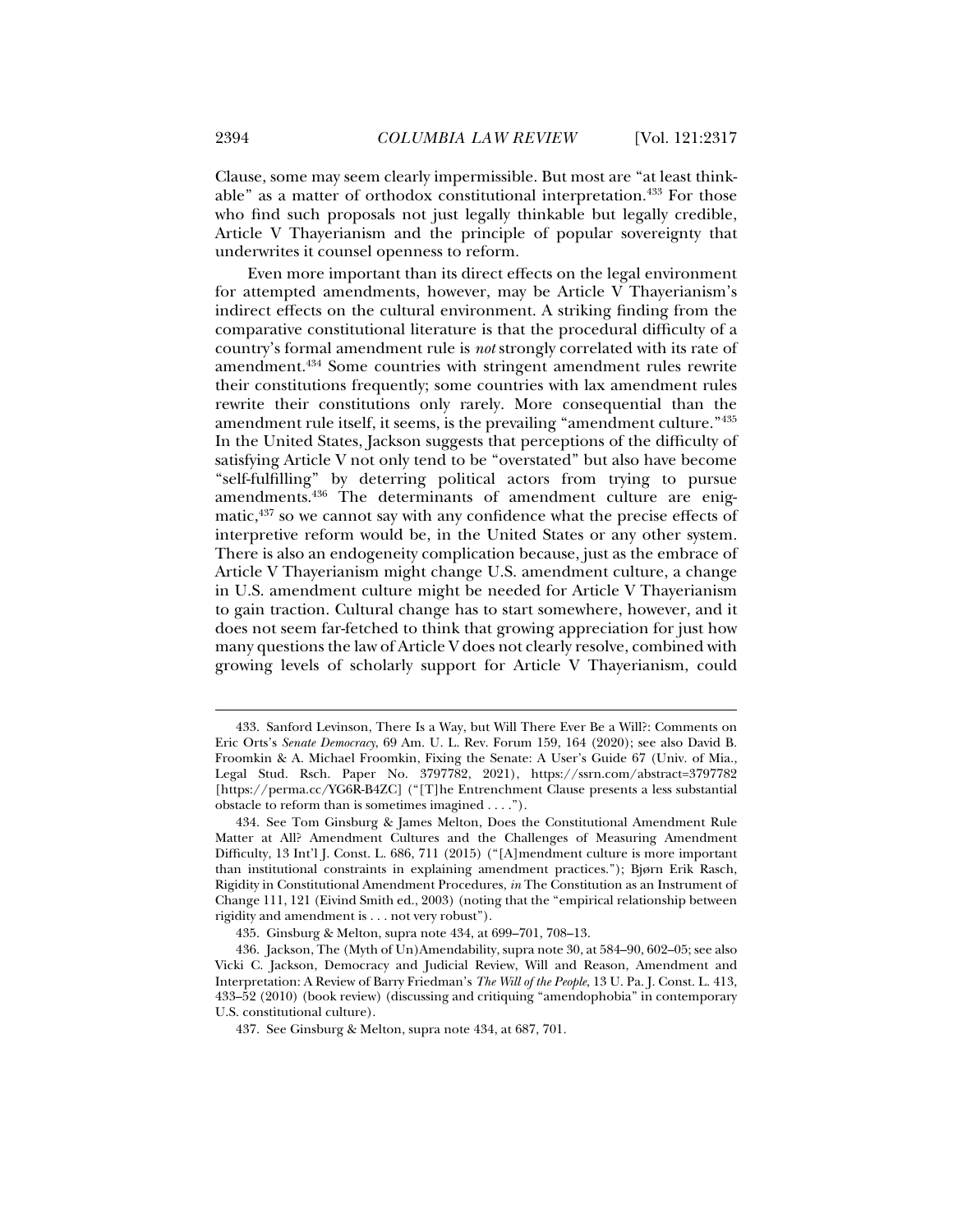Clause, some may seem clearly impermissible. But most are "at least thinkable" as a matter of orthodox constitutional interpretation.<sup>433</sup> For those who find such proposals not just legally thinkable but legally credible, Article V Thayerianism and the principle of popular sovereignty that underwrites it counsel openness to reform.

Even more important than its direct effects on the legal environment for attempted amendments, however, may be Article V Thayerianism's indirect effects on the cultural environment. A striking finding from the comparative constitutional literature is that the procedural difficulty of a country's formal amendment rule is *not* strongly correlated with its rate of amendment.434 Some countries with stringent amendment rules rewrite their constitutions frequently; some countries with lax amendment rules rewrite their constitutions only rarely. More consequential than the amendment rule itself, it seems, is the prevailing "amendment culture."435 In the United States, Jackson suggests that perceptions of the difficulty of satisfying Article V not only tend to be "overstated" but also have become "self-fulfilling" by deterring political actors from trying to pursue amendments.436 The determinants of amendment culture are enigmatic,<sup>437</sup> so we cannot say with any confidence what the precise effects of interpretive reform would be, in the United States or any other system. There is also an endogeneity complication because, just as the embrace of Article V Thayerianism might change U.S. amendment culture, a change in U.S. amendment culture might be needed for Article V Thayerianism to gain traction. Cultural change has to start somewhere, however, and it does not seem far-fetched to think that growing appreciation for just how many questions the law of Article V does not clearly resolve, combined with growing levels of scholarly support for Article V Thayerianism, could

 <sup>433.</sup> Sanford Levinson, There Is a Way, but Will There Ever Be a Will?: Comments on Eric Orts's *Senate Democracy*, 69 Am. U. L. Rev. Forum 159, 164 (2020); see also David B. Froomkin & A. Michael Froomkin, Fixing the Senate: A User's Guide 67 (Univ. of Mia., Legal Stud. Rsch. Paper No. 3797782, 2021), https://ssrn.com/abstract=3797782 [https://perma.cc/YG6R-B4ZC] ("[T]he Entrenchment Clause presents a less substantial obstacle to reform than is sometimes imagined . . . .").

 <sup>434.</sup> See Tom Ginsburg & James Melton, Does the Constitutional Amendment Rule Matter at All? Amendment Cultures and the Challenges of Measuring Amendment Difficulty, 13 Int'l J. Const. L. 686, 711 (2015) ("[A]mendment culture is more important than institutional constraints in explaining amendment practices."); Bjørn Erik Rasch, Rigidity in Constitutional Amendment Procedures, *in* The Constitution as an Instrument of Change 111, 121 (Eivind Smith ed., 2003) (noting that the "empirical relationship between rigidity and amendment is . . . not very robust").

 <sup>435.</sup> Ginsburg & Melton, supra note 434, at 699–701, 708–13.

 <sup>436.</sup> Jackson, The (Myth of Un)Amendability, supra note 30, at 584–90, 602–05; see also Vicki C. Jackson, Democracy and Judicial Review, Will and Reason, Amendment and Interpretation: A Review of Barry Friedman's *The Will of the People*, 13 U. Pa. J. Const. L. 413, 433–52 (2010) (book review) (discussing and critiquing "amendophobia" in contemporary U.S. constitutional culture).

 <sup>437.</sup> See Ginsburg & Melton, supra note 434, at 687, 701.